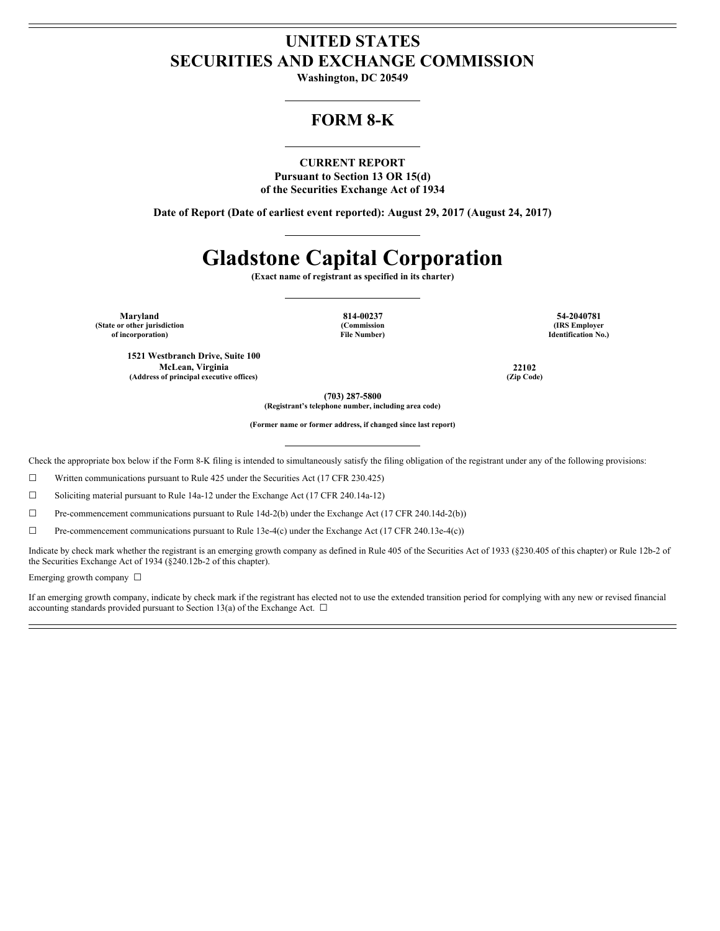# **UNITED STATES SECURITIES AND EXCHANGE COMMISSION**

**Washington, DC 20549**

# **FORM 8-K**

# **CURRENT REPORT**

**Pursuant to Section 13 OR 15(d) of the Securities Exchange Act of 1934**

**Date of Report (Date of earliest event reported): August 29, 2017 (August 24, 2017)**

# **Gladstone Capital Corporation**

**(Exact name of registrant as specified in its charter)**

**(State or other jurisdiction of incorporation)**

**(Commission File Number)**

**Maryland 814-00237 54-2040781 (IRS Employer Identification No.)**

**1521 Westbranch Drive, Suite 100 McLean, Virginia 22102 (Address of principal executive offices) (Zip Code)**

**(703) 287-5800**

**(Registrant's telephone number, including area code)**

**(Former name or former address, if changed since last report)**

Check the appropriate box below if the Form 8-K filing is intended to simultaneously satisfy the filing obligation of the registrant under any of the following provisions:

☐ Written communications pursuant to Rule 425 under the Securities Act (17 CFR 230.425)

☐ Soliciting material pursuant to Rule 14a-12 under the Exchange Act (17 CFR 240.14a-12)

☐ Pre-commencement communications pursuant to Rule 14d-2(b) under the Exchange Act (17 CFR 240.14d-2(b))

☐ Pre-commencement communications pursuant to Rule 13e-4(c) under the Exchange Act (17 CFR 240.13e-4(c))

Indicate by check mark whether the registrant is an emerging growth company as defined in Rule 405 of the Securities Act of 1933 (§230.405 of this chapter) or Rule 12b-2 of the Securities Exchange Act of 1934 (§240.12b-2 of this chapter).

Emerging growth company  $\Box$ 

If an emerging growth company, indicate by check mark if the registrant has elected not to use the extended transition period for complying with any new or revised financial accounting standards provided pursuant to Section 13(a) of the Exchange Act.  $\Box$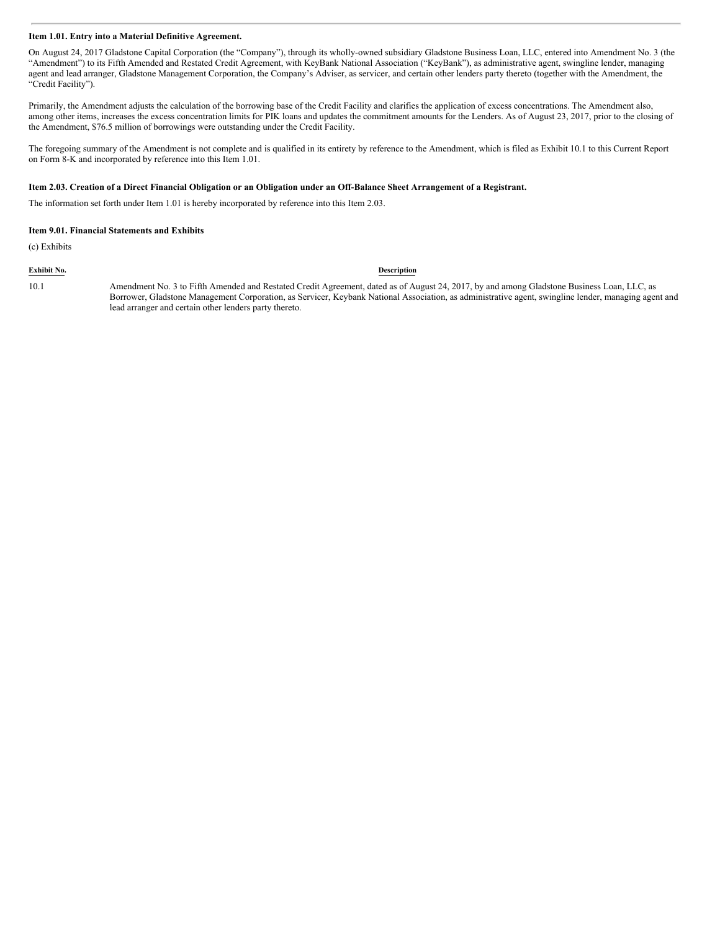### **Item 1.01. Entry into a Material Definitive Agreement.**

On August 24, 2017 Gladstone Capital Corporation (the "Company"), through its wholly-owned subsidiary Gladstone Business Loan, LLC, entered into Amendment No. 3 (the "Amendment") to its Fifth Amended and Restated Credit Agreement, with KeyBank National Association ("KeyBank"), as administrative agent, swingline lender, managing agent and lead arranger, Gladstone Management Corporation, the Company's Adviser, as servicer, and certain other lenders party thereto (together with the Amendment, the "Credit Facility").

Primarily, the Amendment adjusts the calculation of the borrowing base of the Credit Facility and clarifies the application of excess concentrations. The Amendment also, among other items, increases the excess concentration limits for PIK loans and updates the commitment amounts for the Lenders. As of August 23, 2017, prior to the closing of the Amendment, \$76.5 million of borrowings were outstanding under the Credit Facility.

The foregoing summary of the Amendment is not complete and is qualified in its entirety by reference to the Amendment, which is filed as Exhibit 10.1 to this Current Report on Form 8-K and incorporated by reference into this Item 1.01.

# Item 2.03. Creation of a Direct Financial Obligation or an Obligation under an Off-Balance Sheet Arrangement of a Registrant.

The information set forth under Item 1.01 is hereby incorporated by reference into this Item 2.03.

#### **Item 9.01. Financial Statements and Exhibits**

(c) Exhibits

#### **Exhibit No. Description**

10.1 Amendment No. 3 to Fifth Amended and Restated Credit Agreement, dated as of August 24, 2017, by and among Gladstone Business Loan, LLC, as Borrower, Gladstone Management Corporation, as Servicer, Keybank National Association, as administrative agent, swingline lender, managing agent and lead arranger and certain other lenders party thereto.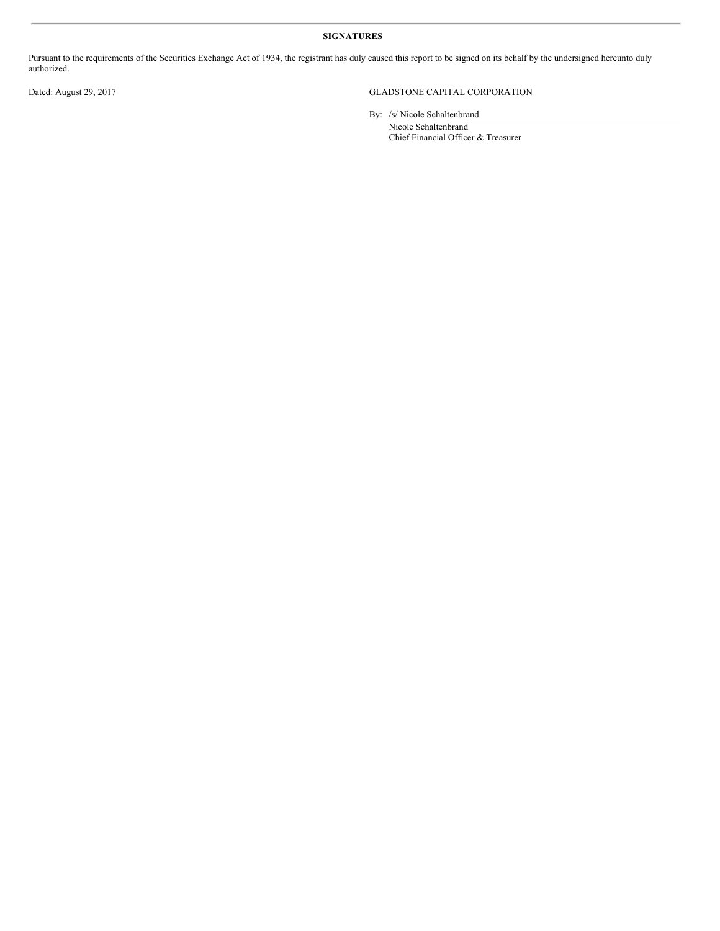# **SIGNATURES**

Pursuant to the requirements of the Securities Exchange Act of 1934, the registrant has duly caused this report to be signed on its behalf by the undersigned hereunto duly authorized.

# Dated: August 29, 2017 GLADSTONE CAPITAL CORPORATION

By: /s/ Nicole Schaltenbrand

Nicole Schaltenbrand Chief Financial Officer & Treasurer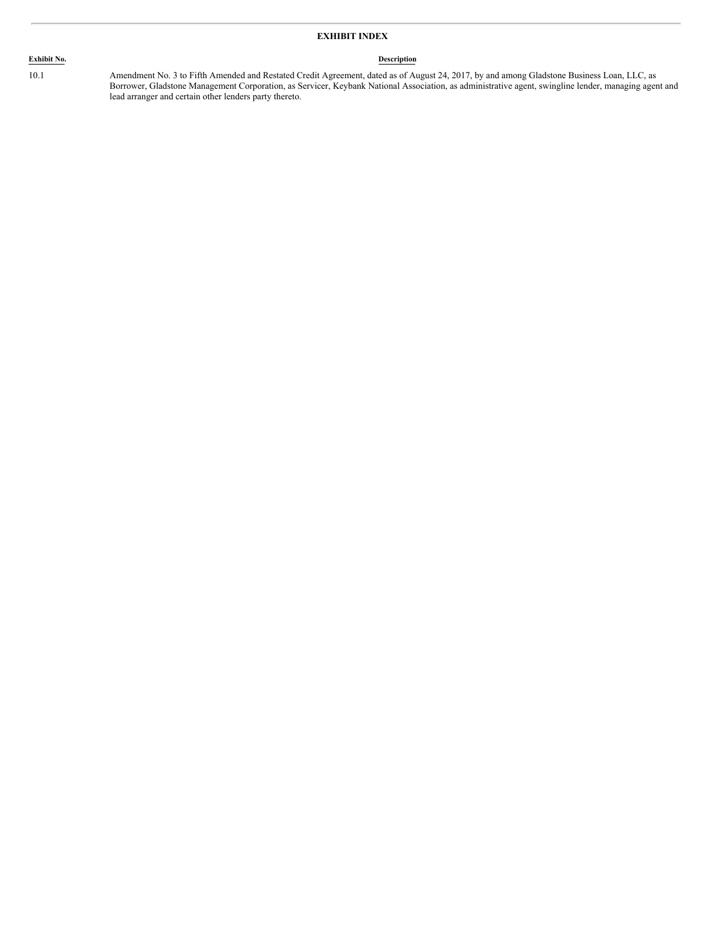# **EXHIBIT INDEX**

# **Exhibit No. Description**

10.1 Amendment No. 3 to Fifth Amended and Restated Credit Agreement, dated as of August 24, 2017, by and among Gladstone Business Loan, LLC, as Borrower, Gladstone Management Corporation, as Servicer, Keybank National Association, as administrative agent, swingline lender, managing agent and lead arranger and certain other lenders party thereto.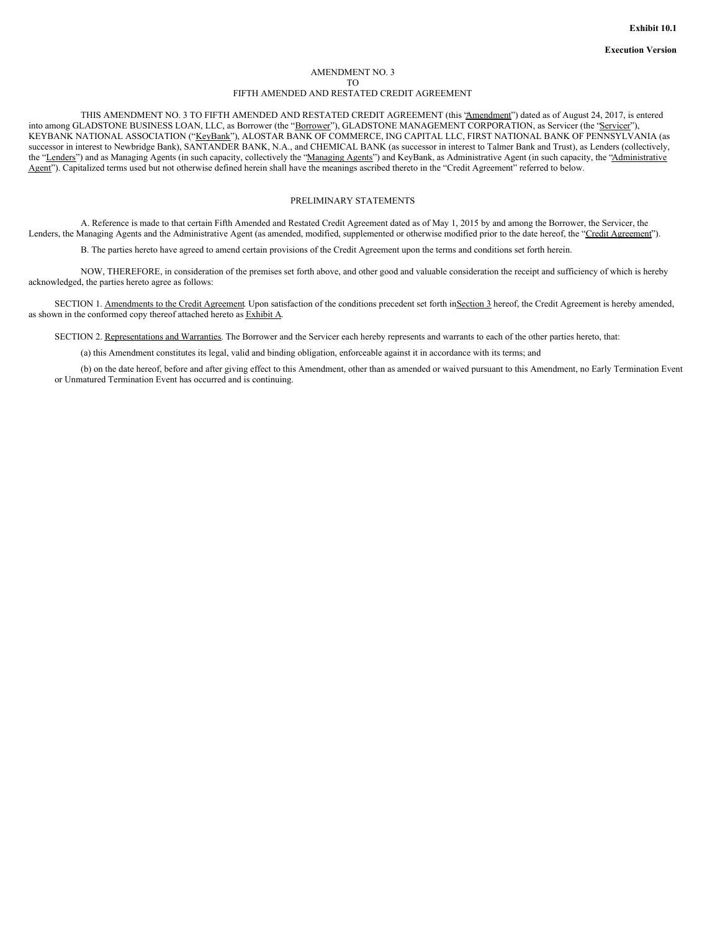#### AMENDMENT NO. 3 TO FIFTH AMENDED AND RESTATED CREDIT AGREEMENT

THIS AMENDMENT NO. 3 TO FIFTH AMENDED AND RESTATED CREDIT AGREEMENT (this "Amendment") dated as of August 24, 2017, is entered into among GLADSTONE BUSINESS LOAN, LLC, as Borrower (the "Borrower"), GLADSTONE MANAGEMENT CORPORATION, as Servicer (the "Servicer"), KEYBANK NATIONAL ASSOCIATION ("KeyBank"), ALOSTAR BANK OF COMMERCE, ING CAPITAL LLC, FIRST NATIONAL BANK OF PENNSYLVANIA (as successor in interest to Newbridge Bank), SANTANDER BANK, N.A., and CHEMICAL BANK (as successor in interest to Talmer Bank and Trust), as Lenders (collectively, the "Lenders") and as Managing Agents (in such capacity, collectively the "Managing Agents") and KeyBank, as Administrative Agent (in such capacity, the "Administrative Agent"). Capitalized terms used but not otherwise defined herein shall have the meanings ascribed thereto in the "Credit Agreement" referred to below.

### PRELIMINARY STATEMENTS

A. Reference is made to that certain Fifth Amended and Restated Credit Agreement dated as of May 1, 2015 by and among the Borrower, the Servicer, the Lenders, the Managing Agents and the Administrative Agent (as amended, modified, supplemented or otherwise modified prior to the date hereof, the "Credit Agreement").

B. The parties hereto have agreed to amend certain provisions of the Credit Agreement upon the terms and conditions set forth herein.

NOW, THEREFORE, in consideration of the premises set forth above, and other good and valuable consideration the receipt and sufficiency of which is hereby acknowledged, the parties hereto agree as follows:

SECTION 1. Amendments to the Credit Agreement Upon satisfaction of the conditions precedent set forth in Section 3 hereof, the Credit Agreement is hereby amended, as shown in the conformed copy thereof attached hereto as Exhibit A.

SECTION 2. Representations and Warranties. The Borrower and the Servicer each hereby represents and warrants to each of the other parties hereto, that:

(a) this Amendment constitutes its legal, valid and binding obligation, enforceable against it in accordance with its terms; and

(b) on the date hereof, before and after giving effect to this Amendment, other than as amended or waived pursuant to this Amendment, no Early Termination Event or Unmatured Termination Event has occurred and is continuing.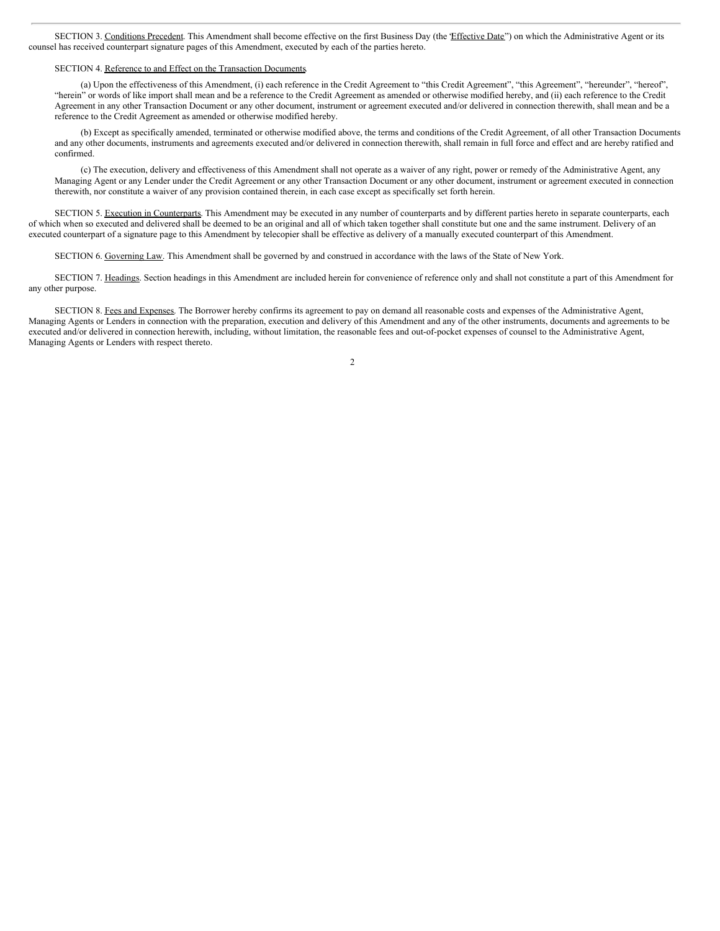SECTION 3. Conditions Precedent. This Amendment shall become effective on the first Business Day (the *Effective Date*") on which the Administrative Agent or its counsel has received counterpart signature pages of this Amendment, executed by each of the parties hereto.

#### SECTION 4. Reference to and Effect on the Transaction Documents.

(a) Upon the effectiveness of this Amendment, (i) each reference in the Credit Agreement to "this Credit Agreement", "this Agreement", "hereunder", "hereof", "herein" or words of like import shall mean and be a reference to the Credit Agreement as amended or otherwise modified hereby, and (ii) each reference to the Credit Agreement in any other Transaction Document or any other document, instrument or agreement executed and/or delivered in connection therewith, shall mean and be a reference to the Credit Agreement as amended or otherwise modified hereby.

(b) Except as specifically amended, terminated or otherwise modified above, the terms and conditions of the Credit Agreement, of all other Transaction Documents and any other documents, instruments and agreements executed and/or delivered in connection therewith, shall remain in full force and effect and are hereby ratified and confirmed.

(c) The execution, delivery and effectiveness of this Amendment shall not operate as a waiver of any right, power or remedy of the Administrative Agent, any Managing Agent or any Lender under the Credit Agreement or any other Transaction Document or any other document, instrument or agreement executed in connection therewith, nor constitute a waiver of any provision contained therein, in each case except as specifically set forth herein.

SECTION 5. Execution in Counterparts. This Amendment may be executed in any number of counterparts and by different parties hereto in separate counterparts, each of which when so executed and delivered shall be deemed to be an original and all of which taken together shall constitute but one and the same instrument. Delivery of an executed counterpart of a signature page to this Amendment by telecopier shall be effective as delivery of a manually executed counterpart of this Amendment.

SECTION 6. Governing Law. This Amendment shall be governed by and construed in accordance with the laws of the State of New York.

SECTION 7. Headings. Section headings in this Amendment are included herein for convenience of reference only and shall not constitute a part of this Amendment for any other purpose.

SECTION 8. Fees and Expenses. The Borrower hereby confirms its agreement to pay on demand all reasonable costs and expenses of the Administrative Agent, Managing Agents or Lenders in connection with the preparation, execution and delivery of this Amendment and any of the other instruments, documents and agreements to be executed and/or delivered in connection herewith, including, without limitation, the reasonable fees and out-of-pocket expenses of counsel to the Administrative Agent, Managing Agents or Lenders with respect thereto.

 $\overline{2}$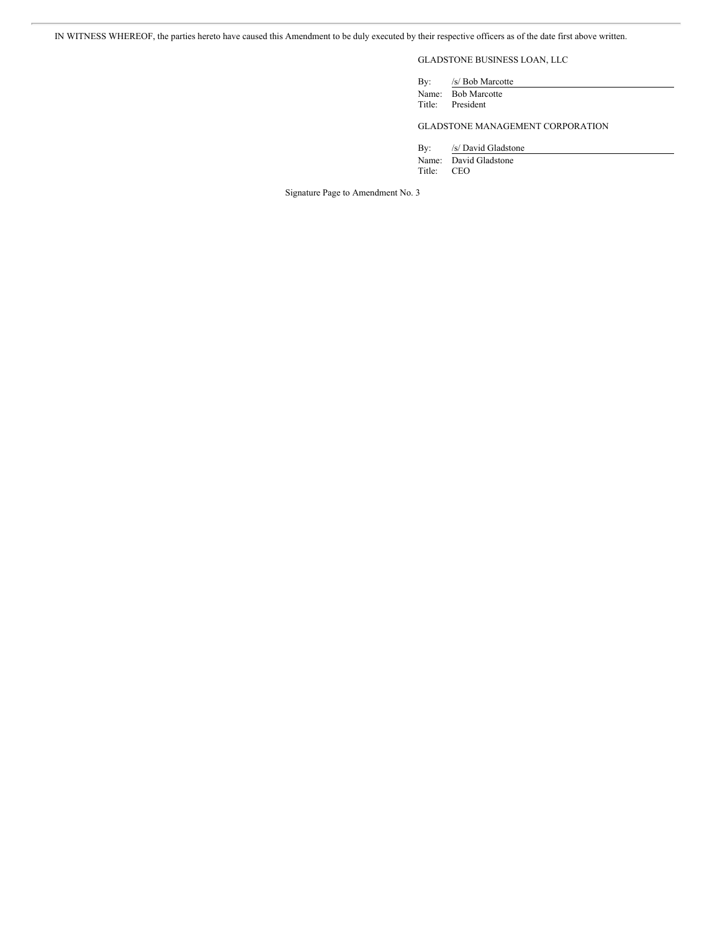IN WITNESS WHEREOF, the parties hereto have caused this Amendment to be duly executed by their respective officers as of the date first above written.

# GLADSTONE BUSINESS LOAN, LLC

By: /s/ Bob Marcotte Name: Bob Marcotte<br>Title: President President

GLADSTONE MANAGEMENT CORPORATION

By: /s/ David Gladstone Name: David Gladstone<br>Title: CEO CEO

Signature Page to Amendment No. 3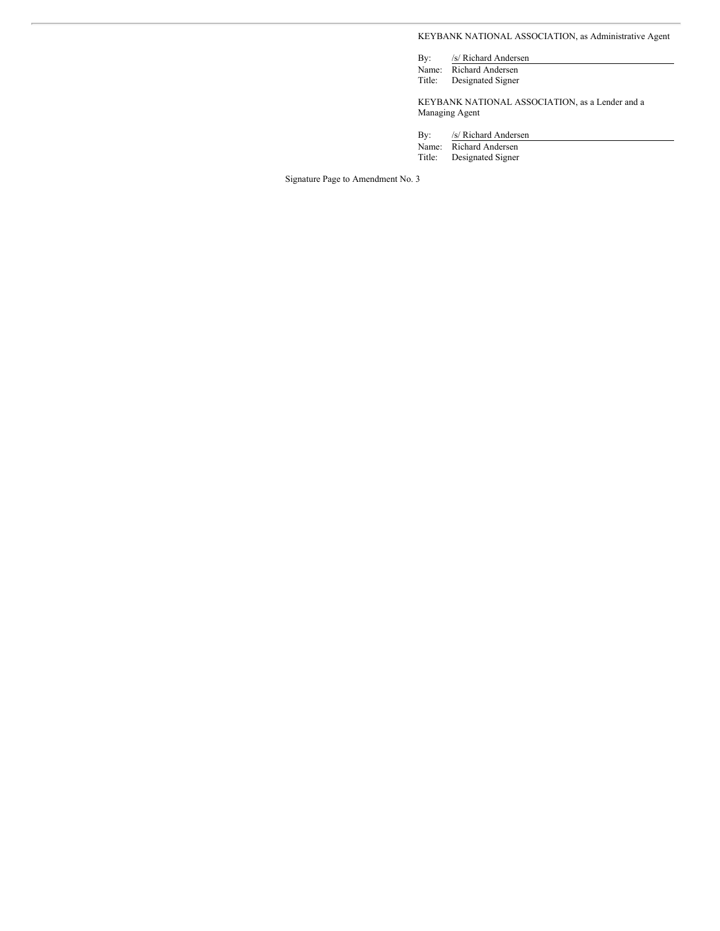KEYBANK NATIONAL ASSOCIATION, as Administrative Agent

By: /s/ Richard Andersen Name: Richard Andersen

Title: Designated Signer

KEYBANK NATIONAL ASSOCIATION, as a Lender and a Managing Agent

By: /s/ Richard Andersen

Name: Richard Andersen<br>Title: Designated Signer

Designated Signer

Signature Page to Amendment No. 3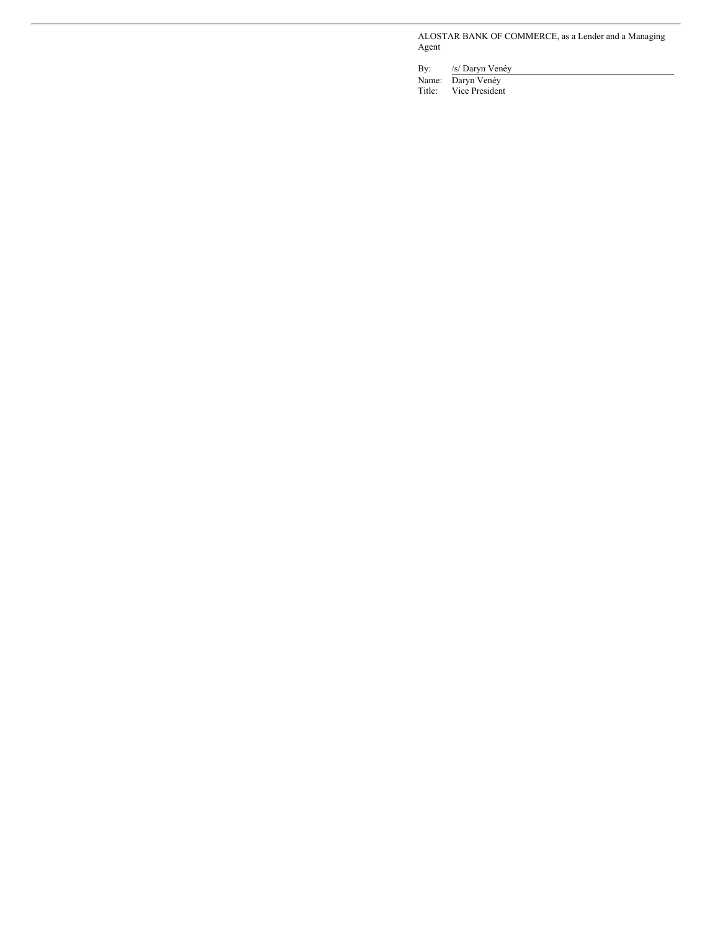ALOSTAR BANK OF COMMERCE, as a Lender and a Managing Agent

By: /s/ Daryn Venéy

Name: Daryn Venéy

Title: Vice President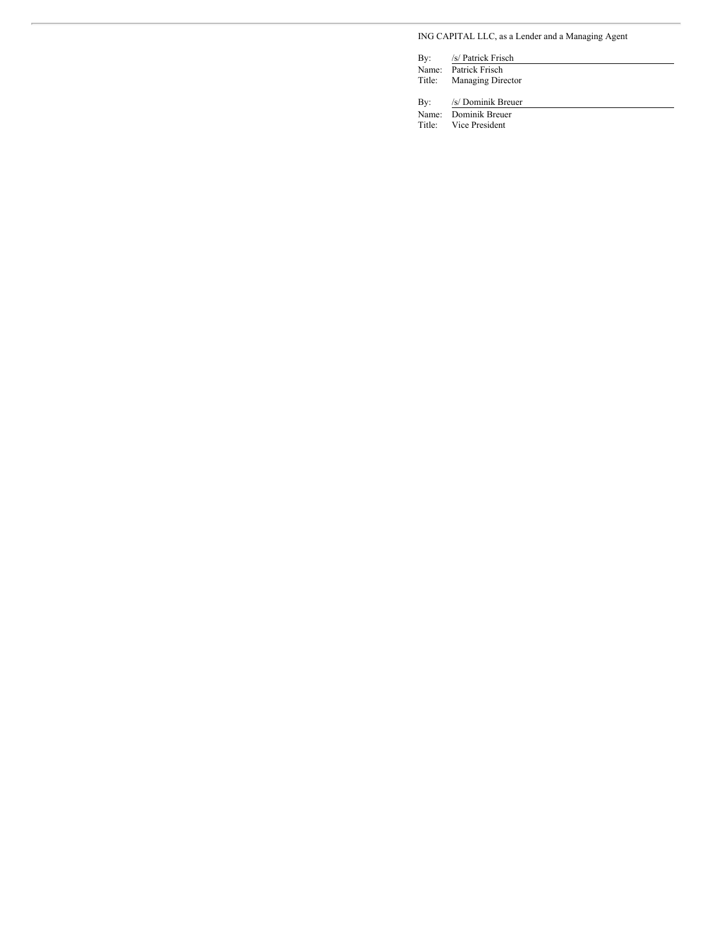# ING CAPITAL LLC, as a Lender and a Managing Agent

By: /s/ Patrick Frisch Name: Patrick Frisch Title: Managing Director By: /s/ Dominik Breuer

Name: Dominik Breuer Title: Vice President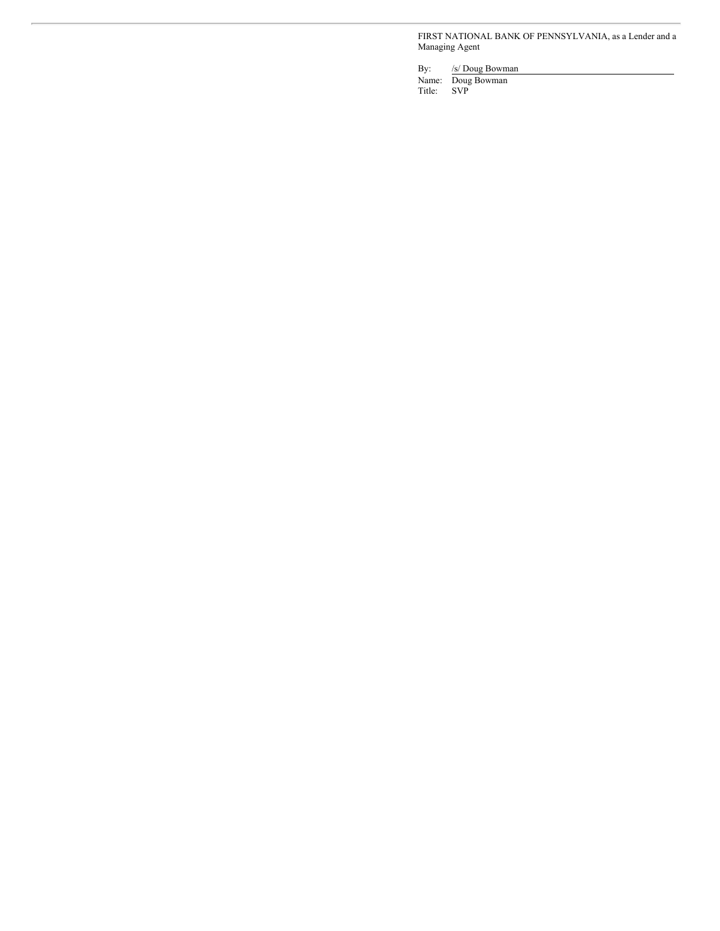FIRST NATIONAL BANK OF PENNSYLVANIA, as a Lender and a Managing Agent

By: /s/ Doug Bowman

Name: Doug Bowman Title: SVP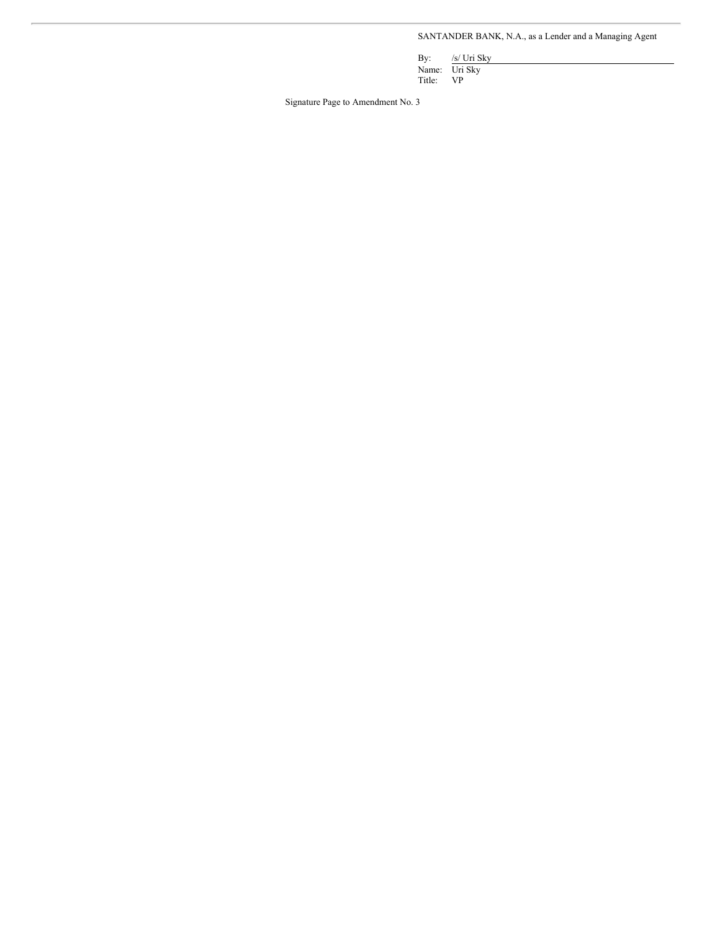SANTANDER BANK, N.A., as a Lender and a Managing Agent

By: /s/ Uri Sky Name: Uri Sky

Title: VP

Signature Page to Amendment No. 3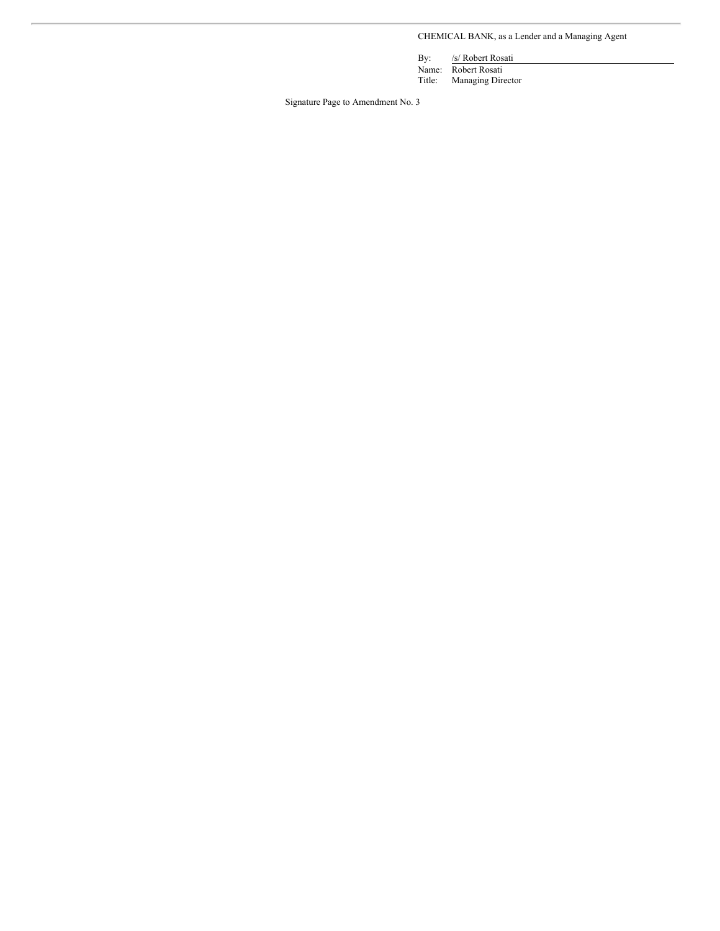CHEMICAL BANK, as a Lender and a Managing Agent

By: /s/ Robert Rosati

Name: Robert Rosati<br>Title: Managing Dire Managing Director

Signature Page to Amendment No. 3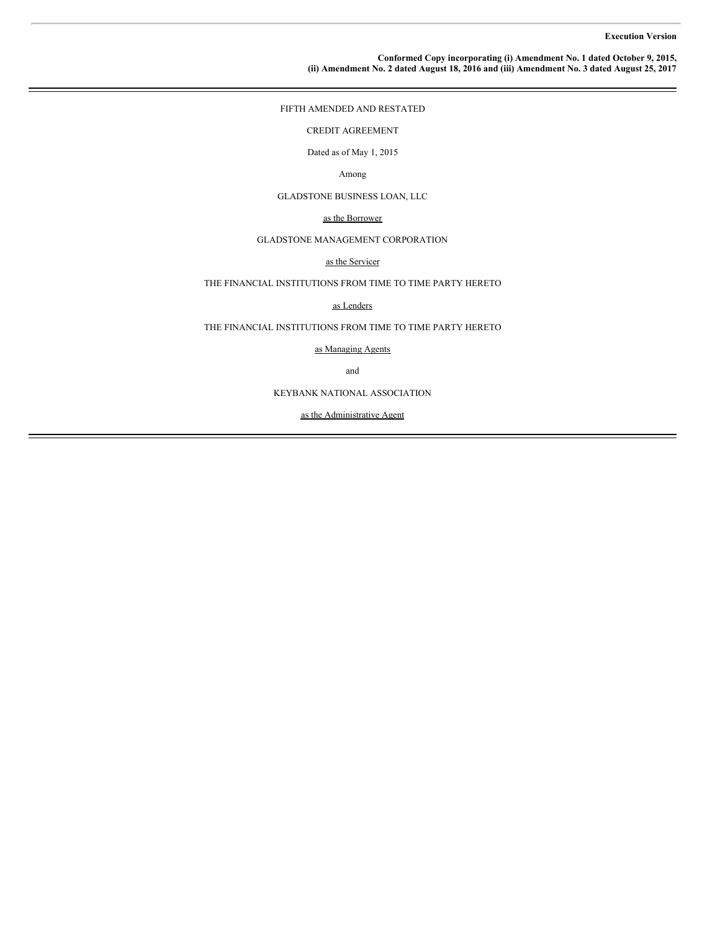#### **Conformed Copy incorporating (i) Amendment No. 1 dated October 9, 2015, (ii) Amendment No. 2 dated August 18, 2016 and (iii) Amendment No. 3 dated August 25, 2017**

FIFTH AMENDED AND RESTATED

CREDIT AGREEMENT

Dated as of May 1, 2015

# Among

GLADSTONE BUSINESS LOAN, LLC

# as the Borrower

# GLADSTONE MANAGEMENT CORPORATION

# as the Servicer

# THE FINANCIAL INSTITUTIONS FROM TIME TO TIME PARTY HERETO

#### as Lenders

THE FINANCIAL INSTITUTIONS FROM TIME TO TIME PARTY HERETO

as Managing Agents

and

KEYBANK NATIONAL ASSOCIATION

as the Administrative Agent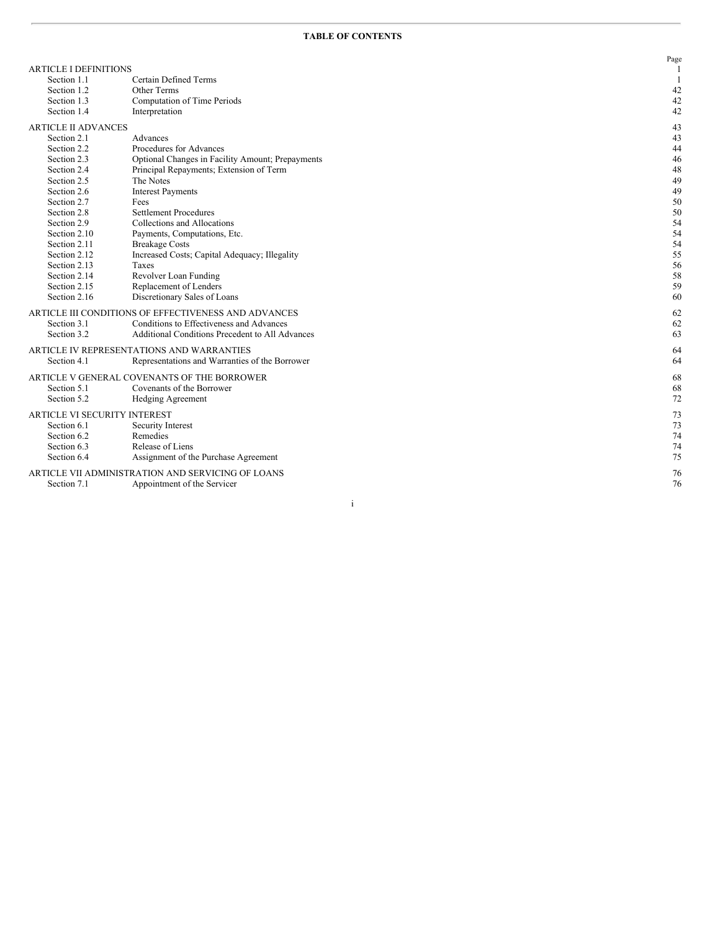|                                     |                                                      | Page |
|-------------------------------------|------------------------------------------------------|------|
| <b>ARTICLE I DEFINITIONS</b>        |                                                      |      |
| Section 1.1                         | Certain Defined Terms                                |      |
| Section 1.2                         | Other Terms                                          | 42   |
| Section 1.3                         | Computation of Time Periods                          | 42   |
| Section 1.4                         | Interpretation                                       | 42   |
| <b>ARTICLE II ADVANCES</b>          |                                                      | 43   |
| Section 2.1                         | Advances                                             | 43   |
| Section 2.2                         | Procedures for Advances                              | 44   |
| Section 2.3                         | Optional Changes in Facility Amount; Prepayments     | 46   |
| Section 2.4                         | Principal Repayments; Extension of Term              | 48   |
| Section 2.5                         | The Notes                                            | 49   |
| Section 2.6                         | <b>Interest Payments</b>                             | 49   |
| Section 2.7                         | Fees                                                 | 50   |
| Section 2.8                         | <b>Settlement Procedures</b>                         | 50   |
| Section 2.9                         | Collections and Allocations                          | 54   |
| Section 2.10                        | Payments, Computations, Etc.                         | 54   |
| Section 2.11                        | <b>Breakage Costs</b>                                | 54   |
| Section 2.12                        | Increased Costs; Capital Adequacy; Illegality        | 55   |
| Section 2.13                        | Taxes                                                | 56   |
| Section 2.14                        | Revolver Loan Funding                                | 58   |
| Section 2.15                        | Replacement of Lenders                               | 59   |
| Section 2.16                        | Discretionary Sales of Loans                         | 60   |
|                                     | ARTICLE III CONDITIONS OF EFFECTIVENESS AND ADVANCES | 62   |
| Section 3.1                         | Conditions to Effectiveness and Advances             | 62   |
| Section 3.2                         | Additional Conditions Precedent to All Advances      | 63   |
|                                     | ARTICLE IV REPRESENTATIONS AND WARRANTIES            | 64   |
| Section 4.1                         |                                                      | 64   |
|                                     | Representations and Warranties of the Borrower       |      |
|                                     | ARTICLE V GENERAL COVENANTS OF THE BORROWER          | 68   |
| Section 5.1                         | Covenants of the Borrower                            | 68   |
| Section 5.2                         | Hedging Agreement                                    | 72   |
| <b>ARTICLE VI SECURITY INTEREST</b> |                                                      | 73   |
| Section 6.1                         | Security Interest                                    | 73   |
| Section 6.2                         | Remedies                                             | 74   |
| Section 6.3                         | Release of Liens                                     | 74   |
| Section 6.4                         | Assignment of the Purchase Agreement                 | 75   |
|                                     | ARTICLE VII ADMINISTRATION AND SERVICING OF LOANS    | 76   |
| Section 7.1                         | Appointment of the Servicer                          | 76   |
|                                     |                                                      |      |

i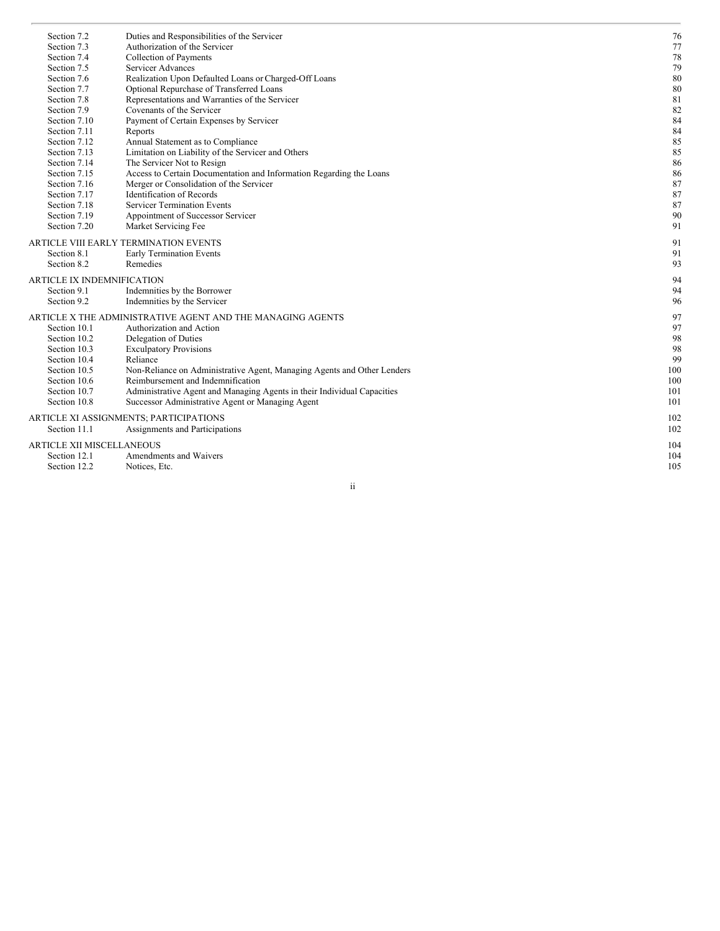| Section 7.2                | Duties and Responsibilities of the Servicer                             | 76  |
|----------------------------|-------------------------------------------------------------------------|-----|
| Section 7.3                | Authorization of the Servicer                                           | 77  |
| Section 7.4                | Collection of Payments                                                  | 78  |
| Section 7.5                | Servicer Advances                                                       | 79  |
| Section 7.6                | Realization Upon Defaulted Loans or Charged-Off Loans                   | 80  |
| Section 7.7                | Optional Repurchase of Transferred Loans                                | 80  |
| Section 7.8                | Representations and Warranties of the Servicer                          | 81  |
| Section 7.9                | Covenants of the Servicer                                               | 82  |
| Section 7.10               | Payment of Certain Expenses by Servicer                                 | 84  |
| Section 7.11               | Reports                                                                 | 84  |
| Section 7.12               | Annual Statement as to Compliance                                       | 85  |
| Section 7.13               | Limitation on Liability of the Servicer and Others                      | 85  |
| Section 7.14               | The Servicer Not to Resign                                              | 86  |
| Section 7.15               | Access to Certain Documentation and Information Regarding the Loans     | 86  |
| Section 7.16               | Merger or Consolidation of the Servicer                                 | 87  |
| Section 7.17               | <b>Identification of Records</b>                                        | 87  |
| Section 7.18               | <b>Servicer Termination Events</b>                                      | 87  |
| Section 7.19               | Appointment of Successor Servicer                                       | 90  |
| Section 7.20               | Market Servicing Fee                                                    | 91  |
|                            | ARTICLE VIII EARLY TERMINATION EVENTS                                   | 91  |
| Section 8.1                | Early Termination Events                                                | 91  |
| Section 8.2                | Remedies                                                                | 93  |
| ARTICLE IX INDEMNIFICATION |                                                                         | 94  |
| Section 9.1                | Indemnities by the Borrower                                             | 94  |
| Section 9.2                | Indemnities by the Servicer                                             | 96  |
|                            | ARTICLE X THE ADMINISTRATIVE AGENT AND THE MANAGING AGENTS              | 97  |
| Section 10.1               | Authorization and Action                                                | 97  |
| Section 10.2               | Delegation of Duties                                                    | 98  |
| Section 10.3               | <b>Exculpatory Provisions</b>                                           | 98  |
| Section 10.4               | Reliance                                                                | 99  |
| Section 10.5               | Non-Reliance on Administrative Agent, Managing Agents and Other Lenders | 100 |
| Section 10.6               | Reimbursement and Indemnification                                       | 100 |
| Section 10.7               | Administrative Agent and Managing Agents in their Individual Capacities | 101 |
| Section 10.8               | Successor Administrative Agent or Managing Agent                        | 101 |
|                            | ARTICLE XI ASSIGNMENTS; PARTICIPATIONS                                  | 102 |
| Section 11.1               | Assignments and Participations                                          | 102 |
|                            |                                                                         |     |
| ARTICLE XII MISCELLANEOUS  |                                                                         | 104 |
| Section 12.1               | Amendments and Waivers                                                  | 104 |
| Section 12.2               | Notices, Etc.                                                           | 105 |

i i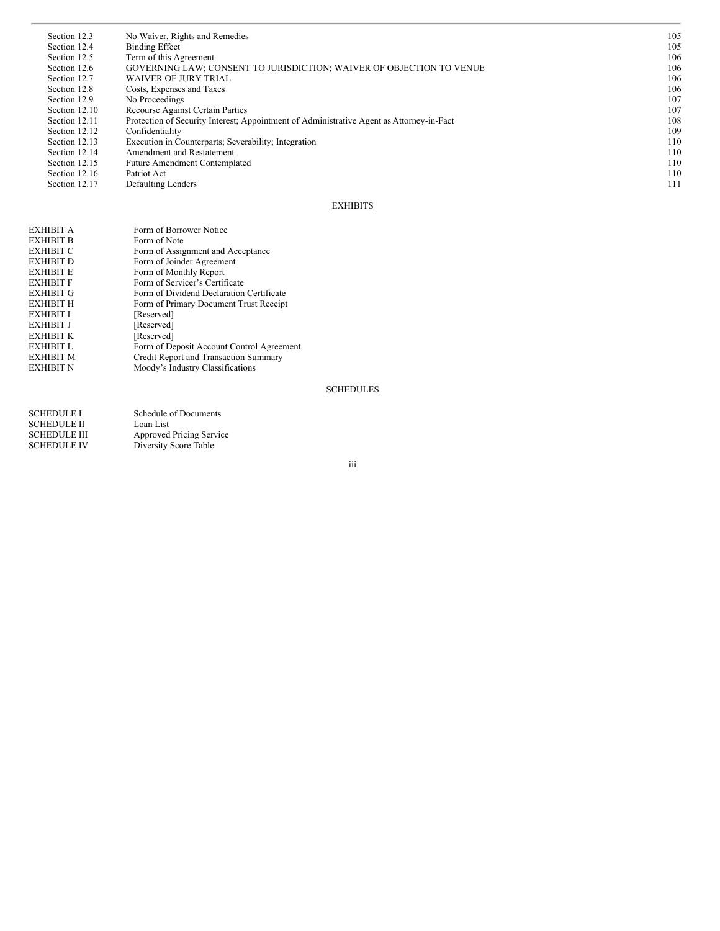| Section 12.3  | No Waiver, Rights and Remedies                                                           | 105 |
|---------------|------------------------------------------------------------------------------------------|-----|
| Section 12.4  | <b>Binding Effect</b>                                                                    | 105 |
| Section 12.5  | Term of this Agreement                                                                   | 106 |
| Section 12.6  | GOVERNING LAW; CONSENT TO JURISDICTION; WAIVER OF OBJECTION TO VENUE                     | 106 |
| Section 12.7  | <b>WAIVER OF JURY TRIAL</b>                                                              | 106 |
| Section 12.8  | Costs, Expenses and Taxes                                                                | 106 |
| Section 12.9  | No Proceedings                                                                           | 107 |
| Section 12.10 | <b>Recourse Against Certain Parties</b>                                                  | 107 |
| Section 12.11 | Protection of Security Interest; Appointment of Administrative Agent as Attorney-in-Fact | 108 |
| Section 12.12 | Confidentiality                                                                          | 109 |
| Section 12.13 | Execution in Counterparts; Severability; Integration                                     | 110 |
| Section 12.14 | Amendment and Restatement                                                                | 110 |
| Section 12.15 | <b>Future Amendment Contemplated</b>                                                     | 110 |
| Section 12.16 | Patriot Act                                                                              | 110 |
| Section 12.17 | Defaulting Lenders                                                                       | 111 |

# **EXHIBITS**

| EXHIBIT A        | Form of Borrower Notice                   |
|------------------|-------------------------------------------|
| <b>EXHIBIT B</b> | Form of Note                              |
| <b>EXHIBIT C</b> | Form of Assignment and Acceptance         |
| EXHIBIT D        | Form of Joinder Agreement                 |
| <b>EXHIBIT E</b> | Form of Monthly Report                    |
| <b>EXHIBIT F</b> | Form of Servicer's Certificate            |
| <b>EXHIBIT G</b> | Form of Dividend Declaration Certificate  |
| <b>EXHIBIT H</b> | Form of Primary Document Trust Receipt    |
| EXHIBIT I        | [Reserved]                                |
| <b>EXHIBIT J</b> | [Reserved]                                |
| <b>EXHIBIT K</b> | [Reserved]                                |
| <b>EXHIBIT L</b> | Form of Deposit Account Control Agreement |
| <b>EXHIBIT M</b> | Credit Report and Transaction Summary     |
| <b>EXHIBIT N</b> | Moody's Industry Classifications          |
|                  |                                           |

# **SCHEDULES**

| <b>SCHEDULE I</b>   | Schedule of Documents    |
|---------------------|--------------------------|
| <b>SCHEDULE II</b>  | Loan List                |
| <b>SCHEDULE III</b> | Approved Pricing Service |
| <b>SCHEDULE IV</b>  | Diversity Score Table    |

iii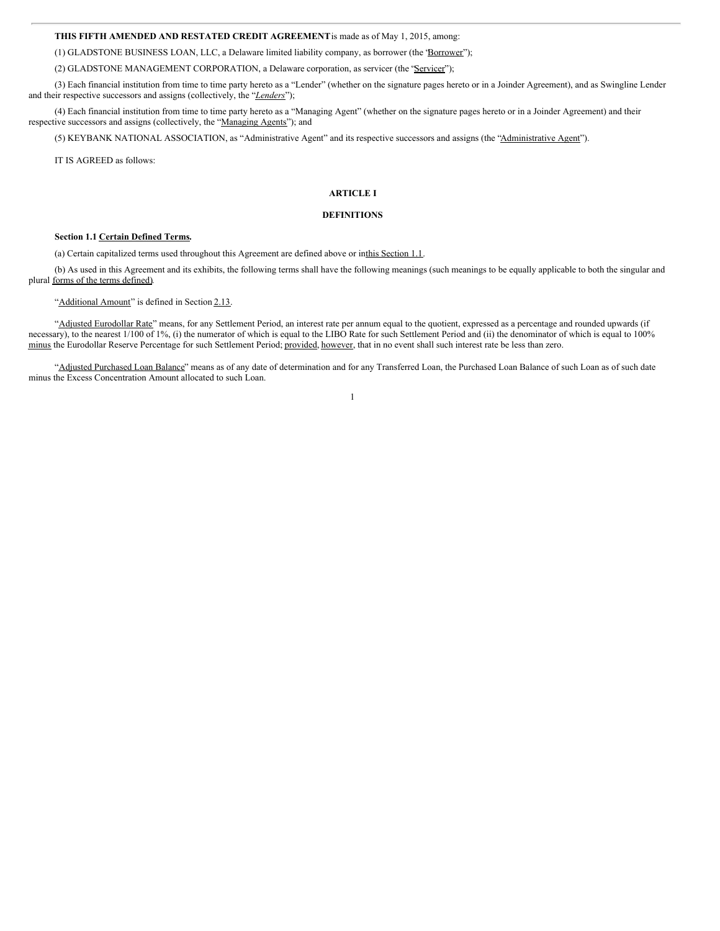# **THIS FIFTH AMENDED AND RESTATED CREDIT AGREEMENT**is made as of May 1, 2015, among:

(1) GLADSTONE BUSINESS LOAN, LLC, a Delaware limited liability company, as borrower (the "Borrower");

(2) GLADSTONE MANAGEMENT CORPORATION, a Delaware corporation, as servicer (the "Servicer");

(3) Each financial institution from time to time party hereto as a "Lender" (whether on the signature pages hereto or in a Joinder Agreement), and as Swingline Lender and their respective successors and assigns (collectively, the "*Lenders*");

(4) Each financial institution from time to time party hereto as a "Managing Agent" (whether on the signature pages hereto or in a Joinder Agreement) and their respective successors and assigns (collectively, the "Managing Agents"); and

(5) KEYBANK NATIONAL ASSOCIATION, as "Administrative Agent" and its respective successors and assigns (the "Administrative Agent").

IT IS AGREED as follows:

# **ARTICLE I**

# **DEFINITIONS**

# **Section 1.1 Certain Defined Terms.**

(a) Certain capitalized terms used throughout this Agreement are defined above or inthis Section 1.1.

(b) As used in this Agreement and its exhibits, the following terms shall have the following meanings (such meanings to be equally applicable to both the singular and plural forms of the terms defined).

"Additional Amount" is defined in Section 2.13.

"Adjusted Eurodollar Rate" means, for any Settlement Period, an interest rate per annum equal to the quotient, expressed as a percentage and rounded upwards (if necessary), to the nearest 1/100 of 1%, (i) the numerator of which is equal to the LIBO Rate for such Settlement Period and (ii) the denominator of which is equal to 100% minus the Eurodollar Reserve Percentage for such Settlement Period; provided, however, that in no event shall such interest rate be less than zero.

"Adjusted Purchased Loan Balance" means as of any date of determination and for any Transferred Loan, the Purchased Loan Balance of such Loan as of such date minus the Excess Concentration Amount allocated to such Loan.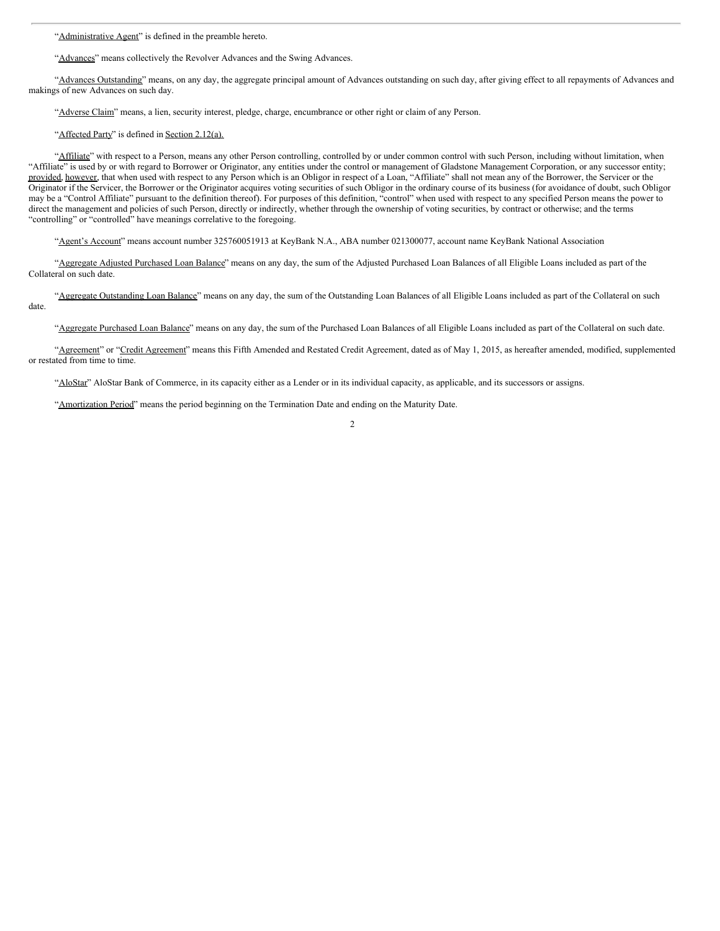"Administrative Agent" is defined in the preamble hereto.

"Advances" means collectively the Revolver Advances and the Swing Advances.

"Advances Outstanding" means, on any day, the aggregate principal amount of Advances outstanding on such day, after giving effect to all repayments of Advances and makings of new Advances on such day.

"Adverse Claim" means, a lien, security interest, pledge, charge, encumbrance or other right or claim of any Person.

"Affected Party" is defined in Section 2.12(a).

"Affiliate" with respect to a Person, means any other Person controlling, controlled by or under common control with such Person, including without limitation, when "Affiliate" is used by or with regard to Borrower or Originator, any entities under the control or management of Gladstone Management Corporation, or any successor entity; provided, however, that when used with respect to any Person which is an Obligor in respect of a Loan, "Affiliate" shall not mean any of the Borrower, the Servicer or the Originator if the Servicer, the Borrower or the Originator acquires voting securities of such Obligor in the ordinary course of its business (for avoidance of doubt, such Obligor may be a "Control Affiliate" pursuant to the definition thereof). For purposes of this definition, "control" when used with respect to any specified Person means the power to direct the management and policies of such Person, directly or indirectly, whether through the ownership of voting securities, by contract or otherwise; and the terms "controlling" or "controlled" have meanings correlative to the foregoing.

"Agent's Account" means account number 325760051913 at KeyBank N.A., ABA number 021300077, account name KeyBank National Association

"Aggregate Adjusted Purchased Loan Balance" means on any day, the sum of the Adjusted Purchased Loan Balances of all Eligible Loans included as part of the Collateral on such date.

"Aggregate Outstanding Loan Balance" means on any day, the sum of the Outstanding Loan Balances of all Eligible Loans included as part of the Collateral on such date.

"Aggregate Purchased Loan Balance" means on any day, the sum of the Purchased Loan Balances of all Eligible Loans included as part of the Collateral on such date.

"Agreement" or "Credit Agreement" means this Fifth Amended and Restated Credit Agreement, dated as of May 1, 2015, as hereafter amended, modified, supplemented or restated from time to time.

"AloStar" AloStar Bank of Commerce, in its capacity either as a Lender or in its individual capacity, as applicable, and its successors or assigns.

"Amortization Period" means the period beginning on the Termination Date and ending on the Maturity Date.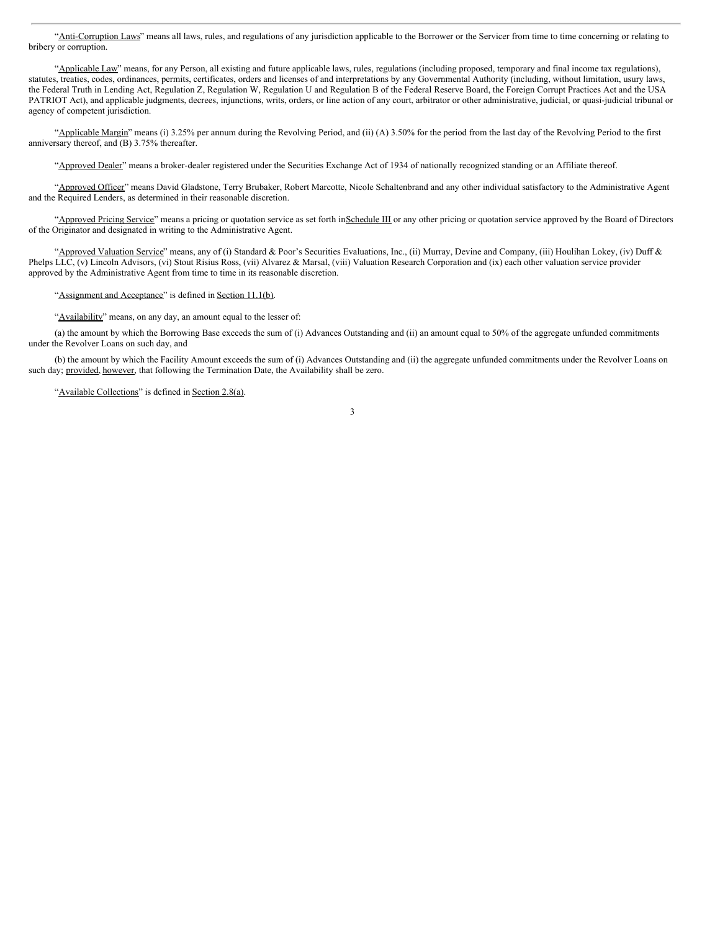"Anti-Corruption Laws" means all laws, rules, and regulations of any jurisdiction applicable to the Borrower or the Servicer from time to time concerning or relating to bribery or corruption.

"Applicable Law" means, for any Person, all existing and future applicable laws, rules, regulations (including proposed, temporary and final income tax regulations), statutes, treaties, codes, ordinances, permits, certificates, orders and licenses of and interpretations by any Governmental Authority (including, without limitation, usury laws, the Federal Truth in Lending Act, Regulation Z, Regulation W, Regulation U and Regulation B of the Federal Reserve Board, the Foreign Corrupt Practices Act and the USA PATRIOT Act), and applicable judgments, decrees, injunctions, writs, orders, or line action of any court, arbitrator or other administrative, judicial, or quasi-judicial tribunal or agency of competent jurisdiction.

"Applicable Margin" means (i) 3.25% per annum during the Revolving Period, and (ii) (A) 3.50% for the period from the last day of the Revolving Period to the first anniversary thereof, and (B) 3.75% thereafter.

"Approved Dealer" means a broker-dealer registered under the Securities Exchange Act of 1934 of nationally recognized standing or an Affiliate thereof.

"Approved Officer" means David Gladstone, Terry Brubaker, Robert Marcotte, Nicole Schaltenbrand and any other individual satisfactory to the Administrative Agent and the Required Lenders, as determined in their reasonable discretion.

"Approved Pricing Service" means a pricing or quotation service as set forth inSchedule III or any other pricing or quotation service approved by the Board of Directors of the Originator and designated in writing to the Administrative Agent.

"Approved Valuation Service" means, any of (i) Standard & Poor's Securities Evaluations, Inc., (ii) Murray, Devine and Company, (iii) Houlihan Lokey, (iv) Duff & Phelps LLC, (v) Lincoln Advisors, (vi) Stout Risius Ross, (vii) Alvarez & Marsal, (viii) Valuation Research Corporation and (ix) each other valuation service provider approved by the Administrative Agent from time to time in its reasonable discretion.

"Assignment and Acceptance" is defined in Section 11.1(b).

"Availability" means, on any day, an amount equal to the lesser of:

(a) the amount by which the Borrowing Base exceeds the sum of (i) Advances Outstanding and (ii) an amount equal to 50% of the aggregate unfunded commitments under the Revolver Loans on such day, and

(b) the amount by which the Facility Amount exceeds the sum of (i) Advances Outstanding and (ii) the aggregate unfunded commitments under the Revolver Loans on such day; provided, however, that following the Termination Date, the Availability shall be zero.

"Available Collections" is defined in Section 2.8(a).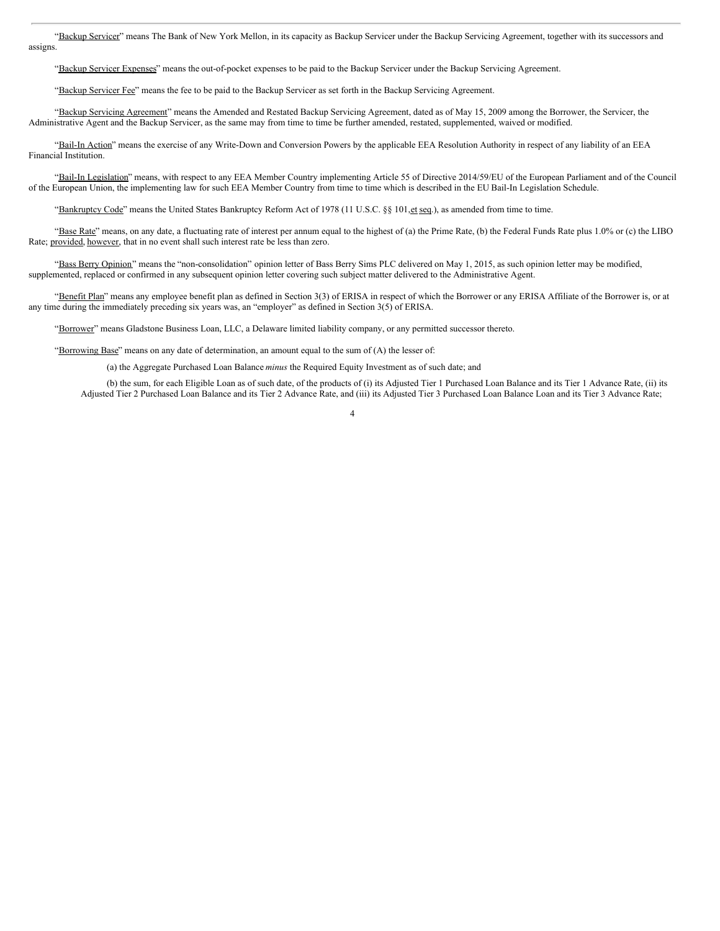"Backup Servicer" means The Bank of New York Mellon, in its capacity as Backup Servicer under the Backup Servicing Agreement, together with its successors and assigns.

"Backup Servicer Expenses" means the out-of-pocket expenses to be paid to the Backup Servicer under the Backup Servicing Agreement.

"Backup Servicer Fee" means the fee to be paid to the Backup Servicer as set forth in the Backup Servicing Agreement.

"Backup Servicing Agreement" means the Amended and Restated Backup Servicing Agreement, dated as of May 15, 2009 among the Borrower, the Servicer, the Administrative Agent and the Backup Servicer, as the same may from time to time be further amended, restated, supplemented, waived or modified.

"Bail-In Action" means the exercise of any Write-Down and Conversion Powers by the applicable EEA Resolution Authority in respect of any liability of an EEA Financial Institution.

"Bail-In Legislation" means, with respect to any EEA Member Country implementing Article 55 of Directive 2014/59/EU of the European Parliament and of the Council of the European Union, the implementing law for such EEA Member Country from time to time which is described in the EU Bail-In Legislation Schedule.

"Bankruptcy Code" means the United States Bankruptcy Reform Act of 1978 (11 U.S.C. §§ 101, et seq.), as amended from time to time.

"Base Rate" means, on any date, a fluctuating rate of interest per annum equal to the highest of (a) the Prime Rate, (b) the Federal Funds Rate plus 1.0% or (c) the LIBO Rate; provided, however, that in no event shall such interest rate be less than zero.

"Bass Berry Opinion" means the "non-consolidation" opinion letter of Bass Berry Sims PLC delivered on May 1, 2015, as such opinion letter may be modified, supplemented, replaced or confirmed in any subsequent opinion letter covering such subject matter delivered to the Administrative Agent.

"Benefit Plan" means any employee benefit plan as defined in Section 3(3) of ERISA in respect of which the Borrower or any ERISA Affiliate of the Borrower is, or at any time during the immediately preceding six years was, an "employer" as defined in Section 3(5) of ERISA.

"Borrower" means Gladstone Business Loan, LLC, a Delaware limited liability company, or any permitted successor thereto.

"Borrowing Base" means on any date of determination, an amount equal to the sum of (A) the lesser of:

(a) the Aggregate Purchased Loan Balance *minus* the Required Equity Investment as of such date; and

(b) the sum, for each Eligible Loan as of such date, of the products of (i) its Adjusted Tier 1 Purchased Loan Balance and its Tier 1 Advance Rate, (ii) its Adjusted Tier 2 Purchased Loan Balance and its Tier 2 Advance Rate, and (iii) its Adjusted Tier 3 Purchased Loan Balance Loan and its Tier 3 Advance Rate;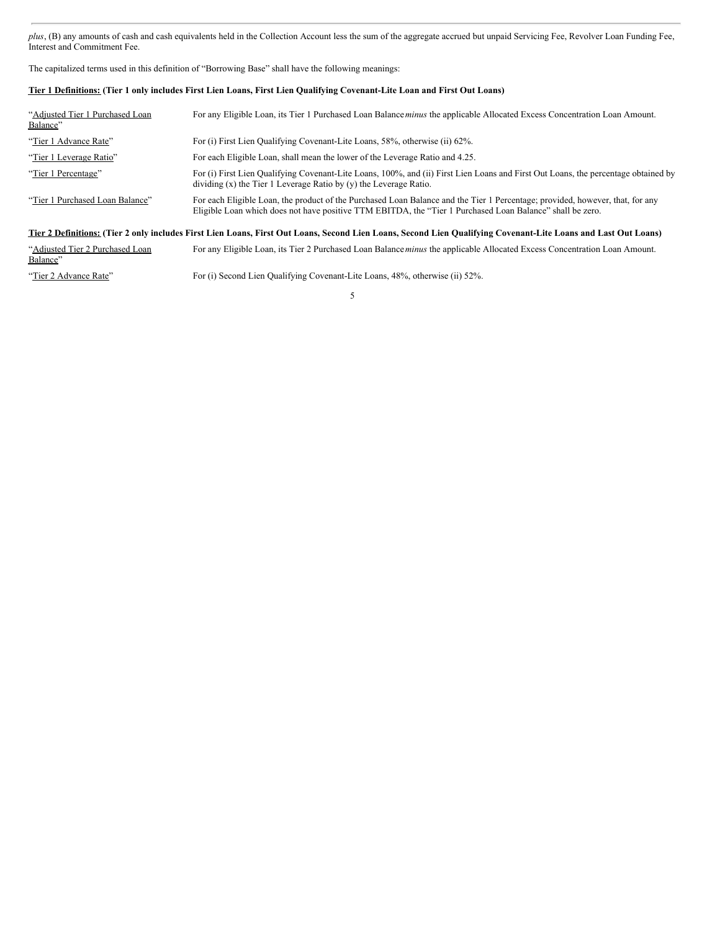*plus*, (B) any amounts of cash and cash equivalents held in the Collection Account less the sum of the aggregate accrued but unpaid Servicing Fee, Revolver Loan Funding Fee, Interest and Commitment Fee.

The capitalized terms used in this definition of "Borrowing Base" shall have the following meanings:

# Tier 1 Definitions: (Tier 1 only includes First Lien Loans, First Lien Qualifying Covenant-Lite Loan and First Out Loans)

| "Adjusted Tier 1 Purchased Loan"<br>Balance"                                                                                                                   | For any Eligible Loan, its Tier 1 Purchased Loan Balance <i>minus</i> the applicable Allocated Excess Concentration Loan Amount.                                                                                                           |  |
|----------------------------------------------------------------------------------------------------------------------------------------------------------------|--------------------------------------------------------------------------------------------------------------------------------------------------------------------------------------------------------------------------------------------|--|
| "Tier 1 Advance Rate"                                                                                                                                          | For (i) First Lien Qualifying Covenant-Lite Loans, 58%, otherwise (ii) 62%.                                                                                                                                                                |  |
| "Tier 1 Leverage Ratio"                                                                                                                                        | For each Eligible Loan, shall mean the lower of the Leverage Ratio and 4.25.                                                                                                                                                               |  |
| "Tier 1 Percentage"                                                                                                                                            | For (i) First Lien Qualifying Covenant-Lite Loans, 100%, and (ii) First Lien Loans and First Out Loans, the percentage obtained by<br>dividing $(x)$ the Tier 1 Leverage Ratio by $(y)$ the Leverage Ratio.                                |  |
| "Tier 1 Purchased Loan Balance"                                                                                                                                | For each Eligible Loan, the product of the Purchased Loan Balance and the Tier 1 Percentage; provided, however, that, for any<br>Eligible Loan which does not have positive TTM EBITDA, the "Tier 1 Purchased Loan Balance" shall be zero. |  |
| Tier 2 Definitions: (Tier 2 only includes First Lien Loans, First Out Loans, Second Lien Loans, Second Lien Qualifying Covenant-Lite Loans and Last Out Loans) |                                                                                                                                                                                                                                            |  |
| "Adjusted Tier 2 Purchased Loan<br>Balance"                                                                                                                    | For any Eligible Loan, its Tier 2 Purchased Loan Balance <i>minus</i> the applicable Allocated Excess Concentration Loan Amount.                                                                                                           |  |

"Tier 2 Advance Rate" For (i) Second Lien Qualifying Covenant-Lite Loans, 48%, otherwise (ii) 52%.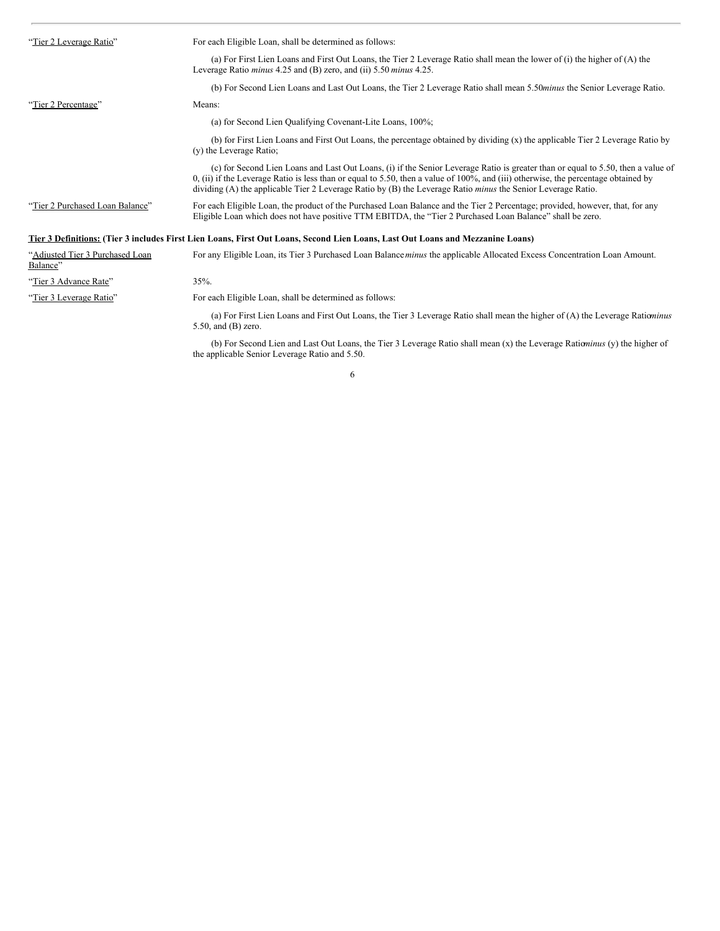| "Tier 2 Leverage Ratio"                     | For each Eligible Loan, shall be determined as follows:                                                                                                                                                                                                                                                                                                                                            |
|---------------------------------------------|----------------------------------------------------------------------------------------------------------------------------------------------------------------------------------------------------------------------------------------------------------------------------------------------------------------------------------------------------------------------------------------------------|
|                                             | (a) For First Lien Loans and First Out Loans, the Tier 2 Leverage Ratio shall mean the lower of (i) the higher of (A) the<br>Leverage Ratio <i>minus</i> 4.25 and (B) zero, and (ii) 5.50 <i>minus</i> 4.25.                                                                                                                                                                                       |
|                                             | (b) For Second Lien Loans and Last Out Loans, the Tier 2 Leverage Ratio shall mean 5.50 <i>minus</i> the Senior Leverage Ratio.                                                                                                                                                                                                                                                                    |
| "Tier 2 Percentage"                         | Means:                                                                                                                                                                                                                                                                                                                                                                                             |
|                                             | (a) for Second Lien Qualifying Covenant-Lite Loans, 100%;                                                                                                                                                                                                                                                                                                                                          |
|                                             | (b) for First Lien Loans and First Out Loans, the percentage obtained by dividing (x) the applicable Tier 2 Leverage Ratio by<br>(y) the Leverage Ratio;                                                                                                                                                                                                                                           |
|                                             | (c) for Second Lien Loans and Last Out Loans, (i) if the Senior Leverage Ratio is greater than or equal to 5.50, then a value of<br>$0$ , (ii) if the Leverage Ratio is less than or equal to 5.50, then a value of 100%, and (iii) otherwise, the percentage obtained by<br>dividing (A) the applicable Tier 2 Leverage Ratio by $(B)$ the Leverage Ratio <i>minus</i> the Senior Leverage Ratio. |
| "Tier 2 Purchased Loan Balance"             | For each Eligible Loan, the product of the Purchased Loan Balance and the Tier 2 Percentage; provided, however, that, for any<br>Eligible Loan which does not have positive TTM EBITDA, the "Tier 2 Purchased Loan Balance" shall be zero.                                                                                                                                                         |
|                                             | Tier 3 Definitions: (Tier 3 includes First Lien Loans, First Out Loans, Second Lien Loans, Last Out Loans and Mezzanine Loans)                                                                                                                                                                                                                                                                     |
| "Adjusted Tier 3 Purchased Loan<br>Balance" | For any Eligible Loan, its Tier 3 Purchased Loan Balance minus the applicable Allocated Excess Concentration Loan Amount.                                                                                                                                                                                                                                                                          |
| "Tier 3 Advance Rate"                       | 35%.                                                                                                                                                                                                                                                                                                                                                                                               |
| "Tier 3 Leverage Ratio"                     | For each Eligible Loan, shall be determined as follows:                                                                                                                                                                                                                                                                                                                                            |
|                                             | (a) For First Lien Loans and First Out Loans, the Tier 3 Leverage Ratio shall mean the higher of (A) the Leverage Rationinus<br>$5.50$ , and $(B)$ zero.                                                                                                                                                                                                                                           |

6

(b) For Second Lien and Last Out Loans, the Tier 3 Leverage Ratio shall mean (x) the Leverage Ratio*minus* (y) the higher of the applicable Senior Leverage Ratio and 5.50.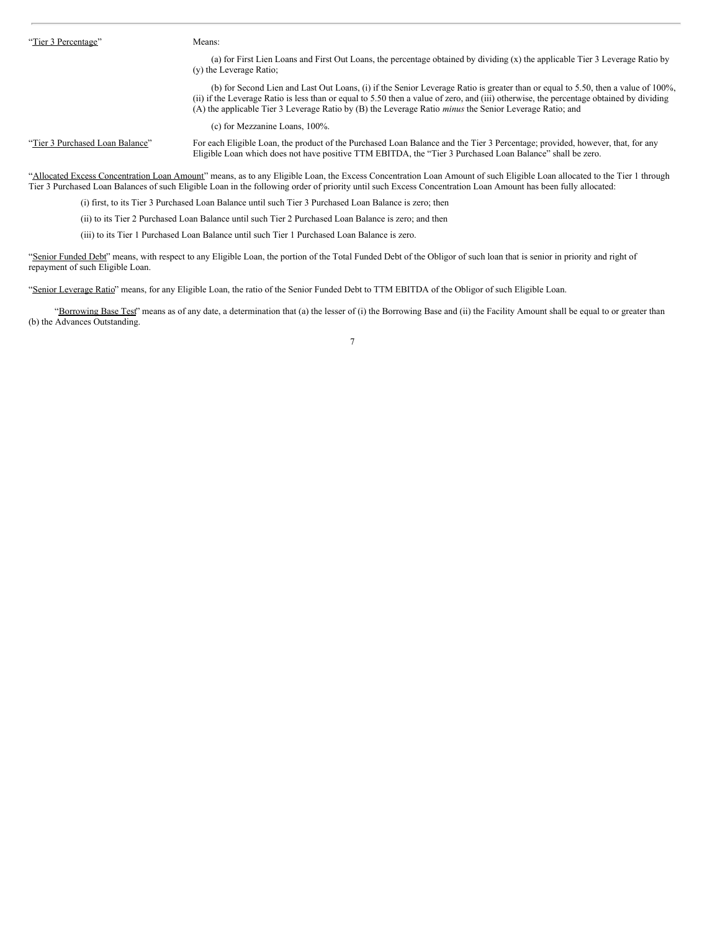"Tier 3 Percentage" Means:

(a) for First Lien Loans and First Out Loans, the percentage obtained by dividing (x) the applicable Tier 3 Leverage Ratio by (y) the Leverage Ratio;

(b) for Second Lien and Last Out Loans, (i) if the Senior Leverage Ratio is greater than or equal to 5.50, then a value of 100%, (ii) if the Leverage Ratio is less than or equal to 5.50 then a value of zero, and (iii) otherwise, the percentage obtained by dividing (A) the applicable Tier 3 Leverage Ratio by (B) the Leverage Ratio *minus* the Senior Leverage Ratio; and

(c) for Mezzanine Loans, 100%.

"Tier 3 Purchased Loan Balance" For each Eligible Loan, the product of the Purchased Loan Balance and the Tier 3 Percentage; provided, however, that, for any Eligible Loan which does not have positive TTM EBITDA, the "Tier 3 Purchased Loan Balance" shall be zero.

"Allocated Excess Concentration Loan Amount" means, as to any Eligible Loan, the Excess Concentration Loan Amount of such Eligible Loan allocated to the Tier 1 through Tier 3 Purchased Loan Balances of such Eligible Loan in the following order of priority until such Excess Concentration Loan Amount has been fully allocated:

(i) first, to its Tier 3 Purchased Loan Balance until such Tier 3 Purchased Loan Balance is zero; then

(ii) to its Tier 2 Purchased Loan Balance until such Tier 2 Purchased Loan Balance is zero; and then

(iii) to its Tier 1 Purchased Loan Balance until such Tier 1 Purchased Loan Balance is zero.

"Senior Funded Debt" means, with respect to any Eligible Loan, the portion of the Total Funded Debt of the Obligor of such loan that is senior in priority and right of repayment of such Eligible Loan.

"Senior Leverage Ratio" means, for any Eligible Loan, the ratio of the Senior Funded Debt to TTM EBITDA of the Obligor of such Eligible Loan.

"Borrowing Base Test" means as of any date, a determination that (a) the lesser of (i) the Borrowing Base and (ii) the Facility Amount shall be equal to or greater than (b) the Advances Outstanding.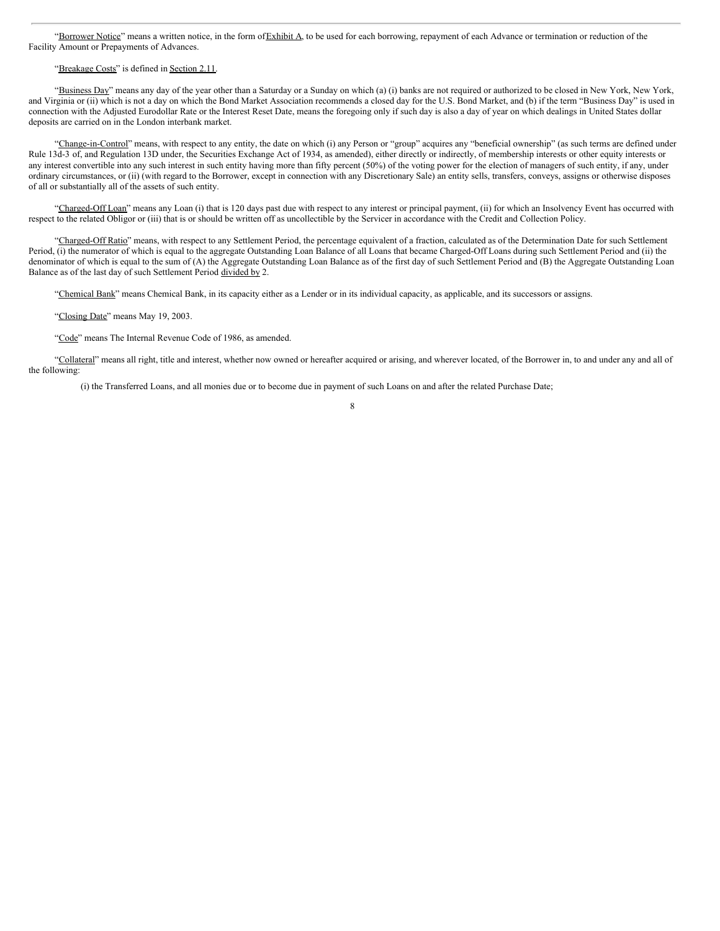"Borrower Notice" means a written notice, in the form of Exhibit A, to be used for each borrowing, repayment of each Advance or termination or reduction of the Facility Amount or Prepayments of Advances.

### "Breakage Costs" is defined in Section 2.11.

"Business Day" means any day of the year other than a Saturday or a Sunday on which (a) (i) banks are not required or authorized to be closed in New York, New York, and Virginia or (ii) which is not a day on which the Bond Market Association recommends a closed day for the U.S. Bond Market, and (b) if the term "Business Day" is used in connection with the Adjusted Eurodollar Rate or the Interest Reset Date, means the foregoing only if such day is also a day of year on which dealings in United States dollar deposits are carried on in the London interbank market.

"Change-in-Control" means, with respect to any entity, the date on which (i) any Person or "group" acquires any "beneficial ownership" (as such terms are defined under Rule 13d-3 of, and Regulation 13D under, the Securities Exchange Act of 1934, as amended), either directly or indirectly, of membership interests or other equity interests or any interest convertible into any such interest in such entity having more than fifty percent (50%) of the voting power for the election of managers of such entity, if any, under ordinary circumstances, or (ii) (with regard to the Borrower, except in connection with any Discretionary Sale) an entity sells, transfers, conveys, assigns or otherwise disposes of all or substantially all of the assets of such entity.

"Charged-Off Loan" means any Loan (i) that is 120 days past due with respect to any interest or principal payment, (ii) for which an Insolvency Event has occurred with respect to the related Obligor or (iii) that is or should be written off as uncollectible by the Servicer in accordance with the Credit and Collection Policy.

"Charged-Off Ratio" means, with respect to any Settlement Period, the percentage equivalent of a fraction, calculated as of the Determination Date for such Settlement Period, (i) the numerator of which is equal to the aggregate Outstanding Loan Balance of all Loans that became Charged-Off Loans during such Settlement Period and (ii) the denominator of which is equal to the sum of (A) the Aggregate Outstanding Loan Balance as of the first day of such Settlement Period and (B) the Aggregate Outstanding Loan Balance as of the last day of such Settlement Period divided by 2.

"Chemical Bank" means Chemical Bank, in its capacity either as a Lender or in its individual capacity, as applicable, and its successors or assigns.

"Closing Date" means May 19, 2003.

"Code" means The Internal Revenue Code of 1986, as amended.

"Collateral" means all right, title and interest, whether now owned or hereafter acquired or arising, and wherever located, of the Borrower in, to and under any and all of the following:

(i) the Transferred Loans, and all monies due or to become due in payment of such Loans on and after the related Purchase Date;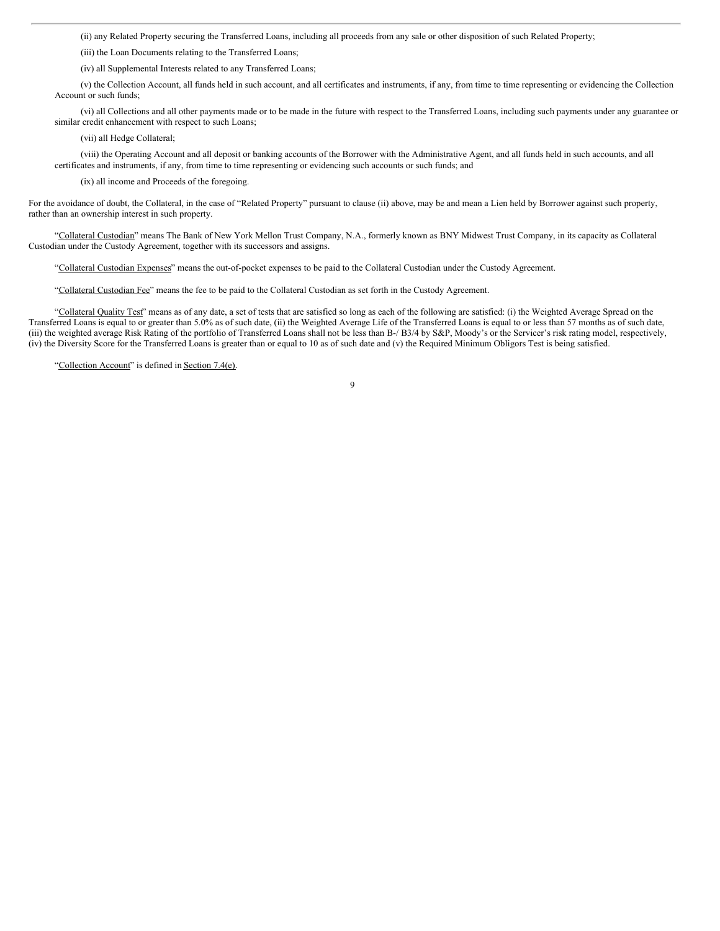(ii) any Related Property securing the Transferred Loans, including all proceeds from any sale or other disposition of such Related Property;

(iii) the Loan Documents relating to the Transferred Loans;

(iv) all Supplemental Interests related to any Transferred Loans;

(v) the Collection Account, all funds held in such account, and all certificates and instruments, if any, from time to time representing or evidencing the Collection Account or such funds;

(vi) all Collections and all other payments made or to be made in the future with respect to the Transferred Loans, including such payments under any guarantee or similar credit enhancement with respect to such Loans;

(vii) all Hedge Collateral;

(viii) the Operating Account and all deposit or banking accounts of the Borrower with the Administrative Agent, and all funds held in such accounts, and all certificates and instruments, if any, from time to time representing or evidencing such accounts or such funds; and

(ix) all income and Proceeds of the foregoing.

For the avoidance of doubt, the Collateral, in the case of "Related Property" pursuant to clause (ii) above, may be and mean a Lien held by Borrower against such property, rather than an ownership interest in such property.

"Collateral Custodian" means The Bank of New York Mellon Trust Company, N.A., formerly known as BNY Midwest Trust Company, in its capacity as Collateral Custodian under the Custody Agreement, together with its successors and assigns.

"Collateral Custodian Expenses" means the out-of-pocket expenses to be paid to the Collateral Custodian under the Custody Agreement.

"Collateral Custodian Fee" means the fee to be paid to the Collateral Custodian as set forth in the Custody Agreement.

"Collateral Quality Test" means as of any date, a set of tests that are satisfied so long as each of the following are satisfied: (i) the Weighted Average Spread on the Transferred Loans is equal to or greater than 5.0% as of such date, (ii) the Weighted Average Life of the Transferred Loans is equal to or less than 57 months as of such date, (iii) the weighted average Risk Rating of the portfolio of Transferred Loans shall not be less than B-/ B3/4 by S&P, Moody's or the Servicer's risk rating model, respectively, (iv) the Diversity Score for the Transferred Loans is greater than or equal to 10 as of such date and (v) the Required Minimum Obligors Test is being satisfied.

"Collection Account" is defined in Section 7.4(e).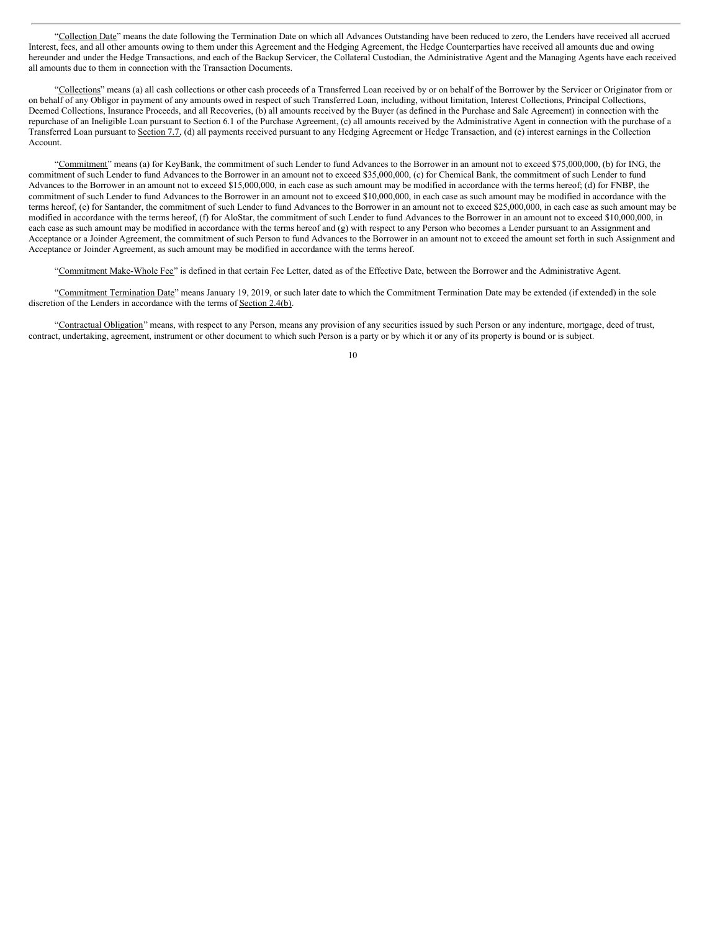"Collection Date" means the date following the Termination Date on which all Advances Outstanding have been reduced to zero, the Lenders have received all accrued Interest, fees, and all other amounts owing to them under this Agreement and the Hedging Agreement, the Hedge Counterparties have received all amounts due and owing hereunder and under the Hedge Transactions, and each of the Backup Servicer, the Collateral Custodian, the Administrative Agent and the Managing Agents have each received all amounts due to them in connection with the Transaction Documents.

"Collections" means (a) all cash collections or other cash proceeds of a Transferred Loan received by or on behalf of the Borrower by the Servicer or Originator from or on behalf of any Obligor in payment of any amounts owed in respect of such Transferred Loan, including, without limitation, Interest Collections, Principal Collections, Deemed Collections, Insurance Proceeds, and all Recoveries, (b) all amounts received by the Buyer (as defined in the Purchase and Sale Agreement) in connection with the repurchase of an Ineligible Loan pursuant to Section 6.1 of the Purchase Agreement, (c) all amounts received by the Administrative Agent in connection with the purchase of a Transferred Loan pursuant to Section 7.7, (d) all payments received pursuant to any Hedging Agreement or Hedge Transaction, and (e) interest earnings in the Collection Account.

"Commitment" means (a) for KeyBank, the commitment of such Lender to fund Advances to the Borrower in an amount not to exceed \$75,000,000, (b) for ING, the commitment of such Lender to fund Advances to the Borrower in an amount not to exceed \$35,000,000, (c) for Chemical Bank, the commitment of such Lender to fund Advances to the Borrower in an amount not to exceed \$15,000,000, in each case as such amount may be modified in accordance with the terms hereof; (d) for FNBP, the commitment of such Lender to fund Advances to the Borrower in an amount not to exceed \$10,000,000, in each case as such amount may be modified in accordance with the terms hereof, (e) for Santander, the commitment of such Lender to fund Advances to the Borrower in an amount not to exceed \$25,000,000, in each case as such amount may be modified in accordance with the terms hereof, (f) for AloStar, the commitment of such Lender to fund Advances to the Borrower in an amount not to exceed \$10,000,000, in each case as such amount may be modified in accordance with the terms hereof and (g) with respect to any Person who becomes a Lender pursuant to an Assignment and Acceptance or a Joinder Agreement, the commitment of such Person to fund Advances to the Borrower in an amount not to exceed the amount set forth in such Assignment and Acceptance or Joinder Agreement, as such amount may be modified in accordance with the terms hereof.

"Commitment Make-Whole Fee" is defined in that certain Fee Letter, dated as of the Effective Date, between the Borrower and the Administrative Agent.

"Commitment Termination Date" means January 19, 2019, or such later date to which the Commitment Termination Date may be extended (if extended) in the sole discretion of the Lenders in accordance with the terms of Section 2.4(b).

"Contractual Obligation" means, with respect to any Person, means any provision of any securities issued by such Person or any indenture, mortgage, deed of trust, contract, undertaking, agreement, instrument or other document to which such Person is a party or by which it or any of its property is bound or is subject.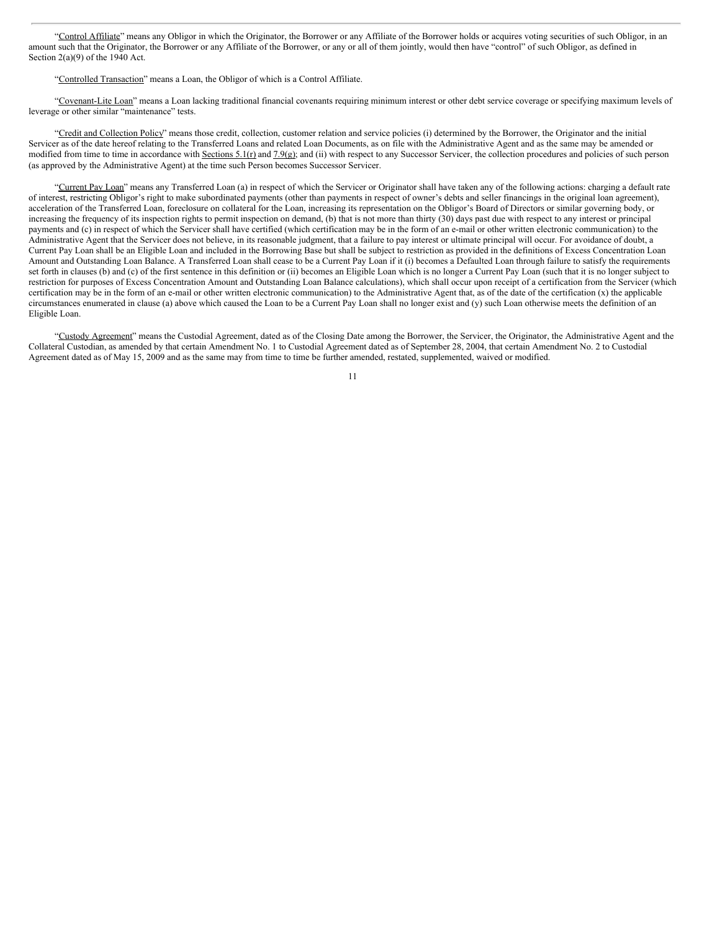"Control Affiliate" means any Obligor in which the Originator, the Borrower or any Affiliate of the Borrower holds or acquires voting securities of such Obligor, in an amount such that the Originator, the Borrower or any Affiliate of the Borrower, or any or all of them jointly, would then have "control" of such Obligor, as defined in Section  $2(a)(9)$  of the 1940 Act.

"Controlled Transaction" means a Loan, the Obligor of which is a Control Affiliate.

"Covenant-Lite Loan" means a Loan lacking traditional financial covenants requiring minimum interest or other debt service coverage or specifying maximum levels of leverage or other similar "maintenance" tests.

"Credit and Collection Policy" means those credit, collection, customer relation and service policies (i) determined by the Borrower, the Originator and the initial Servicer as of the date hereof relating to the Transferred Loans and related Loan Documents, as on file with the Administrative Agent and as the same may be amended or modified from time to time in accordance with Sections 5.1(r) and 7.9(g); and (ii) with respect to any Successor Servicer, the collection procedures and policies of such person (as approved by the Administrative Agent) at the time such Person becomes Successor Servicer.

"Current Pay Loan" means any Transferred Loan (a) in respect of which the Servicer or Originator shall have taken any of the following actions: charging a default rate of interest, restricting Obligor's right to make subordinated payments (other than payments in respect of owner's debts and seller financings in the original loan agreement), acceleration of the Transferred Loan, foreclosure on collateral for the Loan, increasing its representation on the Obligor's Board of Directors or similar governing body, or increasing the frequency of its inspection rights to permit inspection on demand, (b) that is not more than thirty (30) days past due with respect to any interest or principal payments and (c) in respect of which the Servicer shall have certified (which certification may be in the form of an e-mail or other written electronic communication) to the Administrative Agent that the Servicer does not believe, in its reasonable judgment, that a failure to pay interest or ultimate principal will occur. For avoidance of doubt, a Current Pay Loan shall be an Eligible Loan and included in the Borrowing Base but shall be subject to restriction as provided in the definitions of Excess Concentration Loan Amount and Outstanding Loan Balance. A Transferred Loan shall cease to be a Current Pay Loan if it (i) becomes a Defaulted Loan through failure to satisfy the requirements set forth in clauses (b) and (c) of the first sentence in this definition or (ii) becomes an Eligible Loan which is no longer a Current Pay Loan (such that it is no longer subject to restriction for purposes of Excess Concentration Amount and Outstanding Loan Balance calculations), which shall occur upon receipt of a certification from the Servicer (which certification may be in the form of an e-mail or other written electronic communication) to the Administrative Agent that, as of the date of the certification (x) the applicable circumstances enumerated in clause (a) above which caused the Loan to be a Current Pay Loan shall no longer exist and (y) such Loan otherwise meets the definition of an Eligible Loan.

"Custody Agreement" means the Custodial Agreement, dated as of the Closing Date among the Borrower, the Servicer, the Originator, the Administrative Agent and the Collateral Custodian, as amended by that certain Amendment No. 1 to Custodial Agreement dated as of September 28, 2004, that certain Amendment No. 2 to Custodial Agreement dated as of May 15, 2009 and as the same may from time to time be further amended, restated, supplemented, waived or modified.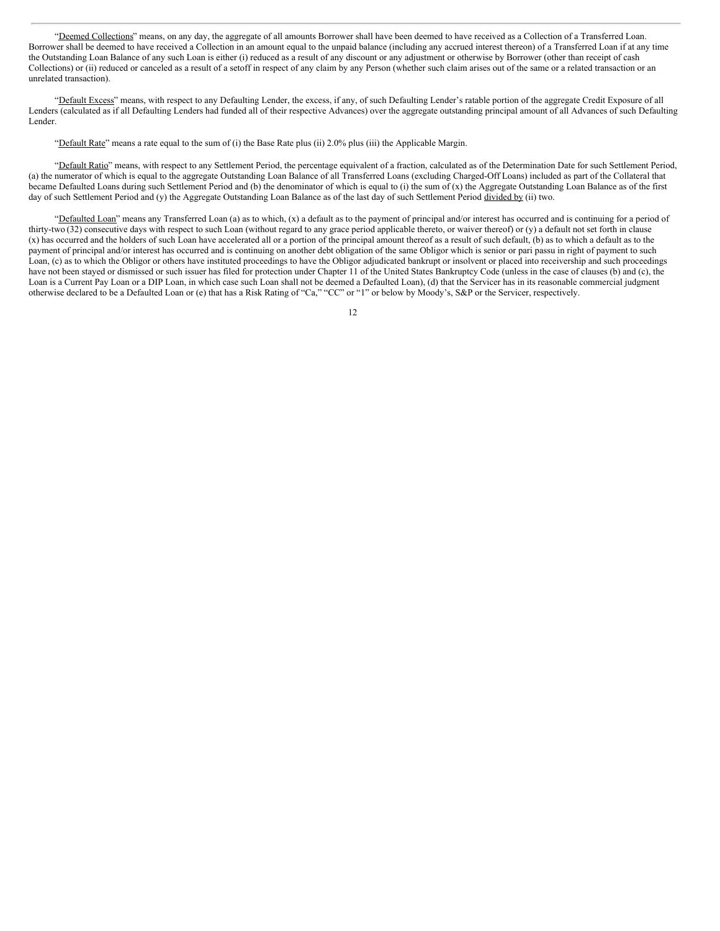"Deemed Collections" means, on any day, the aggregate of all amounts Borrower shall have been deemed to have received as a Collection of a Transferred Loan. Borrower shall be deemed to have received a Collection in an amount equal to the unpaid balance (including any accrued interest thereon) of a Transferred Loan if at any time the Outstanding Loan Balance of any such Loan is either (i) reduced as a result of any discount or any adjustment or otherwise by Borrower (other than receipt of cash Collections) or (ii) reduced or canceled as a result of a setoff in respect of any claim by any Person (whether such claim arises out of the same or a related transaction or an unrelated transaction).

"Default Excess" means, with respect to any Defaulting Lender, the excess, if any, of such Defaulting Lender's ratable portion of the aggregate Credit Exposure of all Lenders (calculated as if all Defaulting Lenders had funded all of their respective Advances) over the aggregate outstanding principal amount of all Advances of such Defaulting Lender.

"Default Rate" means a rate equal to the sum of (i) the Base Rate plus (ii) 2.0% plus (iii) the Applicable Margin.

"Default Ratio" means, with respect to any Settlement Period, the percentage equivalent of a fraction, calculated as of the Determination Date for such Settlement Period, (a) the numerator of which is equal to the aggregate Outstanding Loan Balance of all Transferred Loans (excluding Charged-Off Loans) included as part of the Collateral that became Defaulted Loans during such Settlement Period and (b) the denominator of which is equal to (i) the sum of  $(x)$  the Aggregate Outstanding Loan Balance as of the first day of such Settlement Period and (y) the Aggregate Outstanding Loan Balance as of the last day of such Settlement Period divided by (ii) two.

"Defaulted Loan" means any Transferred Loan (a) as to which, (x) a default as to the payment of principal and/or interest has occurred and is continuing for a period of thirty-two (32) consecutive days with respect to such Loan (without regard to any grace period applicable thereto, or waiver thereof) or (y) a default not set forth in clause (x) has occurred and the holders of such Loan have accelerated all or a portion of the principal amount thereof as a result of such default, (b) as to which a default as to the payment of principal and/or interest has occurred and is continuing on another debt obligation of the same Obligor which is senior or pari passu in right of payment to such Loan, (c) as to which the Obligor or others have instituted proceedings to have the Obligor adjudicated bankrupt or insolvent or placed into receivership and such proceedings have not been stayed or dismissed or such issuer has filed for protection under Chapter 11 of the United States Bankruptcy Code (unless in the case of clauses (b) and (c), the Loan is a Current Pay Loan or a DIP Loan, in which case such Loan shall not be deemed a Defaulted Loan), (d) that the Servicer has in its reasonable commercial judgment otherwise declared to be a Defaulted Loan or (e) that has a Risk Rating of "Ca," "CC" or "1" or below by Moody's, S&P or the Servicer, respectively.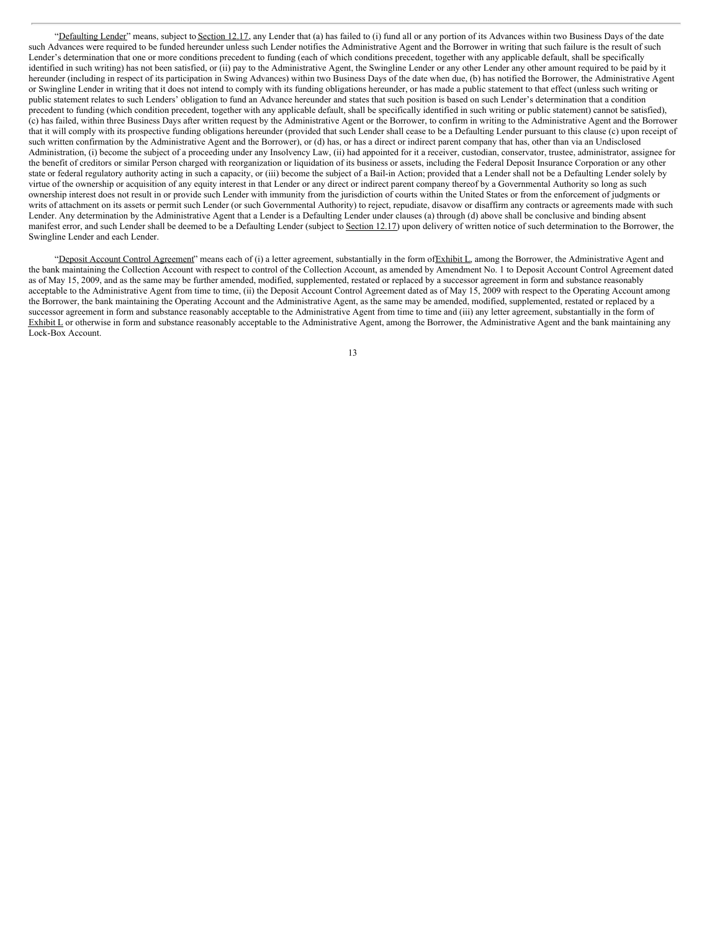"Defaulting Lender" means, subject to Section 12.17, any Lender that (a) has failed to (i) fund all or any portion of its Advances within two Business Days of the date such Advances were required to be funded hereunder unless such Lender notifies the Administrative Agent and the Borrower in writing that such failure is the result of such Lender's determination that one or more conditions precedent to funding (each of which conditions precedent, together with any applicable default, shall be specifically identified in such writing) has not been satisfied, or (ii) pay to the Administrative Agent, the Swingline Lender or any other Lender any other amount required to be paid by it hereunder (including in respect of its participation in Swing Advances) within two Business Days of the date when due, (b) has notified the Borrower, the Administrative Agent or Swingline Lender in writing that it does not intend to comply with its funding obligations hereunder, or has made a public statement to that effect (unless such writing or public statement relates to such Lenders' obligation to fund an Advance hereunder and states that such position is based on such Lender's determination that a condition precedent to funding (which condition precedent, together with any applicable default, shall be specifically identified in such writing or public statement) cannot be satisfied), (c) has failed, within three Business Days after written request by the Administrative Agent or the Borrower, to confirm in writing to the Administrative Agent and the Borrower that it will comply with its prospective funding obligations hereunder (provided that such Lender shall cease to be a Defaulting Lender pursuant to this clause (c) upon receipt of such written confirmation by the Administrative Agent and the Borrower), or (d) has, or has a direct or indirect parent company that has, other than via an Undisclosed Administration, (i) become the subject of a proceeding under any Insolvency Law, (ii) had appointed for it a receiver, custodian, conservator, trustee, administrator, assignee for the benefit of creditors or similar Person charged with reorganization or liquidation of its business or assets, including the Federal Deposit Insurance Corporation or any other state or federal regulatory authority acting in such a capacity, or (iii) become the subject of a Bail-in Action; provided that a Lender shall not be a Defaulting Lender solely by virtue of the ownership or acquisition of any equity interest in that Lender or any direct or indirect parent company thereof by a Governmental Authority so long as such ownership interest does not result in or provide such Lender with immunity from the jurisdiction of courts within the United States or from the enforcement of judgments or writs of attachment on its assets or permit such Lender (or such Governmental Authority) to reject, repudiate, disavow or disaffirm any contracts or agreements made with such Lender. Any determination by the Administrative Agent that a Lender is a Defaulting Lender under clauses (a) through (d) above shall be conclusive and binding absent manifest error, and such Lender shall be deemed to be a Defaulting Lender (subject to Section 12.17) upon delivery of written notice of such determination to the Borrower, the Swingline Lender and each Lender.

"Deposit Account Control Agreement" means each of (i) a letter agreement, substantially in the form of Exhibit L, among the Borrower, the Administrative Agent and the bank maintaining the Collection Account with respect to control of the Collection Account, as amended by Amendment No. 1 to Deposit Account Control Agreement dated as of May 15, 2009, and as the same may be further amended, modified, supplemented, restated or replaced by a successor agreement in form and substance reasonably acceptable to the Administrative Agent from time to time, (ii) the Deposit Account Control Agreement dated as of May 15, 2009 with respect to the Operating Account among the Borrower, the bank maintaining the Operating Account and the Administrative Agent, as the same may be amended, modified, supplemented, restated or replaced by a successor agreement in form and substance reasonably acceptable to the Administrative Agent from time to time and (iii) any letter agreement, substantially in the form of Exhibit L or otherwise in form and substance reasonably acceptable to the Administrative Agent, among the Borrower, the Administrative Agent and the bank maintaining any Lock-Box Account.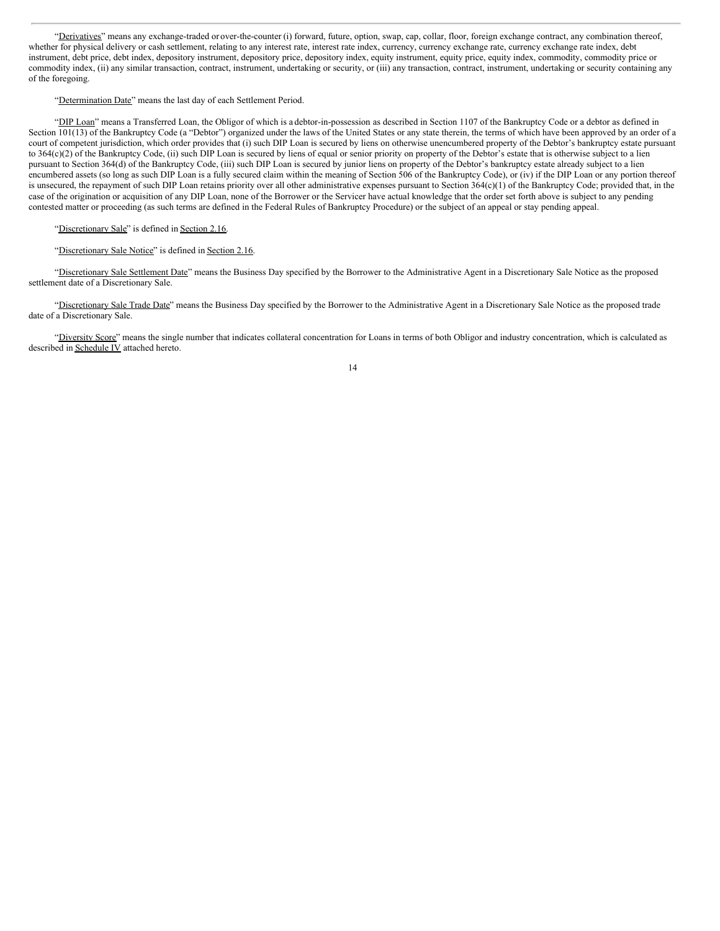"Derivatives" means any exchange-traded or over-the-counter (i) forward, future, option, swap, cap, collar, floor, foreign exchange contract, any combination thereof, whether for physical delivery or cash settlement, relating to any interest rate, interest rate index, currency, currency exchange rate, currency exchange rate, currency exchange rate index, debt instrument, debt price, debt index, depository instrument, depository price, depository index, equity instrument, equity price, equity index, commodity, commodity price or commodity index, (ii) any similar transaction, contract, instrument, undertaking or security, or (iii) any transaction, contract, instrument, undertaking or security containing any of the foregoing.

#### "Determination Date" means the last day of each Settlement Period.

"DIP Loan" means a Transferred Loan, the Obligor of which is a debtor-in-possession as described in Section 1107 of the Bankruptcy Code or a debtor as defined in Section 101(13) of the Bankruptcy Code (a "Debtor") organized under the laws of the United States or any state therein, the terms of which have been approved by an order of a court of competent jurisdiction, which order provides that (i) such DIP Loan is secured by liens on otherwise unencumbered property of the Debtor's bankruptcy estate pursuant to 364(c)(2) of the Bankruptcy Code, (ii) such DIP Loan is secured by liens of equal or senior priority on property of the Debtor's estate that is otherwise subject to a lien pursuant to Section 364(d) of the Bankruptcy Code, (iii) such DIP Loan is secured by junior liens on property of the Debtor's bankruptcy estate already subject to a lien encumbered assets (so long as such DIP Loan is a fully secured claim within the meaning of Section 506 of the Bankruptcy Code), or (iv) if the DIP Loan or any portion thereof is unsecured, the repayment of such DIP Loan retains priority over all other administrative expenses pursuant to Section 364(c)(1) of the Bankruptcy Code; provided that, in the case of the origination or acquisition of any DIP Loan, none of the Borrower or the Servicer have actual knowledge that the order set forth above is subject to any pending contested matter or proceeding (as such terms are defined in the Federal Rules of Bankruptcy Procedure) or the subject of an appeal or stay pending appeal.

#### "Discretionary Sale" is defined in Section 2.16.

# "Discretionary Sale Notice" is defined in Section 2.16.

"Discretionary Sale Settlement Date" means the Business Day specified by the Borrower to the Administrative Agent in a Discretionary Sale Notice as the proposed settlement date of a Discretionary Sale.

"Discretionary Sale Trade Date" means the Business Day specified by the Borrower to the Administrative Agent in a Discretionary Sale Notice as the proposed trade date of a Discretionary Sale.

"Diversity Score" means the single number that indicates collateral concentration for Loans in terms of both Obligor and industry concentration, which is calculated as described in Schedule IV attached hereto.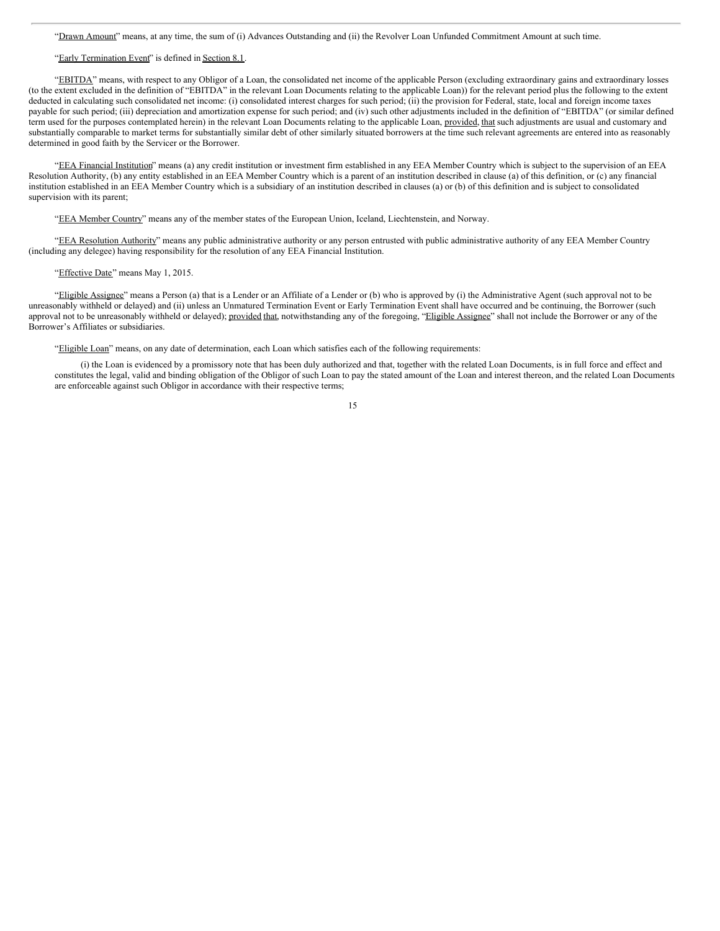"Drawn Amount" means, at any time, the sum of (i) Advances Outstanding and (ii) the Revolver Loan Unfunded Commitment Amount at such time.

#### "Early Termination Event" is defined in Section 8.1.

"EBITDA" means, with respect to any Obligor of a Loan, the consolidated net income of the applicable Person (excluding extraordinary gains and extraordinary losses (to the extent excluded in the definition of "EBITDA" in the relevant Loan Documents relating to the applicable Loan)) for the relevant period plus the following to the extent deducted in calculating such consolidated net income: (i) consolidated interest charges for such period; (ii) the provision for Federal, state, local and foreign income taxes payable for such period; (iii) depreciation and amortization expense for such period; and (iv) such other adjustments included in the definition of "EBITDA" (or similar defined term used for the purposes contemplated herein) in the relevant Loan Documents relating to the applicable Loan, provided, that such adjustments are usual and customary and substantially comparable to market terms for substantially similar debt of other similarly situated borrowers at the time such relevant agreements are entered into as reasonably determined in good faith by the Servicer or the Borrower.

"EEA Financial Institution" means (a) any credit institution or investment firm established in any EEA Member Country which is subject to the supervision of an EEA Resolution Authority, (b) any entity established in an EEA Member Country which is a parent of an institution described in clause (a) of this definition, or (c) any financial institution established in an EEA Member Country which is a subsidiary of an institution described in clauses (a) or (b) of this definition and is subject to consolidated supervision with its parent;

"EEA Member Country" means any of the member states of the European Union, Iceland, Liechtenstein, and Norway.

"EEA Resolution Authority" means any public administrative authority or any person entrusted with public administrative authority of any EEA Member Country (including any delegee) having responsibility for the resolution of any EEA Financial Institution.

#### "Effective Date" means May 1, 2015.

"Eligible Assignee" means a Person (a) that is a Lender or an Affiliate of a Lender or (b) who is approved by (i) the Administrative Agent (such approval not to be unreasonably withheld or delayed) and (ii) unless an Unmatured Termination Event or Early Termination Event shall have occurred and be continuing, the Borrower (such approval not to be unreasonably withheld or delayed); provided that, notwithstanding any of the foregoing, "Eligible Assignee" shall not include the Borrower or any of the Borrower's Affiliates or subsidiaries.

"Eligible Loan" means, on any date of determination, each Loan which satisfies each of the following requirements:

(i) the Loan is evidenced by a promissory note that has been duly authorized and that, together with the related Loan Documents, is in full force and effect and constitutes the legal, valid and binding obligation of the Obligor of such Loan to pay the stated amount of the Loan and interest thereon, and the related Loan Documents are enforceable against such Obligor in accordance with their respective terms;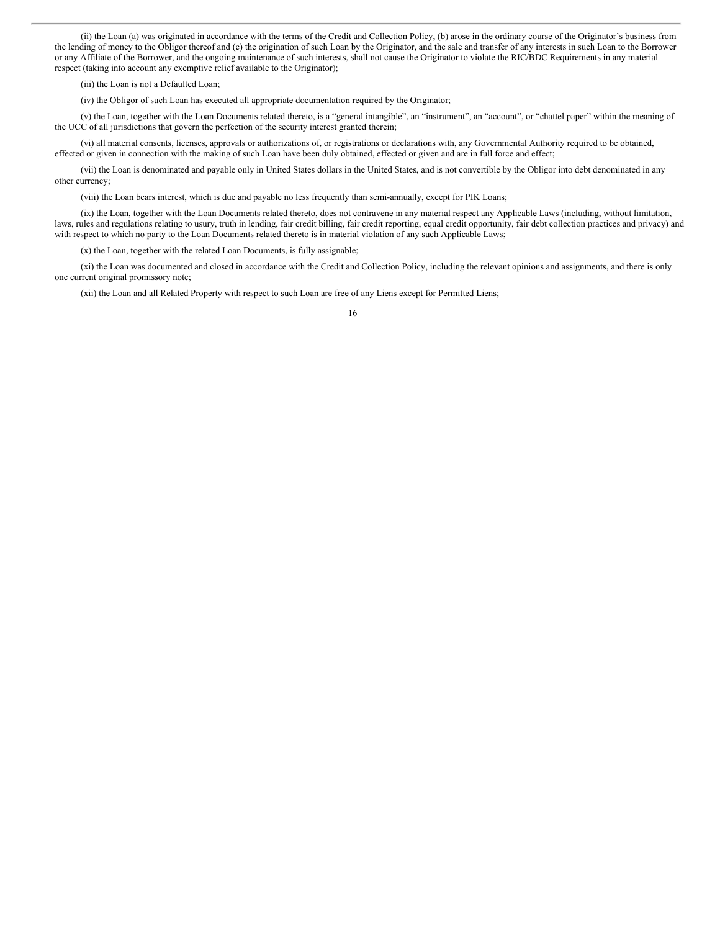(ii) the Loan (a) was originated in accordance with the terms of the Credit and Collection Policy, (b) arose in the ordinary course of the Originator's business from the lending of money to the Obligor thereof and (c) the origination of such Loan by the Originator, and the sale and transfer of any interests in such Loan to the Borrower or any Affiliate of the Borrower, and the ongoing maintenance of such interests, shall not cause the Originator to violate the RIC/BDC Requirements in any material respect (taking into account any exemptive relief available to the Originator);

(iii) the Loan is not a Defaulted Loan;

(iv) the Obligor of such Loan has executed all appropriate documentation required by the Originator;

(v) the Loan, together with the Loan Documents related thereto, is a "general intangible", an "instrument", an "account", or "chattel paper" within the meaning of the UCC of all jurisdictions that govern the perfection of the security interest granted therein;

(vi) all material consents, licenses, approvals or authorizations of, or registrations or declarations with, any Governmental Authority required to be obtained, effected or given in connection with the making of such Loan have been duly obtained, effected or given and are in full force and effect;

(vii) the Loan is denominated and payable only in United States dollars in the United States, and is not convertible by the Obligor into debt denominated in any other currency;

(viii) the Loan bears interest, which is due and payable no less frequently than semi-annually, except for PIK Loans;

(ix) the Loan, together with the Loan Documents related thereto, does not contravene in any material respect any Applicable Laws (including, without limitation, laws, rules and regulations relating to usury, truth in lending, fair credit billing, fair credit reporting, equal credit opportunity, fair debt collection practices and privacy) and with respect to which no party to the Loan Documents related thereto is in material violation of any such Applicable Laws;

(x) the Loan, together with the related Loan Documents, is fully assignable;

(xi) the Loan was documented and closed in accordance with the Credit and Collection Policy, including the relevant opinions and assignments, and there is only one current original promissory note;

(xii) the Loan and all Related Property with respect to such Loan are free of any Liens except for Permitted Liens;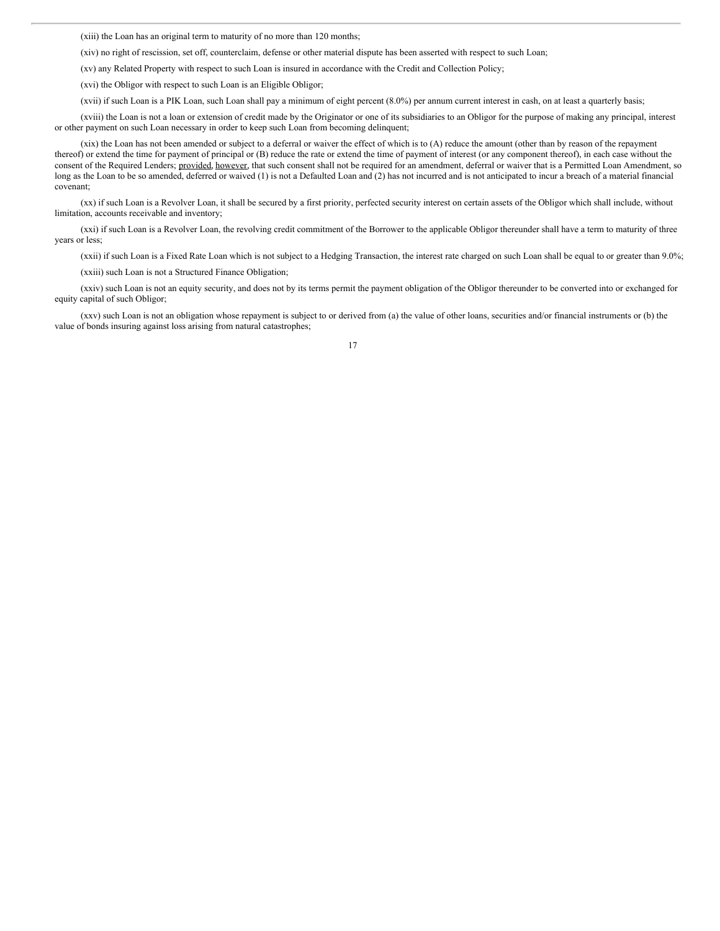(xiii) the Loan has an original term to maturity of no more than 120 months;

(xiv) no right of rescission, set off, counterclaim, defense or other material dispute has been asserted with respect to such Loan;

(xv) any Related Property with respect to such Loan is insured in accordance with the Credit and Collection Policy;

(xvi) the Obligor with respect to such Loan is an Eligible Obligor;

(xvii) if such Loan is a PIK Loan, such Loan shall pay a minimum of eight percent (8.0%) per annum current interest in cash, on at least a quarterly basis;

(xviii) the Loan is not a loan or extension of credit made by the Originator or one of its subsidiaries to an Obligor for the purpose of making any principal, interest or other payment on such Loan necessary in order to keep such Loan from becoming delinquent;

(xix) the Loan has not been amended or subject to a deferral or waiver the effect of which is to (A) reduce the amount (other than by reason of the repayment thereof) or extend the time for payment of principal or (B) reduce the rate or extend the time of payment of interest (or any component thereof), in each case without the consent of the Required Lenders; provided, however, that such consent shall not be required for an amendment, deferral or waiver that is a Permitted Loan Amendment, so long as the Loan to be so amended, deferred or waived (1) is not a Defaulted Loan and (2) has not incurred and is not anticipated to incur a breach of a material financial covenant;

(xx) if such Loan is a Revolver Loan, it shall be secured by a first priority, perfected security interest on certain assets of the Obligor which shall include, without limitation, accounts receivable and inventory;

(xxi) if such Loan is a Revolver Loan, the revolving credit commitment of the Borrower to the applicable Obligor thereunder shall have a term to maturity of three years or less;

(xxii) if such Loan is a Fixed Rate Loan which is not subject to a Hedging Transaction, the interest rate charged on such Loan shall be equal to or greater than 9.0%;

(xxiii) such Loan is not a Structured Finance Obligation;

(xxiv) such Loan is not an equity security, and does not by its terms permit the payment obligation of the Obligor thereunder to be converted into or exchanged for equity capital of such Obligor;

(xxv) such Loan is not an obligation whose repayment is subject to or derived from (a) the value of other loans, securities and/or financial instruments or (b) the value of bonds insuring against loss arising from natural catastrophes;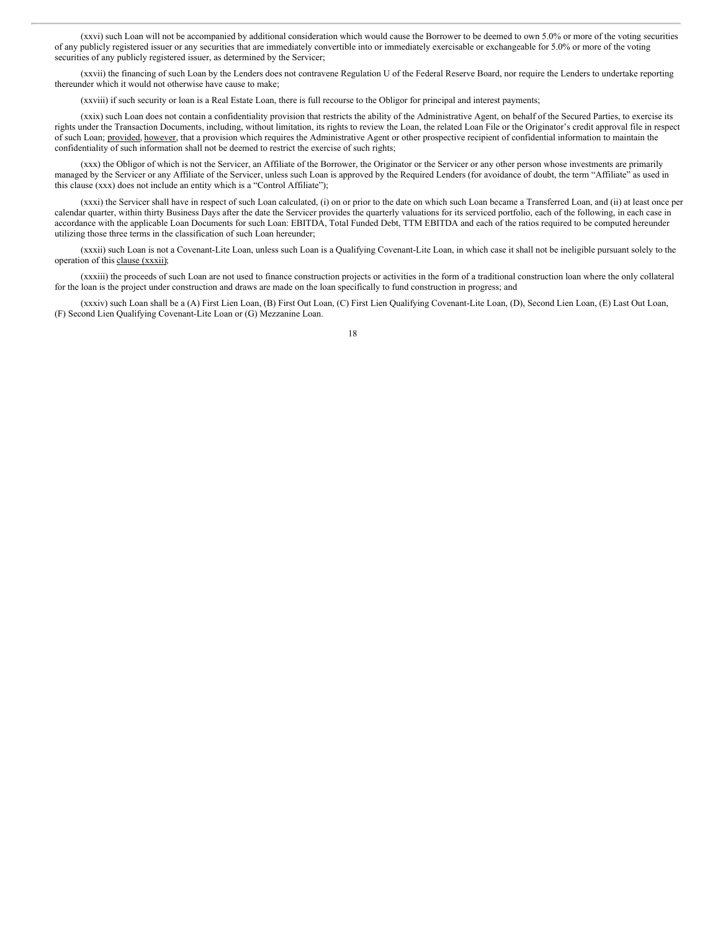(xxvi) such Loan will not be accompanied by additional consideration which would cause the Borrower to be deemed to own 5.0% or more of the voting securities of any publicly registered issuer or any securities that are immediately convertible into or immediately exercisable or exchangeable for 5.0% or more of the voting securities of any publicly registered issuer, as determined by the Servicer;

(xxvii) the financing of such Loan by the Lenders does not contravene Regulation U of the Federal Reserve Board, nor require the Lenders to undertake reporting thereunder which it would not otherwise have cause to make;

(xxviii) if such security or loan is a Real Estate Loan, there is full recourse to the Obligor for principal and interest payments;

(xxix) such Loan does not contain a confidentiality provision that restricts the ability of the Administrative Agent, on behalf of the Secured Parties, to exercise its rights under the Transaction Documents, including, without limitation, its rights to review the Loan, the related Loan File or the Originator's credit approval file in respect of such Loan; provided, however, that a provision which requires the Administrative Agent or other prospective recipient of confidential information to maintain the confidentiality of such information shall not be deemed to restrict the exercise of such rights;

(xxx) the Obligor of which is not the Servicer, an Affiliate of the Borrower, the Originator or the Servicer or any other person whose investments are primarily managed by the Servicer or any Affiliate of the Servicer, unless such Loan is approved by the Required Lenders (for avoidance of doubt, the term "Affiliate" as used in this clause (xxx) does not include an entity which is a "Control Affiliate");

(xxxi) the Servicer shall have in respect of such Loan calculated, (i) on or prior to the date on which such Loan became a Transferred Loan, and (ii) at least once per calendar quarter, within thirty Business Days after the date the Servicer provides the quarterly valuations for its serviced portfolio, each of the following, in each case in accordance with the applicable Loan Documents for such Loan: EBITDA, Total Funded Debt, TTM EBITDA and each of the ratios required to be computed hereunder utilizing those three terms in the classification of such Loan hereunder;

(xxxii) such Loan is not a Covenant-Lite Loan, unless such Loan is a Qualifying Covenant-Lite Loan, in which case it shall not be ineligible pursuant solely to the operation of this clause (xxxii);

(xxxiii) the proceeds of such Loan are not used to finance construction projects or activities in the form of a traditional construction loan where the only collateral for the loan is the project under construction and draws are made on the loan specifically to fund construction in progress; and

(xxxiv) such Loan shall be a (A) First Lien Loan, (B) First Out Loan, (C) First Lien Qualifying Covenant-Lite Loan, (D), Second Lien Loan, (E) Last Out Loan, (F) Second Lien Qualifying Covenant-Lite Loan or (G) Mezzanine Loan.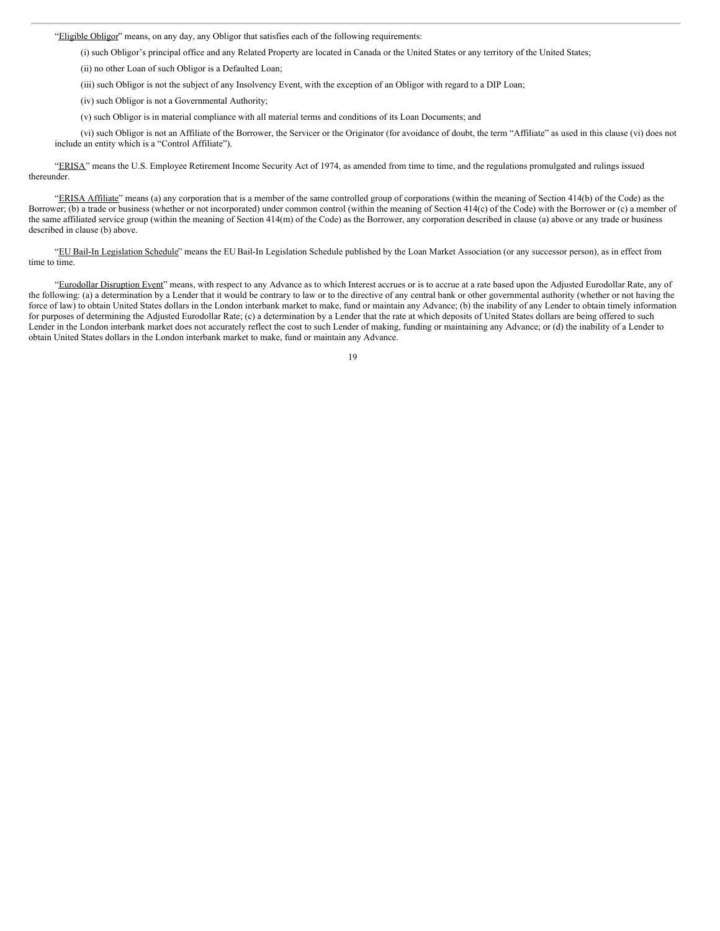"Eligible Obligor" means, on any day, any Obligor that satisfies each of the following requirements:

(i) such Obligor's principal office and any Related Property are located in Canada or the United States or any territory of the United States;

(ii) no other Loan of such Obligor is a Defaulted Loan;

(iii) such Obligor is not the subject of any Insolvency Event, with the exception of an Obligor with regard to a DIP Loan;

(iv) such Obligor is not a Governmental Authority;

(v) such Obligor is in material compliance with all material terms and conditions of its Loan Documents; and

(vi) such Obligor is not an Affiliate of the Borrower, the Servicer or the Originator (for avoidance of doubt, the term "Affiliate" as used in this clause (vi) does not include an entity which is a "Control Affiliate").

"ERISA" means the U.S. Employee Retirement Income Security Act of 1974, as amended from time to time, and the regulations promulgated and rulings issued thereunder.

"ERISA Affiliate" means (a) any corporation that is a member of the same controlled group of corporations (within the meaning of Section 414(b) of the Code) as the Borrower; (b) a trade or business (whether or not incorporated) under common control (within the meaning of Section 414(c) of the Code) with the Borrower or (c) a member of the same affiliated service group (within the meaning of Section 414(m) of the Code) as the Borrower, any corporation described in clause (a) above or any trade or business described in clause (b) above.

"EU Bail-In Legislation Schedule" means the EU Bail-In Legislation Schedule published by the Loan Market Association (or any successor person), as in effect from time to time.

"Eurodollar Disruption Event" means, with respect to any Advance as to which Interest accrues or is to accrue at a rate based upon the Adjusted Eurodollar Rate, any of the following: (a) a determination by a Lender that it would be contrary to law or to the directive of any central bank or other governmental authority (whether or not having the force of law) to obtain United States dollars in the London interbank market to make, fund or maintain any Advance; (b) the inability of any Lender to obtain timely information for purposes of determining the Adjusted Eurodollar Rate; (c) a determination by a Lender that the rate at which deposits of United States dollars are being offered to such Lender in the London interbank market does not accurately reflect the cost to such Lender of making, funding or maintaining any Advance; or (d) the inability of a Lender to obtain United States dollars in the London interbank market to make, fund or maintain any Advance.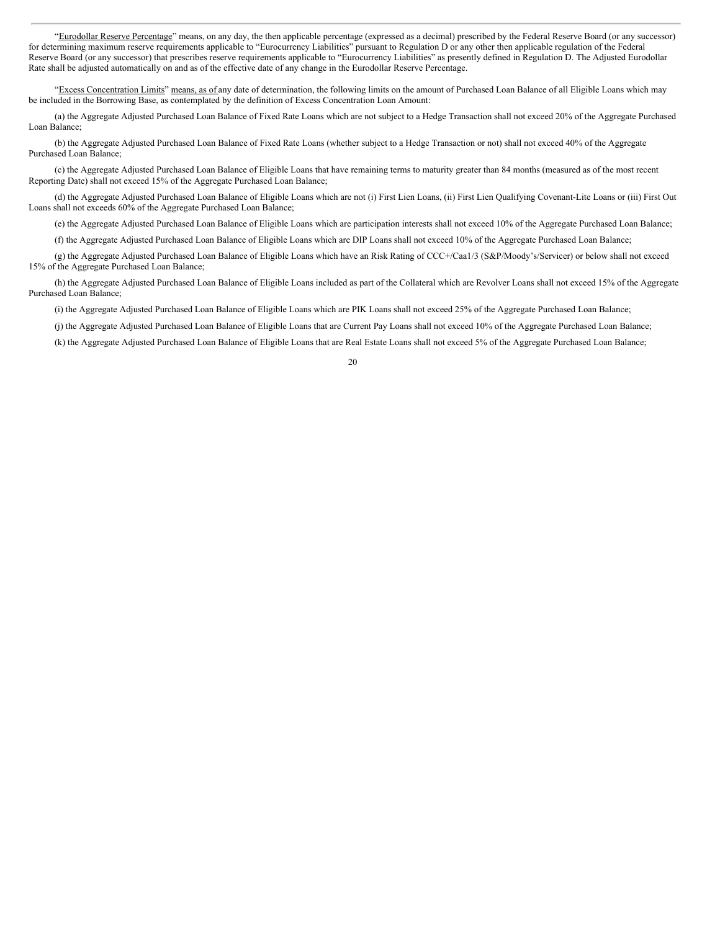"Eurodollar Reserve Percentage" means, on any day, the then applicable percentage (expressed as a decimal) prescribed by the Federal Reserve Board (or any successor) for determining maximum reserve requirements applicable to "Eurocurrency Liabilities" pursuant to Regulation D or any other then applicable regulation of the Federal Reserve Board (or any successor) that prescribes reserve requirements applicable to "Eurocurrency Liabilities" as presently defined in Regulation D. The Adjusted Eurodollar Rate shall be adjusted automatically on and as of the effective date of any change in the Eurodollar Reserve Percentage.

"Excess Concentration Limits" means, as of any date of determination, the following limits on the amount of Purchased Loan Balance of all Eligible Loans which may be included in the Borrowing Base, as contemplated by the definition of Excess Concentration Loan Amount:

(a) the Aggregate Adjusted Purchased Loan Balance of Fixed Rate Loans which are not subject to a Hedge Transaction shall not exceed 20% of the Aggregate Purchased Loan Balance;

(b) the Aggregate Adjusted Purchased Loan Balance of Fixed Rate Loans (whether subject to a Hedge Transaction or not) shall not exceed 40% of the Aggregate Purchased Loan Balance;

(c) the Aggregate Adjusted Purchased Loan Balance of Eligible Loans that have remaining terms to maturity greater than 84 months (measured as of the most recent Reporting Date) shall not exceed 15% of the Aggregate Purchased Loan Balance;

(d) the Aggregate Adjusted Purchased Loan Balance of Eligible Loans which are not (i) First Lien Loans, (ii) First Lien Qualifying Covenant-Lite Loans or (iii) First Out Loans shall not exceeds 60% of the Aggregate Purchased Loan Balance;

(e) the Aggregate Adjusted Purchased Loan Balance of Eligible Loans which are participation interests shall not exceed 10% of the Aggregate Purchased Loan Balance;

(f) the Aggregate Adjusted Purchased Loan Balance of Eligible Loans which are DIP Loans shall not exceed 10% of the Aggregate Purchased Loan Balance;

(g) the Aggregate Adjusted Purchased Loan Balance of Eligible Loans which have an Risk Rating of CCC+/Caa1/3 (S&P/Moody's/Servicer) or below shall not exceed 15% of the Aggregate Purchased Loan Balance;

(h) the Aggregate Adjusted Purchased Loan Balance of Eligible Loans included as part of the Collateral which are Revolver Loans shall not exceed 15% of the Aggregate Purchased Loan Balance;

(i) the Aggregate Adjusted Purchased Loan Balance of Eligible Loans which are PIK Loans shall not exceed 25% of the Aggregate Purchased Loan Balance;

(j) the Aggregate Adjusted Purchased Loan Balance of Eligible Loans that are Current Pay Loans shall not exceed 10% of the Aggregate Purchased Loan Balance;

(k) the Aggregate Adjusted Purchased Loan Balance of Eligible Loans that are Real Estate Loans shall not exceed 5% of the Aggregate Purchased Loan Balance;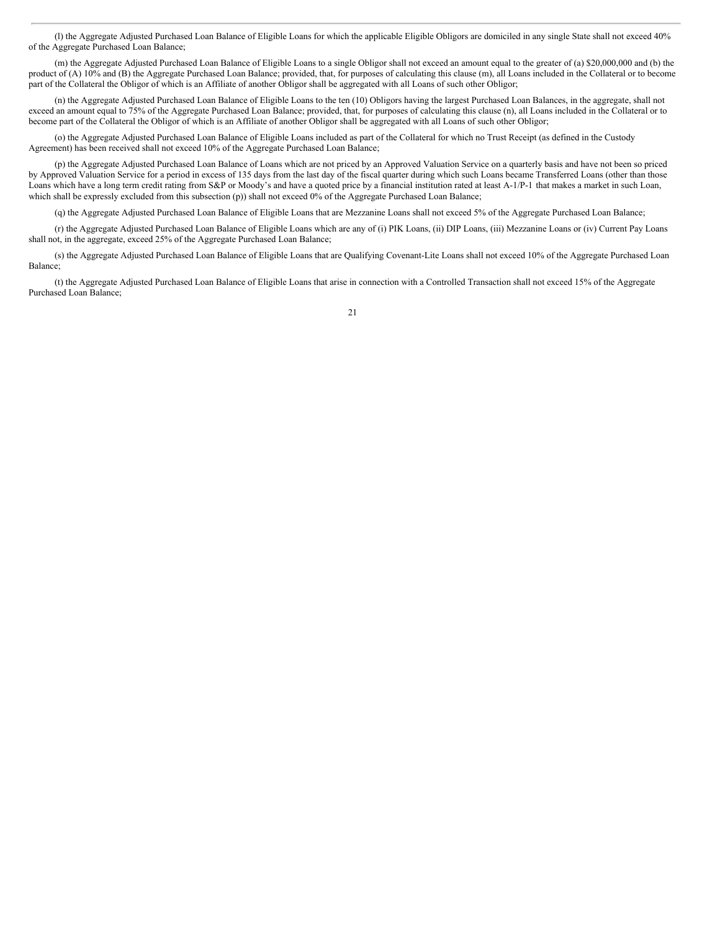(l) the Aggregate Adjusted Purchased Loan Balance of Eligible Loans for which the applicable Eligible Obligors are domiciled in any single State shall not exceed 40% of the Aggregate Purchased Loan Balance;

(m) the Aggregate Adjusted Purchased Loan Balance of Eligible Loans to a single Obligor shall not exceed an amount equal to the greater of (a) \$20,000,000 and (b) the product of (A) 10% and (B) the Aggregate Purchased Loan Balance; provided, that, for purposes of calculating this clause (m), all Loans included in the Collateral or to become part of the Collateral the Obligor of which is an Affiliate of another Obligor shall be aggregated with all Loans of such other Obligor;

(n) the Aggregate Adjusted Purchased Loan Balance of Eligible Loans to the ten (10) Obligors having the largest Purchased Loan Balances, in the aggregate, shall not exceed an amount equal to 75% of the Aggregate Purchased Loan Balance; provided, that, for purposes of calculating this clause (n), all Loans included in the Collateral or to become part of the Collateral the Obligor of which is an Affiliate of another Obligor shall be aggregated with all Loans of such other Obligor;

(o) the Aggregate Adjusted Purchased Loan Balance of Eligible Loans included as part of the Collateral for which no Trust Receipt (as defined in the Custody Agreement) has been received shall not exceed 10% of the Aggregate Purchased Loan Balance;

(p) the Aggregate Adjusted Purchased Loan Balance of Loans which are not priced by an Approved Valuation Service on a quarterly basis and have not been so priced by Approved Valuation Service for a period in excess of 135 days from the last day of the fiscal quarter during which such Loans became Transferred Loans (other than those Loans which have a long term credit rating from S&P or Moody's and have a quoted price by a financial institution rated at least A-1/P-1 that makes a market in such Loan, which shall be expressly excluded from this subsection (p)) shall not exceed 0% of the Aggregate Purchased Loan Balance;

(q) the Aggregate Adjusted Purchased Loan Balance of Eligible Loans that are Mezzanine Loans shall not exceed 5% of the Aggregate Purchased Loan Balance;

(r) the Aggregate Adjusted Purchased Loan Balance of Eligible Loans which are any of (i) PIK Loans, (ii) DIP Loans, (iii) Mezzanine Loans or (iv) Current Pay Loans shall not, in the aggregate, exceed 25% of the Aggregate Purchased Loan Balance;

(s) the Aggregate Adjusted Purchased Loan Balance of Eligible Loans that are Qualifying Covenant-Lite Loans shall not exceed 10% of the Aggregate Purchased Loan Balance;

(t) the Aggregate Adjusted Purchased Loan Balance of Eligible Loans that arise in connection with a Controlled Transaction shall not exceed 15% of the Aggregate Purchased Loan Balance;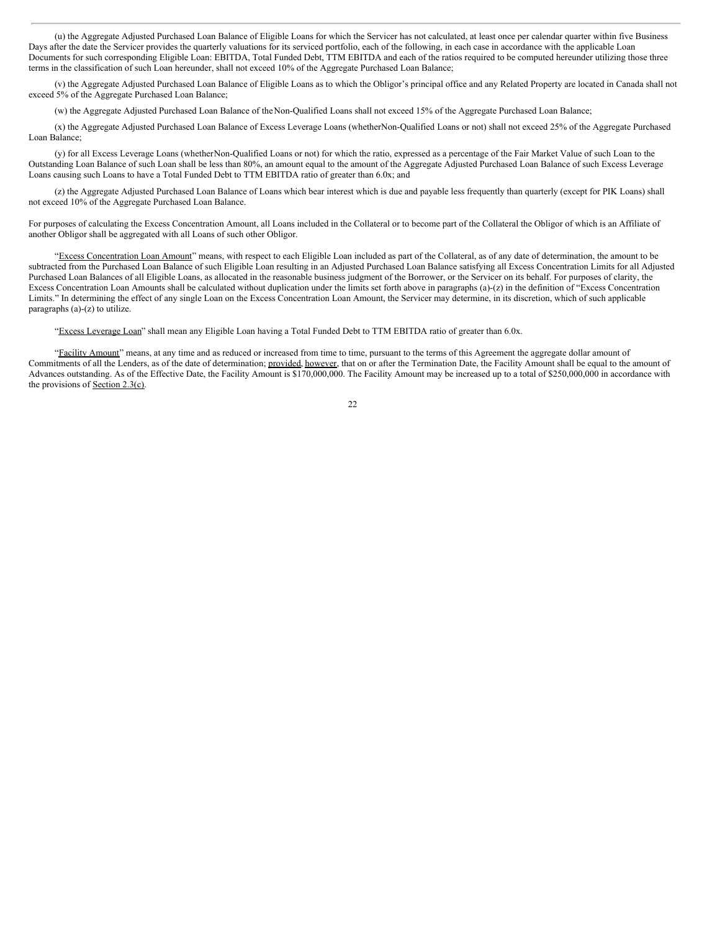(u) the Aggregate Adjusted Purchased Loan Balance of Eligible Loans for which the Servicer has not calculated, at least once per calendar quarter within five Business Days after the date the Servicer provides the quarterly valuations for its serviced portfolio, each of the following, in each case in accordance with the applicable Loan Documents for such corresponding Eligible Loan: EBITDA, Total Funded Debt, TTM EBITDA and each of the ratios required to be computed hereunder utilizing those three terms in the classification of such Loan hereunder, shall not exceed 10% of the Aggregate Purchased Loan Balance;

(v) the Aggregate Adjusted Purchased Loan Balance of Eligible Loans as to which the Obligor's principal office and any Related Property are located in Canada shall not exceed 5% of the Aggregate Purchased Loan Balance;

(w) the Aggregate Adjusted Purchased Loan Balance of theNon-Qualified Loans shall not exceed 15% of the Aggregate Purchased Loan Balance;

(x) the Aggregate Adjusted Purchased Loan Balance of Excess Leverage Loans (whetherNon-Qualified Loans or not) shall not exceed 25% of the Aggregate Purchased Loan Balance;

(y) for all Excess Leverage Loans (whetherNon-Qualified Loans or not) for which the ratio, expressed as a percentage of the Fair Market Value of such Loan to the Outstanding Loan Balance of such Loan shall be less than 80%, an amount equal to the amount of the Aggregate Adjusted Purchased Loan Balance of such Excess Leverage Loans causing such Loans to have a Total Funded Debt to TTM EBITDA ratio of greater than 6.0x; and

(z) the Aggregate Adjusted Purchased Loan Balance of Loans which bear interest which is due and payable less frequently than quarterly (except for PIK Loans) shall not exceed 10% of the Aggregate Purchased Loan Balance.

For purposes of calculating the Excess Concentration Amount, all Loans included in the Collateral or to become part of the Collateral the Obligor of which is an Affiliate of another Obligor shall be aggregated with all Loans of such other Obligor.

"Excess Concentration Loan Amount" means, with respect to each Eligible Loan included as part of the Collateral, as of any date of determination, the amount to be subtracted from the Purchased Loan Balance of such Eligible Loan resulting in an Adjusted Purchased Loan Balance satisfying all Excess Concentration Limits for all Adjusted Purchased Loan Balances of all Eligible Loans, as allocated in the reasonable business judgment of the Borrower, or the Servicer on its behalf. For purposes of clarity, the Excess Concentration Loan Amounts shall be calculated without duplication under the limits set forth above in paragraphs (a)-(z) in the definition of "Excess Concentration Limits." In determining the effect of any single Loan on the Excess Concentration Loan Amount, the Servicer may determine, in its discretion, which of such applicable paragraphs (a)-(z) to utilize.

"Excess Leverage Loan" shall mean any Eligible Loan having a Total Funded Debt to TTM EBITDA ratio of greater than 6.0x.

"Eacility Amount" means, at any time and as reduced or increased from time to time, pursuant to the terms of this Agreement the aggregate dollar amount of Commitments of all the Lenders, as of the date of determination; provided, however, that on or after the Termination Date, the Facility Amount shall be equal to the amount of Advances outstanding. As of the Effective Date, the Facility Amount is \$170,000,000. The Facility Amount may be increased up to a total of \$250,000,000 in accordance with the provisions of Section 2.3(c).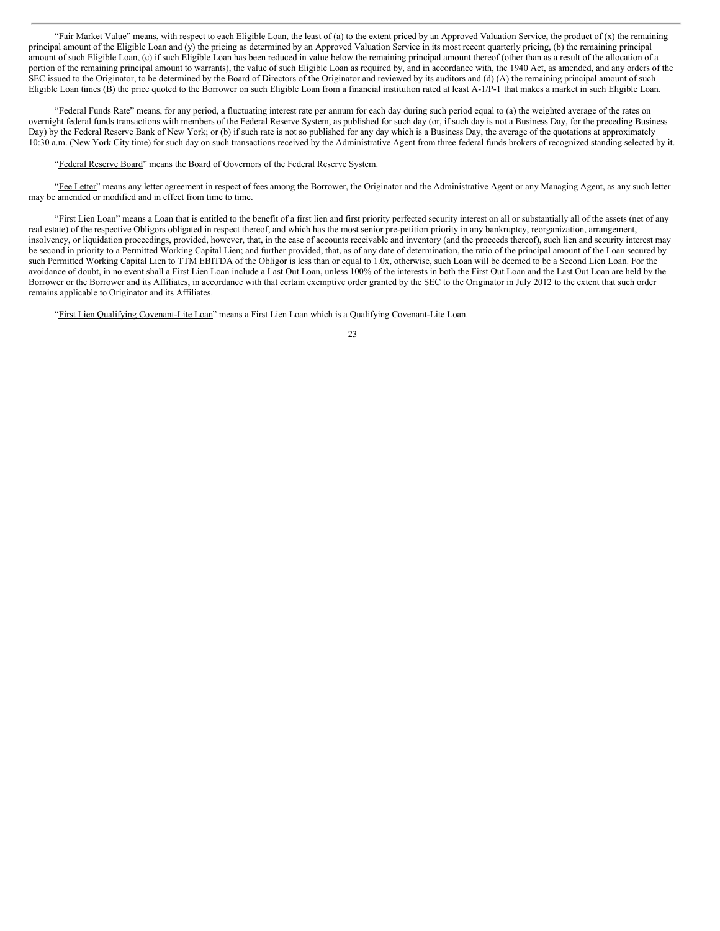"Fair Market Value" means, with respect to each Eligible Loan, the least of (a) to the extent priced by an Approved Valuation Service, the product of (x) the remaining principal amount of the Eligible Loan and (y) the pricing as determined by an Approved Valuation Service in its most recent quarterly pricing, (b) the remaining principal amount of such Eligible Loan, (c) if such Eligible Loan has been reduced in value below the remaining principal amount thereof (other than as a result of the allocation of a portion of the remaining principal amount to warrants), the value of such Eligible Loan as required by, and in accordance with, the 1940 Act, as amended, and any orders of the SEC issued to the Originator, to be determined by the Board of Directors of the Originator and reviewed by its auditors and (d) (A) the remaining principal amount of such Eligible Loan times (B) the price quoted to the Borrower on such Eligible Loan from a financial institution rated at least A-1/P-1 that makes a market in such Eligible Loan.

"Federal Funds Rate" means, for any period, a fluctuating interest rate per annum for each day during such period equal to (a) the weighted average of the rates on overnight federal funds transactions with members of the Federal Reserve System, as published for such day (or, if such day is not a Business Day, for the preceding Business Day) by the Federal Reserve Bank of New York; or (b) if such rate is not so published for any day which is a Business Day, the average of the quotations at approximately 10:30 a.m. (New York City time) for such day on such transactions received by the Administrative Agent from three federal funds brokers of recognized standing selected by it.

"Federal Reserve Board" means the Board of Governors of the Federal Reserve System.

"Fee Letter" means any letter agreement in respect of fees among the Borrower, the Originator and the Administrative Agent or any Managing Agent, as any such letter may be amended or modified and in effect from time to time.

"First Lien Loan" means a Loan that is entitled to the benefit of a first lien and first priority perfected security interest on all or substantially all of the assets (net of any real estate) of the respective Obligors obligated in respect thereof, and which has the most senior pre-petition priority in any bankruptcy, reorganization, arrangement, insolvency, or liquidation proceedings, provided, however, that, in the case of accounts receivable and inventory (and the proceeds thereof), such lien and security interest may be second in priority to a Permitted Working Capital Lien; and further provided, that, as of any date of determination, the ratio of the principal amount of the Loan secured by such Permitted Working Capital Lien to TTM EBITDA of the Obligor is less than or equal to 1.0x, otherwise, such Loan will be deemed to be a Second Lien Loan. For the avoidance of doubt, in no event shall a First Lien Loan include a Last Out Loan, unless 100% of the interests in both the First Out Loan and the Last Out Loan are held by the Borrower or the Borrower and its Affiliates, in accordance with that certain exemptive order granted by the SEC to the Originator in July 2012 to the extent that such order remains applicable to Originator and its Affiliates.

"First Lien Qualifying Covenant-Lite Loan" means a First Lien Loan which is a Qualifying Covenant-Lite Loan.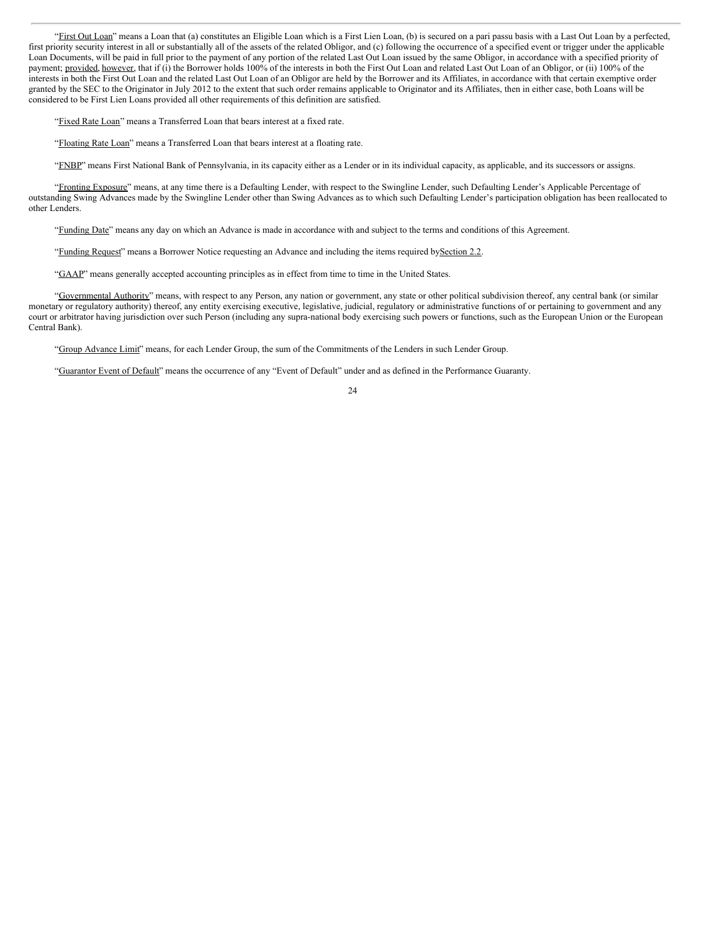"First Out Loan" means a Loan that (a) constitutes an Eligible Loan which is a First Lien Loan, (b) is secured on a pari passu basis with a Last Out Loan by a perfected, first priority security interest in all or substantially all of the assets of the related Obligor, and (c) following the occurrence of a specified event or trigger under the applicable Loan Documents, will be paid in full prior to the payment of any portion of the related Last Out Loan issued by the same Obligor, in accordance with a specified priority of payment; provided, however, that if (i) the Borrower holds 100% of the interests in both the First Out Loan and related Last Out Loan of an Obligor, or (ii) 100% of the interests in both the First Out Loan and the related Last Out Loan of an Obligor are held by the Borrower and its Affiliates, in accordance with that certain exemptive order granted by the SEC to the Originator in July 2012 to the extent that such order remains applicable to Originator and its Affiliates, then in either case, both Loans will be considered to be First Lien Loans provided all other requirements of this definition are satisfied.

"Fixed Rate Loan" means a Transferred Loan that bears interest at a fixed rate.

"Floating Rate Loan" means a Transferred Loan that bears interest at a floating rate.

"FNBP" means First National Bank of Pennsylvania, in its capacity either as a Lender or in its individual capacity, as applicable, and its successors or assigns.

"Fronting Exposure" means, at any time there is a Defaulting Lender, with respect to the Swingline Lender, such Defaulting Lender's Applicable Percentage of outstanding Swing Advances made by the Swingline Lender other than Swing Advances as to which such Defaulting Lender's participation obligation has been reallocated to other Lenders.

"Funding Date" means any day on which an Advance is made in accordance with and subject to the terms and conditions of this Agreement.

"Funding Request" means a Borrower Notice requesting an Advance and including the items required bySection 2.2.

"GAAP" means generally accepted accounting principles as in effect from time to time in the United States.

"Governmental Authority" means, with respect to any Person, any nation or government, any state or other political subdivision thereof, any central bank (or similar monetary or regulatory authority) thereof, any entity exercising executive, legislative, judicial, regulatory or administrative functions of or pertaining to government and any court or arbitrator having jurisdiction over such Person (including any supra-national body exercising such powers or functions, such as the European Union or the European Central Bank).

"Group Advance Limit" means, for each Lender Group, the sum of the Commitments of the Lenders in such Lender Group.

"Guarantor Event of Default" means the occurrence of any "Event of Default" under and as defined in the Performance Guaranty.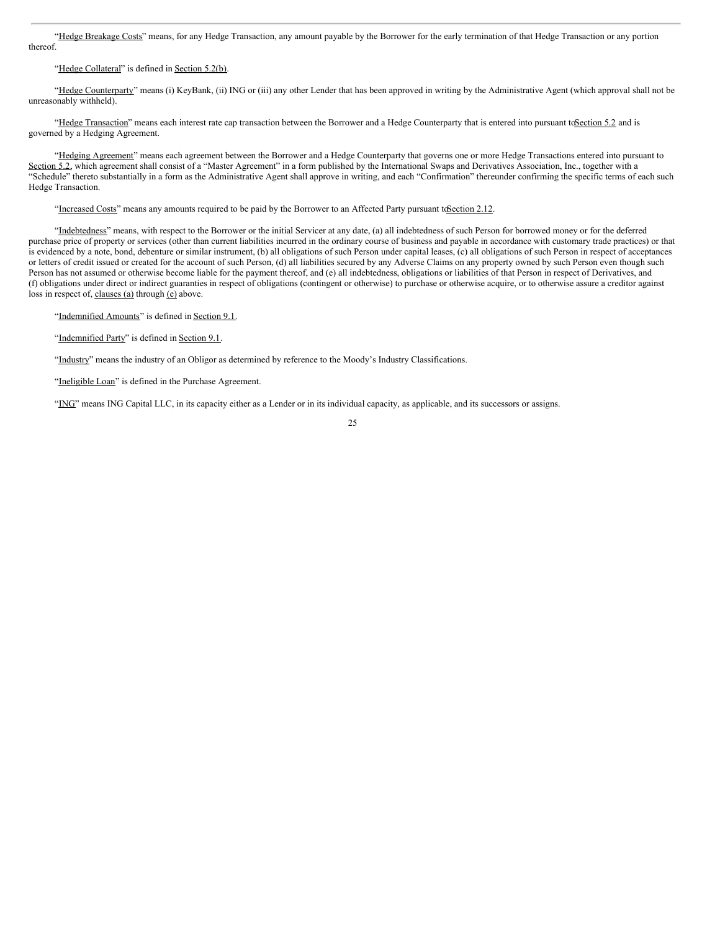"Hedge Breakage Costs" means, for any Hedge Transaction, any amount payable by the Borrower for the early termination of that Hedge Transaction or any portion thereof.

## "Hedge Collateral" is defined in Section 5.2(b).

"Hedge Counterparty" means (i) KeyBank, (ii) ING or (iii) any other Lender that has been approved in writing by the Administrative Agent (which approval shall not be unreasonably withheld).

"Hedge Transaction" means each interest rate cap transaction between the Borrower and a Hedge Counterparty that is entered into pursuant to Section 5.2 and is governed by a Hedging Agreement.

"Hedging Agreement" means each agreement between the Borrower and a Hedge Counterparty that governs one or more Hedge Transactions entered into pursuant to Section 5.2, which agreement shall consist of a "Master Agreement" in a form published by the International Swaps and Derivatives Association, Inc., together with a "Schedule" thereto substantially in a form as the Administrative Agent shall approve in writing, and each "Confirmation" thereunder confirming the specific terms of each such Hedge Transaction.

"Increased Costs" means any amounts required to be paid by the Borrower to an Affected Party pursuant to Section 2.12.

"Indebtedness" means, with respect to the Borrower or the initial Servicer at any date, (a) all indebtedness of such Person for borrowed money or for the deferred purchase price of property or services (other than current liabilities incurred in the ordinary course of business and payable in accordance with customary trade practices) or that is evidenced by a note, bond, debenture or similar instrument, (b) all obligations of such Person under capital leases, (c) all obligations of such Person in respect of acceptances or letters of credit issued or created for the account of such Person, (d) all liabilities secured by any Adverse Claims on any property owned by such Person even though such Person has not assumed or otherwise become liable for the payment thereof, and (e) all indebtedness, obligations or liabilities of that Person in respect of Derivatives, and (f) obligations under direct or indirect guaranties in respect of obligations (contingent or otherwise) to purchase or otherwise acquire, or to otherwise assure a creditor against loss in respect of, clauses (a) through (e) above.

"Indemnified Amounts" is defined in Section 9.1.

"Indemnified Party" is defined in Section 9.1.

"Industry" means the industry of an Obligor as determined by reference to the Moody's Industry Classifications.

"Ineligible Loan" is defined in the Purchase Agreement.

"ING" means ING Capital LLC, in its capacity either as a Lender or in its individual capacity, as applicable, and its successors or assigns.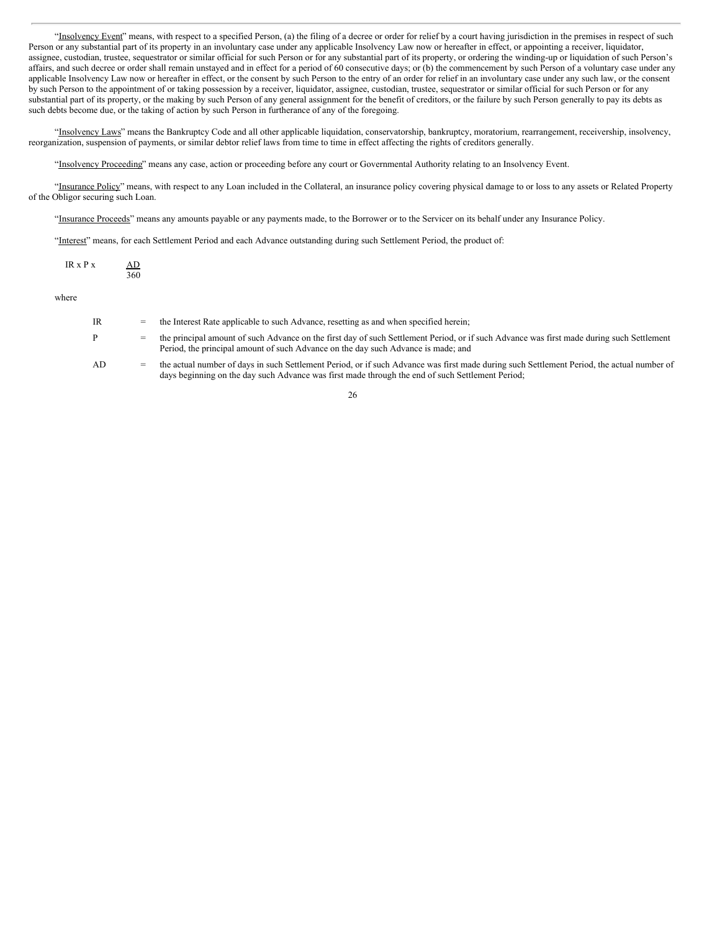"Insolvency Event" means, with respect to a specified Person, (a) the filing of a decree or order for relief by a court having jurisdiction in the premises in respect of such Person or any substantial part of its property in an involuntary case under any applicable Insolvency Law now or hereafter in effect, or appointing a receiver, liquidator, assignee, custodian, trustee, sequestrator or similar official for such Person or for any substantial part of its property, or ordering the winding-up or liquidation of such Person's affairs, and such decree or order shall remain unstayed and in effect for a period of 60 consecutive days; or (b) the commencement by such Person of a voluntary case under any applicable Insolvency Law now or hereafter in effect, or the consent by such Person to the entry of an order for relief in an involuntary case under any such law, or the consent by such Person to the appointment of or taking possession by a receiver, liquidator, assignee, custodian, trustee, sequestrator or similar official for such Person or for any substantial part of its property, or the making by such Person of any general assignment for the benefit of creditors, or the failure by such Person generally to pay its debts as such debts become due, or the taking of action by such Person in furtherance of any of the foregoing.

"Insolvency Laws" means the Bankruptcy Code and all other applicable liquidation, conservatorship, bankruptcy, moratorium, rearrangement, receivership, insolvency, reorganization, suspension of payments, or similar debtor relief laws from time to time in effect affecting the rights of creditors generally.

"Insolvency Proceeding" means any case, action or proceeding before any court or Governmental Authority relating to an Insolvency Event.

"Insurance Policy" means, with respect to any Loan included in the Collateral, an insurance policy covering physical damage to or loss to any assets or Related Property of the Obligor securing such Loan.

"Insurance Proceeds" means any amounts payable or any payments made, to the Borrower or to the Servicer on its behalf under any Insurance Policy.

"Interest" means, for each Settlement Period and each Advance outstanding during such Settlement Period, the product of:

| $IR \times Px$ | AD  |
|----------------|-----|
|                | 360 |

where

| IR | $=$ | the Interest Rate applicable to such Advance, resetting as and when specified herein;                                                                                                                                                          |
|----|-----|------------------------------------------------------------------------------------------------------------------------------------------------------------------------------------------------------------------------------------------------|
| P  | $=$ | the principal amount of such Advance on the first day of such Settlement Period, or if such Advance was first made during such Settlement<br>Period, the principal amount of such Advance on the day such Advance is made; and                 |
| AD | $=$ | the actual number of days in such Settlement Period, or if such Advance was first made during such Settlement Period, the actual number of<br>days beginning on the day such Advance was first made through the end of such Settlement Period; |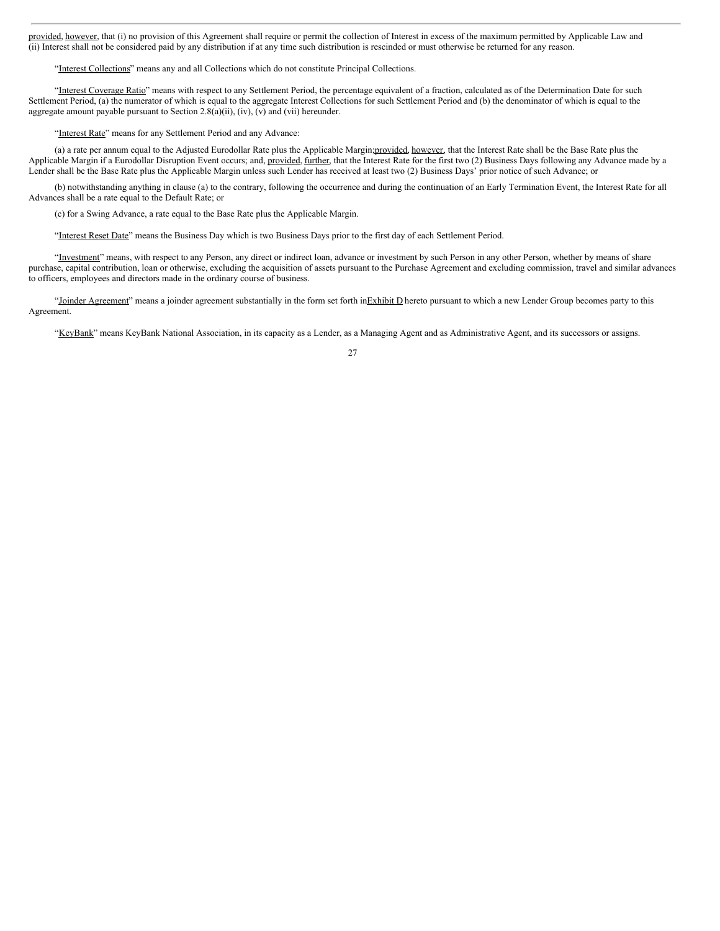provided, however, that (i) no provision of this Agreement shall require or permit the collection of Interest in excess of the maximum permitted by Applicable Law and (ii) Interest shall not be considered paid by any distribution if at any time such distribution is rescinded or must otherwise be returned for any reason.

"Interest Collections" means any and all Collections which do not constitute Principal Collections.

"Interest Coverage Ratio" means with respect to any Settlement Period, the percentage equivalent of a fraction, calculated as of the Determination Date for such Settlement Period, (a) the numerator of which is equal to the aggregate Interest Collections for such Settlement Period and (b) the denominator of which is equal to the aggregate amount payable pursuant to Section 2.8(a)(ii), (iv), (v) and (vii) hereunder.

"Interest Rate" means for any Settlement Period and any Advance:

(a) a rate per annum equal to the Adjusted Eurodollar Rate plus the Applicable Margin; provided, however, that the Interest Rate shall be the Base Rate plus the Applicable Margin if a Eurodollar Disruption Event occurs; and, provided, further, that the Interest Rate for the first two (2) Business Days following any Advance made by a Lender shall be the Base Rate plus the Applicable Margin unless such Lender has received at least two (2) Business Days' prior notice of such Advance; or

(b) notwithstanding anything in clause (a) to the contrary, following the occurrence and during the continuation of an Early Termination Event, the Interest Rate for all Advances shall be a rate equal to the Default Rate; or

(c) for a Swing Advance, a rate equal to the Base Rate plus the Applicable Margin.

"Interest Reset Date" means the Business Day which is two Business Days prior to the first day of each Settlement Period.

"Investment" means, with respect to any Person, any direct or indirect loan, advance or investment by such Person in any other Person, whether by means of share purchase, capital contribution, loan or otherwise, excluding the acquisition of assets pursuant to the Purchase Agreement and excluding commission, travel and similar advances to officers, employees and directors made in the ordinary course of business.

"Joinder Agreement" means a joinder agreement substantially in the form set forth inExhibit D hereto pursuant to which a new Lender Group becomes party to this Agreement.

"KeyBank" means KeyBank National Association, in its capacity as a Lender, as a Managing Agent and as Administrative Agent, and its successors or assigns.

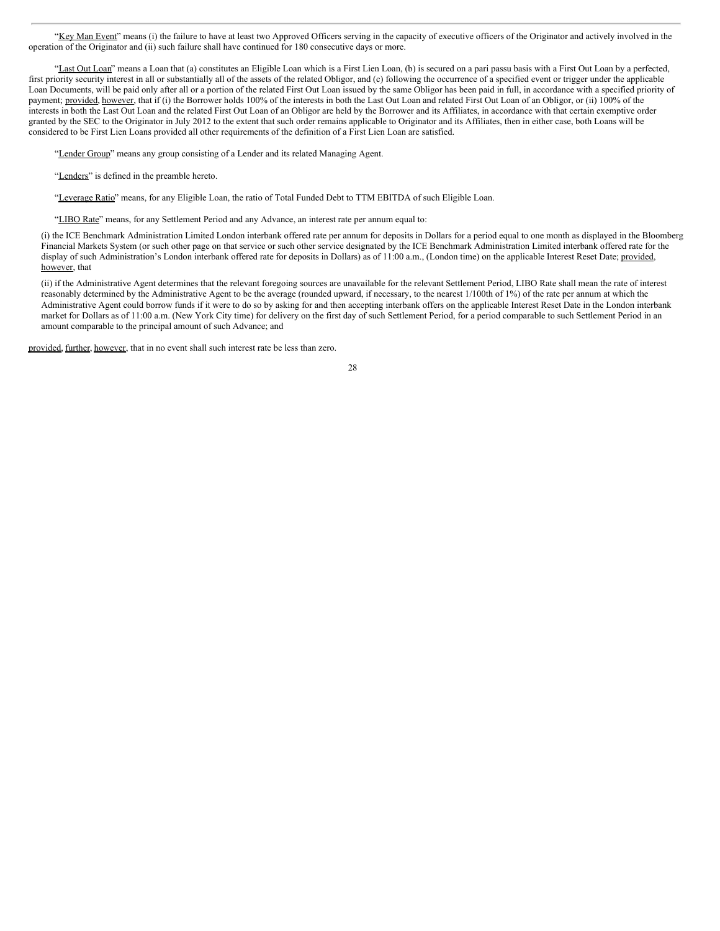"Key Man Event" means (i) the failure to have at least two Approved Officers serving in the capacity of executive officers of the Originator and actively involved in the operation of the Originator and (ii) such failure shall have continued for 180 consecutive days or more.

"Last Out Loan" means a Loan that (a) constitutes an Eligible Loan which is a First Lien Loan, (b) is secured on a pari passu basis with a First Out Loan by a perfected, first priority security interest in all or substantially all of the assets of the related Obligor, and (c) following the occurrence of a specified event or trigger under the applicable Loan Documents, will be paid only after all or a portion of the related First Out Loan issued by the same Obligor has been paid in full, in accordance with a specified priority of payment; provided, however, that if (i) the Borrower holds 100% of the interests in both the Last Out Loan and related First Out Loan of an Obligor, or (ii) 100% of the interests in both the Last Out Loan and the related First Out Loan of an Obligor are held by the Borrower and its Affiliates, in accordance with that certain exemptive order granted by the SEC to the Originator in July 2012 to the extent that such order remains applicable to Originator and its Affiliates, then in either case, both Loans will be considered to be First Lien Loans provided all other requirements of the definition of a First Lien Loan are satisfied.

"Lender Group" means any group consisting of a Lender and its related Managing Agent.

"Lenders" is defined in the preamble hereto.

"Leverage Ratio" means, for any Eligible Loan, the ratio of Total Funded Debt to TTM EBITDA of such Eligible Loan.

"LIBO Rate" means, for any Settlement Period and any Advance, an interest rate per annum equal to:

(i) the ICE Benchmark Administration Limited London interbank offered rate per annum for deposits in Dollars for a period equal to one month as displayed in the Bloomberg Financial Markets System (or such other page on that service or such other service designated by the ICE Benchmark Administration Limited interbank offered rate for the display of such Administration's London interbank offered rate for deposits in Dollars) as of 11:00 a.m., (London time) on the applicable Interest Reset Date; provided, however, that

(ii) if the Administrative Agent determines that the relevant foregoing sources are unavailable for the relevant Settlement Period, LIBO Rate shall mean the rate of interest reasonably determined by the Administrative Agent to be the average (rounded upward, if necessary, to the nearest 1/100th of 1%) of the rate per annum at which the Administrative Agent could borrow funds if it were to do so by asking for and then accepting interbank offers on the applicable Interest Reset Date in the London interbank market for Dollars as of 11:00 a.m. (New York City time) for delivery on the first day of such Settlement Period, for a period comparable to such Settlement Period in an amount comparable to the principal amount of such Advance; and

provided, further, however, that in no event shall such interest rate be less than zero.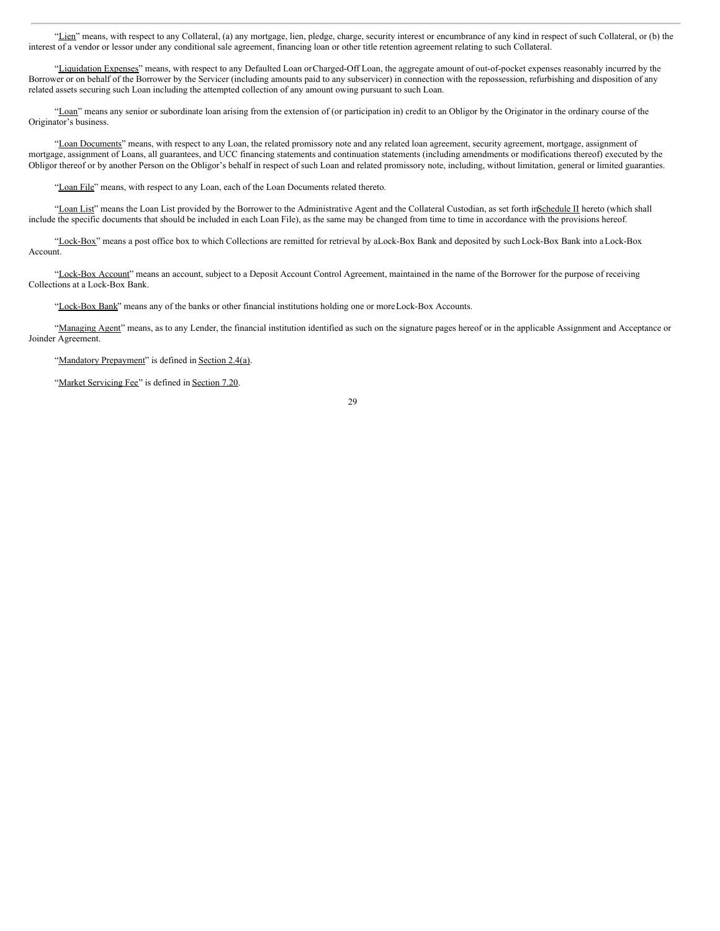"Lien" means, with respect to any Collateral, (a) any mortgage, lien, pledge, charge, security interest or encumbrance of any kind in respect of such Collateral, or (b) the interest of a vendor or lessor under any conditional sale agreement, financing loan or other title retention agreement relating to such Collateral.

"Liquidation Expenses" means, with respect to any Defaulted Loan orCharged-Off Loan, the aggregate amount of out-of-pocket expenses reasonably incurred by the Borrower or on behalf of the Borrower by the Servicer (including amounts paid to any subservicer) in connection with the repossession, refurbishing and disposition of any related assets securing such Loan including the attempted collection of any amount owing pursuant to such Loan.

"Loan" means any senior or subordinate loan arising from the extension of (or participation in) credit to an Obligor by the Originator in the ordinary course of the Originator's business.

"Loan Documents" means, with respect to any Loan, the related promissory note and any related loan agreement, security agreement, mortgage, assignment of mortgage, assignment of Loans, all guarantees, and UCC financing statements and continuation statements (including amendments or modifications thereof) executed by the Obligor thereof or by another Person on the Obligor's behalf in respect of such Loan and related promissory note, including, without limitation, general or limited guaranties.

"Loan File" means, with respect to any Loan, each of the Loan Documents related thereto.

"Loan List" means the Loan List provided by the Borrower to the Administrative Agent and the Collateral Custodian, as set forth in Schedule II hereto (which shall include the specific documents that should be included in each Loan File), as the same may be changed from time to time in accordance with the provisions hereof.

"Lock-Box" means a post office box to which Collections are remitted for retrieval by aLock-Box Bank and deposited by such Lock-Box Bank into a Lock-Box Account.

"Lock-Box Account" means an account, subject to a Deposit Account Control Agreement, maintained in the name of the Borrower for the purpose of receiving Collections at a Lock-Box Bank.

"Lock-Box Bank" means any of the banks or other financial institutions holding one or moreLock-Box Accounts.

"Managing Agent" means, as to any Lender, the financial institution identified as such on the signature pages hereof or in the applicable Assignment and Acceptance or Joinder Agreement.

"Mandatory Prepayment" is defined in Section 2.4(a).

"Market Servicing Fee" is defined in Section 7.20.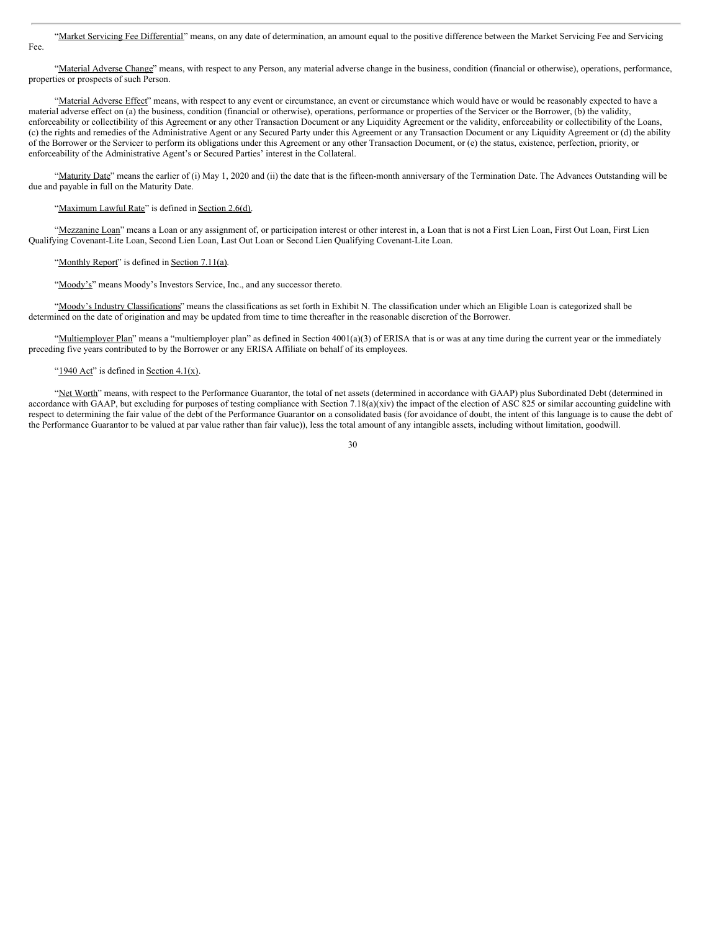# "Market Servicing Fee Differential" means, on any date of determination, an amount equal to the positive difference between the Market Servicing Fee and Servicing

"Material Adverse Change" means, with respect to any Person, any material adverse change in the business, condition (financial or otherwise), operations, performance, properties or prospects of such Person.

"Material Adverse Effect" means, with respect to any event or circumstance, an event or circumstance which would have or would be reasonably expected to have a material adverse effect on (a) the business, condition (financial or otherwise), operations, performance or properties of the Servicer or the Borrower, (b) the validity, enforceability or collectibility of this Agreement or any other Transaction Document or any Liquidity Agreement or the validity, enforceability or collectibility of the Loans, (c) the rights and remedies of the Administrative Agent or any Secured Party under this Agreement or any Transaction Document or any Liquidity Agreement or (d) the ability of the Borrower or the Servicer to perform its obligations under this Agreement or any other Transaction Document, or (e) the status, existence, perfection, priority, or enforceability of the Administrative Agent's or Secured Parties' interest in the Collateral.

"Maturity Date" means the earlier of (i) May 1, 2020 and (ii) the date that is the fifteen-month anniversary of the Termination Date. The Advances Outstanding will be due and payable in full on the Maturity Date.

# "Maximum Lawful Rate" is defined in Section 2.6(d).

Fee.

"Mezzanine Loan" means a Loan or any assignment of, or participation interest or other interest in, a Loan that is not a First Lien Loan, First Out Loan, First Lien Qualifying Covenant-Lite Loan, Second Lien Loan, Last Out Loan or Second Lien Qualifying Covenant-Lite Loan.

## "Monthly Report" is defined in Section 7.11(a).

"Moody's" means Moody's Investors Service, Inc., and any successor thereto.

"Moody's Industry Classifications" means the classifications as set forth in Exhibit N. The classification under which an Eligible Loan is categorized shall be determined on the date of origination and may be updated from time to time thereafter in the reasonable discretion of the Borrower.

"Multiemployer Plan" means a "multiemployer plan" as defined in Section 4001(a)(3) of ERISA that is or was at any time during the current year or the immediately preceding five years contributed to by the Borrower or any ERISA Affiliate on behalf of its employees.

## "1940 Act" is defined in Section  $4.1(x)$ .

"Net Worth" means, with respect to the Performance Guarantor, the total of net assets (determined in accordance with GAAP) plus Subordinated Debt (determined in accordance with GAAP, but excluding for purposes of testing compliance with Section 7.18(a)(xiv) the impact of the election of ASC 825 or similar accounting guideline with respect to determining the fair value of the debt of the Performance Guarantor on a consolidated basis (for avoidance of doubt, the intent of this language is to cause the debt of the Performance Guarantor to be valued at par value rather than fair value)), less the total amount of any intangible assets, including without limitation, goodwill.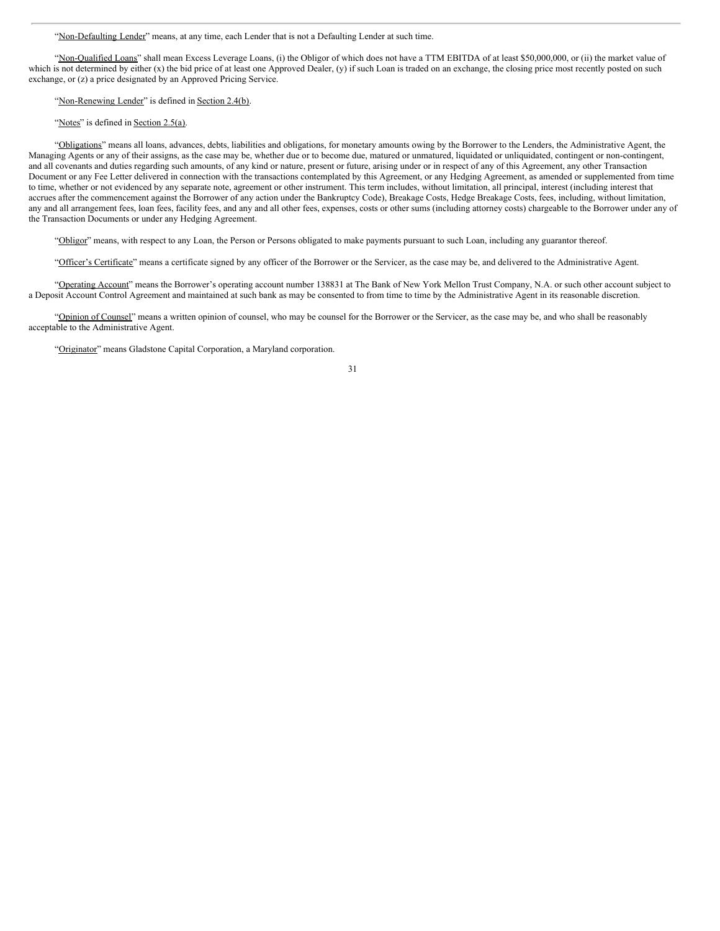"Non-Defaulting Lender" means, at any time, each Lender that is not a Defaulting Lender at such time.

"Non-Qualified Loans" shall mean Excess Leverage Loans, (i) the Obligor of which does not have a TTM EBITDA of at least \$50,000,000, or (ii) the market value of which is not determined by either (x) the bid price of at least one Approved Dealer, (y) if such Loan is traded on an exchange, the closing price most recently posted on such exchange, or (z) a price designated by an Approved Pricing Service.

"Non-Renewing Lender" is defined in Section 2.4(b).

## "Notes" is defined in Section 2.5(a).

"Obligations" means all loans, advances, debts, liabilities and obligations, for monetary amounts owing by the Borrower to the Lenders, the Administrative Agent, the Managing Agents or any of their assigns, as the case may be, whether due or to become due, matured or unmatured, liquidated or unliquidated, contingent or non-contingent, and all covenants and duties regarding such amounts, of any kind or nature, present or future, arising under or in respect of any of this Agreement, any other Transaction Document or any Fee Letter delivered in connection with the transactions contemplated by this Agreement, or any Hedging Agreement, as amended or supplemented from time to time, whether or not evidenced by any separate note, agreement or other instrument. This term includes, without limitation, all principal, interest (including interest that accrues after the commencement against the Borrower of any action under the Bankruptcy Code), Breakage Costs, Hedge Breakage Costs, fees, including, without limitation, any and all arrangement fees, loan fees, facility fees, and any and all other fees, expenses, costs or other sums (including attorney costs) chargeable to the Borrower under any of the Transaction Documents or under any Hedging Agreement.

"Obligor" means, with respect to any Loan, the Person or Persons obligated to make payments pursuant to such Loan, including any guarantor thereof.

"Officer's Certificate" means a certificate signed by any officer of the Borrower or the Servicer, as the case may be, and delivered to the Administrative Agent.

"Operating Account" means the Borrower's operating account number 138831 at The Bank of New York Mellon Trust Company, N.A. or such other account subject to a Deposit Account Control Agreement and maintained at such bank as may be consented to from time to time by the Administrative Agent in its reasonable discretion.

"Opinion of Counsel" means a written opinion of counsel, who may be counsel for the Borrower or the Servicer, as the case may be, and who shall be reasonably acceptable to the Administrative Agent.

"Originator" means Gladstone Capital Corporation, a Maryland corporation.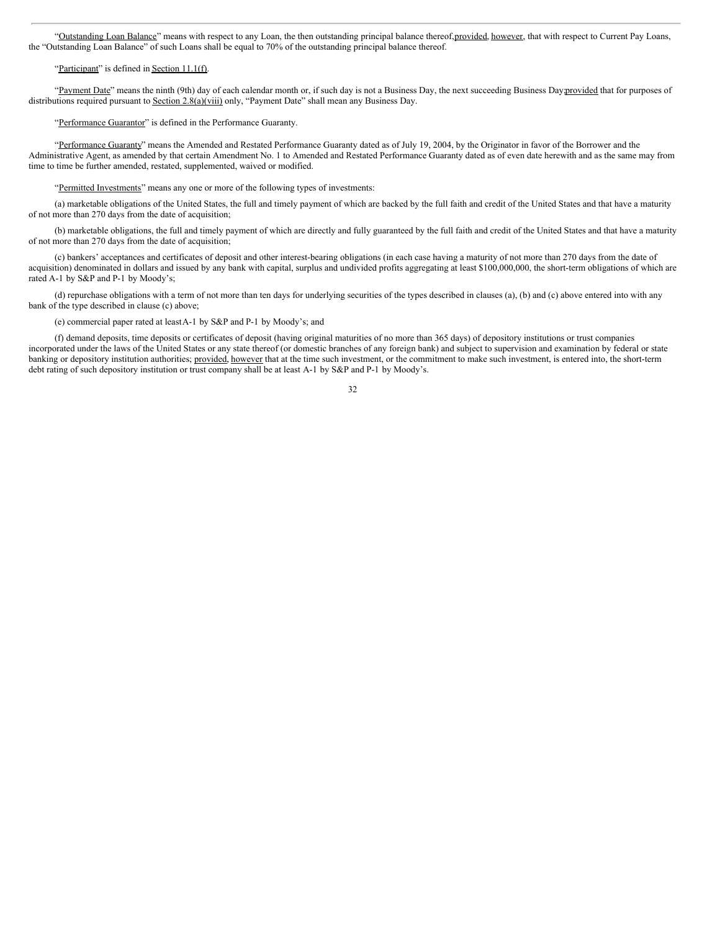"Outstanding Loan Balance" means with respect to any Loan, the then outstanding principal balance thereof, provided, however, that with respect to Current Pay Loans, the "Outstanding Loan Balance" of such Loans shall be equal to 70% of the outstanding principal balance thereof.

## "Participant" is defined in Section 11.1(f).

"Payment Date" means the ninth (9th) day of each calendar month or, if such day is not a Business Day, the next succeeding Business Day;provided that for purposes of distributions required pursuant to Section 2.8(a)(viii) only, "Payment Date" shall mean any Business Day.

"Performance Guarantor" is defined in the Performance Guaranty.

"Performance Guaranty" means the Amended and Restated Performance Guaranty dated as of July 19, 2004, by the Originator in favor of the Borrower and the Administrative Agent, as amended by that certain Amendment No. 1 to Amended and Restated Performance Guaranty dated as of even date herewith and as the same may from time to time be further amended, restated, supplemented, waived or modified.

"Permitted Investments" means any one or more of the following types of investments:

(a) marketable obligations of the United States, the full and timely payment of which are backed by the full faith and credit of the United States and that have a maturity of not more than 270 days from the date of acquisition;

(b) marketable obligations, the full and timely payment of which are directly and fully guaranteed by the full faith and credit of the United States and that have a maturity of not more than 270 days from the date of acquisition;

(c) bankers' acceptances and certificates of deposit and other interest-bearing obligations (in each case having a maturity of not more than 270 days from the date of acquisition) denominated in dollars and issued by any bank with capital, surplus and undivided profits aggregating at least \$100,000,000, the short-term obligations of which are rated A-1 by S&P and P-1 by Moody's;

(d) repurchase obligations with a term of not more than ten days for underlying securities of the types described in clauses (a), (b) and (c) above entered into with any bank of the type described in clause (c) above;

(e) commercial paper rated at leastA-1 by S&P and P-1 by Moody's; and

(f) demand deposits, time deposits or certificates of deposit (having original maturities of no more than 365 days) of depository institutions or trust companies incorporated under the laws of the United States or any state thereof (or domestic branches of any foreign bank) and subject to supervision and examination by federal or state banking or depository institution authorities; provided, however that at the time such investment, or the commitment to make such investment, is entered into, the short-term debt rating of such depository institution or trust company shall be at least A-1 by S&P and P-1 by Moody's.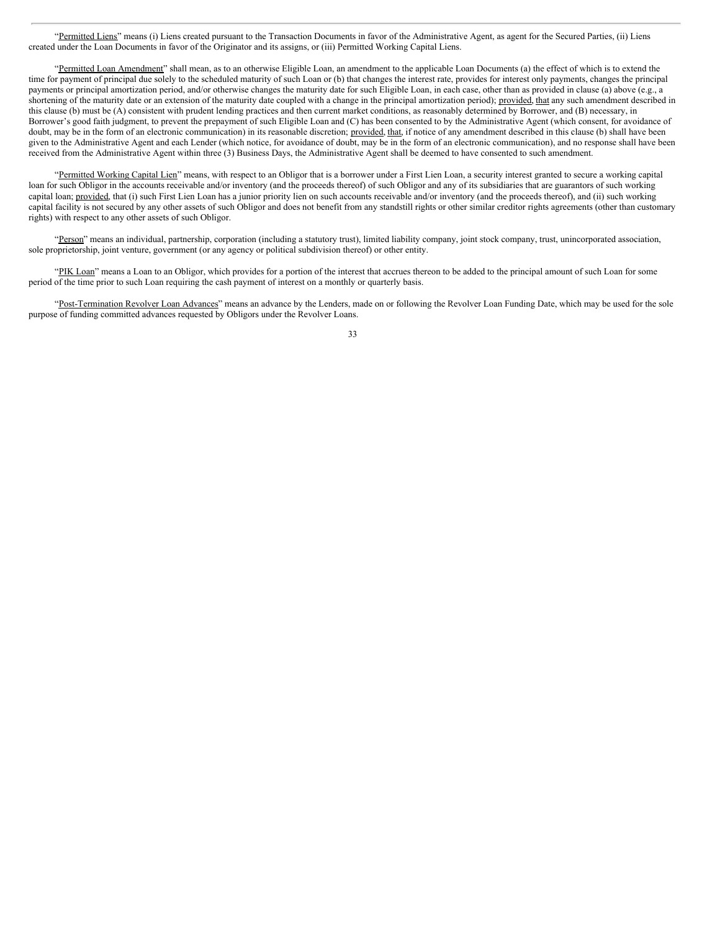"Permitted Liens" means (i) Liens created pursuant to the Transaction Documents in favor of the Administrative Agent, as agent for the Secured Parties, (ii) Liens created under the Loan Documents in favor of the Originator and its assigns, or (iii) Permitted Working Capital Liens.

"Permitted Loan Amendment" shall mean, as to an otherwise Eligible Loan, an amendment to the applicable Loan Documents (a) the effect of which is to extend the time for payment of principal due solely to the scheduled maturity of such Loan or (b) that changes the interest rate, provides for interest only payments, changes the principal payments or principal amortization period, and/or otherwise changes the maturity date for such Eligible Loan, in each case, other than as provided in clause (a) above (e.g., a shortening of the maturity date or an extension of the maturity date coupled with a change in the principal amortization period); provided, that any such amendment described in this clause (b) must be (A) consistent with prudent lending practices and then current market conditions, as reasonably determined by Borrower, and (B) necessary, in Borrower's good faith judgment, to prevent the prepayment of such Eligible Loan and (C) has been consented to by the Administrative Agent (which consent, for avoidance of doubt, may be in the form of an electronic communication) in its reasonable discretion; provided, that, if notice of any amendment described in this clause (b) shall have been given to the Administrative Agent and each Lender (which notice, for avoidance of doubt, may be in the form of an electronic communication), and no response shall have been received from the Administrative Agent within three (3) Business Days, the Administrative Agent shall be deemed to have consented to such amendment.

"Permitted Working Capital Lien" means, with respect to an Obligor that is a borrower under a First Lien Loan, a security interest granted to secure a working capital loan for such Obligor in the accounts receivable and/or inventory (and the proceeds thereof) of such Obligor and any of its subsidiaries that are guarantors of such working capital loan; provided, that (i) such First Lien Loan has a junior priority lien on such accounts receivable and/or inventory (and the proceeds thereof), and (ii) such working capital facility is not secured by any other assets of such Obligor and does not benefit from any standstill rights or other similar creditor rights agreements (other than customary rights) with respect to any other assets of such Obligor.

"Person" means an individual, partnership, corporation (including a statutory trust), limited liability company, joint stock company, trust, unincorporated association, sole proprietorship, joint venture, government (or any agency or political subdivision thereof) or other entity.

"PIK Loan" means a Loan to an Obligor, which provides for a portion of the interest that accrues thereon to be added to the principal amount of such Loan for some period of the time prior to such Loan requiring the cash payment of interest on a monthly or quarterly basis.

"Post-Termination Revolver Loan Advances" means an advance by the Lenders, made on or following the Revolver Loan Funding Date, which may be used for the sole purpose of funding committed advances requested by Obligors under the Revolver Loans.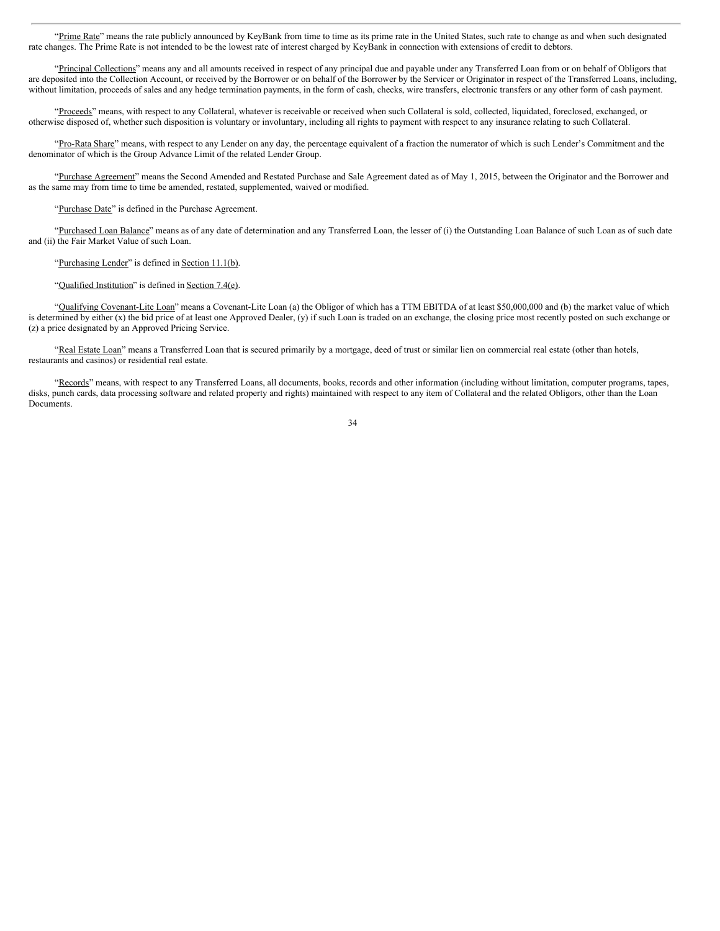"Prime Rate" means the rate publicly announced by KeyBank from time to time as its prime rate in the United States, such rate to change as and when such designated rate changes. The Prime Rate is not intended to be the lowest rate of interest charged by KeyBank in connection with extensions of credit to debtors.

"Principal Collections" means any and all amounts received in respect of any principal due and payable under any Transferred Loan from or on behalf of Obligors that are deposited into the Collection Account, or received by the Borrower or on behalf of the Borrower by the Servicer or Originator in respect of the Transferred Loans, including, without limitation, proceeds of sales and any hedge termination payments, in the form of cash, checks, wire transfers, electronic transfers or any other form of cash payment.

"Proceeds" means, with respect to any Collateral, whatever is receivable or received when such Collateral is sold, collected, liquidated, foreclosed, exchanged, or otherwise disposed of, whether such disposition is voluntary or involuntary, including all rights to payment with respect to any insurance relating to such Collateral.

"Pro-Rata Share" means, with respect to any Lender on any day, the percentage equivalent of a fraction the numerator of which is such Lender's Commitment and the denominator of which is the Group Advance Limit of the related Lender Group.

"Purchase Agreement" means the Second Amended and Restated Purchase and Sale Agreement dated as of May 1, 2015, between the Originator and the Borrower and as the same may from time to time be amended, restated, supplemented, waived or modified.

"Purchase Date" is defined in the Purchase Agreement.

"Purchased Loan Balance" means as of any date of determination and any Transferred Loan, the lesser of (i) the Outstanding Loan Balance of such Loan as of such date and (ii) the Fair Market Value of such Loan.

# "Purchasing Lender" is defined in Section 11.1(b).

# "Qualified Institution" is defined in Section 7.4(e).

"Qualifying Covenant-Lite Loan" means a Covenant-Lite Loan (a) the Obligor of which has a TTM EBITDA of at least \$50,000,000 and (b) the market value of which is determined by either (x) the bid price of at least one Approved Dealer, (y) if such Loan is traded on an exchange, the closing price most recently posted on such exchange or (z) a price designated by an Approved Pricing Service.

"Real Estate Loan" means a Transferred Loan that is secured primarily by a mortgage, deed of trust or similar lien on commercial real estate (other than hotels, restaurants and casinos) or residential real estate.

"Records" means, with respect to any Transferred Loans, all documents, books, records and other information (including without limitation, computer programs, tapes, disks, punch cards, data processing software and related property and rights) maintained with respect to any item of Collateral and the related Obligors, other than the Loan **Documents**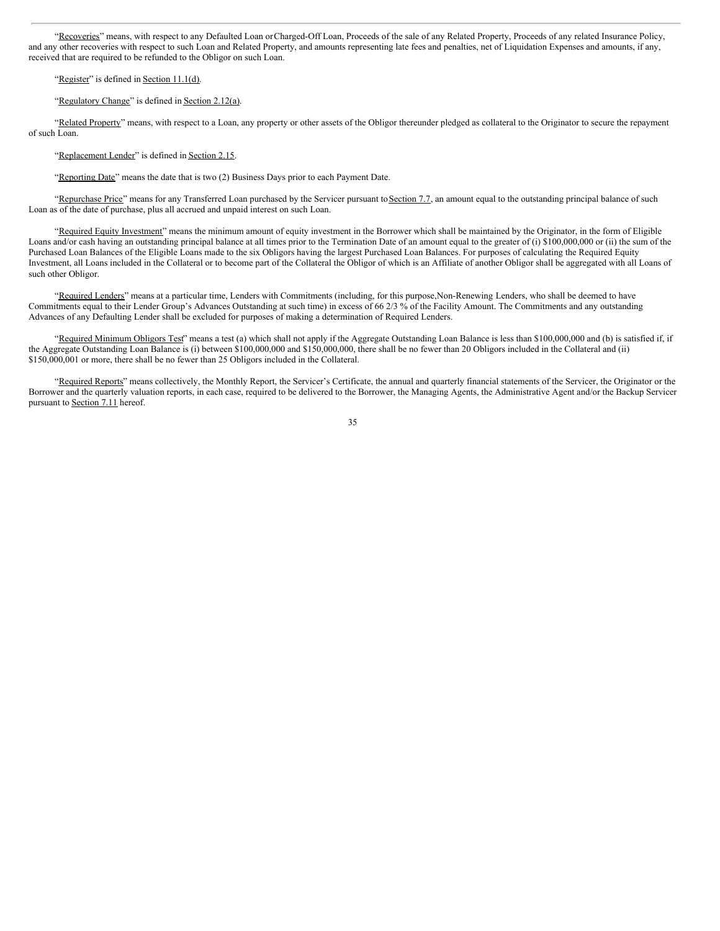"Recoveries" means, with respect to any Defaulted Loan orCharged-Off Loan, Proceeds of the sale of any Related Property, Proceeds of any related Insurance Policy, and any other recoveries with respect to such Loan and Related Property, and amounts representing late fees and penalties, net of Liquidation Expenses and amounts, if any, received that are required to be refunded to the Obligor on such Loan.

## "Register" is defined in Section 11.1(d).

## "Regulatory Change" is defined in Section 2.12(a).

"Related Property" means, with respect to a Loan, any property or other assets of the Obligor thereunder pledged as collateral to the Originator to secure the repayment of such Loan.

# "Replacement Lender" is defined in Section 2.15.

"Reporting Date" means the date that is two (2) Business Days prior to each Payment Date.

"Repurchase Price" means for any Transferred Loan purchased by the Servicer pursuant to Section 7.7, an amount equal to the outstanding principal balance of such Loan as of the date of purchase, plus all accrued and unpaid interest on such Loan.

"Required Equity Investment" means the minimum amount of equity investment in the Borrower which shall be maintained by the Originator, in the form of Eligible Loans and/or cash having an outstanding principal balance at all times prior to the Termination Date of an amount equal to the greater of (i) \$100,000,000 or (ii) the sum of the Purchased Loan Balances of the Eligible Loans made to the six Obligors having the largest Purchased Loan Balances. For purposes of calculating the Required Equity Investment, all Loans included in the Collateral or to become part of the Collateral the Obligor of which is an Affiliate of another Obligor shall be aggregated with all Loans of such other Obligor.

"Required Lenders" means at a particular time, Lenders with Commitments (including, for this purpose,Non-Renewing Lenders, who shall be deemed to have Commitments equal to their Lender Group's Advances Outstanding at such time) in excess of 66 2/3 % of the Facility Amount. The Commitments and any outstanding Advances of any Defaulting Lender shall be excluded for purposes of making a determination of Required Lenders.

"Required Minimum Obligors Test" means a test (a) which shall not apply if the Aggregate Outstanding Loan Balance is less than \$100,000,000 and (b) is satisfied if, if the Aggregate Outstanding Loan Balance is (i) between \$100,000,000 and \$150,000,000, there shall be no fewer than 20 Obligors included in the Collateral and (ii) \$150,000,001 or more, there shall be no fewer than 25 Obligors included in the Collateral.

"Required Reports" means collectively, the Monthly Report, the Servicer's Certificate, the annual and quarterly financial statements of the Servicer, the Originator or the Borrower and the quarterly valuation reports, in each case, required to be delivered to the Borrower, the Managing Agents, the Administrative Agent and/or the Backup Servicer pursuant to Section 7.11 hereof.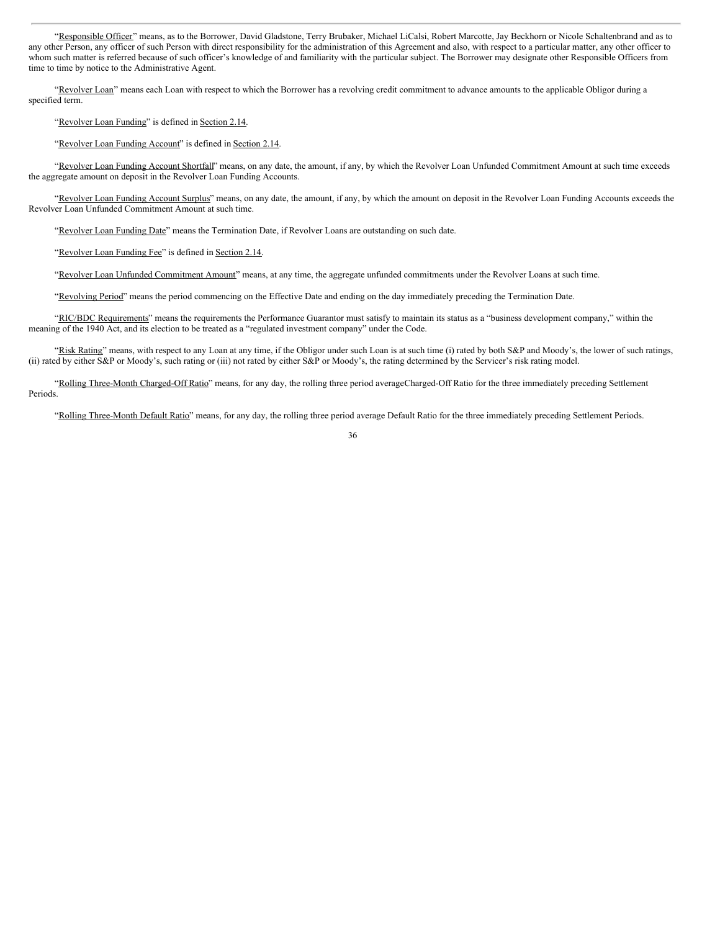"Responsible Officer" means, as to the Borrower, David Gladstone, Terry Brubaker, Michael LiCalsi, Robert Marcotte, Jay Beckhorn or Nicole Schaltenbrand and as to any other Person, any officer of such Person with direct responsibility for the administration of this Agreement and also, with respect to a particular matter, any other officer to whom such matter is referred because of such officer's knowledge of and familiarity with the particular subject. The Borrower may designate other Responsible Officers from time to time by notice to the Administrative Agent.

"Revolver Loan" means each Loan with respect to which the Borrower has a revolving credit commitment to advance amounts to the applicable Obligor during a specified term.

# "Revolver Loan Funding" is defined in Section 2.14.

"Revolver Loan Funding Account" is defined in Section 2.14.

"Revolver Loan Funding Account Shortfall" means, on any date, the amount, if any, by which the Revolver Loan Unfunded Commitment Amount at such time exceeds the aggregate amount on deposit in the Revolver Loan Funding Accounts.

"Revolver Loan Funding Account Surplus" means, on any date, the amount, if any, by which the amount on deposit in the Revolver Loan Funding Accounts exceeds the Revolver Loan Unfunded Commitment Amount at such time.

"Revolver Loan Funding Date" means the Termination Date, if Revolver Loans are outstanding on such date.

"Revolver Loan Funding Fee" is defined in Section 2.14.

"Revolver Loan Unfunded Commitment Amount" means, at any time, the aggregate unfunded commitments under the Revolver Loans at such time.

"Revolving Period" means the period commencing on the Effective Date and ending on the day immediately preceding the Termination Date.

"RIC/BDC Requirements" means the requirements the Performance Guarantor must satisfy to maintain its status as a "business development company," within the meaning of the 1940 Act, and its election to be treated as a "regulated investment company" under the Code.

"Risk Rating" means, with respect to any Loan at any time, if the Obligor under such Loan is at such time (i) rated by both S&P and Moody's, the lower of such ratings, (ii) rated by either S&P or Moody's, such rating or (iii) not rated by either S&P or Moody's, the rating determined by the Servicer's risk rating model.

"Rolling Three-Month Charged-Off Ratio" means, for any day, the rolling three period averageCharged-Off Ratio for the three immediately preceding Settlement Periods.

"Rolling Three-Month Default Ratio" means, for any day, the rolling three period average Default Ratio for the three immediately preceding Settlement Periods.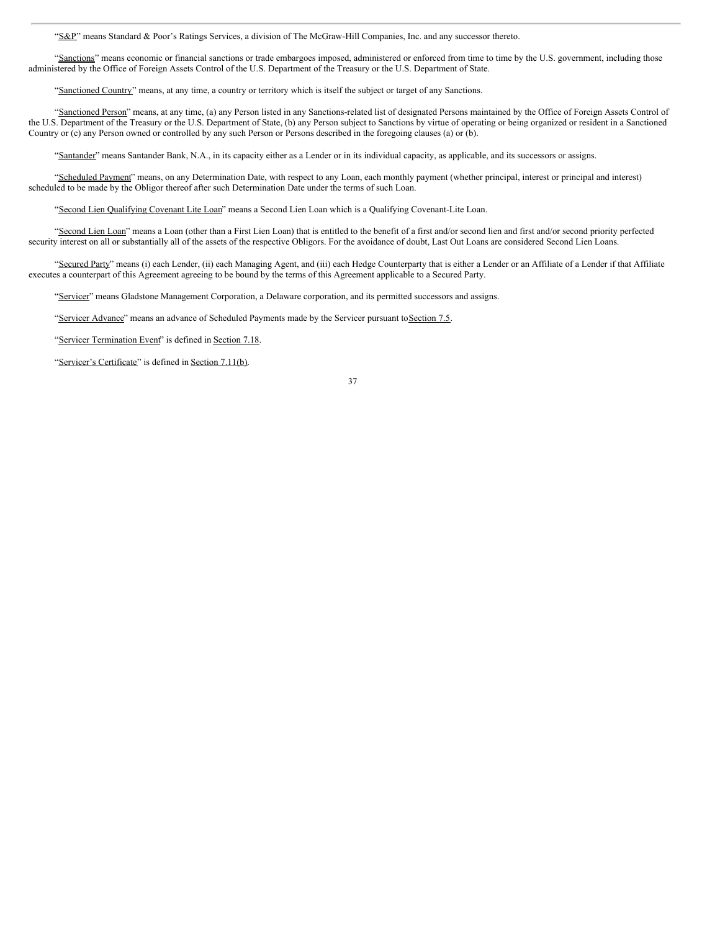"S&P" means Standard & Poor's Ratings Services, a division of The McGraw-Hill Companies, Inc. and any successor thereto.

"Sanctions" means economic or financial sanctions or trade embargoes imposed, administered or enforced from time to time by the U.S. government, including those administered by the Office of Foreign Assets Control of the U.S. Department of the Treasury or the U.S. Department of State.

"Sanctioned Country" means, at any time, a country or territory which is itself the subject or target of any Sanctions.

"Sanctioned Person" means, at any time, (a) any Person listed in any Sanctions-related list of designated Persons maintained by the Office of Foreign Assets Control of the U.S. Department of the Treasury or the U.S. Department of State, (b) any Person subject to Sanctions by virtue of operating or being organized or resident in a Sanctioned Country or (c) any Person owned or controlled by any such Person or Persons described in the foregoing clauses (a) or (b).

"Santander" means Santander Bank, N.A., in its capacity either as a Lender or in its individual capacity, as applicable, and its successors or assigns.

"Scheduled Payment" means, on any Determination Date, with respect to any Loan, each monthly payment (whether principal, interest or principal and interest) scheduled to be made by the Obligor thereof after such Determination Date under the terms of such Loan.

"Second Lien Qualifying Covenant Lite Loan" means a Second Lien Loan which is a Qualifying Covenant-Lite Loan.

"Second Lien Loan" means a Loan (other than a First Lien Loan) that is entitled to the benefit of a first and/or second lien and first and/or second priority perfected security interest on all or substantially all of the assets of the respective Obligors. For the avoidance of doubt, Last Out Loans are considered Second Lien Loans.

"Secured Party" means (i) each Lender, (ii) each Managing Agent, and (iii) each Hedge Counterparty that is either a Lender or an Affiliate of a Lender if that Affiliate executes a counterpart of this Agreement agreeing to be bound by the terms of this Agreement applicable to a Secured Party.

"Servicer" means Gladstone Management Corporation, a Delaware corporation, and its permitted successors and assigns.

"Servicer Advance" means an advance of Scheduled Payments made by the Servicer pursuant to Section 7.5.

"Servicer Termination Event" is defined in Section 7.18.

"Servicer's Certificate" is defined in Section 7.11(b).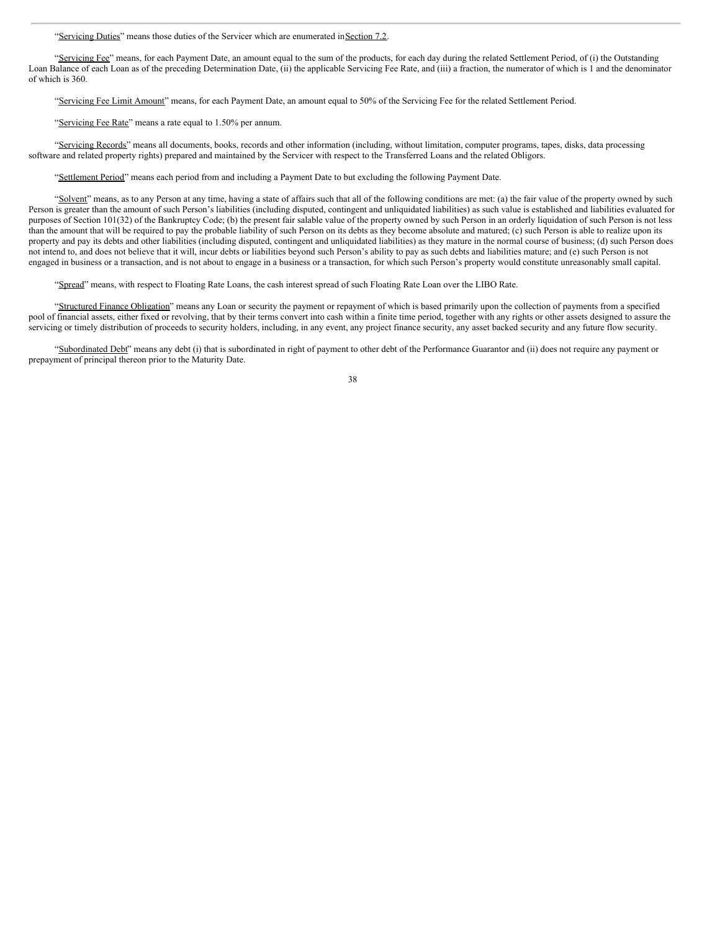"Servicing Duties" means those duties of the Servicer which are enumerated in Section 7.2.

"Servicing Fee" means, for each Payment Date, an amount equal to the sum of the products, for each day during the related Settlement Period, of (i) the Outstanding Loan Balance of each Loan as of the preceding Determination Date, (ii) the applicable Servicing Fee Rate, and (iii) a fraction, the numerator of which is 1 and the denominator of which is 360.

"Servicing Fee Limit Amount" means, for each Payment Date, an amount equal to 50% of the Servicing Fee for the related Settlement Period.

"Servicing Fee Rate" means a rate equal to 1.50% per annum.

"Servicing Records" means all documents, books, records and other information (including, without limitation, computer programs, tapes, disks, data processing software and related property rights) prepared and maintained by the Servicer with respect to the Transferred Loans and the related Obligors.

"Settlement Period" means each period from and including a Payment Date to but excluding the following Payment Date.

"Solvent" means, as to any Person at any time, having a state of affairs such that all of the following conditions are met: (a) the fair value of the property owned by such Person is greater than the amount of such Person's liabilities (including disputed, contingent and unliquidated liabilities) as such value is established and liabilities evaluated for purposes of Section 101(32) of the Bankruptcy Code; (b) the present fair salable value of the property owned by such Person in an orderly liquidation of such Person is not less than the amount that will be required to pay the probable liability of such Person on its debts as they become absolute and matured; (c) such Person is able to realize upon its property and pay its debts and other liabilities (including disputed, contingent and unliquidated liabilities) as they mature in the normal course of business; (d) such Person does not intend to, and does not believe that it will, incur debts or liabilities beyond such Person's ability to pay as such debts and liabilities mature; and (e) such Person is not engaged in business or a transaction, and is not about to engage in a business or a transaction, for which such Person's property would constitute unreasonably small capital.

"Spread" means, with respect to Floating Rate Loans, the cash interest spread of such Floating Rate Loan over the LIBO Rate.

"Structured Finance Obligation" means any Loan or security the payment or repayment of which is based primarily upon the collection of payments from a specified pool of financial assets, either fixed or revolving, that by their terms convert into cash within a finite time period, together with any rights or other assets designed to assure the servicing or timely distribution of proceeds to security holders, including, in any event, any project finance security, any asset backed security and any future flow security.

"Subordinated Debt" means any debt (i) that is subordinated in right of payment to other debt of the Performance Guarantor and (ii) does not require any payment or prepayment of principal thereon prior to the Maturity Date.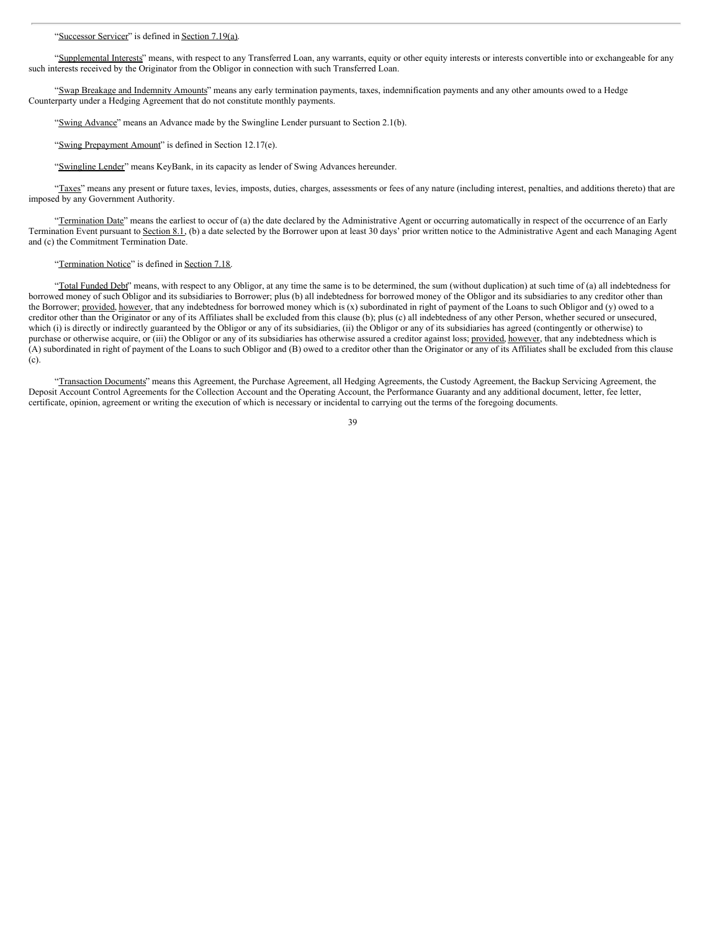## "Successor Servicer" is defined in Section 7.19(a).

"Supplemental Interests" means, with respect to any Transferred Loan, any warrants, equity or other equity interests or interests convertible into or exchangeable for any such interests received by the Originator from the Obligor in connection with such Transferred Loan.

"Swap Breakage and Indemnity Amounts" means any early termination payments, taxes, indemnification payments and any other amounts owed to a Hedge Counterparty under a Hedging Agreement that do not constitute monthly payments.

"Swing Advance" means an Advance made by the Swingline Lender pursuant to Section 2.1(b).

"Swing Prepayment Amount" is defined in Section 12.17(e).

"Swingline Lender" means KeyBank, in its capacity as lender of Swing Advances hereunder.

"Taxes" means any present or future taxes, levies, imposts, duties, charges, assessments or fees of any nature (including interest, penalties, and additions thereto) that are imposed by any Government Authority.

"Termination Date" means the earliest to occur of (a) the date declared by the Administrative Agent or occurring automatically in respect of the occurrence of an Early Termination Event pursuant to Section 8.1, (b) a date selected by the Borrower upon at least 30 days' prior written notice to the Administrative Agent and each Managing Agent and (c) the Commitment Termination Date.

# "Termination Notice" is defined in Section 7.18.

"Total Funded Debt" means, with respect to any Obligor, at any time the same is to be determined, the sum (without duplication) at such time of (a) all indebtedness for borrowed money of such Obligor and its subsidiaries to Borrower; plus (b) all indebtedness for borrowed money of the Obligor and its subsidiaries to any creditor other than the Borrower; provided, however, that any indebtedness for borrowed money which is (x) subordinated in right of payment of the Loans to such Obligor and (y) owed to a creditor other than the Originator or any of its Affiliates shall be excluded from this clause (b); plus (c) all indebtedness of any other Person, whether secured or unsecured, which (i) is directly or indirectly guaranteed by the Obligor or any of its subsidiaries, (ii) the Obligor or any of its subsidiaries has agreed (contingently or otherwise) to purchase or otherwise acquire, or (iii) the Obligor or any of its subsidiaries has otherwise assured a creditor against loss; provided, however, that any indebtedness which is (A) subordinated in right of payment of the Loans to such Obligor and (B) owed to a creditor other than the Originator or any of its Affiliates shall be excluded from this clause (c).

"Transaction Documents" means this Agreement, the Purchase Agreement, all Hedging Agreements, the Custody Agreement, the Backup Servicing Agreement, the Deposit Account Control Agreements for the Collection Account and the Operating Account, the Performance Guaranty and any additional document, letter, fee letter, certificate, opinion, agreement or writing the execution of which is necessary or incidental to carrying out the terms of the foregoing documents.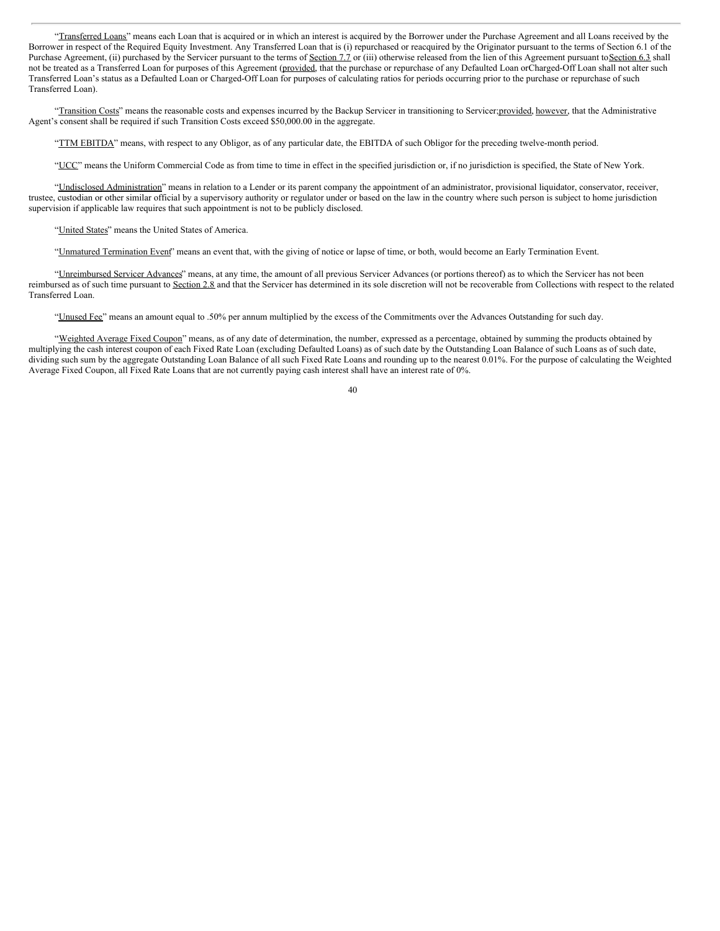"Transferred Loans" means each Loan that is acquired or in which an interest is acquired by the Borrower under the Purchase Agreement and all Loans received by the Borrower in respect of the Required Equity Investment. Any Transferred Loan that is (i) repurchased or reacquired by the Originator pursuant to the terms of Section 6.1 of the Purchase Agreement, (ii) purchased by the Servicer pursuant to the terms of Section 7.7 or (iii) otherwise released from the lien of this Agreement pursuant to Section 6.3 shall not be treated as a Transferred Loan for purposes of this Agreement (provided, that the purchase or repurchase of any Defaulted Loan orCharged-Off Loan shall not alter such Transferred Loan's status as a Defaulted Loan or Charged-Off Loan for purposes of calculating ratios for periods occurring prior to the purchase or repurchase of such Transferred Loan).

"Transition Costs" means the reasonable costs and expenses incurred by the Backup Servicer in transitioning to Servicer; provided, however, that the Administrative Agent's consent shall be required if such Transition Costs exceed \$50,000.00 in the aggregate.

"TTM EBITDA" means, with respect to any Obligor, as of any particular date, the EBITDA of such Obligor for the preceding twelve-month period.

"UCC" means the Uniform Commercial Code as from time to time in effect in the specified jurisdiction or, if no jurisdiction is specified, the State of New York.

"Undisclosed Administration" means in relation to a Lender or its parent company the appointment of an administrator, provisional liquidator, conservator, receiver, trustee, custodian or other similar official by a supervisory authority or regulator under or based on the law in the country where such person is subject to home jurisdiction supervision if applicable law requires that such appointment is not to be publicly disclosed.

"United States" means the United States of America.

"Unmatured Termination Event" means an event that, with the giving of notice or lapse of time, or both, would become an Early Termination Event.

"Unreimbursed Servicer Advances" means, at any time, the amount of all previous Servicer Advances (or portions thereof) as to which the Servicer has not been reimbursed as of such time pursuant to Section 2.8 and that the Servicer has determined in its sole discretion will not be recoverable from Collections with respect to the related Transferred Loan.

"Unused Fee" means an amount equal to .50% per annum multiplied by the excess of the Commitments over the Advances Outstanding for such day.

"Weighted Average Fixed Coupon" means, as of any date of determination, the number, expressed as a percentage, obtained by summing the products obtained by multiplying the cash interest coupon of each Fixed Rate Loan (excluding Defaulted Loans) as of such date by the Outstanding Loan Balance of such Loans as of such date, dividing such sum by the aggregate Outstanding Loan Balance of all such Fixed Rate Loans and rounding up to the nearest 0.01%. For the purpose of calculating the Weighted Average Fixed Coupon, all Fixed Rate Loans that are not currently paying cash interest shall have an interest rate of 0%.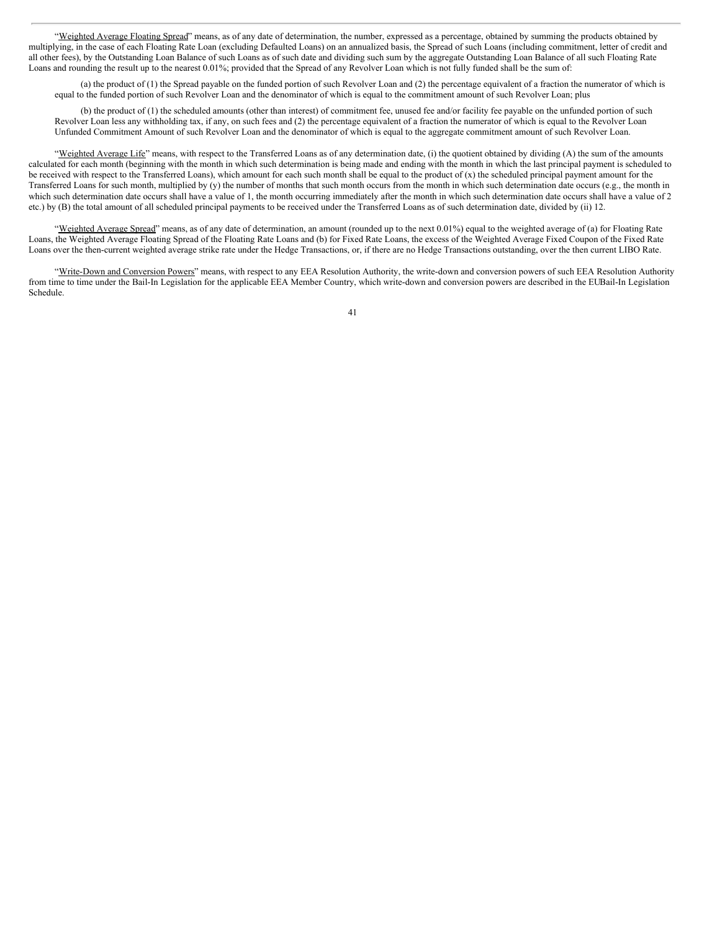"Weighted Average Floating Spread" means, as of any date of determination, the number, expressed as a percentage, obtained by summing the products obtained by multiplying, in the case of each Floating Rate Loan (excluding Defaulted Loans) on an annualized basis, the Spread of such Loans (including commitment, letter of credit and all other fees), by the Outstanding Loan Balance of such Loans as of such date and dividing such sum by the aggregate Outstanding Loan Balance of all such Floating Rate Loans and rounding the result up to the nearest 0.01%; provided that the Spread of any Revolver Loan which is not fully funded shall be the sum of:

(a) the product of (1) the Spread payable on the funded portion of such Revolver Loan and (2) the percentage equivalent of a fraction the numerator of which is equal to the funded portion of such Revolver Loan and the denominator of which is equal to the commitment amount of such Revolver Loan; plus

(b) the product of (1) the scheduled amounts (other than interest) of commitment fee, unused fee and/or facility fee payable on the unfunded portion of such Revolver Loan less any withholding tax, if any, on such fees and (2) the percentage equivalent of a fraction the numerator of which is equal to the Revolver Loan Unfunded Commitment Amount of such Revolver Loan and the denominator of which is equal to the aggregate commitment amount of such Revolver Loan.

"Weighted Average Life" means, with respect to the Transferred Loans as of any determination date, (i) the quotient obtained by dividing (A) the sum of the amounts calculated for each month (beginning with the month in which such determination is being made and ending with the month in which the last principal payment is scheduled to be received with respect to the Transferred Loans), which amount for each such month shall be equal to the product of (x) the scheduled principal payment amount for the Transferred Loans for such month, multiplied by (y) the number of months that such month occurs from the month in which such determination date occurs (e.g., the month in which such determination date occurs shall have a value of 1, the month occurring immediately after the month in which such determination date occurs shall have a value of 2 etc.) by (B) the total amount of all scheduled principal payments to be received under the Transferred Loans as of such determination date, divided by (ii) 12.

"Weighted Average Spread" means, as of any date of determination, an amount (rounded up to the next 0.01%) equal to the weighted average of (a) for Floating Rate Loans, the Weighted Average Floating Spread of the Floating Rate Loans and (b) for Fixed Rate Loans, the excess of the Weighted Average Fixed Coupon of the Fixed Rate Loans over the then-current weighted average strike rate under the Hedge Transactions, or, if there are no Hedge Transactions outstanding, over the then current LIBO Rate.

"Write-Down and Conversion Powers" means, with respect to any EEA Resolution Authority, the write-down and conversion powers of such EEA Resolution Authority from time to time under the Bail-In Legislation for the applicable EEA Member Country, which write-down and conversion powers are described in the EUBail-In Legislation Schedule.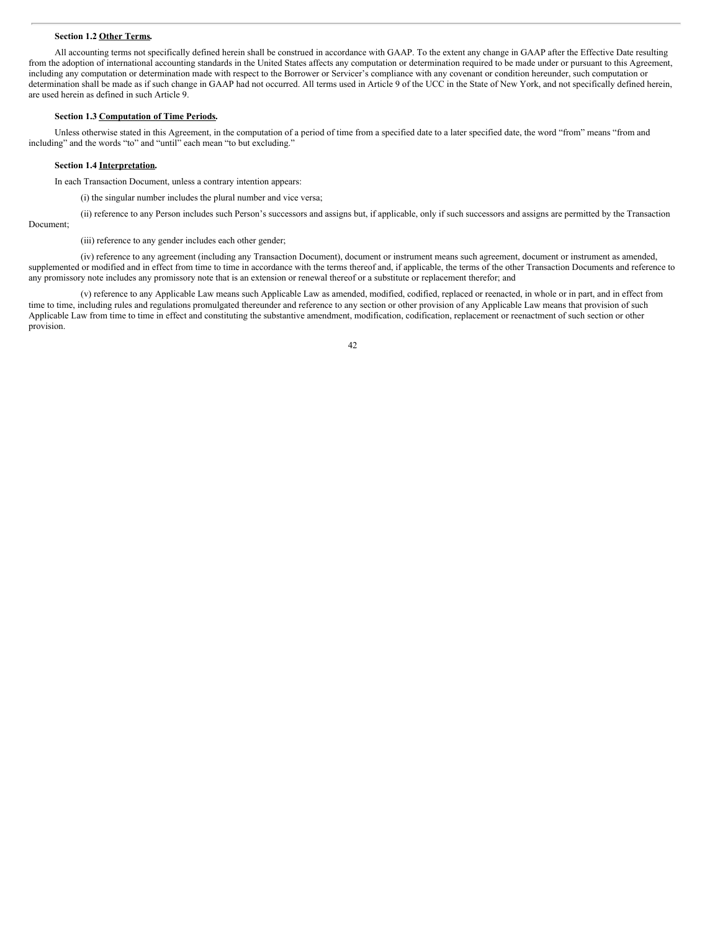## **Section 1.2 Other Terms.**

All accounting terms not specifically defined herein shall be construed in accordance with GAAP. To the extent any change in GAAP after the Effective Date resulting from the adoption of international accounting standards in the United States affects any computation or determination required to be made under or pursuant to this Agreement, including any computation or determination made with respect to the Borrower or Servicer's compliance with any covenant or condition hereunder, such computation or determination shall be made as if such change in GAAP had not occurred. All terms used in Article 9 of the UCC in the State of New York, and not specifically defined herein, are used herein as defined in such Article 9.

## **Section 1.3 Computation of Time Periods.**

Unless otherwise stated in this Agreement, in the computation of a period of time from a specified date to a later specified date, the word "from" means "from and including" and the words "to" and "until" each mean "to but excluding."

#### **Section 1.4 Interpretation.**

In each Transaction Document, unless a contrary intention appears:

(i) the singular number includes the plural number and vice versa;

(ii) reference to any Person includes such Person's successors and assigns but, if applicable, only if such successors and assigns are permitted by the Transaction Document;

(iii) reference to any gender includes each other gender;

(iv) reference to any agreement (including any Transaction Document), document or instrument means such agreement, document or instrument as amended, supplemented or modified and in effect from time to time in accordance with the terms thereof and, if applicable, the terms of the other Transaction Documents and reference to any promissory note includes any promissory note that is an extension or renewal thereof or a substitute or replacement therefor; and

(v) reference to any Applicable Law means such Applicable Law as amended, modified, codified, replaced or reenacted, in whole or in part, and in effect from time to time, including rules and regulations promulgated thereunder and reference to any section or other provision of any Applicable Law means that provision of such Applicable Law from time to time in effect and constituting the substantive amendment, modification, codification, replacement or reenactment of such section or other provision.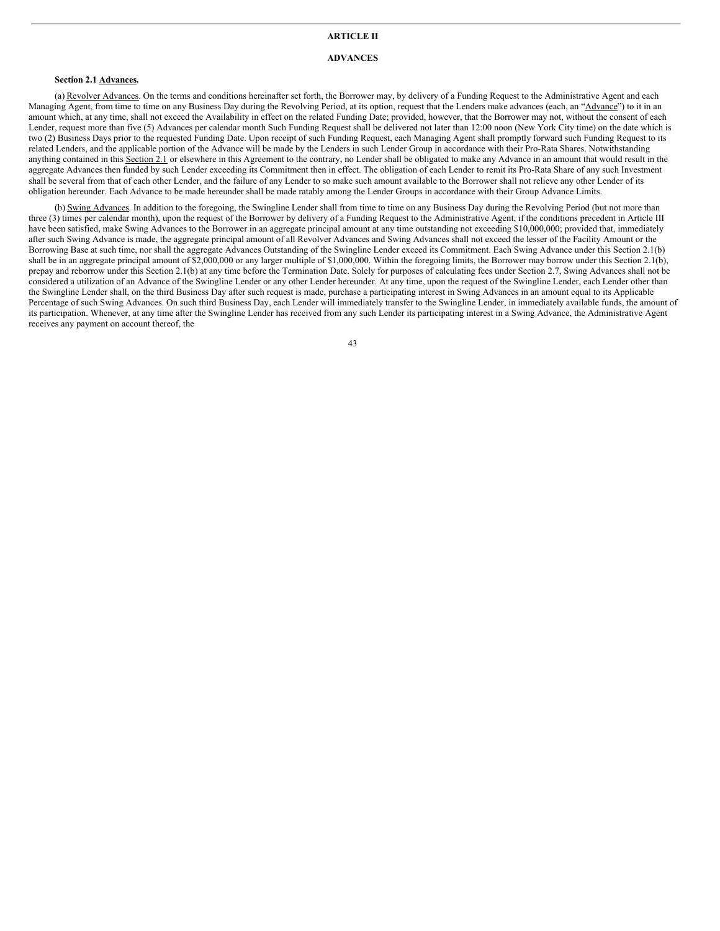# **ARTICLE II**

# **ADVANCES**

# **Section 2.1 Advances.**

(a) Revolver Advances. On the terms and conditions hereinafter set forth, the Borrower may, by delivery of a Funding Request to the Administrative Agent and each Managing Agent, from time to time on any Business Day during the Revolving Period, at its option, request that the Lenders make advances (each, an "Advance") to it in an amount which, at any time, shall not exceed the Availability in effect on the related Funding Date; provided, however, that the Borrower may not, without the consent of each Lender, request more than five (5) Advances per calendar month Such Funding Request shall be delivered not later than 12:00 noon (New York City time) on the date which is two (2) Business Days prior to the requested Funding Date. Upon receipt of such Funding Request, each Managing Agent shall promptly forward such Funding Request to its related Lenders, and the applicable portion of the Advance will be made by the Lenders in such Lender Group in accordance with their Pro-Rata Shares. Notwithstanding anything contained in this  $\frac{\hat{S}_{\text{ection}}}{2.1}$  or elsewhere in this Agreement to the contrary, no Lender shall be obligated to make any Advance in an amount that would result in the aggregate Advances then funded by such Lender exceeding its Commitment then in effect. The obligation of each Lender to remit its Pro-Rata Share of any such Investment shall be several from that of each other Lender, and the failure of any Lender to so make such amount available to the Borrower shall not relieve any other Lender of its obligation hereunder. Each Advance to be made hereunder shall be made ratably among the Lender Groups in accordance with their Group Advance Limits.

(b) Swing Advances. In addition to the foregoing, the Swingline Lender shall from time to time on any Business Day during the Revolving Period (but not more than three (3) times per calendar month), upon the request of the Borrower by delivery of a Funding Request to the Administrative Agent, if the conditions precedent in Article III have been satisfied, make Swing Advances to the Borrower in an aggregate principal amount at any time outstanding not exceeding \$10,000,000; provided that, immediately after such Swing Advance is made, the aggregate principal amount of all Revolver Advances and Swing Advances shall not exceed the lesser of the Facility Amount or the Borrowing Base at such time, nor shall the aggregate Advances Outstanding of the Swingline Lender exceed its Commitment. Each Swing Advance under this Section 2.1(b) shall be in an aggregate principal amount of \$2,000,000 or any larger multiple of \$1,000,000. Within the foregoing limits, the Borrower may borrow under this Section 2.1(b), prepay and reborrow under this Section 2.1(b) at any time before the Termination Date. Solely for purposes of calculating fees under Section 2.7, Swing Advances shall not be considered a utilization of an Advance of the Swingline Lender or any other Lender hereunder. At any time, upon the request of the Swingline Lender, each Lender other than the Swingline Lender shall, on the third Business Day after such request is made, purchase a participating interest in Swing Advances in an amount equal to its Applicable Percentage of such Swing Advances. On such third Business Day, each Lender will immediately transfer to the Swingline Lender, in immediately available funds, the amount of its participation. Whenever, at any time after the Swingline Lender has received from any such Lender its participating interest in a Swing Advance, the Administrative Agent receives any payment on account thereof, the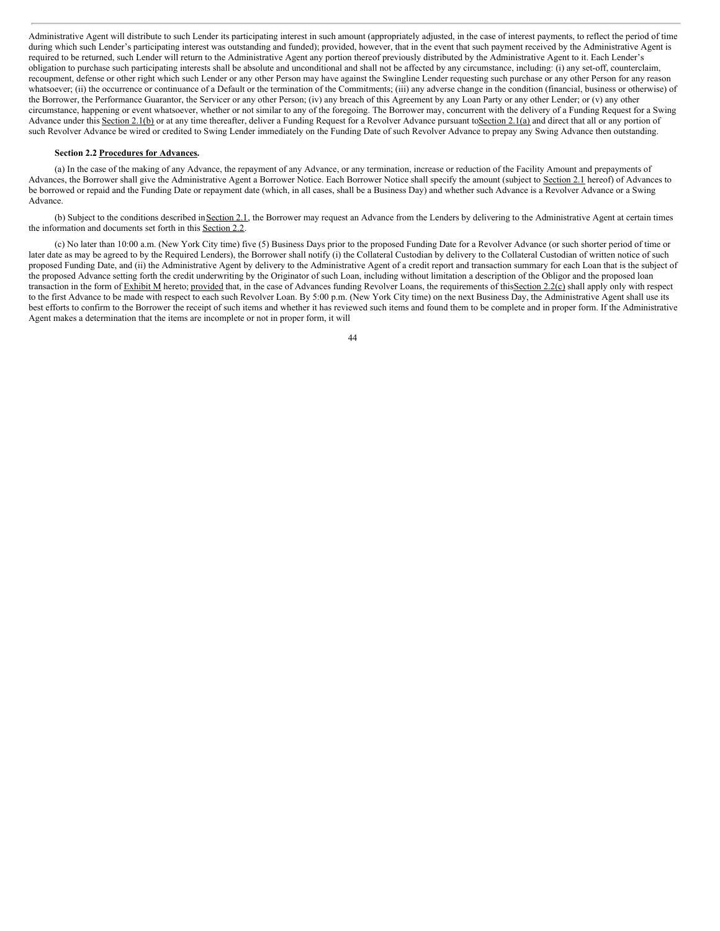Administrative Agent will distribute to such Lender its participating interest in such amount (appropriately adjusted, in the case of interest payments, to reflect the period of time during which such Lender's participating interest was outstanding and funded); provided, however, that in the event that such payment received by the Administrative Agent is required to be returned, such Lender will return to the Administrative Agent any portion thereof previously distributed by the Administrative Agent to it. Each Lender's obligation to purchase such participating interests shall be absolute and unconditional and shall not be affected by any circumstance, including: (i) any set-off, counterclaim, recoupment, defense or other right which such Lender or any other Person may have against the Swingline Lender requesting such purchase or any other Person for any reason whatsoever; (ii) the occurrence or continuance of a Default or the termination of the Commitments; (iii) any adverse change in the condition (financial, business or otherwise) of the Borrower, the Performance Guarantor, the Servicer or any other Person; (iv) any breach of this Agreement by any Loan Party or any other Lender; or (v) any other circumstance, happening or event whatsoever, whether or not similar to any of the foregoing. The Borrower may, concurrent with the delivery of a Funding Request for a Swing Advance under this Section 2.1(b) or at any time thereafter, deliver a Funding Request for a Revolver Advance pursuant to Section 2.1(a) and direct that all or any portion of such Revolver Advance be wired or credited to Swing Lender immediately on the Funding Date of such Revolver Advance to prepay any Swing Advance then outstanding.

#### **Section 2.2 Procedures for Advances.**

(a) In the case of the making of any Advance, the repayment of any Advance, or any termination, increase or reduction of the Facility Amount and prepayments of Advances, the Borrower shall give the Administrative Agent a Borrower Notice. Each Borrower Notice shall specify the amount (subject to Section 2.1 hereof) of Advances to be borrowed or repaid and the Funding Date or repayment date (which, in all cases, shall be a Business Day) and whether such Advance is a Revolver Advance or a Swing Advance.

(b) Subject to the conditions described inSection 2.1, the Borrower may request an Advance from the Lenders by delivering to the Administrative Agent at certain times the information and documents set forth in this Section 2.2.

(c) No later than 10:00 a.m. (New York City time) five (5) Business Days prior to the proposed Funding Date for a Revolver Advance (or such shorter period of time or later date as may be agreed to by the Required Lenders), the Borrower shall notify (i) the Collateral Custodian by delivery to the Collateral Custodian of written notice of such proposed Funding Date, and (ii) the Administrative Agent by delivery to the Administrative Agent of a credit report and transaction summary for each Loan that is the subject of the proposed Advance setting forth the credit underwriting by the Originator of such Loan, including without limitation a description of the Obligor and the proposed loan transaction in the form of Exhibit M hereto; provided that, in the case of Advances funding Revolver Loans, the requirements of this Section 2.2(c) shall apply only with respect to the first Advance to be made with respect to each such Revolver Loan. By 5:00 p.m. (New York City time) on the next Business Day, the Administrative Agent shall use its best efforts to confirm to the Borrower the receipt of such items and whether it has reviewed such items and found them to be complete and in proper form. If the Administrative Agent makes a determination that the items are incomplete or not in proper form, it will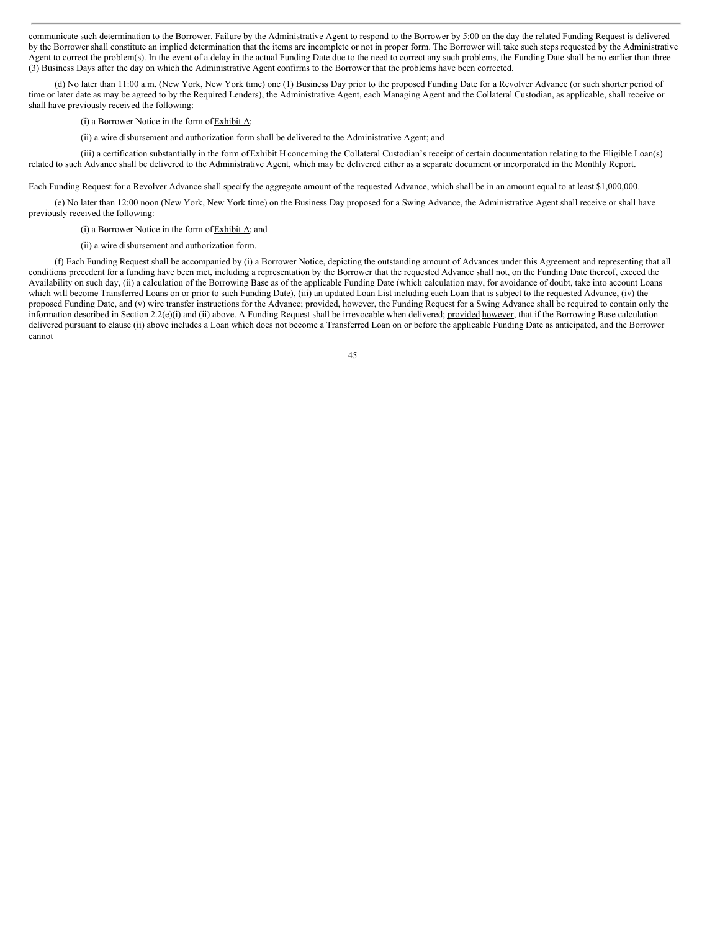communicate such determination to the Borrower. Failure by the Administrative Agent to respond to the Borrower by 5:00 on the day the related Funding Request is delivered by the Borrower shall constitute an implied determination that the items are incomplete or not in proper form. The Borrower will take such steps requested by the Administrative Agent to correct the problem(s). In the event of a delay in the actual Funding Date due to the need to correct any such problems, the Funding Date shall be no earlier than three (3) Business Days after the day on which the Administrative Agent confirms to the Borrower that the problems have been corrected.

(d) No later than 11:00 a.m. (New York, New York time) one (1) Business Day prior to the proposed Funding Date for a Revolver Advance (or such shorter period of time or later date as may be agreed to by the Required Lenders), the Administrative Agent, each Managing Agent and the Collateral Custodian, as applicable, shall receive or shall have previously received the following:

# (i) a Borrower Notice in the form ofExhibit A;

(ii) a wire disbursement and authorization form shall be delivered to the Administrative Agent; and

(iii) a certification substantially in the form of  $Exhibit H$  concerning the Collateral Custodian's receipt of certain documentation relating to the Eligible Loan(s) related to such Advance shall be delivered to the Administrative Agent, which may be delivered either as a separate document or incorporated in the Monthly Report.

Each Funding Request for a Revolver Advance shall specify the aggregate amount of the requested Advance, which shall be in an amount equal to at least \$1,000,000.

(e) No later than 12:00 noon (New York, New York time) on the Business Day proposed for a Swing Advance, the Administrative Agent shall receive or shall have previously received the following:

(i) a Borrower Notice in the form of  $Exhibit A$ ; and

(ii) a wire disbursement and authorization form.

(f) Each Funding Request shall be accompanied by (i) a Borrower Notice, depicting the outstanding amount of Advances under this Agreement and representing that all conditions precedent for a funding have been met, including a representation by the Borrower that the requested Advance shall not, on the Funding Date thereof, exceed the Availability on such day, (ii) a calculation of the Borrowing Base as of the applicable Funding Date (which calculation may, for avoidance of doubt, take into account Loans which will become Transferred Loans on or prior to such Funding Date), (iii) an updated Loan List including each Loan that is subject to the requested Advance, (iv) the proposed Funding Date, and (v) wire transfer instructions for the Advance; provided, however, the Funding Request for a Swing Advance shall be required to contain only the information described in Section 2.2(e)(i) and (ii) above. A Funding Request shall be irrevocable when delivered; provided however, that if the Borrowing Base calculation delivered pursuant to clause (ii) above includes a Loan which does not become a Transferred Loan on or before the applicable Funding Date as anticipated, and the Borrower cannot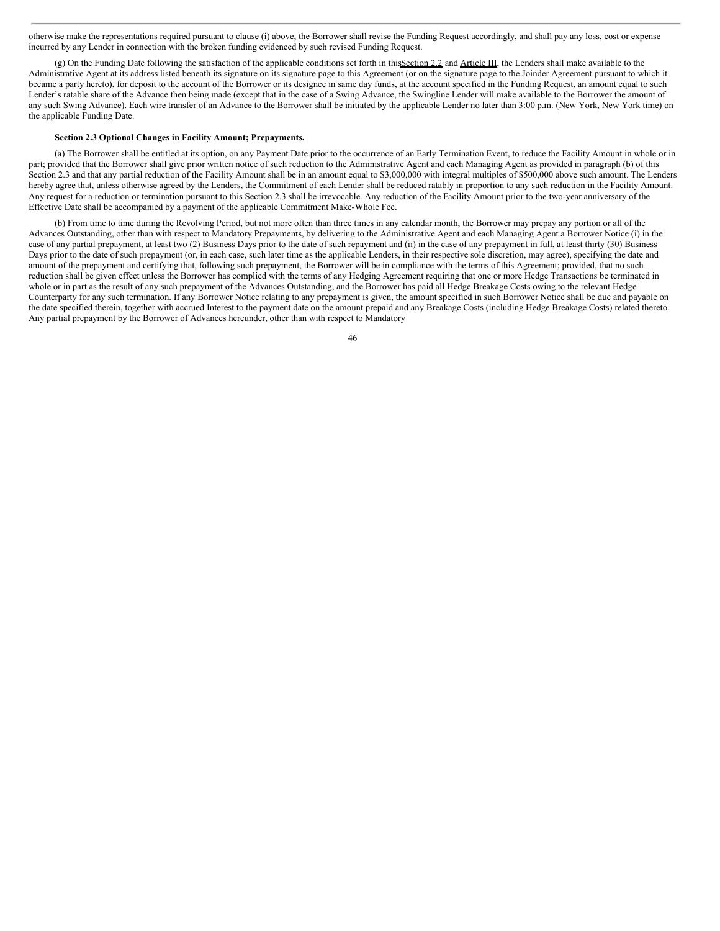otherwise make the representations required pursuant to clause (i) above, the Borrower shall revise the Funding Request accordingly, and shall pay any loss, cost or expense incurred by any Lender in connection with the broken funding evidenced by such revised Funding Request.

(g) On the Funding Date following the satisfaction of the applicable conditions set forth in thisSection 2.2 and Article III, the Lenders shall make available to the Administrative Agent at its address listed beneath its signature on its signature page to this Agreement (or on the signature page to the Joinder Agreement pursuant to which it became a party hereto), for deposit to the account of the Borrower or its designee in same day funds, at the account specified in the Funding Request, an amount equal to such Lender's ratable share of the Advance then being made (except that in the case of a Swing Advance, the Swingline Lender will make available to the Borrower the amount of any such Swing Advance). Each wire transfer of an Advance to the Borrower shall be initiated by the applicable Lender no later than 3:00 p.m. (New York, New York time) on the applicable Funding Date.

## **Section 2.3 Optional Changes in Facility Amount; Prepayments.**

(a) The Borrower shall be entitled at its option, on any Payment Date prior to the occurrence of an Early Termination Event, to reduce the Facility Amount in whole or in part; provided that the Borrower shall give prior written notice of such reduction to the Administrative Agent and each Managing Agent as provided in paragraph (b) of this Section 2.3 and that any partial reduction of the Facility Amount shall be in an amount equal to \$3,000,000 with integral multiples of \$500,000 above such amount. The Lenders hereby agree that, unless otherwise agreed by the Lenders, the Commitment of each Lender shall be reduced ratably in proportion to any such reduction in the Facility Amount. Any request for a reduction or termination pursuant to this Section 2.3 shall be irrevocable. Any reduction of the Facility Amount prior to the two-year anniversary of the Effective Date shall be accompanied by a payment of the applicable Commitment Make-Whole Fee.

(b) From time to time during the Revolving Period, but not more often than three times in any calendar month, the Borrower may prepay any portion or all of the Advances Outstanding, other than with respect to Mandatory Prepayments, by delivering to the Administrative Agent and each Managing Agent a Borrower Notice (i) in the case of any partial prepayment, at least two (2) Business Days prior to the date of such repayment and (ii) in the case of any prepayment in full, at least thirty (30) Business Days prior to the date of such prepayment (or, in each case, such later time as the applicable Lenders, in their respective sole discretion, may agree), specifying the date and amount of the prepayment and certifying that, following such prepayment, the Borrower will be in compliance with the terms of this Agreement; provided, that no such reduction shall be given effect unless the Borrower has complied with the terms of any Hedging Agreement requiring that one or more Hedge Transactions be terminated in whole or in part as the result of any such prepayment of the Advances Outstanding, and the Borrower has paid all Hedge Breakage Costs owing to the relevant Hedge Counterparty for any such termination. If any Borrower Notice relating to any prepayment is given, the amount specified in such Borrower Notice shall be due and payable on the date specified therein, together with accrued Interest to the payment date on the amount prepaid and any Breakage Costs (including Hedge Breakage Costs) related thereto. Any partial prepayment by the Borrower of Advances hereunder, other than with respect to Mandatory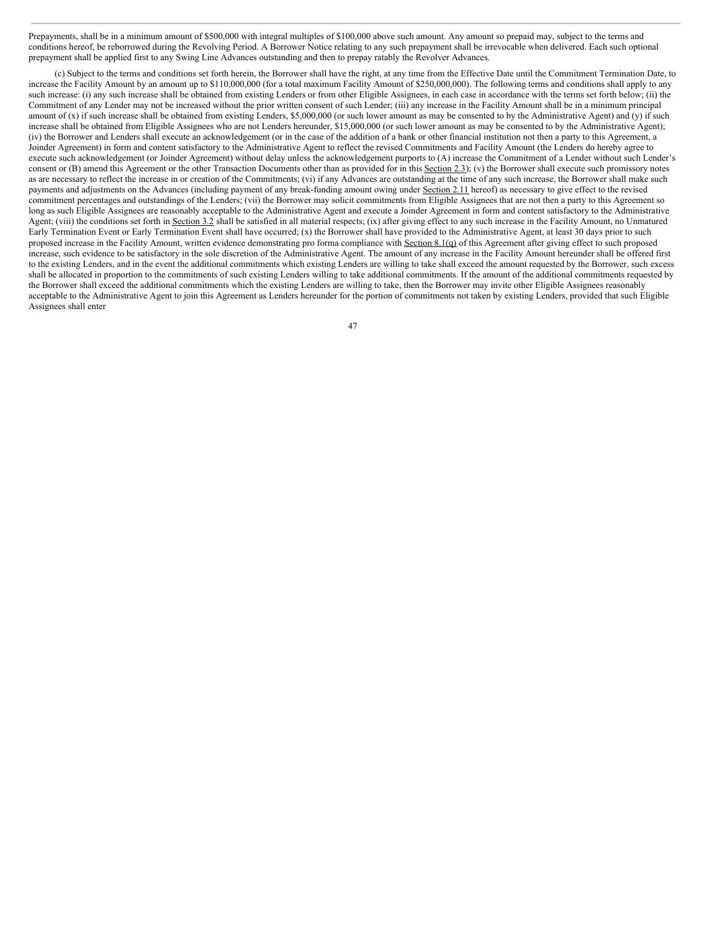Prepayments, shall be in a minimum amount of \$500,000 with integral multiples of \$100,000 above such amount. Any amount so prepaid may, subject to the terms and conditions hereof, be reborrowed during the Revolving Period. A Borrower Notice relating to any such prepayment shall be irrevocable when delivered. Each such optional prepayment shall be applied first to any Swing Line Advances outstanding and then to prepay ratably the Revolver Advances.

(c) Subject to the terms and conditions set forth herein, the Borrower shall have the right, at any time from the Effective Date until the Commitment Termination Date, to increase the Facility Amount by an amount up to \$110,000,000 (for a total maximum Facility Amount of \$250,000,000). The following terms and conditions shall apply to any such increase: (i) any such increase shall be obtained from existing Lenders or from other Eligible Assignees, in each case in accordance with the terms set forth below; (ii) the Commitment of any Lender may not be increased without the prior written consent of such Lender; (iii) any increase in the Facility Amount shall be in a minimum principal amount of (x) if such increase shall be obtained from existing Lenders, \$5,000,000 (or such lower amount as may be consented to by the Administrative Agent) and (y) if such increase shall be obtained from Eligible Assignees who are not Lenders hereunder, \$15,000,000 (or such lower amount as may be consented to by the Administrative Agent); (iv) the Borrower and Lenders shall execute an acknowledgement (or in the case of the addition of a bank or other financial institution not then a party to this Agreement, a Joinder Agreement) in form and content satisfactory to the Administrative Agent to reflect the revised Commitments and Facility Amount (the Lenders do hereby agree to execute such acknowledgement (or Joinder Agreement) without delay unless the acknowledgement purports to (A) increase the Commitment of a Lender without such Lender's consent or (B) amend this Agreement or the other Transaction Documents other than as provided for in this Section 2.3); (v) the Borrower shall execute such promissory notes as are necessary to reflect the increase in or creation of the Commitments; (vi) if any Advances are outstanding at the time of any such increase, the Borrower shall make such payments and adjustments on the Advances (including payment of any break-funding amount owing under Section 2.11 hereof) as necessary to give effect to the revised commitment percentages and outstandings of the Lenders; (vii) the Borrower may solicit commitments from Eligible Assignees that are not then a party to this Agreement so long as such Eligible Assignees are reasonably acceptable to the Administrative Agent and execute a Joinder Agreement in form and content satisfactory to the Administrative Agent; (viii) the conditions set forth in Section 3.2 shall be satisfied in all material respects; (ix) after giving effect to any such increase in the Facility Amount, no Unmatured Early Termination Event or Early Termination Event shall have occurred; (x) the Borrower shall have provided to the Administrative Agent, at least 30 days prior to such proposed increase in the Facility Amount, written evidence demonstrating pro forma compliance with Section 8.1(q) of this Agreement after giving effect to such proposed increase, such evidence to be satisfactory in the sole discretion of the Administrative Agent. The amount of any increase in the Facility Amount hereunder shall be offered first to the existing Lenders, and in the event the additional commitments which existing Lenders are willing to take shall exceed the amount requested by the Borrower, such excess shall be allocated in proportion to the commitments of such existing Lenders willing to take additional commitments. If the amount of the additional commitments requested by the Borrower shall exceed the additional commitments which the existing Lenders are willing to take, then the Borrower may invite other Eligible Assignees reasonably acceptable to the Administrative Agent to join this Agreement as Lenders hereunder for the portion of commitments not taken by existing Lenders, provided that such Eligible Assignees shall enter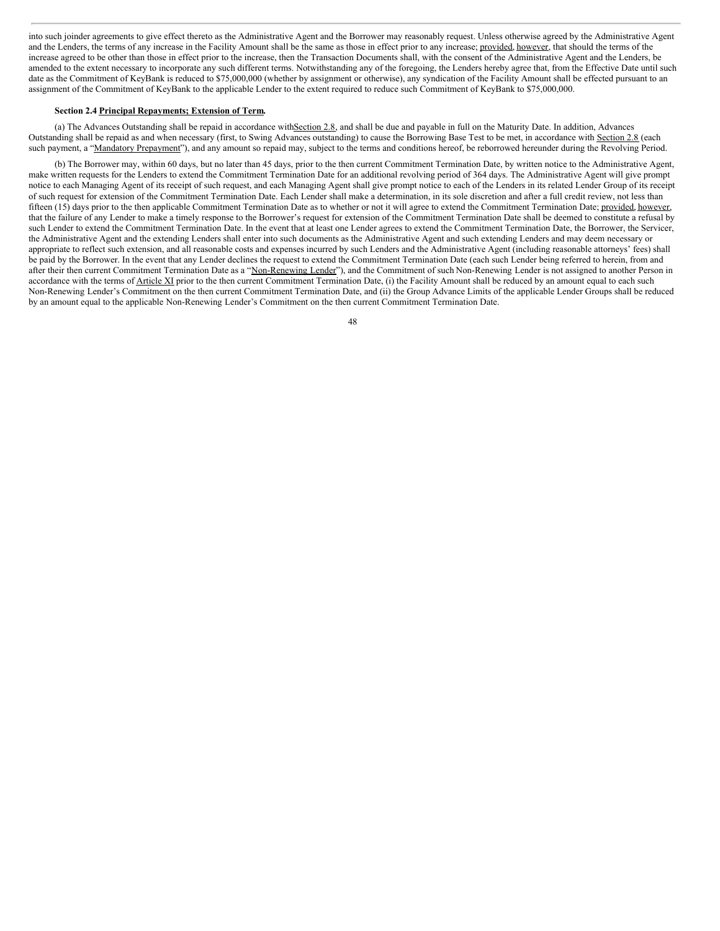into such joinder agreements to give effect thereto as the Administrative Agent and the Borrower may reasonably request. Unless otherwise agreed by the Administrative Agent and the Lenders, the terms of any increase in the Facility Amount shall be the same as those in effect prior to any increase; provided, however, that should the terms of the increase agreed to be other than those in effect prior to the increase, then the Transaction Documents shall, with the consent of the Administrative Agent and the Lenders, be amended to the extent necessary to incorporate any such different terms. Notwithstanding any of the foregoing, the Lenders hereby agree that, from the Effective Date until such date as the Commitment of KeyBank is reduced to \$75,000,000 (whether by assignment or otherwise), any syndication of the Facility Amount shall be effected pursuant to an assignment of the Commitment of KeyBank to the applicable Lender to the extent required to reduce such Commitment of KeyBank to \$75,000,000.

## **Section 2.4 Principal Repayments; Extension of Term.**

(a) The Advances Outstanding shall be repaid in accordance withSection 2.8, and shall be due and payable in full on the Maturity Date. In addition, Advances Outstanding shall be repaid as and when necessary (first, to Swing Advances outstanding) to cause the Borrowing Base Test to be met, in accordance with Section 2.8 (each such payment, a "Mandatory Prepayment"), and any amount so repaid may, subject to the terms and conditions hereof, be reborrowed hereunder during the Revolving Period.

(b) The Borrower may, within 60 days, but no later than 45 days, prior to the then current Commitment Termination Date, by written notice to the Administrative Agent, make written requests for the Lenders to extend the Commitment Termination Date for an additional revolving period of 364 days. The Administrative Agent will give prompt notice to each Managing Agent of its receipt of such request, and each Managing Agent shall give prompt notice to each of the Lenders in its related Lender Group of its receipt of such request for extension of the Commitment Termination Date. Each Lender shall make a determination, in its sole discretion and after a full credit review, not less than fifteen (15) days prior to the then applicable Commitment Termination Date as to whether or not it will agree to extend the Commitment Termination Date; provided, however, that the failure of any Lender to make a timely response to the Borrower's request for extension of the Commitment Termination Date shall be deemed to constitute a refusal by such Lender to extend the Commitment Termination Date. In the event that at least one Lender agrees to extend the Commitment Termination Date, the Borrower, the Servicer, the Administrative Agent and the extending Lenders shall enter into such documents as the Administrative Agent and such extending Lenders and may deem necessary or appropriate to reflect such extension, and all reasonable costs and expenses incurred by such Lenders and the Administrative Agent (including reasonable attorneys' fees) shall be paid by the Borrower. In the event that any Lender declines the request to extend the Commitment Termination Date (each such Lender being referred to herein, from and after their then current Commitment Termination Date as a "Non-Renewing Lender"), and the Commitment of such Non-Renewing Lender is not assigned to another Person in accordance with the terms of Article XI prior to the then current Commitment Termination Date, (i) the Facility Amount shall be reduced by an amount equal to each such Non-Renewing Lender's Commitment on the then current Commitment Termination Date, and (ii) the Group Advance Limits of the applicable Lender Groups shall be reduced by an amount equal to the applicable Non-Renewing Lender's Commitment on the then current Commitment Termination Date.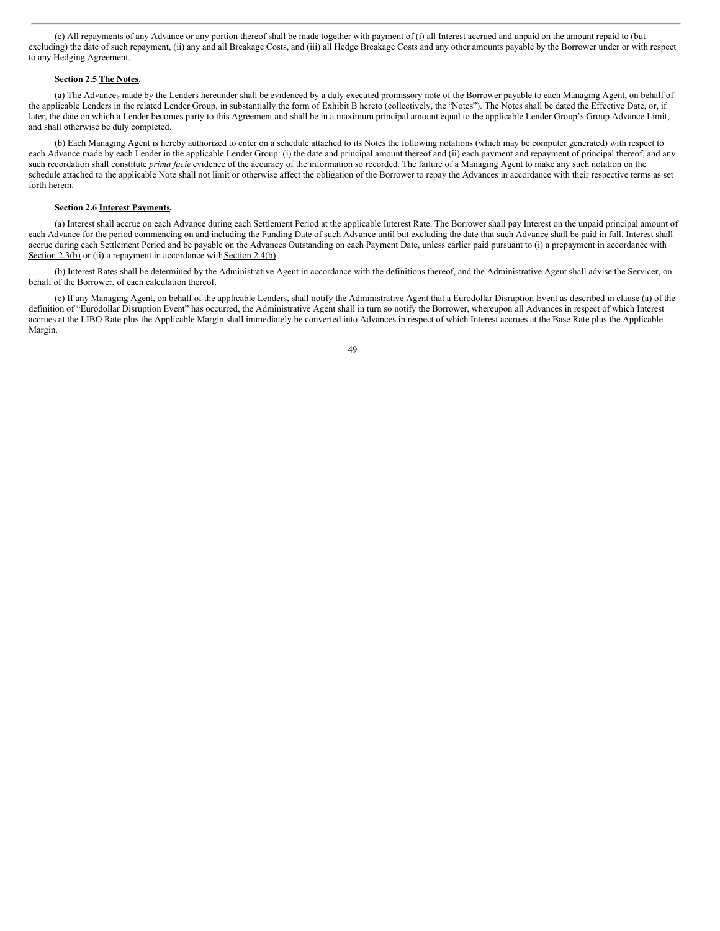(c) All repayments of any Advance or any portion thereof shall be made together with payment of (i) all Interest accrued and unpaid on the amount repaid to (but excluding) the date of such repayment, (ii) any and all Breakage Costs, and (iii) all Hedge Breakage Costs and any other amounts payable by the Borrower under or with respect to any Hedging Agreement.

## **Section 2.5 The Notes.**

(a) The Advances made by the Lenders hereunder shall be evidenced by a duly executed promissory note of the Borrower payable to each Managing Agent, on behalf of the applicable Lenders in the related Lender Group, in substantially the form of Exhibit B hereto (collectively, the "Notes"). The Notes shall be dated the Effective Date, or, if later, the date on which a Lender becomes party to this Agreement and shall be in a maximum principal amount equal to the applicable Lender Group's Group Advance Limit, and shall otherwise be duly completed.

(b) Each Managing Agent is hereby authorized to enter on a schedule attached to its Notes the following notations (which may be computer generated) with respect to each Advance made by each Lender in the applicable Lender Group: (i) the date and principal amount thereof and (ii) each payment and repayment of principal thereof, and any such recordation shall constitute *prima facie* evidence of the accuracy of the information so recorded. The failure of a Managing Agent to make any such notation on the schedule attached to the applicable Note shall not limit or otherwise affect the obligation of the Borrower to repay the Advances in accordance with their respective terms as set forth herein.

# **Section 2.6 Interest Payments.**

(a) Interest shall accrue on each Advance during each Settlement Period at the applicable Interest Rate. The Borrower shall pay Interest on the unpaid principal amount of each Advance for the period commencing on and including the Funding Date of such Advance until but excluding the date that such Advance shall be paid in full. Interest shall accrue during each Settlement Period and be payable on the Advances Outstanding on each Payment Date, unless earlier paid pursuant to (i) a prepayment in accordance with Section 2.3(b) or (ii) a repayment in accordance with Section 2.4(b).

(b) Interest Rates shall be determined by the Administrative Agent in accordance with the definitions thereof, and the Administrative Agent shall advise the Servicer, on behalf of the Borrower, of each calculation thereof.

(c) If any Managing Agent, on behalf of the applicable Lenders, shall notify the Administrative Agent that a Eurodollar Disruption Event as described in clause (a) of the definition of "Eurodollar Disruption Event" has occurred, the Administrative Agent shall in turn so notify the Borrower, whereupon all Advances in respect of which Interest accrues at the LIBO Rate plus the Applicable Margin shall immediately be converted into Advances in respect of which Interest accrues at the Base Rate plus the Applicable Margin.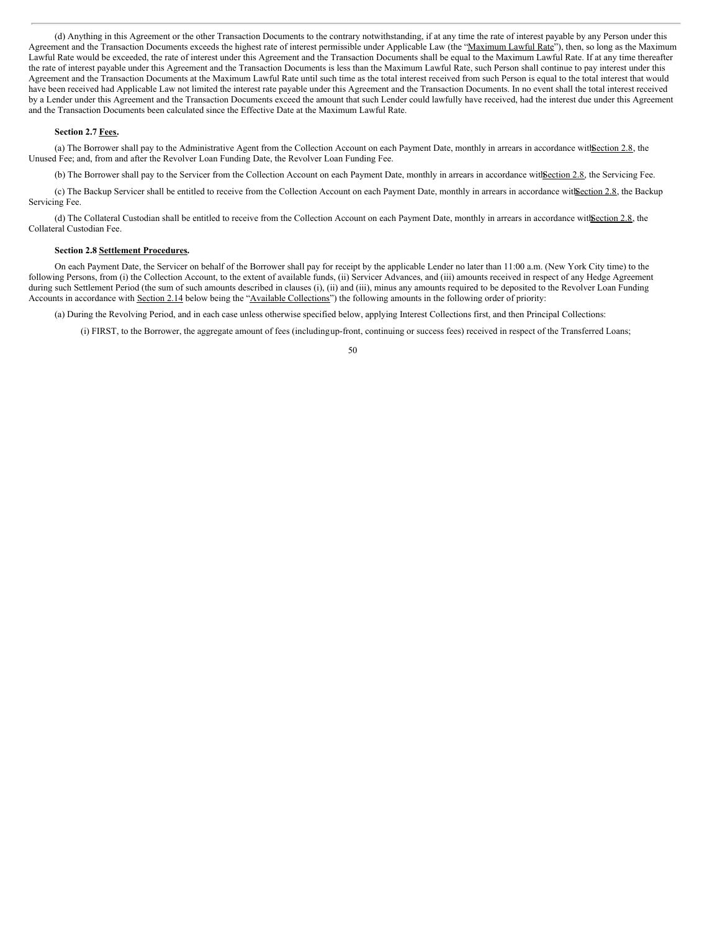(d) Anything in this Agreement or the other Transaction Documents to the contrary notwithstanding, if at any time the rate of interest payable by any Person under this Agreement and the Transaction Documents exceeds the highest rate of interest permissible under Applicable Law (the "Maximum Lawful Rate"), then, so long as the Maximum Lawful Rate would be exceeded, the rate of interest under this Agreement and the Transaction Documents shall be equal to the Maximum Lawful Rate. If at any time thereafter the rate of interest payable under this Agreement and the Transaction Documents is less than the Maximum Lawful Rate, such Person shall continue to pay interest under this Agreement and the Transaction Documents at the Maximum Lawful Rate until such time as the total interest received from such Person is equal to the total interest that would have been received had Applicable Law not limited the interest rate payable under this Agreement and the Transaction Documents. In no event shall the total interest received by a Lender under this Agreement and the Transaction Documents exceed the amount that such Lender could lawfully have received, had the interest due under this Agreement and the Transaction Documents been calculated since the Effective Date at the Maximum Lawful Rate.

#### **Section 2.7 Fees.**

(a) The Borrower shall pay to the Administrative Agent from the Collection Account on each Payment Date, monthly in arrears in accordance with Section 2.8, the Unused Fee; and, from and after the Revolver Loan Funding Date, the Revolver Loan Funding Fee.

(b) The Borrower shall pay to the Servicer from the Collection Account on each Payment Date, monthly in arrears in accordance with Section 2.8, the Servicing Fee.

(c) The Backup Servicer shall be entitled to receive from the Collection Account on each Payment Date, monthly in arrears in accordance with Section 2.8, the Backup Servicing Fee.

(d) The Collateral Custodian shall be entitled to receive from the Collection Account on each Payment Date, monthly in arrears in accordance with Section 2.8, the Collateral Custodian Fee.

# **Section 2.8 Settlement Procedures.**

On each Payment Date, the Servicer on behalf of the Borrower shall pay for receipt by the applicable Lender no later than 11:00 a.m. (New York City time) to the following Persons, from (i) the Collection Account, to the extent of available funds, (ii) Servicer Advances, and (iii) amounts received in respect of any Hedge Agreement during such Settlement Period (the sum of such amounts described in clauses (i), (ii) and (iii), minus any amounts required to be deposited to the Revolver Loan Funding Accounts in accordance with Section 2.14 below being the "Available Collections") the following amounts in the following order of priority:

(a) During the Revolving Period, and in each case unless otherwise specified below, applying Interest Collections first, and then Principal Collections:

(i) FIRST, to the Borrower, the aggregate amount of fees (includingup-front, continuing or success fees) received in respect of the Transferred Loans;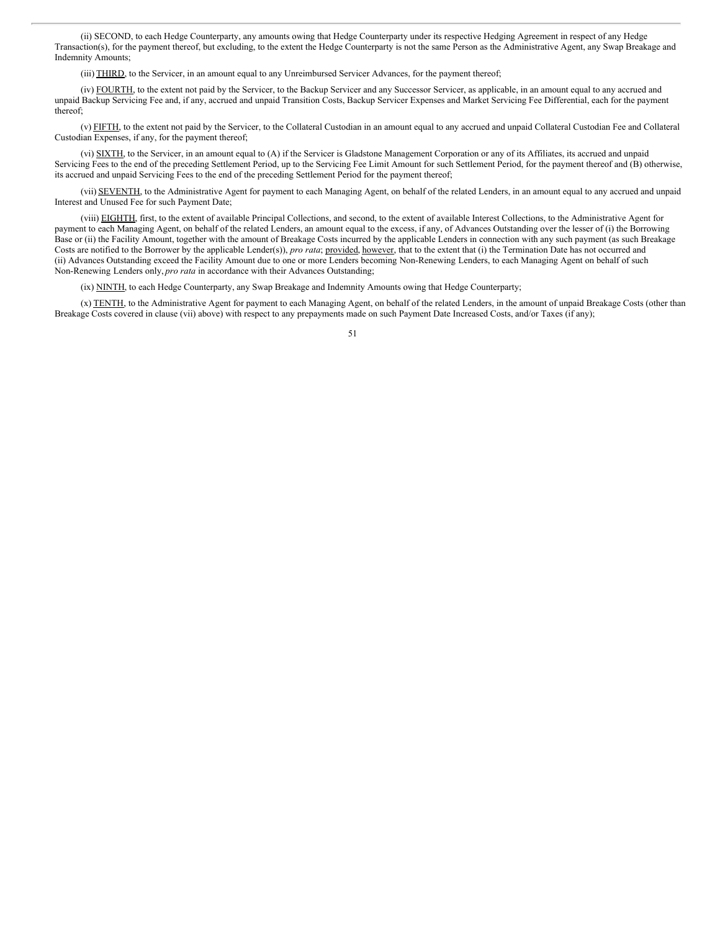(ii) SECOND, to each Hedge Counterparty, any amounts owing that Hedge Counterparty under its respective Hedging Agreement in respect of any Hedge Transaction(s), for the payment thereof, but excluding, to the extent the Hedge Counterparty is not the same Person as the Administrative Agent, any Swap Breakage and Indemnity Amounts;

(iii) THIRD, to the Servicer, in an amount equal to any Unreimbursed Servicer Advances, for the payment thereof;

(iv) FOURTH, to the extent not paid by the Servicer, to the Backup Servicer and any Successor Servicer, as applicable, in an amount equal to any accrued and unpaid Backup Servicing Fee and, if any, accrued and unpaid Transition Costs, Backup Servicer Expenses and Market Servicing Fee Differential, each for the payment thereof;

(v) FIFTH, to the extent not paid by the Servicer, to the Collateral Custodian in an amount equal to any accrued and unpaid Collateral Custodian Fee and Collateral Custodian Expenses, if any, for the payment thereof;

(vi) SIXTH, to the Servicer, in an amount equal to (A) if the Servicer is Gladstone Management Corporation or any of its Affiliates, its accrued and unpaid Servicing Fees to the end of the preceding Settlement Period, up to the Servicing Fee Limit Amount for such Settlement Period, for the payment thereof and (B) otherwise, its accrued and unpaid Servicing Fees to the end of the preceding Settlement Period for the payment thereof;

(vii) SEVENTH, to the Administrative Agent for payment to each Managing Agent, on behalf of the related Lenders, in an amount equal to any accrued and unpaid Interest and Unused Fee for such Payment Date;

(viii) EIGHTH, first, to the extent of available Principal Collections, and second, to the extent of available Interest Collections, to the Administrative Agent for payment to each Managing Agent, on behalf of the related Lenders, an amount equal to the excess, if any, of Advances Outstanding over the lesser of (i) the Borrowing Base or (ii) the Facility Amount, together with the amount of Breakage Costs incurred by the applicable Lenders in connection with any such payment (as such Breakage Costs are notified to the Borrower by the applicable Lender(s)), *pro rata*; provided, however, that to the extent that (i) the Termination Date has not occurred and (ii) Advances Outstanding exceed the Facility Amount due to one or more Lenders becoming Non-Renewing Lenders, to each Managing Agent on behalf of such Non-Renewing Lenders only, *pro rata* in accordance with their Advances Outstanding;

(ix) NINTH, to each Hedge Counterparty, any Swap Breakage and Indemnity Amounts owing that Hedge Counterparty;

(x) TENTH, to the Administrative Agent for payment to each Managing Agent, on behalf of the related Lenders, in the amount of unpaid Breakage Costs (other than Breakage Costs covered in clause (vii) above) with respect to any prepayments made on such Payment Date Increased Costs, and/or Taxes (if any);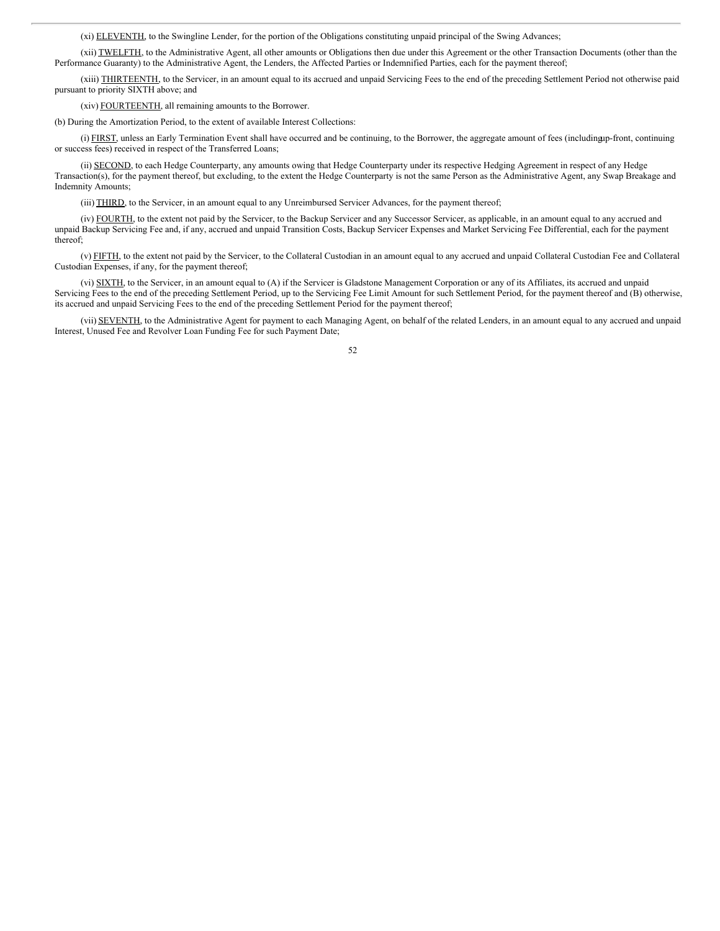(xi) ELEVENTH, to the Swingline Lender, for the portion of the Obligations constituting unpaid principal of the Swing Advances;

(xii) TWELFTH, to the Administrative Agent, all other amounts or Obligations then due under this Agreement or the other Transaction Documents (other than the Performance Guaranty) to the Administrative Agent, the Lenders, the Affected Parties or Indemnified Parties, each for the payment thereof;

(xiii) THIRTEENTH, to the Servicer, in an amount equal to its accrued and unpaid Servicing Fees to the end of the preceding Settlement Period not otherwise paid pursuant to priority SIXTH above; and

(xiv) FOURTEENTH, all remaining amounts to the Borrower.

(b) During the Amortization Period, to the extent of available Interest Collections:

(i) FIRST, unless an Early Termination Event shall have occurred and be continuing, to the Borrower, the aggregate amount of fees (including p-front, continuing or success fees) received in respect of the Transferred Loans;

(ii) SECOND, to each Hedge Counterparty, any amounts owing that Hedge Counterparty under its respective Hedging Agreement in respect of any Hedge Transaction(s), for the payment thereof, but excluding, to the extent the Hedge Counterparty is not the same Person as the Administrative Agent, any Swap Breakage and Indemnity Amounts;

(iii) THIRD, to the Servicer, in an amount equal to any Unreimbursed Servicer Advances, for the payment thereof;

(iv) FOURTH, to the extent not paid by the Servicer, to the Backup Servicer and any Successor Servicer, as applicable, in an amount equal to any accrued and unpaid Backup Servicing Fee and, if any, accrued and unpaid Transition Costs, Backup Servicer Expenses and Market Servicing Fee Differential, each for the payment thereof;

(v) FIFTH, to the extent not paid by the Servicer, to the Collateral Custodian in an amount equal to any accrued and unpaid Collateral Custodian Fee and Collateral Custodian Expenses, if any, for the payment thereof;

(vi) SIXTH, to the Servicer, in an amount equal to (A) if the Servicer is Gladstone Management Corporation or any of its Affiliates, its accrued and unpaid Servicing Fees to the end of the preceding Settlement Period, up to the Servicing Fee Limit Amount for such Settlement Period, for the payment thereof and (B) otherwise, its accrued and unpaid Servicing Fees to the end of the preceding Settlement Period for the payment thereof;

(vii) SEVENTH, to the Administrative Agent for payment to each Managing Agent, on behalf of the related Lenders, in an amount equal to any accrued and unpaid Interest, Unused Fee and Revolver Loan Funding Fee for such Payment Date;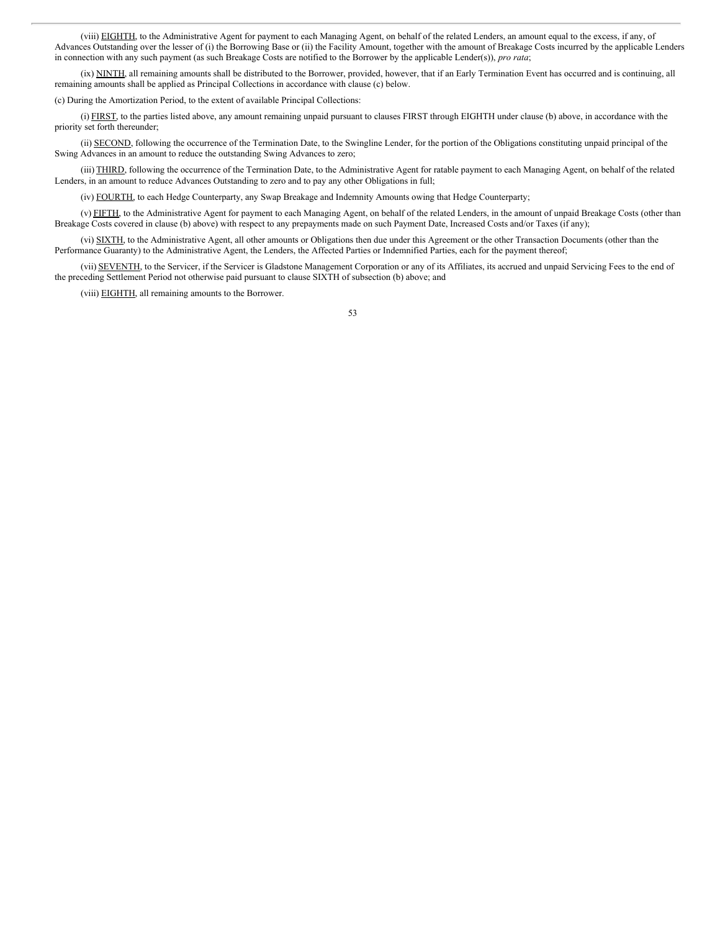(viii) EIGHTH, to the Administrative Agent for payment to each Managing Agent, on behalf of the related Lenders, an amount equal to the excess, if any, of Advances Outstanding over the lesser of (i) the Borrowing Base or (ii) the Facility Amount, together with the amount of Breakage Costs incurred by the applicable Lenders in connection with any such payment (as such Breakage Costs are notified to the Borrower by the applicable Lender(s)), *pro rata*;

(ix) NINTH, all remaining amounts shall be distributed to the Borrower, provided, however, that if an Early Termination Event has occurred and is continuing, all remaining amounts shall be applied as Principal Collections in accordance with clause (c) below.

(c) During the Amortization Period, to the extent of available Principal Collections:

(i) FIRST, to the parties listed above, any amount remaining unpaid pursuant to clauses FIRST through EIGHTH under clause (b) above, in accordance with the priority set forth thereunder;

(ii) SECOND, following the occurrence of the Termination Date, to the Swingline Lender, for the portion of the Obligations constituting unpaid principal of the Swing Advances in an amount to reduce the outstanding Swing Advances to zero;

(iii) THIRD, following the occurrence of the Termination Date, to the Administrative Agent for ratable payment to each Managing Agent, on behalf of the related Lenders, in an amount to reduce Advances Outstanding to zero and to pay any other Obligations in full;

(iv) FOURTH, to each Hedge Counterparty, any Swap Breakage and Indemnity Amounts owing that Hedge Counterparty;

(v) FIFTH, to the Administrative Agent for payment to each Managing Agent, on behalf of the related Lenders, in the amount of unpaid Breakage Costs (other than Breakage Costs covered in clause (b) above) with respect to any prepayments made on such Payment Date, Increased Costs and/or Taxes (if any);

(vi) SIXTH, to the Administrative Agent, all other amounts or Obligations then due under this Agreement or the other Transaction Documents (other than the Performance Guaranty) to the Administrative Agent, the Lenders, the Affected Parties or Indemnified Parties, each for the payment thereof;

(vii) SEVENTH, to the Servicer, if the Servicer is Gladstone Management Corporation or any of its Affiliates, its accrued and unpaid Servicing Fees to the end of the preceding Settlement Period not otherwise paid pursuant to clause SIXTH of subsection (b) above; and

(viii) EIGHTH, all remaining amounts to the Borrower.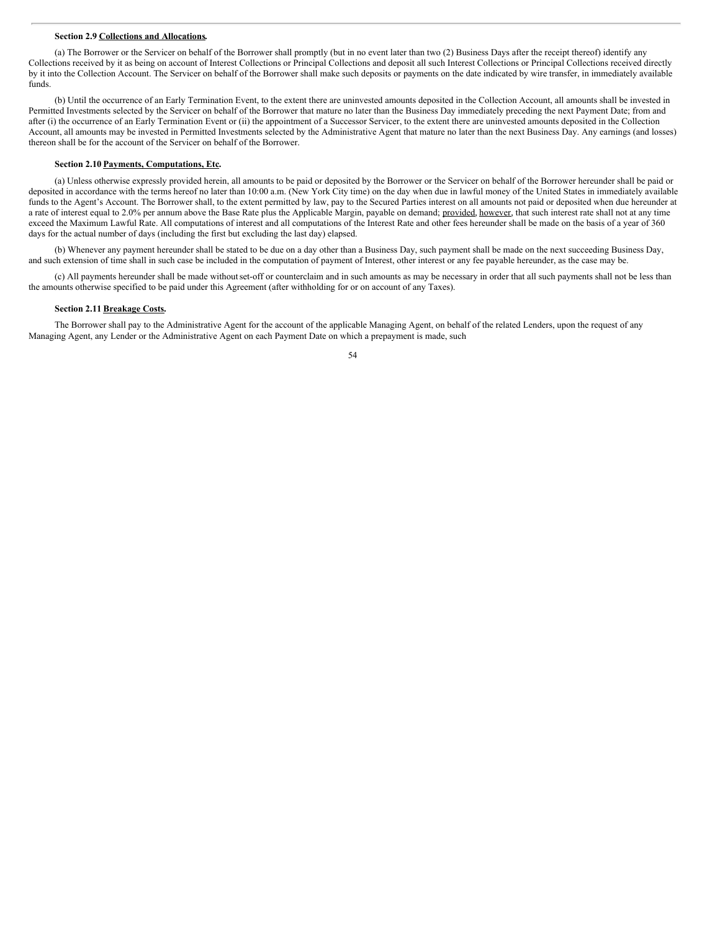#### **Section 2.9 Collections and Allocations.**

(a) The Borrower or the Servicer on behalf of the Borrower shall promptly (but in no event later than two (2) Business Days after the receipt thereof) identify any Collections received by it as being on account of Interest Collections or Principal Collections and deposit all such Interest Collections or Principal Collections received directly by it into the Collection Account. The Servicer on behalf of the Borrower shall make such deposits or payments on the date indicated by wire transfer, in immediately available funds.

(b) Until the occurrence of an Early Termination Event, to the extent there are uninvested amounts deposited in the Collection Account, all amounts shall be invested in Permitted Investments selected by the Servicer on behalf of the Borrower that mature no later than the Business Day immediately preceding the next Payment Date; from and after (i) the occurrence of an Early Termination Event or (ii) the appointment of a Successor Servicer, to the extent there are uninvested amounts deposited in the Collection Account, all amounts may be invested in Permitted Investments selected by the Administrative Agent that mature no later than the next Business Day. Any earnings (and losses) thereon shall be for the account of the Servicer on behalf of the Borrower.

## **Section 2.10 Payments, Computations, Etc.**

(a) Unless otherwise expressly provided herein, all amounts to be paid or deposited by the Borrower or the Servicer on behalf of the Borrower hereunder shall be paid or deposited in accordance with the terms hereof no later than 10:00 a.m. (New York City time) on the day when due in lawful money of the United States in immediately available funds to the Agent's Account. The Borrower shall, to the extent permitted by law, pay to the Secured Parties interest on all amounts not paid or deposited when due hereunder at a rate of interest equal to 2.0% per annum above the Base Rate plus the Applicable Margin, payable on demand; provided, however, that such interest rate shall not at any time exceed the Maximum Lawful Rate. All computations of interest and all computations of the Interest Rate and other fees hereunder shall be made on the basis of a year of 360 days for the actual number of days (including the first but excluding the last day) elapsed.

(b) Whenever any payment hereunder shall be stated to be due on a day other than a Business Day, such payment shall be made on the next succeeding Business Day, and such extension of time shall in such case be included in the computation of payment of Interest, other interest or any fee payable hereunder, as the case may be.

(c) All payments hereunder shall be made withoutset-off or counterclaim and in such amounts as may be necessary in order that all such payments shall not be less than the amounts otherwise specified to be paid under this Agreement (after withholding for or on account of any Taxes).

## **Section 2.11 Breakage Costs.**

The Borrower shall pay to the Administrative Agent for the account of the applicable Managing Agent, on behalf of the related Lenders, upon the request of any Managing Agent, any Lender or the Administrative Agent on each Payment Date on which a prepayment is made, such

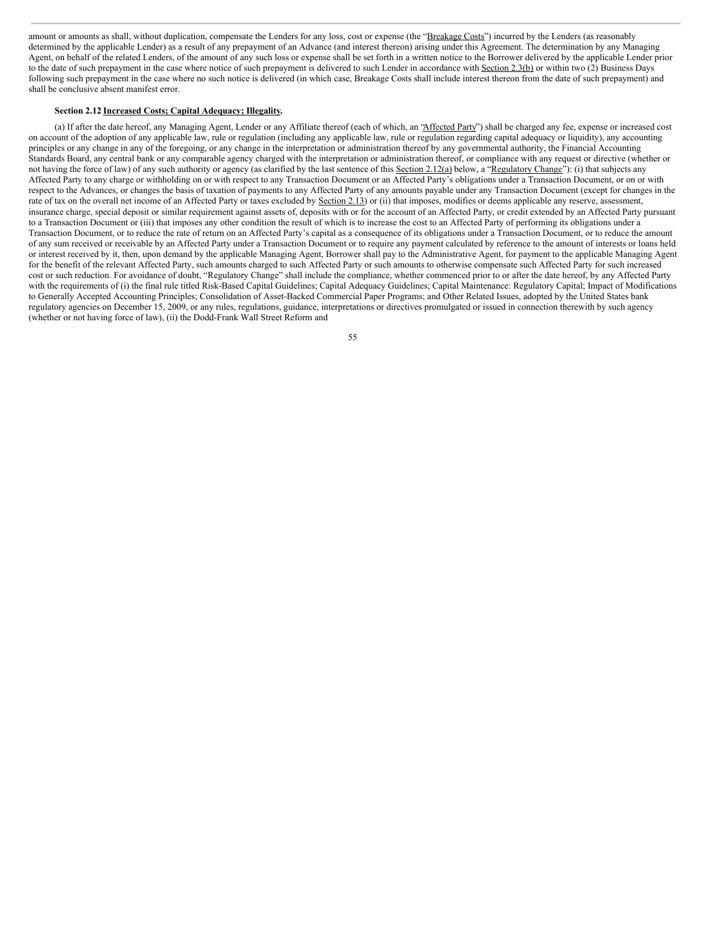amount or amounts as shall, without duplication, compensate the Lenders for any loss, cost or expense (the "Breakage Costs") incurred by the Lenders (as reasonably determined by the applicable Lender) as a result of any prepayment of an Advance (and interest thereon) arising under this Agreement. The determination by any Managing Agent, on behalf of the related Lenders, of the amount of any such loss or expense shall be set forth in a written notice to the Borrower delivered by the applicable Lender prior to the date of such prepayment in the case where notice of such prepayment is delivered to such Lender in accordance with Section 2.3(b) or within two (2) Business Days following such prepayment in the case where no such notice is delivered (in which case, Breakage Costs shall include interest thereon from the date of such prepayment) and shall be conclusive absent manifest error.

# **Section 2.12 Increased Costs; Capital Adequacy; Illegality.**

(a) If after the date hereof, any Managing Agent, Lender or any Affiliate thereof (each of which, an "Affected Party") shall be charged any fee, expense or increased cost on account of the adoption of any applicable law, rule or regulation (including any applicable law, rule or regulation regarding capital adequacy or liquidity), any accounting principles or any change in any of the foregoing, or any change in the interpretation or administration thereof by any governmental authority, the Financial Accounting Standards Board, any central bank or any comparable agency charged with the interpretation or administration thereof, or compliance with any request or directive (whether or not having the force of law) of any such authority or agency (as clarified by the last sentence of this Section 2.12(a) below, a "Regulatory Change"): (i) that subjects any Affected Party to any charge or withholding on or with respect to any Transaction Document or an Affected Party's obligations under a Transaction Document, or on or with respect to the Advances, or changes the basis of taxation of payments to any Affected Party of any amounts payable under any Transaction Document (except for changes in the rate of tax on the overall net income of an Affected Party or taxes excluded by Section 2.13) or (ii) that imposes, modifies or deems applicable any reserve, assessment, insurance charge, special deposit or similar requirement against assets of, deposits with or for the account of an Affected Party, or credit extended by an Affected Party pursuant to a Transaction Document or (iii) that imposes any other condition the result of which is to increase the cost to an Affected Party of performing its obligations under a Transaction Document, or to reduce the rate of return on an Affected Party's capital as a consequence of its obligations under a Transaction Document, or to reduce the amount of any sum received or receivable by an Affected Party under a Transaction Document or to require any payment calculated by reference to the amount of interests or loans held or interest received by it, then, upon demand by the applicable Managing Agent, Borrower shall pay to the Administrative Agent, for payment to the applicable Managing Agent for the benefit of the relevant Affected Party, such amounts charged to such Affected Party or such amounts to otherwise compensate such Affected Party for such increased cost or such reduction. For avoidance of doubt, "Regulatory Change" shall include the compliance, whether commenced prior to or after the date hereof, by any Affected Party with the requirements of (i) the final rule titled Risk-Based Capital Guidelines; Capital Adequacy Guidelines; Capital Maintenance: Regulatory Capital; Impact of Modifications to Generally Accepted Accounting Principles; Consolidation of Asset-Backed Commercial Paper Programs; and Other Related Issues, adopted by the United States bank regulatory agencies on December 15, 2009, or any rules, regulations, guidance, interpretations or directives promulgated or issued in connection therewith by such agency (whether or not having force of law), (ii) the Dodd-Frank Wall Street Reform and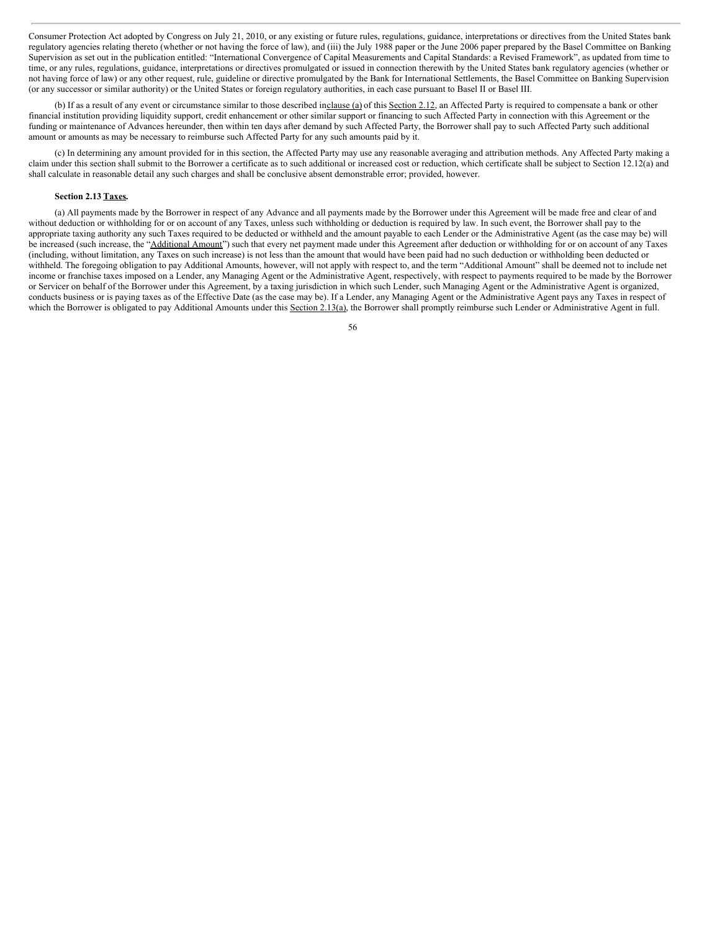Consumer Protection Act adopted by Congress on July 21, 2010, or any existing or future rules, regulations, guidance, interpretations or directives from the United States bank regulatory agencies relating thereto (whether or not having the force of law), and (iii) the July 1988 paper or the June 2006 paper prepared by the Basel Committee on Banking Supervision as set out in the publication entitled: "International Convergence of Capital Measurements and Capital Standards: a Revised Framework", as updated from time to time, or any rules, regulations, guidance, interpretations or directives promulgated or issued in connection therewith by the United States bank regulatory agencies (whether or not having force of law) or any other request, rule, guideline or directive promulgated by the Bank for International Settlements, the Basel Committee on Banking Supervision (or any successor or similar authority) or the United States or foreign regulatory authorities, in each case pursuant to Basel II or Basel III.

(b) If as a result of any event or circumstance similar to those described inclause (a) of this Section 2.12, an Affected Party is required to compensate a bank or other financial institution providing liquidity support, credit enhancement or other similar support or financing to such Affected Party in connection with this Agreement or the funding or maintenance of Advances hereunder, then within ten days after demand by such Affected Party, the Borrower shall pay to such Affected Party such additional amount or amounts as may be necessary to reimburse such Affected Party for any such amounts paid by it.

(c) In determining any amount provided for in this section, the Affected Party may use any reasonable averaging and attribution methods. Any Affected Party making a claim under this section shall submit to the Borrower a certificate as to such additional or increased cost or reduction, which certificate shall be subject to Section 12.12(a) and shall calculate in reasonable detail any such charges and shall be conclusive absent demonstrable error; provided, however.

## **Section 2.13 Taxes.**

(a) All payments made by the Borrower in respect of any Advance and all payments made by the Borrower under this Agreement will be made free and clear of and without deduction or withholding for or on account of any Taxes, unless such withholding or deduction is required by law. In such event, the Borrower shall pay to the appropriate taxing authority any such Taxes required to be deducted or withheld and the amount payable to each Lender or the Administrative Agent (as the case may be) will be increased (such increase, the "Additional Amount") such that every net payment made under this Agreement after deduction or withholding for or on account of any Taxes (including, without limitation, any Taxes on such increase) is not less than the amount that would have been paid had no such deduction or withholding been deducted or withheld. The foregoing obligation to pay Additional Amounts, however, will not apply with respect to, and the term "Additional Amount" shall be deemed not to include net income or franchise taxes imposed on a Lender, any Managing Agent or the Administrative Agent, respectively, with respect to payments required to be made by the Borrower or Servicer on behalf of the Borrower under this Agreement, by a taxing jurisdiction in which such Lender, such Managing Agent or the Administrative Agent is organized, conducts business or is paying taxes as of the Effective Date (as the case may be). If a Lender, any Managing Agent or the Administrative Agent pays any Taxes in respect of which the Borrower is obligated to pay Additional Amounts under this Section 2.13(a), the Borrower shall promptly reimburse such Lender or Administrative Agent in full.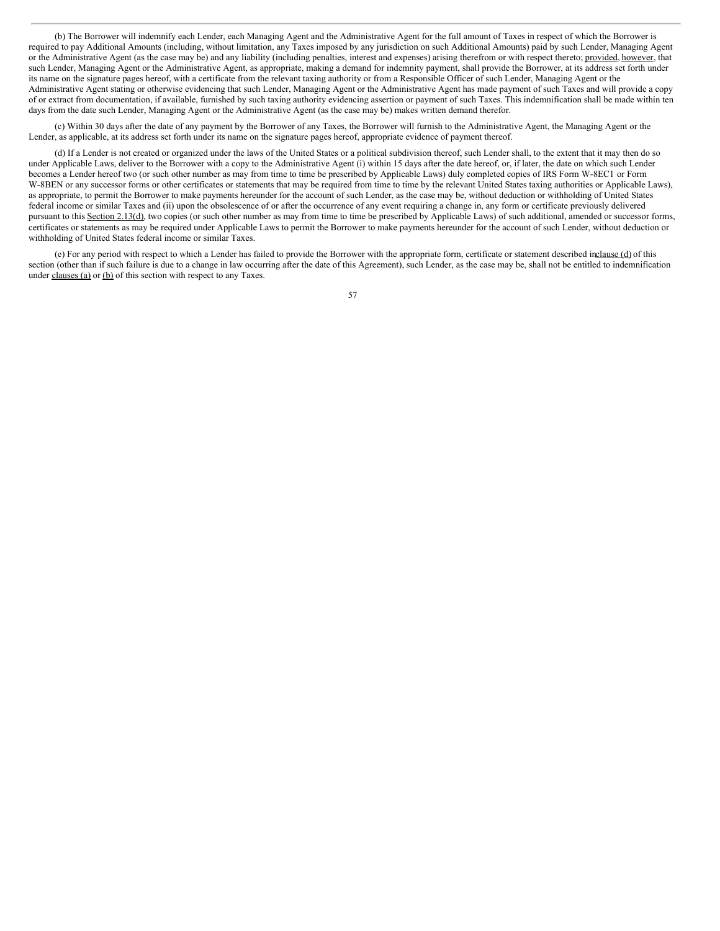(b) The Borrower will indemnify each Lender, each Managing Agent and the Administrative Agent for the full amount of Taxes in respect of which the Borrower is required to pay Additional Amounts (including, without limitation, any Taxes imposed by any jurisdiction on such Additional Amounts) paid by such Lender, Managing Agent or the Administrative Agent (as the case may be) and any liability (including penalties, interest and expenses) arising therefrom or with respect thereto; provided, however, that such Lender, Managing Agent or the Administrative Agent, as appropriate, making a demand for indemnity payment, shall provide the Borrower, at its address set forth under its name on the signature pages hereof, with a certificate from the relevant taxing authority or from a Responsible Officer of such Lender, Managing Agent or the Administrative Agent stating or otherwise evidencing that such Lender, Managing Agent or the Administrative Agent has made payment of such Taxes and will provide a copy of or extract from documentation, if available, furnished by such taxing authority evidencing assertion or payment of such Taxes. This indemnification shall be made within ten days from the date such Lender, Managing Agent or the Administrative Agent (as the case may be) makes written demand therefor.

(c) Within 30 days after the date of any payment by the Borrower of any Taxes, the Borrower will furnish to the Administrative Agent, the Managing Agent or the Lender, as applicable, at its address set forth under its name on the signature pages hereof, appropriate evidence of payment thereof.

(d) If a Lender is not created or organized under the laws of the United States or a political subdivision thereof, such Lender shall, to the extent that it may then do so under Applicable Laws, deliver to the Borrower with a copy to the Administrative Agent (i) within 15 days after the date hereof, or, if later, the date on which such Lender becomes a Lender hereof two (or such other number as may from time to time be prescribed by Applicable Laws) duly completed copies of IRS Form W-8EC1 or Form W-8BEN or any successor forms or other certificates or statements that may be required from time to time by the relevant United States taxing authorities or Applicable Laws), as appropriate, to permit the Borrower to make payments hereunder for the account of such Lender, as the case may be, without deduction or withholding of United States federal income or similar Taxes and (ii) upon the obsolescence of or after the occurrence of any event requiring a change in, any form or certificate previously delivered pursuant to this Section 2.13(d), two copies (or such other number as may from time to time be prescribed by Applicable Laws) of such additional, amended or successor forms, certificates or statements as may be required under Applicable Laws to permit the Borrower to make payments hereunder for the account of such Lender, without deduction or withholding of United States federal income or similar Taxes.

(e) For any period with respect to which a Lender has failed to provide the Borrower with the appropriate form, certificate or statement described inclause (d) of this section (other than if such failure is due to a change in law occurring after the date of this Agreement), such Lender, as the case may be, shall not be entitled to indemnification under clauses (a) or (b) of this section with respect to any Taxes.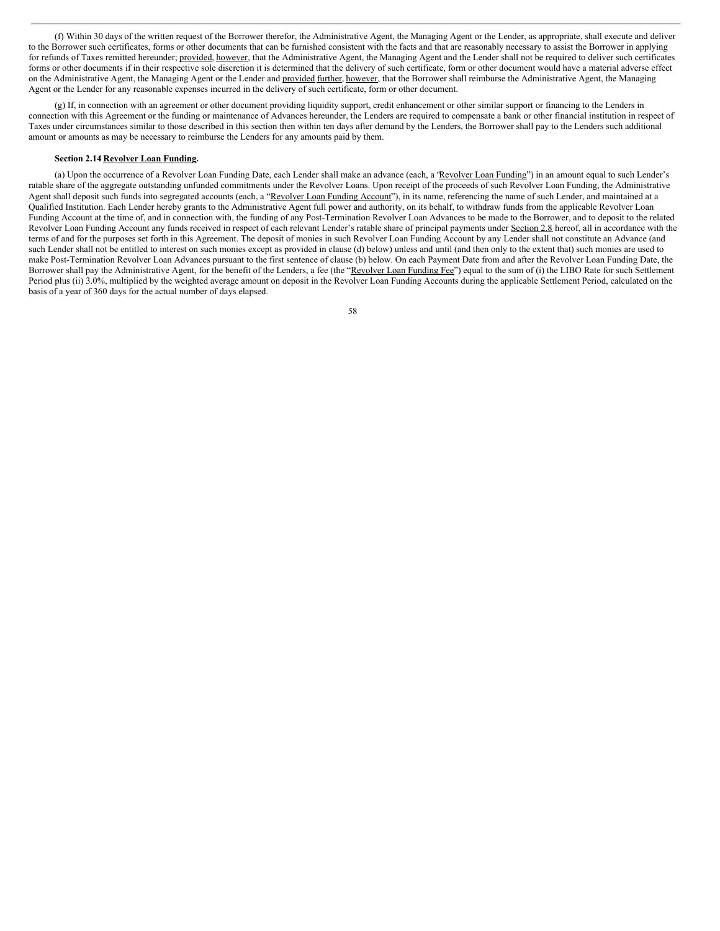(f) Within 30 days of the written request of the Borrower therefor, the Administrative Agent, the Managing Agent or the Lender, as appropriate, shall execute and deliver to the Borrower such certificates, forms or other documents that can be furnished consistent with the facts and that are reasonably necessary to assist the Borrower in applying for refunds of Taxes remitted hereunder; provided, however, that the Administrative Agent, the Managing Agent and the Lender shall not be required to deliver such certificates forms or other documents if in their respective sole discretion it is determined that the delivery of such certificate, form or other document would have a material adverse effect on the Administrative Agent, the Managing Agent or the Lender and provided further, however, that the Borrower shall reimburse the Administrative Agent, the Managing Agent or the Lender for any reasonable expenses incurred in the delivery of such certificate, form or other document.

(g) If, in connection with an agreement or other document providing liquidity support, credit enhancement or other similar support or financing to the Lenders in connection with this Agreement or the funding or maintenance of Advances hereunder, the Lenders are required to compensate a bank or other financial institution in respect of Taxes under circumstances similar to those described in this section then within ten days after demand by the Lenders, the Borrower shall pay to the Lenders such additional amount or amounts as may be necessary to reimburse the Lenders for any amounts paid by them.

### **Section 2.14 Revolver Loan Funding.**

(a) Upon the occurrence of a Revolver Loan Funding Date, each Lender shall make an advance (each, a 'Revolver Loan Funding'') in an amount equal to such Lender's ratable share of the aggregate outstanding unfunded commitments under the Revolver Loans. Upon receipt of the proceeds of such Revolver Loan Funding, the Administrative Agent shall deposit such funds into segregated accounts (each, a "Revolver Loan Funding Account"), in its name, referencing the name of such Lender, and maintained at a Qualified Institution. Each Lender hereby grants to the Administrative Agent full power and authority, on its behalf, to withdraw funds from the applicable Revolver Loan Funding Account at the time of, and in connection with, the funding of any Post-Termination Revolver Loan Advances to be made to the Borrower, and to deposit to the related Revolver Loan Funding Account any funds received in respect of each relevant Lender's ratable share of principal payments under Section 2.8 hereof, all in accordance with the terms of and for the purposes set forth in this Agreement. The deposit of monies in such Revolver Loan Funding Account by any Lender shall not constitute an Advance (and such Lender shall not be entitled to interest on such monies except as provided in clause (d) below) unless and until (and then only to the extent that) such monies are used to make Post-Termination Revolver Loan Advances pursuant to the first sentence of clause (b) below. On each Payment Date from and after the Revolver Loan Funding Date, the Borrower shall pay the Administrative Agent, for the benefit of the Lenders, a fee (the "Revolver Loan Funding Fee") equal to the sum of (i) the LIBO Rate for such Settlement Period plus (ii) 3.0%, multiplied by the weighted average amount on deposit in the Revolver Loan Funding Accounts during the applicable Settlement Period, calculated on the basis of a year of 360 days for the actual number of days elapsed.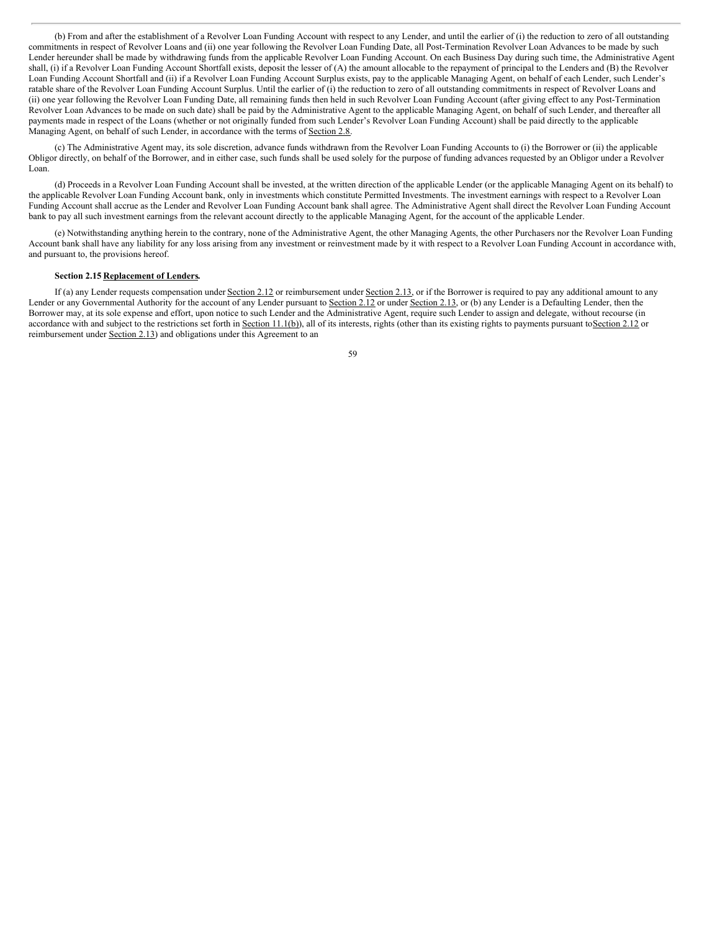(b) From and after the establishment of a Revolver Loan Funding Account with respect to any Lender, and until the earlier of (i) the reduction to zero of all outstanding commitments in respect of Revolver Loans and (ii) one year following the Revolver Loan Funding Date, all Post-Termination Revolver Loan Advances to be made by such Lender hereunder shall be made by withdrawing funds from the applicable Revolver Loan Funding Account. On each Business Day during such time, the Administrative Agent shall, (i) if a Revolver Loan Funding Account Shortfall exists, deposit the lesser of (A) the amount allocable to the repayment of principal to the Lenders and (B) the Revolver Loan Funding Account Shortfall and (ii) if a Revolver Loan Funding Account Surplus exists, pay to the applicable Managing Agent, on behalf of each Lender, such Lender's ratable share of the Revolver Loan Funding Account Surplus. Until the earlier of (i) the reduction to zero of all outstanding commitments in respect of Revolver Loans and (ii) one year following the Revolver Loan Funding Date, all remaining funds then held in such Revolver Loan Funding Account (after giving effect to any Post-Termination Revolver Loan Advances to be made on such date) shall be paid by the Administrative Agent to the applicable Managing Agent, on behalf of such Lender, and thereafter all payments made in respect of the Loans (whether or not originally funded from such Lender's Revolver Loan Funding Account) shall be paid directly to the applicable Managing Agent, on behalf of such Lender, in accordance with the terms of Section 2.8.

(c) The Administrative Agent may, its sole discretion, advance funds withdrawn from the Revolver Loan Funding Accounts to (i) the Borrower or (ii) the applicable Obligor directly, on behalf of the Borrower, and in either case, such funds shall be used solely for the purpose of funding advances requested by an Obligor under a Revolver Loan.

(d) Proceeds in a Revolver Loan Funding Account shall be invested, at the written direction of the applicable Lender (or the applicable Managing Agent on its behalf) to the applicable Revolver Loan Funding Account bank, only in investments which constitute Permitted Investments. The investment earnings with respect to a Revolver Loan Funding Account shall accrue as the Lender and Revolver Loan Funding Account bank shall agree. The Administrative Agent shall direct the Revolver Loan Funding Account bank to pay all such investment earnings from the relevant account directly to the applicable Managing Agent, for the account of the applicable Lender.

(e) Notwithstanding anything herein to the contrary, none of the Administrative Agent, the other Managing Agents, the other Purchasers nor the Revolver Loan Funding Account bank shall have any liability for any loss arising from any investment or reinvestment made by it with respect to a Revolver Loan Funding Account in accordance with, and pursuant to, the provisions hereof.

### **Section 2.15 Replacement of Lenders.**

If (a) any Lender requests compensation under Section 2.12 or reimbursement under Section 2.13, or if the Borrower is required to pay any additional amount to any Lender or any Governmental Authority for the account of any Lender pursuant to Section 2.12 or under Section 2.13, or (b) any Lender is a Defaulting Lender, then the Borrower may, at its sole expense and effort, upon notice to such Lender and the Administrative Agent, require such Lender to assign and delegate, without recourse (in accordance with and subject to the restrictions set forth in Section 11.1(b)), all of its interests, rights (other than its existing rights to payments pursuant to Section 2.12 or reimbursement under **Section 2.13**) and obligations under this Agreement to an

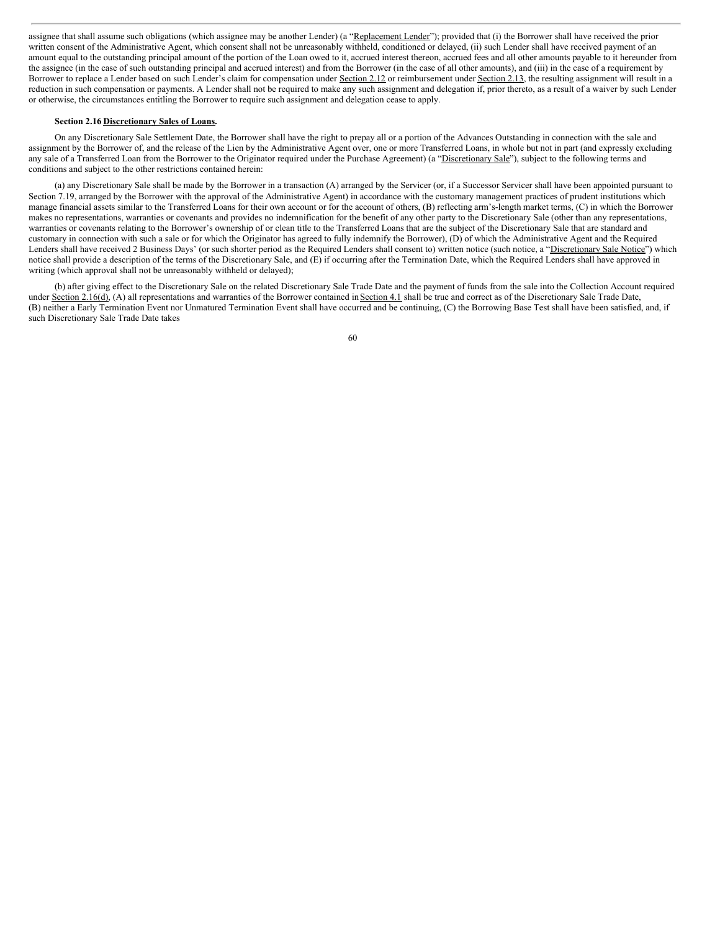assignee that shall assume such obligations (which assignee may be another Lender) (a "Replacement Lender"); provided that (i) the Borrower shall have received the prior written consent of the Administrative Agent, which consent shall not be unreasonably withheld, conditioned or delayed, (ii) such Lender shall have received payment of an amount equal to the outstanding principal amount of the portion of the Loan owed to it, accrued interest thereon, accrued fees and all other amounts payable to it hereunder from the assignee (in the case of such outstanding principal and accrued interest) and from the Borrower (in the case of all other amounts), and (iii) in the case of a requirement by Borrower to replace a Lender based on such Lender's claim for compensation under Section 2.12 or reimbursement under Section 2.13, the resulting assignment will result in a reduction in such compensation or payments. A Lender shall not be required to make any such assignment and delegation if, prior thereto, as a result of a waiver by such Lender or otherwise, the circumstances entitling the Borrower to require such assignment and delegation cease to apply.

# **Section 2.16 Discretionary Sales of Loans.**

On any Discretionary Sale Settlement Date, the Borrower shall have the right to prepay all or a portion of the Advances Outstanding in connection with the sale and assignment by the Borrower of, and the release of the Lien by the Administrative Agent over, one or more Transferred Loans, in whole but not in part (and expressly excluding any sale of a Transferred Loan from the Borrower to the Originator required under the Purchase Agreement) (a "Discretionary Sale"), subject to the following terms and conditions and subject to the other restrictions contained herein:

(a) any Discretionary Sale shall be made by the Borrower in a transaction (A) arranged by the Servicer (or, if a Successor Servicer shall have been appointed pursuant to Section 7.19, arranged by the Borrower with the approval of the Administrative Agent) in accordance with the customary management practices of prudent institutions which manage financial assets similar to the Transferred Loans for their own account or for the account of others, (B) reflecting arm's-length market terms, (C) in which the Borrower makes no representations, warranties or covenants and provides no indemnification for the benefit of any other party to the Discretionary Sale (other than any representations, warranties or covenants relating to the Borrower's ownership of or clean title to the Transferred Loans that are the subject of the Discretionary Sale that are standard and customary in connection with such a sale or for which the Originator has agreed to fully indemnify the Borrower), (D) of which the Administrative Agent and the Required Lenders shall have received 2 Business Days' (or such shorter period as the Required Lenders shall consent to) written notice (such notice, a "Discretionary Sale Notice") which notice shall provide a description of the terms of the Discretionary Sale, and (E) if occurring after the Termination Date, which the Required Lenders shall have approved in writing (which approval shall not be unreasonably withheld or delayed);

(b) after giving effect to the Discretionary Sale on the related Discretionary Sale Trade Date and the payment of funds from the sale into the Collection Account required under Section 2.16(d), (A) all representations and warranties of the Borrower contained in Section 4.1 shall be true and correct as of the Discretionary Sale Trade Date, (B) neither a Early Termination Event nor Unmatured Termination Event shall have occurred and be continuing, (C) the Borrowing Base Test shall have been satisfied, and, if such Discretionary Sale Trade Date takes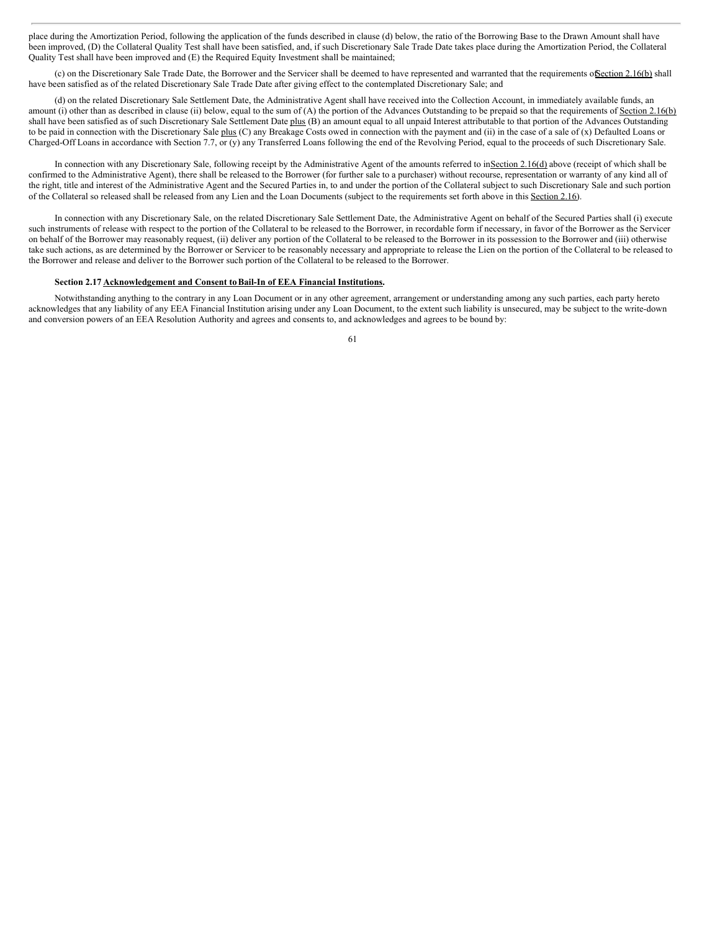place during the Amortization Period, following the application of the funds described in clause (d) below, the ratio of the Borrowing Base to the Drawn Amount shall have been improved, (D) the Collateral Quality Test shall have been satisfied, and, if such Discretionary Sale Trade Date takes place during the Amortization Period, the Collateral Quality Test shall have been improved and (E) the Required Equity Investment shall be maintained;

(c) on the Discretionary Sale Trade Date, the Borrower and the Servicer shall be deemed to have represented and warranted that the requirements ofSection 2.16(b) shall have been satisfied as of the related Discretionary Sale Trade Date after giving effect to the contemplated Discretionary Sale; and

(d) on the related Discretionary Sale Settlement Date, the Administrative Agent shall have received into the Collection Account, in immediately available funds, an amount (i) other than as described in clause (ii) below, equal to the sum of (A) the portion of the Advances Outstanding to be prepaid so that the requirements of Section 2.16(b) shall have been satisfied as of such Discretionary Sale Settlement Date plus (B) an amount equal to all unpaid Interest attributable to that portion of the Advances Outstanding to be paid in connection with the Discretionary Sale plus (C) any Breakage Costs owed in connection with the payment and (ii) in the case of a sale of (x) Defaulted Loans or Charged-Off Loans in accordance with Section 7.7, or (y) any Transferred Loans following the end of the Revolving Period, equal to the proceeds of such Discretionary Sale.

In connection with any Discretionary Sale, following receipt by the Administrative Agent of the amounts referred to inSection 2.16(d) above (receipt of which shall be confirmed to the Administrative Agent), there shall be released to the Borrower (for further sale to a purchaser) without recourse, representation or warranty of any kind all of the right, title and interest of the Administrative Agent and the Secured Parties in, to and under the portion of the Collateral subject to such Discretionary Sale and such portion of the Collateral so released shall be released from any Lien and the Loan Documents (subject to the requirements set forth above in this Section 2.16).

In connection with any Discretionary Sale, on the related Discretionary Sale Settlement Date, the Administrative Agent on behalf of the Secured Parties shall (i) execute such instruments of release with respect to the portion of the Collateral to be released to the Borrower, in recordable form if necessary, in favor of the Borrower as the Servicer on behalf of the Borrower may reasonably request, (ii) deliver any portion of the Collateral to be released to the Borrower in its possession to the Borrower and (iii) otherwise take such actions, as are determined by the Borrower or Servicer to be reasonably necessary and appropriate to release the Lien on the portion of the Collateral to be released to the Borrower and release and deliver to the Borrower such portion of the Collateral to be released to the Borrower.

# **Section 2.17 Acknowledgement and Consent toBail-In of EEA Financial Institutions.**

Notwithstanding anything to the contrary in any Loan Document or in any other agreement, arrangement or understanding among any such parties, each party hereto acknowledges that any liability of any EEA Financial Institution arising under any Loan Document, to the extent such liability is unsecured, may be subject to the write-down and conversion powers of an EEA Resolution Authority and agrees and consents to, and acknowledges and agrees to be bound by: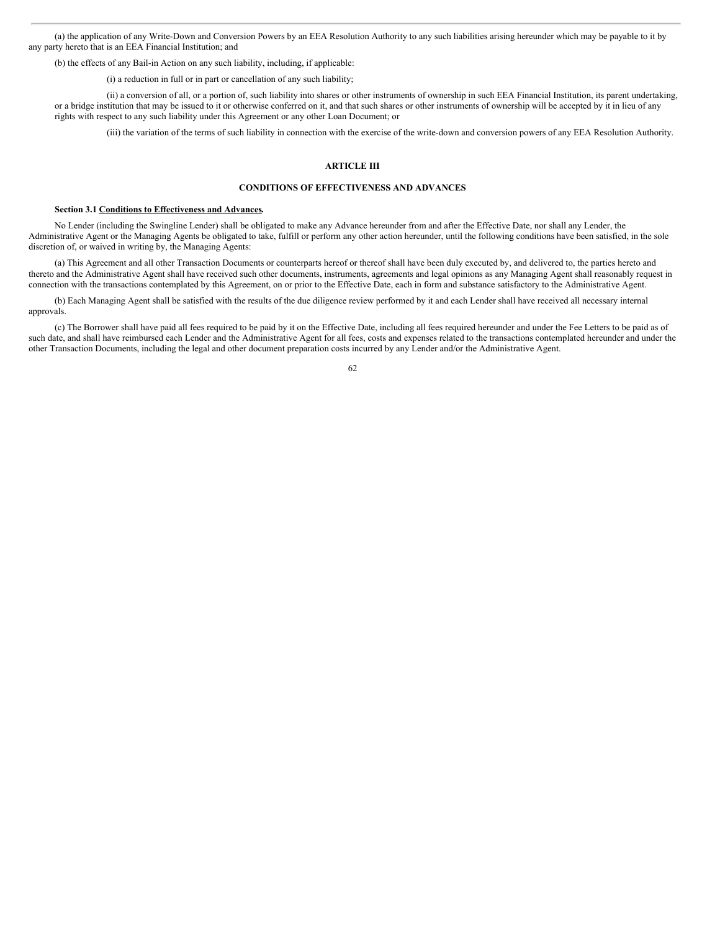(a) the application of any Write-Down and Conversion Powers by an EEA Resolution Authority to any such liabilities arising hereunder which may be payable to it by any party hereto that is an EEA Financial Institution; and

(b) the effects of any Bail-in Action on any such liability, including, if applicable:

(i) a reduction in full or in part or cancellation of any such liability;

(ii) a conversion of all, or a portion of, such liability into shares or other instruments of ownership in such EEA Financial Institution, its parent undertaking, or a bridge institution that may be issued to it or otherwise conferred on it, and that such shares or other instruments of ownership will be accepted by it in lieu of any rights with respect to any such liability under this Agreement or any other Loan Document; or

(iii) the variation of the terms of such liability in connection with the exercise of the write-down and conversion powers of any EEA Resolution Authority.

# **ARTICLE III**

# **CONDITIONS OF EFFECTIVENESS AND ADVANCES**

#### **Section 3.1 Conditions to Effectiveness and Advances.**

No Lender (including the Swingline Lender) shall be obligated to make any Advance hereunder from and after the Effective Date, nor shall any Lender, the Administrative Agent or the Managing Agents be obligated to take, fulfill or perform any other action hereunder, until the following conditions have been satisfied, in the sole discretion of, or waived in writing by, the Managing Agents:

(a) This Agreement and all other Transaction Documents or counterparts hereof or thereof shall have been duly executed by, and delivered to, the parties hereto and thereto and the Administrative Agent shall have received such other documents, instruments, agreements and legal opinions as any Managing Agent shall reasonably request in connection with the transactions contemplated by this Agreement, on or prior to the Effective Date, each in form and substance satisfactory to the Administrative Agent.

(b) Each Managing Agent shall be satisfied with the results of the due diligence review performed by it and each Lender shall have received all necessary internal approvals.

(c) The Borrower shall have paid all fees required to be paid by it on the Effective Date, including all fees required hereunder and under the Fee Letters to be paid as of such date, and shall have reimbursed each Lender and the Administrative Agent for all fees, costs and expenses related to the transactions contemplated hereunder and under the other Transaction Documents, including the legal and other document preparation costs incurred by any Lender and/or the Administrative Agent.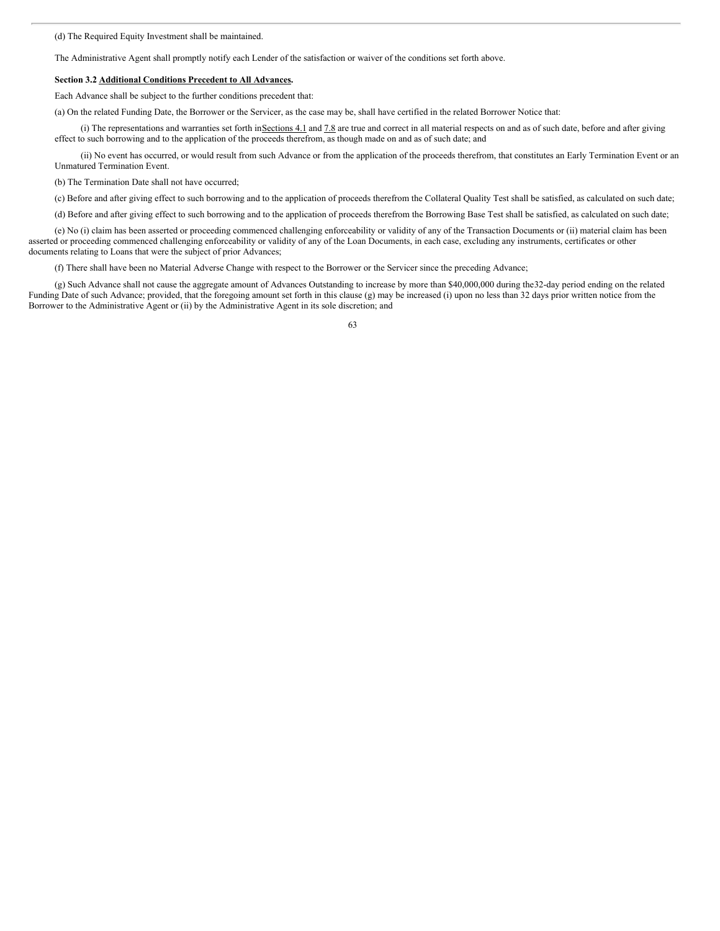(d) The Required Equity Investment shall be maintained.

The Administrative Agent shall promptly notify each Lender of the satisfaction or waiver of the conditions set forth above.

### **Section 3.2 Additional Conditions Precedent to All Advances.**

Each Advance shall be subject to the further conditions precedent that:

(a) On the related Funding Date, the Borrower or the Servicer, as the case may be, shall have certified in the related Borrower Notice that:

(i) The representations and warranties set forth inSections 4.1 and 7.8 are true and correct in all material respects on and as of such date, before and after giving effect to such borrowing and to the application of the proceeds therefrom, as though made on and as of such date; and

(ii) No event has occurred, or would result from such Advance or from the application of the proceeds therefrom, that constitutes an Early Termination Event or an Unmatured Termination Event.

(b) The Termination Date shall not have occurred;

(c) Before and after giving effect to such borrowing and to the application of proceeds therefrom the Collateral Quality Test shall be satisfied, as calculated on such date;

(d) Before and after giving effect to such borrowing and to the application of proceeds therefrom the Borrowing Base Test shall be satisfied, as calculated on such date;

(e) No (i) claim has been asserted or proceeding commenced challenging enforceability or validity of any of the Transaction Documents or (ii) material claim has been asserted or proceeding commenced challenging enforceability or validity of any of the Loan Documents, in each case, excluding any instruments, certificates or other documents relating to Loans that were the subject of prior Advances;

(f) There shall have been no Material Adverse Change with respect to the Borrower or the Servicer since the preceding Advance;

(g) Such Advance shall not cause the aggregate amount of Advances Outstanding to increase by more than \$40,000,000 during the32-day period ending on the related Funding Date of such Advance; provided, that the foregoing amount set forth in this clause (g) may be increased (i) upon no less than 32 days prior written notice from the Borrower to the Administrative Agent or (ii) by the Administrative Agent in its sole discretion; and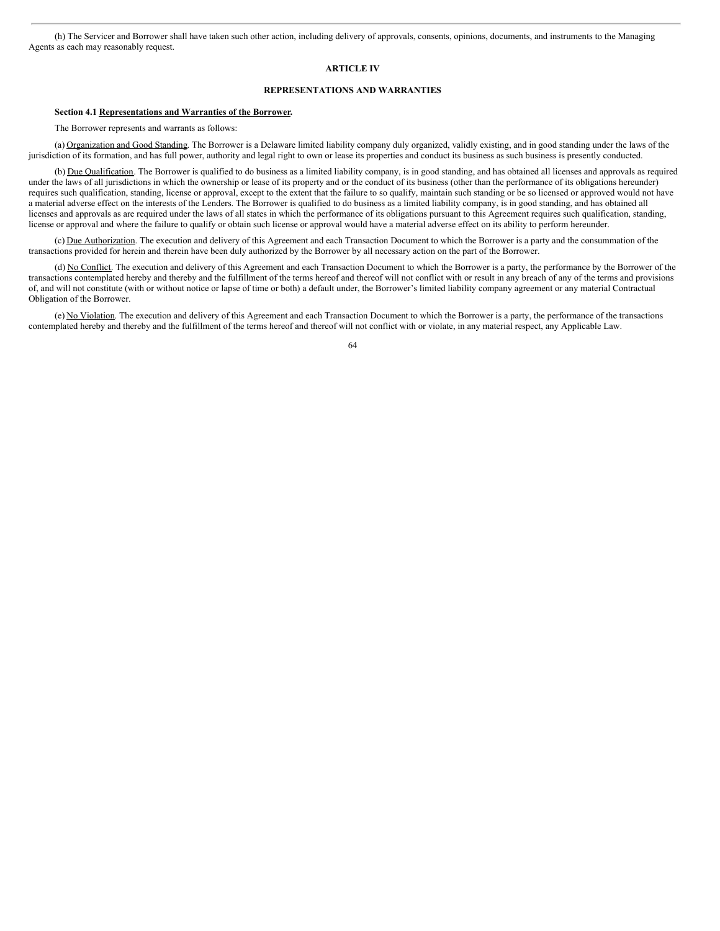(h) The Servicer and Borrower shall have taken such other action, including delivery of approvals, consents, opinions, documents, and instruments to the Managing Agents as each may reasonably request.

## **ARTICLE IV**

# **REPRESENTATIONS AND WARRANTIES**

# **Section 4.1 Representations and Warranties of the Borrower.**

The Borrower represents and warrants as follows:

(a) Organization and Good Standing. The Borrower is a Delaware limited liability company duly organized, validly existing, and in good standing under the laws of the jurisdiction of its formation, and has full power, authority and legal right to own or lease its properties and conduct its business as such business is presently conducted.

(b) Due Qualification. The Borrower is qualified to do business as a limited liability company, is in good standing, and has obtained all licenses and approvals as required under the laws of all jurisdictions in which the ownership or lease of its property and or the conduct of its business (other than the performance of its obligations hereunder) requires such qualification, standing, license or approval, except to the extent that the failure to so qualify, maintain such standing or be so licensed or approved would not have a material adverse effect on the interests of the Lenders. The Borrower is qualified to do business as a limited liability company, is in good standing, and has obtained all licenses and approvals as are required under the laws of all states in which the performance of its obligations pursuant to this Agreement requires such qualification, standing, license or approval and where the failure to qualify or obtain such license or approval would have a material adverse effect on its ability to perform hereunder.

(c) Due Authorization. The execution and delivery of this Agreement and each Transaction Document to which the Borrower is a party and the consummation of the transactions provided for herein and therein have been duly authorized by the Borrower by all necessary action on the part of the Borrower.

(d) No Conflict. The execution and delivery of this Agreement and each Transaction Document to which the Borrower is a party, the performance by the Borrower of the transactions contemplated hereby and thereby and the fulfillment of the terms hereof and thereof will not conflict with or result in any breach of any of the terms and provisions of, and will not constitute (with or without notice or lapse of time or both) a default under, the Borrower's limited liability company agreement or any material Contractual Obligation of the Borrower.

(e) No Violation. The execution and delivery of this Agreement and each Transaction Document to which the Borrower is a party, the performance of the transactions contemplated hereby and thereby and the fulfillment of the terms hereof and thereof will not conflict with or violate, in any material respect, any Applicable Law.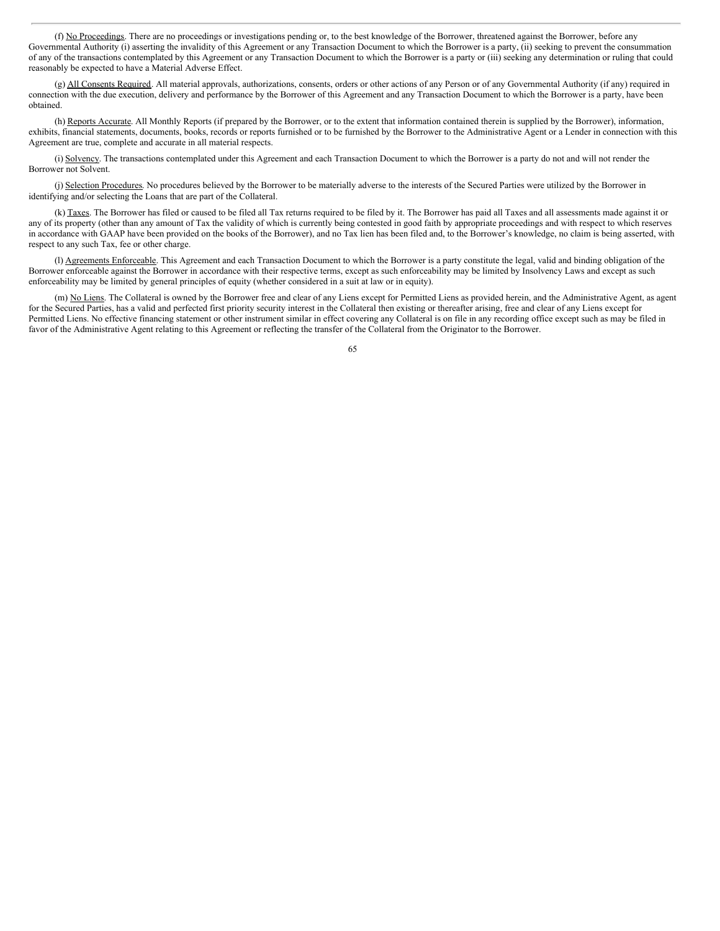(f) No Proceedings. There are no proceedings or investigations pending or, to the best knowledge of the Borrower, threatened against the Borrower, before any Governmental Authority (i) asserting the invalidity of this Agreement or any Transaction Document to which the Borrower is a party, (ii) seeking to prevent the consummation of any of the transactions contemplated by this Agreement or any Transaction Document to which the Borrower is a party or (iii) seeking any determination or ruling that could reasonably be expected to have a Material Adverse Effect.

(g) All Consents Required. All material approvals, authorizations, consents, orders or other actions of any Person or of any Governmental Authority (if any) required in connection with the due execution, delivery and performance by the Borrower of this Agreement and any Transaction Document to which the Borrower is a party, have been obtained.

(h) Reports Accurate. All Monthly Reports (if prepared by the Borrower, or to the extent that information contained therein is supplied by the Borrower), information, exhibits, financial statements, documents, books, records or reports furnished or to be furnished by the Borrower to the Administrative Agent or a Lender in connection with this Agreement are true, complete and accurate in all material respects.

(i) Solvency. The transactions contemplated under this Agreement and each Transaction Document to which the Borrower is a party do not and will not render the Borrower not Solvent.

(j) Selection Procedures. No procedures believed by the Borrower to be materially adverse to the interests of the Secured Parties were utilized by the Borrower in identifying and/or selecting the Loans that are part of the Collateral.

(k) Taxes. The Borrower has filed or caused to be filed all Tax returns required to be filed by it. The Borrower has paid all Taxes and all assessments made against it or any of its property (other than any amount of Tax the validity of which is currently being contested in good faith by appropriate proceedings and with respect to which reserves in accordance with GAAP have been provided on the books of the Borrower), and no Tax lien has been filed and, to the Borrower's knowledge, no claim is being asserted, with respect to any such Tax, fee or other charge.

(I) Agreements Enforceable. This Agreement and each Transaction Document to which the Borrower is a party constitute the legal, valid and binding obligation of the Borrower enforceable against the Borrower in accordance with their respective terms, except as such enforceability may be limited by Insolvency Laws and except as such enforceability may be limited by general principles of equity (whether considered in a suit at law or in equity).

(m) No Liens. The Collateral is owned by the Borrower free and clear of any Liens except for Permitted Liens as provided herein, and the Administrative Agent, as agent for the Secured Parties, has a valid and perfected first priority security interest in the Collateral then existing or thereafter arising, free and clear of any Liens except for Permitted Liens. No effective financing statement or other instrument similar in effect covering any Collateral is on file in any recording office except such as may be filed in favor of the Administrative Agent relating to this Agreement or reflecting the transfer of the Collateral from the Originator to the Borrower.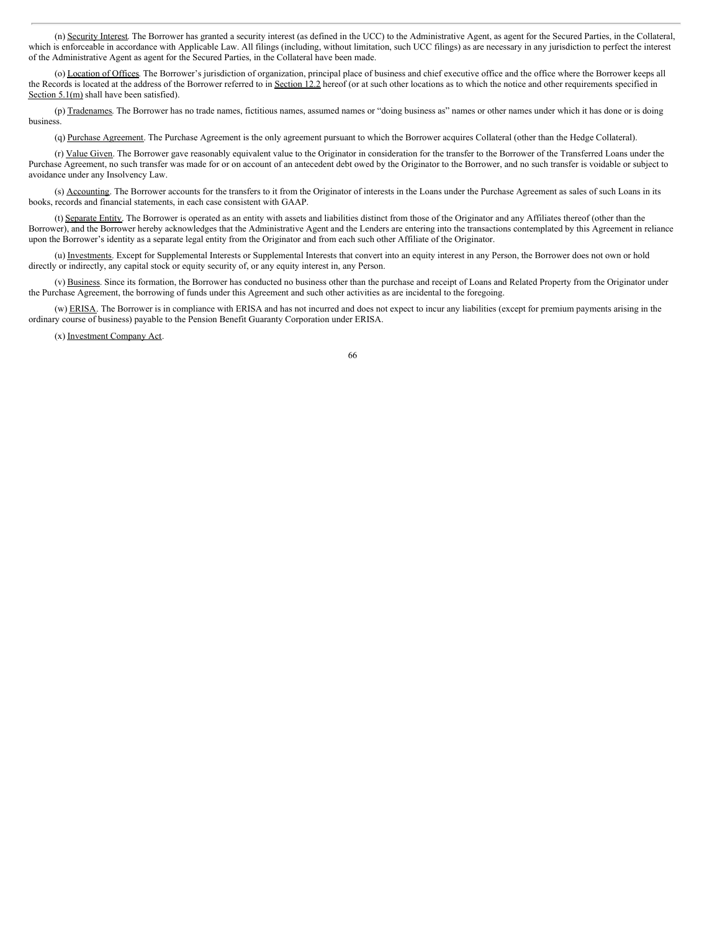(n) Security Interest. The Borrower has granted a security interest (as defined in the UCC) to the Administrative Agent, as agent for the Secured Parties, in the Collateral, which is enforceable in accordance with Applicable Law. All filings (including, without limitation, such UCC filings) as are necessary in any jurisdiction to perfect the interest of the Administrative Agent as agent for the Secured Parties, in the Collateral have been made.

(o) Location of Offices. The Borrower's jurisdiction of organization, principal place of business and chief executive office and the office where the Borrower keeps all the Records is located at the address of the Borrower referred to in Section 12.2 hereof (or at such other locations as to which the notice and other requirements specified in Section 5.1(m) shall have been satisfied).

(p) Tradenames. The Borrower has no trade names, fictitious names, assumed names or "doing business as" names or other names under which it has done or is doing business.

(q) Purchase Agreement. The Purchase Agreement is the only agreement pursuant to which the Borrower acquires Collateral (other than the Hedge Collateral).

(r) Value Given. The Borrower gave reasonably equivalent value to the Originator in consideration for the transfer to the Borrower of the Transferred Loans under the Purchase Agreement, no such transfer was made for or on account of an antecedent debt owed by the Originator to the Borrower, and no such transfer is voidable or subject to avoidance under any Insolvency Law.

(s) Accounting. The Borrower accounts for the transfers to it from the Originator of interests in the Loans under the Purchase Agreement as sales of such Loans in its books, records and financial statements, in each case consistent with GAAP.

(t) Separate Entity. The Borrower is operated as an entity with assets and liabilities distinct from those of the Originator and any Affiliates thereof (other than the Borrower), and the Borrower hereby acknowledges that the Administrative Agent and the Lenders are entering into the transactions contemplated by this Agreement in reliance upon the Borrower's identity as a separate legal entity from the Originator and from each such other Affiliate of the Originator.

(u) Investments. Except for Supplemental Interests or Supplemental Interests that convert into an equity interest in any Person, the Borrower does not own or hold directly or indirectly, any capital stock or equity security of, or any equity interest in, any Person.

(v) Business. Since its formation, the Borrower has conducted no business other than the purchase and receipt of Loans and Related Property from the Originator under the Purchase Agreement, the borrowing of funds under this Agreement and such other activities as are incidental to the foregoing.

(w) ERISA. The Borrower is in compliance with ERISA and has not incurred and does not expect to incur any liabilities (except for premium payments arising in the ordinary course of business) payable to the Pension Benefit Guaranty Corporation under ERISA.

(x) Investment Company Act.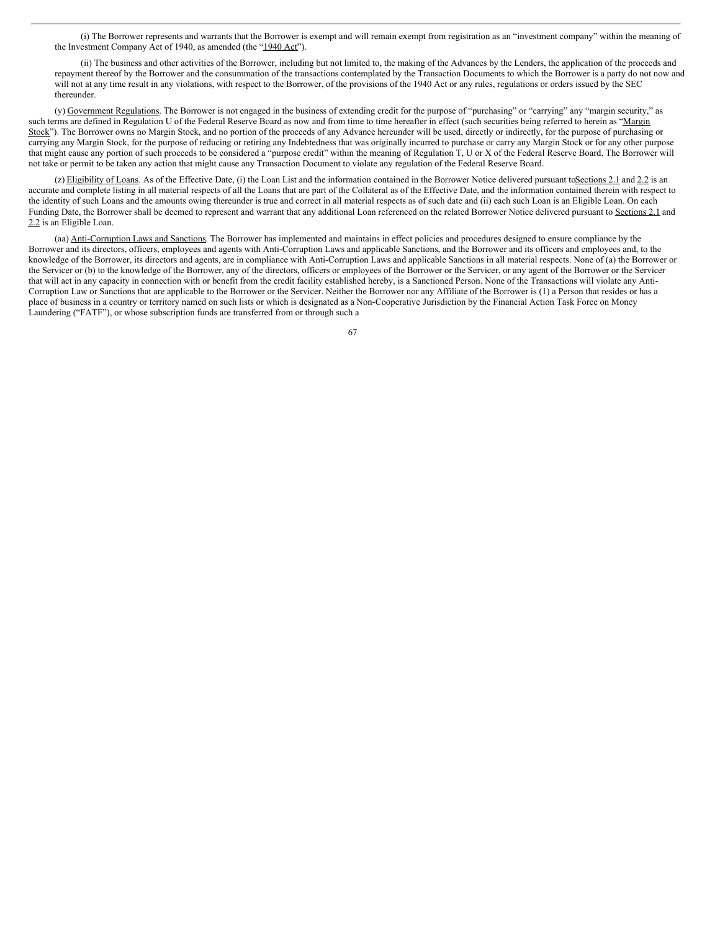(i) The Borrower represents and warrants that the Borrower is exempt and will remain exempt from registration as an "investment company" within the meaning of the Investment Company Act of 1940, as amended (the "1940 Act").

(ii) The business and other activities of the Borrower, including but not limited to, the making of the Advances by the Lenders, the application of the proceeds and repayment thereof by the Borrower and the consummation of the transactions contemplated by the Transaction Documents to which the Borrower is a party do not now and will not at any time result in any violations, with respect to the Borrower, of the provisions of the 1940 Act or any rules, regulations or orders issued by the SEC thereunder.

(y) Government Regulations. The Borrower is not engaged in the business of extending credit for the purpose of "purchasing" or "carrying" any "margin security," as such terms are defined in Regulation U of the Federal Reserve Board as now and from time to time hereafter in effect (such securities being referred to herein as "Margin Stock"). The Borrower owns no Margin Stock, and no portion of the proceeds of any Advance hereunder will be used, directly or indirectly, for the purpose of purchasing or carrying any Margin Stock, for the purpose of reducing or retiring any Indebtedness that was originally incurred to purchase or carry any Margin Stock or for any other purpose that might cause any portion of such proceeds to be considered a "purpose credit" within the meaning of Regulation T, U or X of the Federal Reserve Board. The Borrower will not take or permit to be taken any action that might cause any Transaction Document to violate any regulation of the Federal Reserve Board.

(z) Eligibility of Loans. As of the Effective Date, (i) the Loan List and the information contained in the Borrower Notice delivered pursuant to Sections 2.1 and 2.2 is an accurate and complete listing in all material respects of all the Loans that are part of the Collateral as of the Effective Date, and the information contained therein with respect to the identity of such Loans and the amounts owing thereunder is true and correct in all material respects as of such date and (ii) each such Loan is an Eligible Loan. On each Funding Date, the Borrower shall be deemed to represent and warrant that any additional Loan referenced on the related Borrower Notice delivered pursuant to Sections 2.1 and 2.2 is an Eligible Loan.

(aa) Anti-Corruption Laws and Sanctions. The Borrower has implemented and maintains in effect policies and procedures designed to ensure compliance by the Borrower and its directors, officers, employees and agents with Anti-Corruption Laws and applicable Sanctions, and the Borrower and its officers and employees and, to the knowledge of the Borrower, its directors and agents, are in compliance with Anti-Corruption Laws and applicable Sanctions in all material respects. None of (a) the Borrower or the Servicer or (b) to the knowledge of the Borrower, any of the directors, officers or employees of the Borrower or the Servicer, or any agent of the Borrower or the Servicer that will act in any capacity in connection with or benefit from the credit facility established hereby, is a Sanctioned Person. None of the Transactions will violate any Anti-Corruption Law or Sanctions that are applicable to the Borrower or the Servicer. Neither the Borrower nor any Affiliate of the Borrower is (1) a Person that resides or has a place of business in a country or territory named on such lists or which is designated as a Non-Cooperative Jurisdiction by the Financial Action Task Force on Money Laundering ("FATF"), or whose subscription funds are transferred from or through such a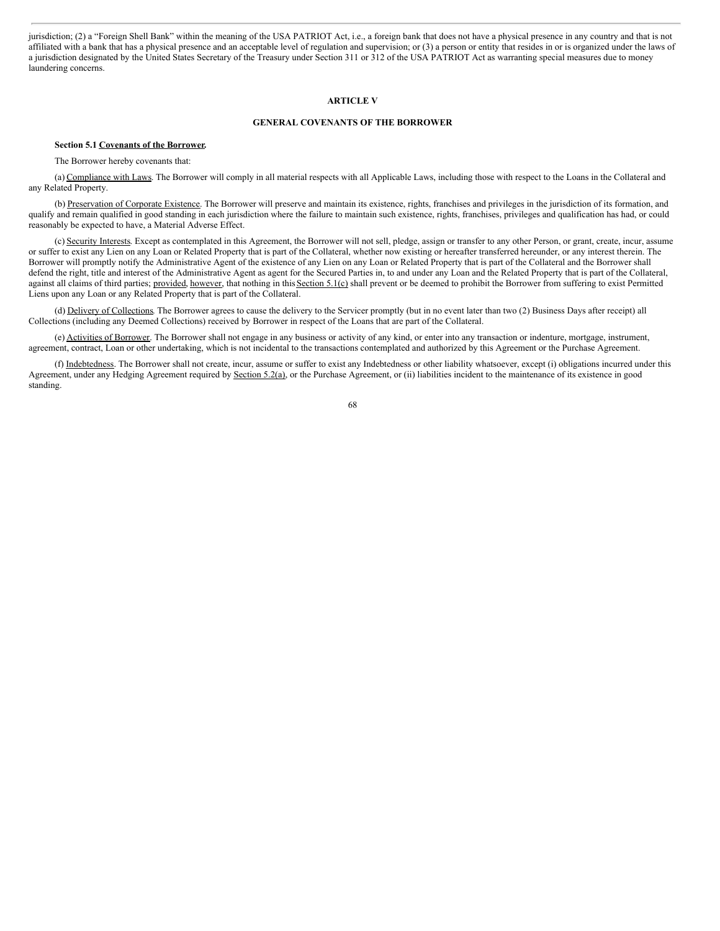jurisdiction; (2) a "Foreign Shell Bank" within the meaning of the USA PATRIOT Act, i.e., a foreign bank that does not have a physical presence in any country and that is not affiliated with a bank that has a physical presence and an acceptable level of regulation and supervision; or (3) a person or entity that resides in or is organized under the laws of a jurisdiction designated by the United States Secretary of the Treasury under Section 311 or 312 of the USA PATRIOT Act as warranting special measures due to money laundering concerns.

# **ARTICLE V**

## **GENERAL COVENANTS OF THE BORROWER**

### **Section 5.1 Covenants of the Borrower.**

The Borrower hereby covenants that:

(a) Compliance with Laws. The Borrower will comply in all material respects with all Applicable Laws, including those with respect to the Loans in the Collateral and any Related Property.

(b) Preservation of Corporate Existence. The Borrower will preserve and maintain its existence, rights, franchises and privileges in the jurisdiction of its formation, and qualify and remain qualified in good standing in each jurisdiction where the failure to maintain such existence, rights, franchises, privileges and qualification has had, or could reasonably be expected to have, a Material Adverse Effect.

(c) Security Interests. Except as contemplated in this Agreement, the Borrower will not sell, pledge, assign or transfer to any other Person, or grant, create, incur, assume or suffer to exist any Lien on any Loan or Related Property that is part of the Collateral, whether now existing or hereafter transferred hereunder, or any interest therein. The Borrower will promptly notify the Administrative Agent of the existence of any Lien on any Loan or Related Property that is part of the Collateral and the Borrower shall defend the right, title and interest of the Administrative Agent as agent for the Secured Parties in, to and under any Loan and the Related Property that is part of the Collateral, against all claims of third parties; provided, however, that nothing in this Section 5.1(c) shall prevent or be deemed to prohibit the Borrower from suffering to exist Permitted Liens upon any Loan or any Related Property that is part of the Collateral.

(d) Delivery of Collections. The Borrower agrees to cause the delivery to the Servicer promptly (but in no event later than two (2) Business Days after receipt) all Collections (including any Deemed Collections) received by Borrower in respect of the Loans that are part of the Collateral.

(e) Activities of Borrower. The Borrower shall not engage in any business or activity of any kind, or enter into any transaction or indenture, mortgage, instrument, agreement, contract, Loan or other undertaking, which is not incidental to the transactions contemplated and authorized by this Agreement or the Purchase Agreement.

(f) Indebtedness. The Borrower shall not create, incur, assume or suffer to exist any Indebtedness or other liability whatsoever, except (i) obligations incurred under this Agreement, under any Hedging Agreement required by Section 5.2(a), or the Purchase Agreement, or (ii) liabilities incident to the maintenance of its existence in good standing.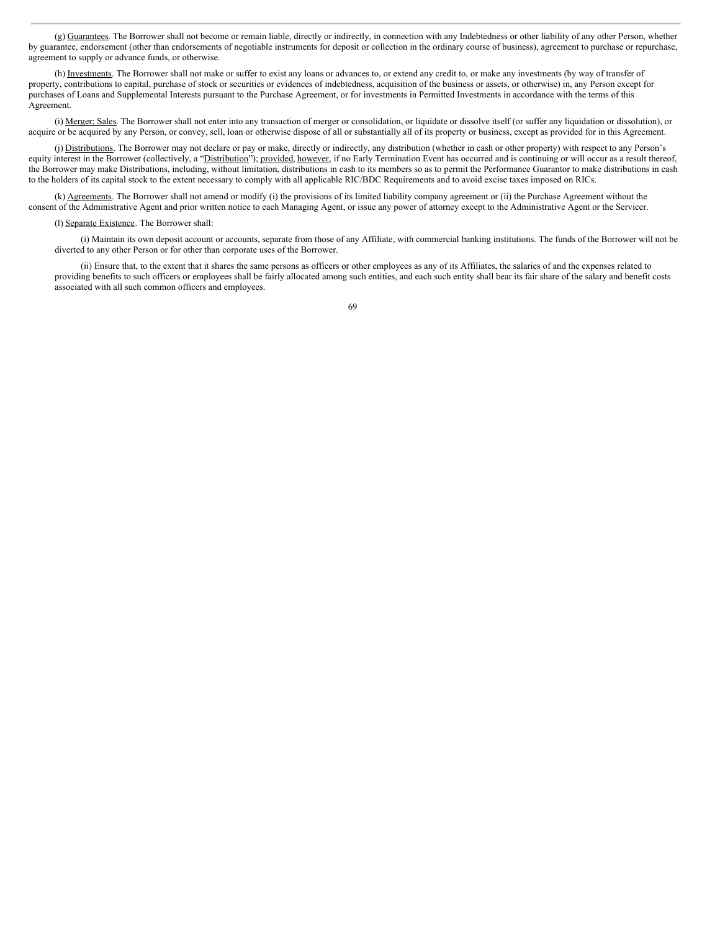(g) Guarantees. The Borrower shall not become or remain liable, directly or indirectly, in connection with any Indebtedness or other liability of any other Person, whether by guarantee, endorsement (other than endorsements of negotiable instruments for deposit or collection in the ordinary course of business), agreement to purchase or repurchase, agreement to supply or advance funds, or otherwise.

(h) Investments. The Borrower shall not make or suffer to exist any loans or advances to, or extend any credit to, or make any investments (by way of transfer of property, contributions to capital, purchase of stock or securities or evidences of indebtedness, acquisition of the business or assets, or otherwise) in, any Person except for purchases of Loans and Supplemental Interests pursuant to the Purchase Agreement, or for investments in Permitted Investments in accordance with the terms of this Agreement.

(i) Merger; Sales. The Borrower shall not enter into any transaction of merger or consolidation, or liquidate or dissolve itself (or suffer any liquidation or dissolution), or acquire or be acquired by any Person, or convey, sell, loan or otherwise dispose of all or substantially all of its property or business, except as provided for in this Agreement.

(j) Distributions. The Borrower may not declare or pay or make, directly or indirectly, any distribution (whether in cash or other property) with respect to any Person's equity interest in the Borrower (collectively, a "Distribution"); provided, however, if no Early Termination Event has occurred and is continuing or will occur as a result thereof, the Borrower may make Distributions, including, without limitation, distributions in cash to its members so as to permit the Performance Guarantor to make distributions in cash to the holders of its capital stock to the extent necessary to comply with all applicable RIC/BDC Requirements and to avoid excise taxes imposed on RICs.

(k) Agreements. The Borrower shall not amend or modify (i) the provisions of its limited liability company agreement or (ii) the Purchase Agreement without the consent of the Administrative Agent and prior written notice to each Managing Agent, or issue any power of attorney except to the Administrative Agent or the Servicer.

#### (l) Separate Existence. The Borrower shall:

(i) Maintain its own deposit account or accounts, separate from those of any Affiliate, with commercial banking institutions. The funds of the Borrower will not be diverted to any other Person or for other than corporate uses of the Borrower.

(ii) Ensure that, to the extent that it shares the same persons as officers or other employees as any of its Affiliates, the salaries of and the expenses related to providing benefits to such officers or employees shall be fairly allocated among such entities, and each such entity shall bear its fair share of the salary and benefit costs associated with all such common officers and employees.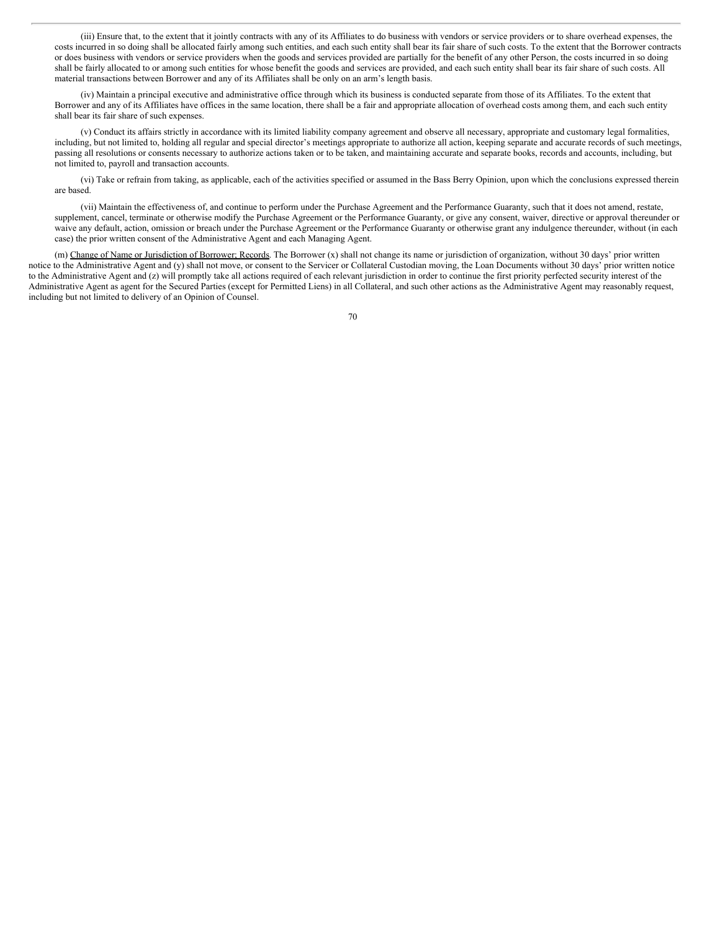(iii) Ensure that, to the extent that it jointly contracts with any of its Affiliates to do business with vendors or service providers or to share overhead expenses, the costs incurred in so doing shall be allocated fairly among such entities, and each such entity shall bear its fair share of such costs. To the extent that the Borrower contracts or does business with vendors or service providers when the goods and services provided are partially for the benefit of any other Person, the costs incurred in so doing shall be fairly allocated to or among such entities for whose benefit the goods and services are provided, and each such entity shall bear its fair share of such costs. All material transactions between Borrower and any of its Affiliates shall be only on an arm's length basis.

(iv) Maintain a principal executive and administrative office through which its business is conducted separate from those of its Affiliates. To the extent that Borrower and any of its Affiliates have offices in the same location, there shall be a fair and appropriate allocation of overhead costs among them, and each such entity shall bear its fair share of such expenses.

(v) Conduct its affairs strictly in accordance with its limited liability company agreement and observe all necessary, appropriate and customary legal formalities, including, but not limited to, holding all regular and special director's meetings appropriate to authorize all action, keeping separate and accurate records of such meetings, passing all resolutions or consents necessary to authorize actions taken or to be taken, and maintaining accurate and separate books, records and accounts, including, but not limited to, payroll and transaction accounts.

(vi) Take or refrain from taking, as applicable, each of the activities specified or assumed in the Bass Berry Opinion, upon which the conclusions expressed therein are based.

(vii) Maintain the effectiveness of, and continue to perform under the Purchase Agreement and the Performance Guaranty, such that it does not amend, restate, supplement, cancel, terminate or otherwise modify the Purchase Agreement or the Performance Guaranty, or give any consent, waiver, directive or approval thereunder or waive any default, action, omission or breach under the Purchase Agreement or the Performance Guaranty or otherwise grant any indulgence thereunder, without (in each case) the prior written consent of the Administrative Agent and each Managing Agent.

(m) Change of Name or Jurisdiction of Borrower; Records. The Borrower (x) shall not change its name or jurisdiction of organization, without 30 days' prior written notice to the Administrative Agent and (y) shall not move, or consent to the Servicer or Collateral Custodian moving, the Loan Documents without 30 days' prior written notice to the Administrative Agent and (z) will promptly take all actions required of each relevant jurisdiction in order to continue the first priority perfected security interest of the Administrative Agent as agent for the Secured Parties (except for Permitted Liens) in all Collateral, and such other actions as the Administrative Agent may reasonably request, including but not limited to delivery of an Opinion of Counsel.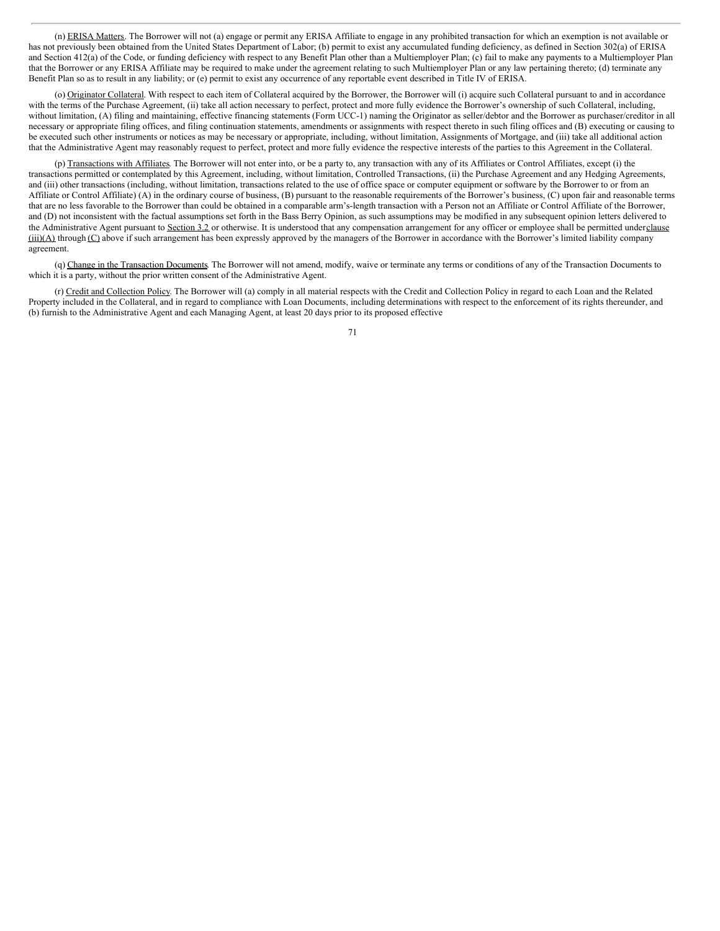(n) ERISA Matters. The Borrower will not (a) engage or permit any ERISA Affiliate to engage in any prohibited transaction for which an exemption is not available or has not previously been obtained from the United States Department of Labor; (b) permit to exist any accumulated funding deficiency, as defined in Section 302(a) of ERISA and Section 412(a) of the Code, or funding deficiency with respect to any Benefit Plan other than a Multiemployer Plan; (c) fail to make any payments to a Multiemployer Plan that the Borrower or any ERISA Affiliate may be required to make under the agreement relating to such Multiemployer Plan or any law pertaining thereto; (d) terminate any Benefit Plan so as to result in any liability; or (e) permit to exist any occurrence of any reportable event described in Title IV of ERISA.

(o) Originator Collateral. With respect to each item of Collateral acquired by the Borrower, the Borrower will (i) acquire such Collateral pursuant to and in accordance with the terms of the Purchase Agreement, (ii) take all action necessary to perfect, protect and more fully evidence the Borrower's ownership of such Collateral, including, without limitation, (A) filing and maintaining, effective financing statements (Form UCC-1) naming the Originator as seller/debtor and the Borrower as purchaser/creditor in all necessary or appropriate filing offices, and filing continuation statements, amendments or assignments with respect thereto in such filing offices and (B) executing or causing to be executed such other instruments or notices as may be necessary or appropriate, including, without limitation, Assignments of Mortgage, and (iii) take all additional action that the Administrative Agent may reasonably request to perfect, protect and more fully evidence the respective interests of the parties to this Agreement in the Collateral.

(p) Transactions with Affiliates. The Borrower will not enter into, or be a party to, any transaction with any of its Affiliates or Control Affiliates, except (i) the transactions permitted or contemplated by this Agreement, including, without limitation, Controlled Transactions, (ii) the Purchase Agreement and any Hedging Agreements, and (iii) other transactions (including, without limitation, transactions related to the use of office space or computer equipment or software by the Borrower to or from an Affiliate or Control Affiliate) (A) in the ordinary course of business, (B) pursuant to the reasonable requirements of the Borrower's business, (C) upon fair and reasonable terms that are no less favorable to the Borrower than could be obtained in a comparable arm's-length transaction with a Person not an Affiliate or Control Affiliate of the Borrower, and (D) not inconsistent with the factual assumptions set forth in the Bass Berry Opinion, as such assumptions may be modified in any subsequent opinion letters delivered to the Administrative Agent pursuant to Section 3.2 or otherwise. It is understood that any compensation arrangement for any officer or employee shall be permitted underclause  $(iii)(A)$  through  $(C)$  above if such arrangement has been expressly approved by the managers of the Borrower in accordance with the Borrower's limited liability company agreement.

(q) Change in the Transaction Documents. The Borrower will not amend, modify, waive or terminate any terms or conditions of any of the Transaction Documents to which it is a party, without the prior written consent of the Administrative Agent.

(r) Credit and Collection Policy. The Borrower will (a) comply in all material respects with the Credit and Collection Policy in regard to each Loan and the Related Property included in the Collateral, and in regard to compliance with Loan Documents, including determinations with respect to the enforcement of its rights thereunder, and (b) furnish to the Administrative Agent and each Managing Agent, at least 20 days prior to its proposed effective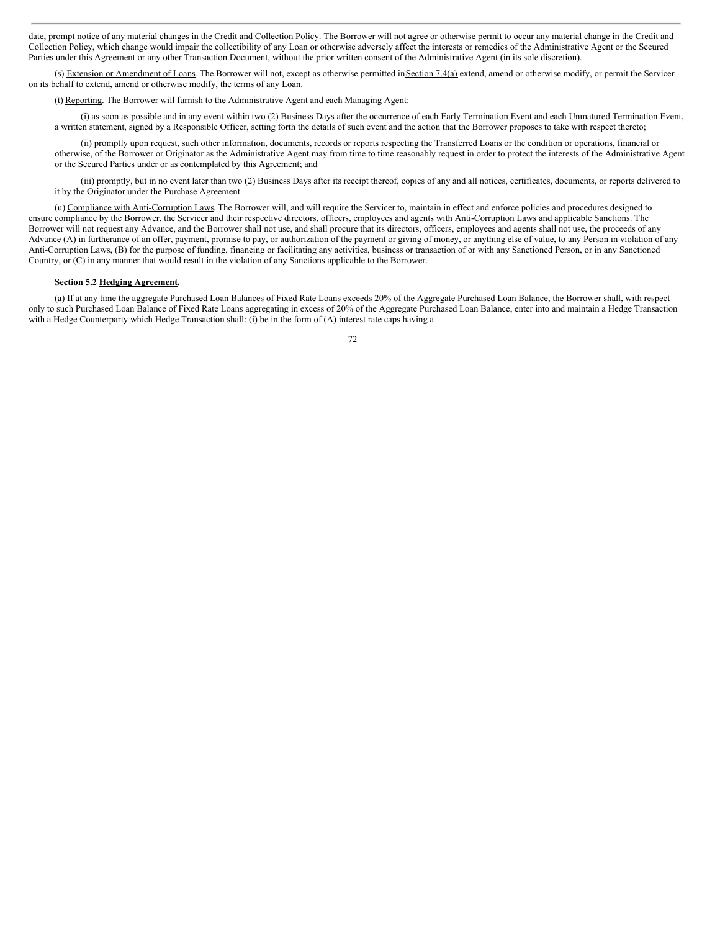date, prompt notice of any material changes in the Credit and Collection Policy. The Borrower will not agree or otherwise permit to occur any material change in the Credit and Collection Policy, which change would impair the collectibility of any Loan or otherwise adversely affect the interests or remedies of the Administrative Agent or the Secured Parties under this Agreement or any other Transaction Document, without the prior written consent of the Administrative Agent (in its sole discretion).

(s) Extension or Amendment of Loans. The Borrower will not, except as otherwise permitted in Section 7.4(a) extend, amend or otherwise modify, or permit the Servicer on its behalf to extend, amend or otherwise modify, the terms of any Loan.

(t) Reporting. The Borrower will furnish to the Administrative Agent and each Managing Agent:

(i) as soon as possible and in any event within two (2) Business Days after the occurrence of each Early Termination Event and each Unmatured Termination Event, a written statement, signed by a Responsible Officer, setting forth the details of such event and the action that the Borrower proposes to take with respect thereto;

(ii) promptly upon request, such other information, documents, records or reports respecting the Transferred Loans or the condition or operations, financial or otherwise, of the Borrower or Originator as the Administrative Agent may from time to time reasonably request in order to protect the interests of the Administrative Agent or the Secured Parties under or as contemplated by this Agreement; and

(iii) promptly, but in no event later than two (2) Business Days after its receipt thereof, copies of any and all notices, certificates, documents, or reports delivered to it by the Originator under the Purchase Agreement.

(u) Compliance with Anti-Corruption Laws. The Borrower will, and will require the Servicer to, maintain in effect and enforce policies and procedures designed to ensure compliance by the Borrower, the Servicer and their respective directors, officers, employees and agents with Anti-Corruption Laws and applicable Sanctions. The Borrower will not request any Advance, and the Borrower shall not use, and shall procure that its directors, officers, employees and agents shall not use, the proceeds of any Advance (A) in furtherance of an offer, payment, promise to pay, or authorization of the payment or giving of money, or anything else of value, to any Person in violation of any Anti-Corruption Laws, (B) for the purpose of funding, financing or facilitating any activities, business or transaction of or with any Sanctioned Person, or in any Sanctioned Country, or (C) in any manner that would result in the violation of any Sanctions applicable to the Borrower.

# **Section 5.2 Hedging Agreement.**

(a) If at any time the aggregate Purchased Loan Balances of Fixed Rate Loans exceeds 20% of the Aggregate Purchased Loan Balance, the Borrower shall, with respect only to such Purchased Loan Balance of Fixed Rate Loans aggregating in excess of 20% of the Aggregate Purchased Loan Balance, enter into and maintain a Hedge Transaction with a Hedge Counterparty which Hedge Transaction shall: (i) be in the form of (A) interest rate caps having a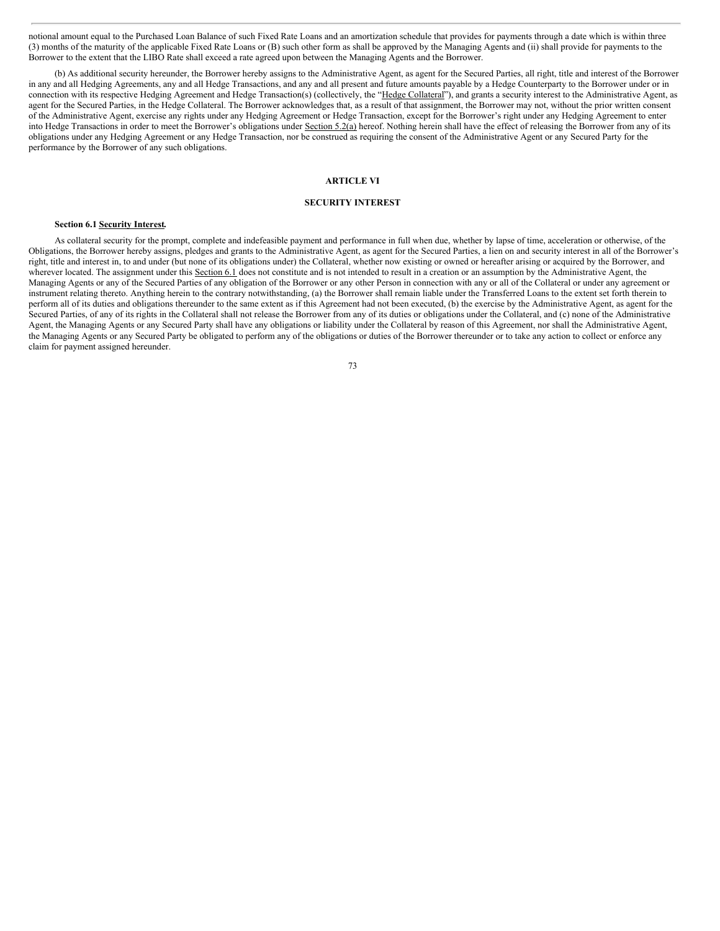notional amount equal to the Purchased Loan Balance of such Fixed Rate Loans and an amortization schedule that provides for payments through a date which is within three (3) months of the maturity of the applicable Fixed Rate Loans or (B) such other form as shall be approved by the Managing Agents and (ii) shall provide for payments to the Borrower to the extent that the LIBO Rate shall exceed a rate agreed upon between the Managing Agents and the Borrower.

(b) As additional security hereunder, the Borrower hereby assigns to the Administrative Agent, as agent for the Secured Parties, all right, title and interest of the Borrower in any and all Hedging Agreements, any and all Hedge Transactions, and any and all present and future amounts payable by a Hedge Counterparty to the Borrower under or in connection with its respective Hedging Agreement and Hedge Transaction(s) (collectively, the "Hedge Collateral"), and grants a security interest to the Administrative Agent, as agent for the Secured Parties, in the Hedge Collateral. The Borrower acknowledges that, as a result of that assignment, the Borrower may not, without the prior written consent of the Administrative Agent, exercise any rights under any Hedging Agreement or Hedge Transaction, except for the Borrower's right under any Hedging Agreement to enter into Hedge Transactions in order to meet the Borrower's obligations under Section 5.2(a) hereof. Nothing herein shall have the effect of releasing the Borrower from any of its obligations under any Hedging Agreement or any Hedge Transaction, nor be construed as requiring the consent of the Administrative Agent or any Secured Party for the performance by the Borrower of any such obligations.

# **ARTICLE VI**

## **SECURITY INTEREST**

## **Section 6.1 Security Interest.**

As collateral security for the prompt, complete and indefeasible payment and performance in full when due, whether by lapse of time, acceleration or otherwise, of the Obligations, the Borrower hereby assigns, pledges and grants to the Administrative Agent, as agent for the Secured Parties, a lien on and security interest in all of the Borrower's right, title and interest in, to and under (but none of its obligations under) the Collateral, whether now existing or owned or hereafter arising or acquired by the Borrower, and wherever located. The assignment under this Section 6.1 does not constitute and is not intended to result in a creation or an assumption by the Administrative Agent, the Managing Agents or any of the Secured Parties of any obligation of the Borrower or any other Person in connection with any or all of the Collateral or under any agreement or instrument relating thereto. Anything herein to the contrary notwithstanding, (a) the Borrower shall remain liable under the Transferred Loans to the extent set forth therein to perform all of its duties and obligations thereunder to the same extent as if this Agreement had not been executed, (b) the exercise by the Administrative Agent, as agent for the Secured Parties, of any of its rights in the Collateral shall not release the Borrower from any of its duties or obligations under the Collateral, and (c) none of the Administrative Agent, the Managing Agents or any Secured Party shall have any obligations or liability under the Collateral by reason of this Agreement, nor shall the Administrative Agent, the Managing Agents or any Secured Party be obligated to perform any of the obligations or duties of the Borrower thereunder or to take any action to collect or enforce any claim for payment assigned hereunder.

<sup>73</sup>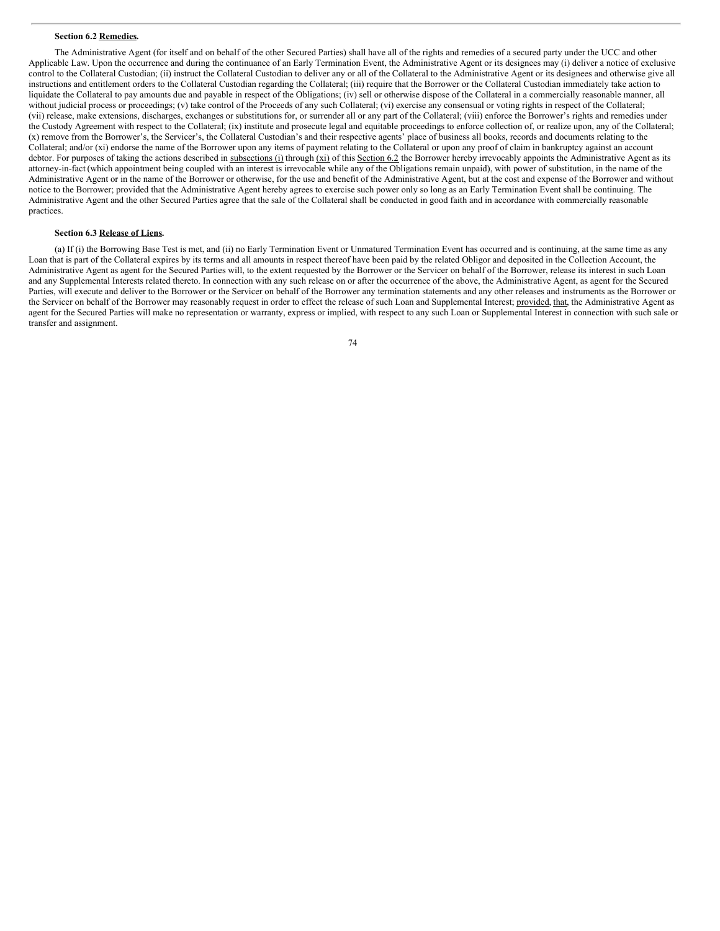### **Section 6.2 Remedies.**

The Administrative Agent (for itself and on behalf of the other Secured Parties) shall have all of the rights and remedies of a secured party under the UCC and other Applicable Law. Upon the occurrence and during the continuance of an Early Termination Event, the Administrative Agent or its designees may (i) deliver a notice of exclusive control to the Collateral Custodian; (ii) instruct the Collateral Custodian to deliver any or all of the Collateral to the Administrative Agent or its designees and otherwise give all instructions and entitlement orders to the Collateral Custodian regarding the Collateral; (iii) require that the Borrower or the Collateral Custodian immediately take action to liquidate the Collateral to pay amounts due and payable in respect of the Obligations; (iv) sell or otherwise dispose of the Collateral in a commercially reasonable manner, all without judicial process or proceedings; (v) take control of the Proceeds of any such Collateral; (vi) exercise any consensual or voting rights in respect of the Collateral; (vii) release, make extensions, discharges, exchanges or substitutions for, or surrender all or any part of the Collateral; (viii) enforce the Borrower's rights and remedies under the Custody Agreement with respect to the Collateral; (ix) institute and prosecute legal and equitable proceedings to enforce collection of, or realize upon, any of the Collateral; (x) remove from the Borrower's, the Servicer's, the Collateral Custodian's and their respective agents' place of business all books, records and documents relating to the Collateral; and/or (xi) endorse the name of the Borrower upon any items of payment relating to the Collateral or upon any proof of claim in bankruptcy against an account debtor. For purposes of taking the actions described in subsections (i) through  $(xi)$  of this Section 6.2 the Borrower hereby irrevocably appoints the Administrative Agent as its attorney-in-fact (which appointment being coupled with an interest is irrevocable while any of the Obligations remain unpaid), with power of substitution, in the name of the Administrative Agent or in the name of the Borrower or otherwise, for the use and benefit of the Administrative Agent, but at the cost and expense of the Borrower and without notice to the Borrower; provided that the Administrative Agent hereby agrees to exercise such power only so long as an Early Termination Event shall be continuing. The Administrative Agent and the other Secured Parties agree that the sale of the Collateral shall be conducted in good faith and in accordance with commercially reasonable practices.

# **Section 6.3 Release of Liens.**

(a) If (i) the Borrowing Base Test is met, and (ii) no Early Termination Event or Unmatured Termination Event has occurred and is continuing, at the same time as any Loan that is part of the Collateral expires by its terms and all amounts in respect thereof have been paid by the related Obligor and deposited in the Collection Account, the Administrative Agent as agent for the Secured Parties will, to the extent requested by the Borrower or the Servicer on behalf of the Borrower, release its interest in such Loan and any Supplemental Interests related thereto. In connection with any such release on or after the occurrence of the above, the Administrative Agent, as agent for the Secured Parties, will execute and deliver to the Borrower or the Servicer on behalf of the Borrower any termination statements and any other releases and instruments as the Borrower or the Servicer on behalf of the Borrower may reasonably request in order to effect the release of such Loan and Supplemental Interest; provided, that, the Administrative Agent as agent for the Secured Parties will make no representation or warranty, express or implied, with respect to any such Loan or Supplemental Interest in connection with such sale or transfer and assignment.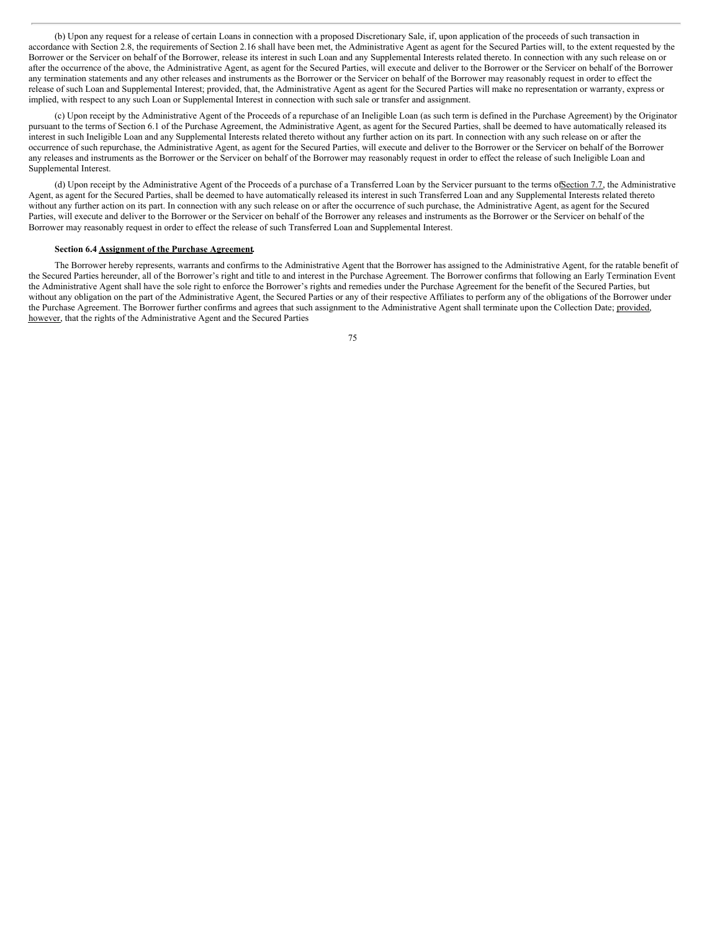(b) Upon any request for a release of certain Loans in connection with a proposed Discretionary Sale, if, upon application of the proceeds of such transaction in accordance with Section 2.8, the requirements of Section 2.16 shall have been met, the Administrative Agent as agent for the Secured Parties will, to the extent requested by the Borrower or the Servicer on behalf of the Borrower, release its interest in such Loan and any Supplemental Interests related thereto. In connection with any such release on or after the occurrence of the above, the Administrative Agent, as agent for the Secured Parties, will execute and deliver to the Borrower or the Servicer on behalf of the Borrower any termination statements and any other releases and instruments as the Borrower or the Servicer on behalf of the Borrower may reasonably request in order to effect the release of such Loan and Supplemental Interest; provided, that, the Administrative Agent as agent for the Secured Parties will make no representation or warranty, express or implied, with respect to any such Loan or Supplemental Interest in connection with such sale or transfer and assignment.

(c) Upon receipt by the Administrative Agent of the Proceeds of a repurchase of an Ineligible Loan (as such term is defined in the Purchase Agreement) by the Originator pursuant to the terms of Section 6.1 of the Purchase Agreement, the Administrative Agent, as agent for the Secured Parties, shall be deemed to have automatically released its interest in such Ineligible Loan and any Supplemental Interests related thereto without any further action on its part. In connection with any such release on or after the occurrence of such repurchase, the Administrative Agent, as agent for the Secured Parties, will execute and deliver to the Borrower or the Servicer on behalf of the Borrower any releases and instruments as the Borrower or the Servicer on behalf of the Borrower may reasonably request in order to effect the release of such Ineligible Loan and Supplemental Interest.

(d) Upon receipt by the Administrative Agent of the Proceeds of a purchase of a Transferred Loan by the Servicer pursuant to the terms ofSection 7.7, the Administrative Agent, as agent for the Secured Parties, shall be deemed to have automatically released its interest in such Transferred Loan and any Supplemental Interests related thereto without any further action on its part. In connection with any such release on or after the occurrence of such purchase, the Administrative Agent, as agent for the Secured Parties, will execute and deliver to the Borrower or the Servicer on behalf of the Borrower any releases and instruments as the Borrower or the Servicer on behalf of the Borrower may reasonably request in order to effect the release of such Transferred Loan and Supplemental Interest.

#### **Section 6.4 Assignment of the Purchase Agreement.**

The Borrower hereby represents, warrants and confirms to the Administrative Agent that the Borrower has assigned to the Administrative Agent, for the ratable benefit of the Secured Parties hereunder, all of the Borrower's right and title to and interest in the Purchase Agreement. The Borrower confirms that following an Early Termination Event the Administrative Agent shall have the sole right to enforce the Borrower's rights and remedies under the Purchase Agreement for the benefit of the Secured Parties, but without any obligation on the part of the Administrative Agent, the Secured Parties or any of their respective Affiliates to perform any of the obligations of the Borrower under the Purchase Agreement. The Borrower further confirms and agrees that such assignment to the Administrative Agent shall terminate upon the Collection Date; provided, however, that the rights of the Administrative Agent and the Secured Parties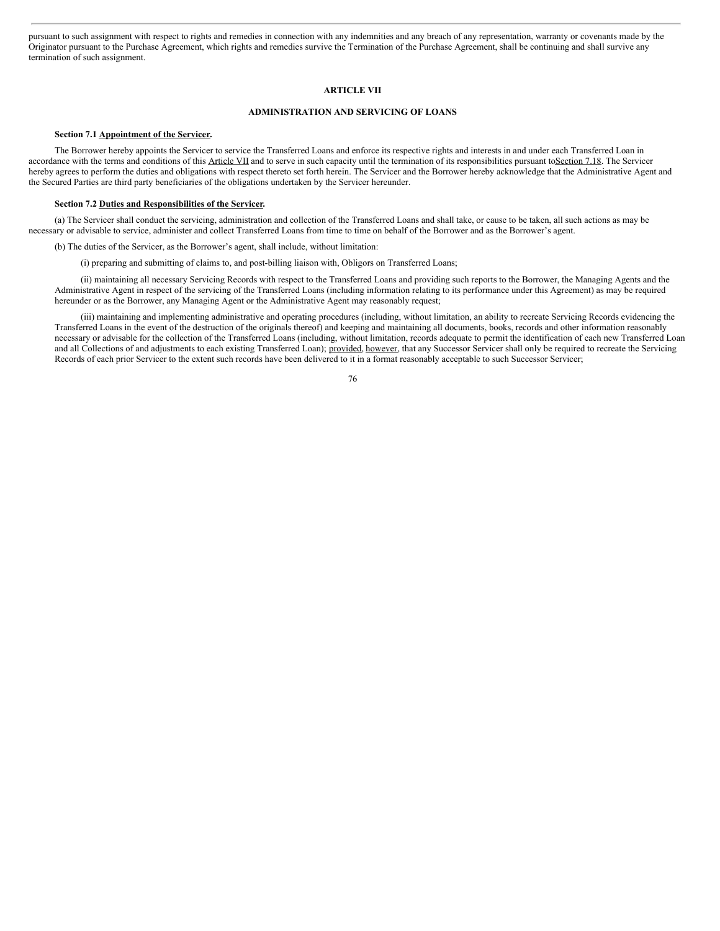pursuant to such assignment with respect to rights and remedies in connection with any indemnities and any breach of any representation, warranty or covenants made by the Originator pursuant to the Purchase Agreement, which rights and remedies survive the Termination of the Purchase Agreement, shall be continuing and shall survive any termination of such assignment.

# **ARTICLE VII**

# **ADMINISTRATION AND SERVICING OF LOANS**

# **Section 7.1 Appointment of the Servicer.**

The Borrower hereby appoints the Servicer to service the Transferred Loans and enforce its respective rights and interests in and under each Transferred Loan in accordance with the terms and conditions of this Article VII and to serve in such capacity until the termination of its responsibilities pursuant toSection 7.18. The Servicer hereby agrees to perform the duties and obligations with respect thereto set forth herein. The Servicer and the Borrower hereby acknowledge that the Administrative Agent and the Secured Parties are third party beneficiaries of the obligations undertaken by the Servicer hereunder.

### **Section 7.2 Duties and Responsibilities of the Servicer.**

(a) The Servicer shall conduct the servicing, administration and collection of the Transferred Loans and shall take, or cause to be taken, all such actions as may be necessary or advisable to service, administer and collect Transferred Loans from time to time on behalf of the Borrower and as the Borrower's agent.

(b) The duties of the Servicer, as the Borrower's agent, shall include, without limitation:

(i) preparing and submitting of claims to, and post-billing liaison with, Obligors on Transferred Loans;

(ii) maintaining all necessary Servicing Records with respect to the Transferred Loans and providing such reports to the Borrower, the Managing Agents and the Administrative Agent in respect of the servicing of the Transferred Loans (including information relating to its performance under this Agreement) as may be required hereunder or as the Borrower, any Managing Agent or the Administrative Agent may reasonably request;

(iii) maintaining and implementing administrative and operating procedures (including, without limitation, an ability to recreate Servicing Records evidencing the Transferred Loans in the event of the destruction of the originals thereof) and keeping and maintaining all documents, books, records and other information reasonably necessary or advisable for the collection of the Transferred Loans (including, without limitation, records adequate to permit the identification of each new Transferred Loan and all Collections of and adjustments to each existing Transferred Loan); provided, however, that any Successor Servicer shall only be required to recreate the Servicing Records of each prior Servicer to the extent such records have been delivered to it in a format reasonably acceptable to such Successor Servicer;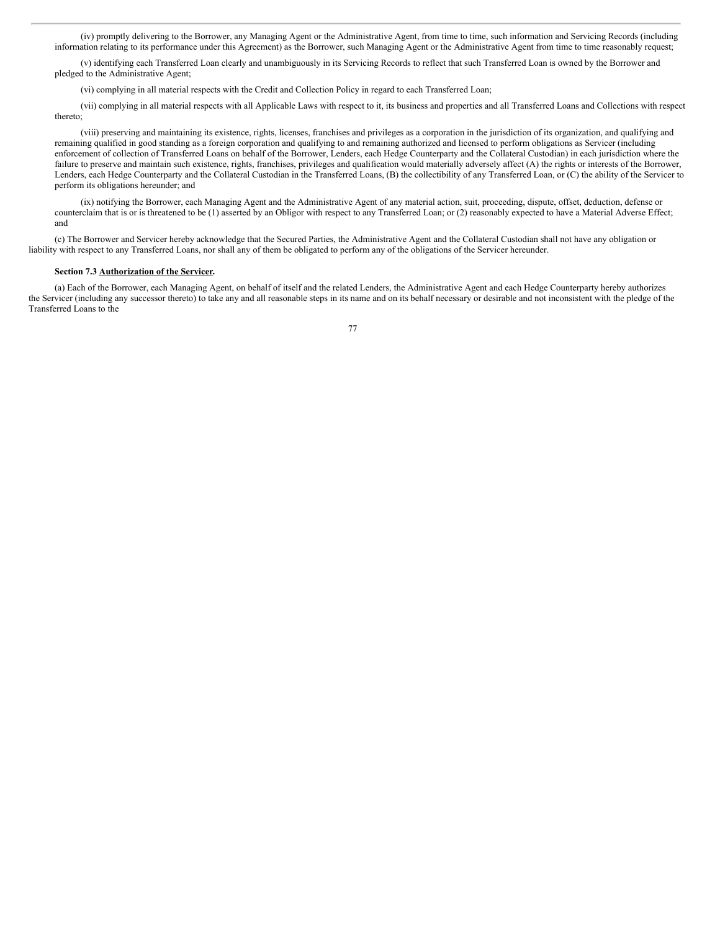(iv) promptly delivering to the Borrower, any Managing Agent or the Administrative Agent, from time to time, such information and Servicing Records (including information relating to its performance under this Agreement) as the Borrower, such Managing Agent or the Administrative Agent from time to time reasonably request;

(v) identifying each Transferred Loan clearly and unambiguously in its Servicing Records to reflect that such Transferred Loan is owned by the Borrower and pledged to the Administrative Agent;

(vi) complying in all material respects with the Credit and Collection Policy in regard to each Transferred Loan;

(vii) complying in all material respects with all Applicable Laws with respect to it, its business and properties and all Transferred Loans and Collections with respect thereto;

(viii) preserving and maintaining its existence, rights, licenses, franchises and privileges as a corporation in the jurisdiction of its organization, and qualifying and remaining qualified in good standing as a foreign corporation and qualifying to and remaining authorized and licensed to perform obligations as Servicer (including enforcement of collection of Transferred Loans on behalf of the Borrower, Lenders, each Hedge Counterparty and the Collateral Custodian) in each jurisdiction where the failure to preserve and maintain such existence, rights, franchises, privileges and qualification would materially adversely affect (A) the rights or interests of the Borrower, Lenders, each Hedge Counterparty and the Collateral Custodian in the Transferred Loans, (B) the collectibility of any Transferred Loan, or (C) the ability of the Servicer to perform its obligations hereunder; and

(ix) notifying the Borrower, each Managing Agent and the Administrative Agent of any material action, suit, proceeding, dispute, offset, deduction, defense or counterclaim that is or is threatened to be (1) asserted by an Obligor with respect to any Transferred Loan; or (2) reasonably expected to have a Material Adverse Effect; and

(c) The Borrower and Servicer hereby acknowledge that the Secured Parties, the Administrative Agent and the Collateral Custodian shall not have any obligation or liability with respect to any Transferred Loans, nor shall any of them be obligated to perform any of the obligations of the Servicer hereunder.

## **Section 7.3 Authorization of the Servicer.**

(a) Each of the Borrower, each Managing Agent, on behalf of itself and the related Lenders, the Administrative Agent and each Hedge Counterparty hereby authorizes the Servicer (including any successor thereto) to take any and all reasonable steps in its name and on its behalf necessary or desirable and not inconsistent with the pledge of the Transferred Loans to the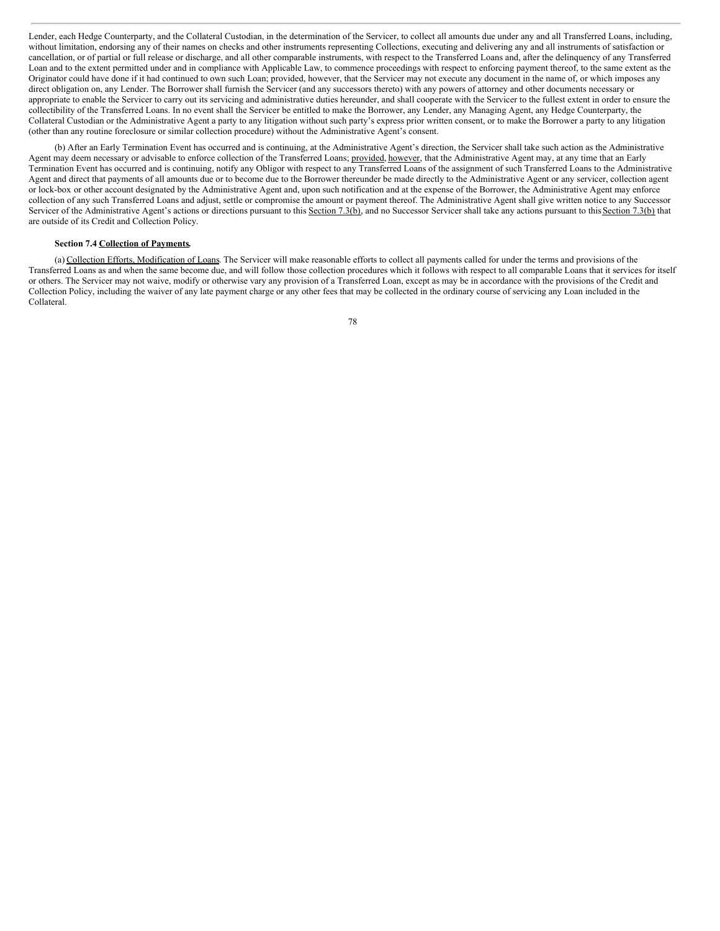Lender, each Hedge Counterparty, and the Collateral Custodian, in the determination of the Servicer, to collect all amounts due under any and all Transferred Loans, including, without limitation, endorsing any of their names on checks and other instruments representing Collections, executing and delivering any and all instruments of satisfaction or cancellation, or of partial or full release or discharge, and all other comparable instruments, with respect to the Transferred Loans and, after the delinquency of any Transferred Loan and to the extent permitted under and in compliance with Applicable Law, to commence proceedings with respect to enforcing payment thereof, to the same extent as the Originator could have done if it had continued to own such Loan; provided, however, that the Servicer may not execute any document in the name of, or which imposes any direct obligation on, any Lender. The Borrower shall furnish the Servicer (and any successors thereto) with any powers of attorney and other documents necessary or appropriate to enable the Servicer to carry out its servicing and administrative duties hereunder, and shall cooperate with the Servicer to the fullest extent in order to ensure the collectibility of the Transferred Loans. In no event shall the Servicer be entitled to make the Borrower, any Lender, any Managing Agent, any Hedge Counterparty, the Collateral Custodian or the Administrative Agent a party to any litigation without such party's express prior written consent, or to make the Borrower a party to any litigation (other than any routine foreclosure or similar collection procedure) without the Administrative Agent's consent.

(b) After an Early Termination Event has occurred and is continuing, at the Administrative Agent's direction, the Servicer shall take such action as the Administrative Agent may deem necessary or advisable to enforce collection of the Transferred Loans; provided, however, that the Administrative Agent may, at any time that an Early Termination Event has occurred and is continuing, notify any Obligor with respect to any Transferred Loans of the assignment of such Transferred Loans to the Administrative Agent and direct that payments of all amounts due or to become due to the Borrower thereunder be made directly to the Administrative Agent or any servicer, collection agent or lock-box or other account designated by the Administrative Agent and, upon such notification and at the expense of the Borrower, the Administrative Agent may enforce collection of any such Transferred Loans and adjust, settle or compromise the amount or payment thereof. The Administrative Agent shall give written notice to any Successor Servicer of the Administrative Agent's actions or directions pursuant to this Section 7.3(b), and no Successor Servicer shall take any actions pursuant to this Section 7.3(b) that are outside of its Credit and Collection Policy.

# **Section 7.4 Collection of Payments.**

(a) Collection Efforts, Modification of Loans. The Servicer will make reasonable efforts to collect all payments called for under the terms and provisions of the Transferred Loans as and when the same become due, and will follow those collection procedures which it follows with respect to all comparable Loans that it services for itself or others. The Servicer may not waive, modify or otherwise vary any provision of a Transferred Loan, except as may be in accordance with the provisions of the Credit and Collection Policy, including the waiver of any late payment charge or any other fees that may be collected in the ordinary course of servicing any Loan included in the Collateral.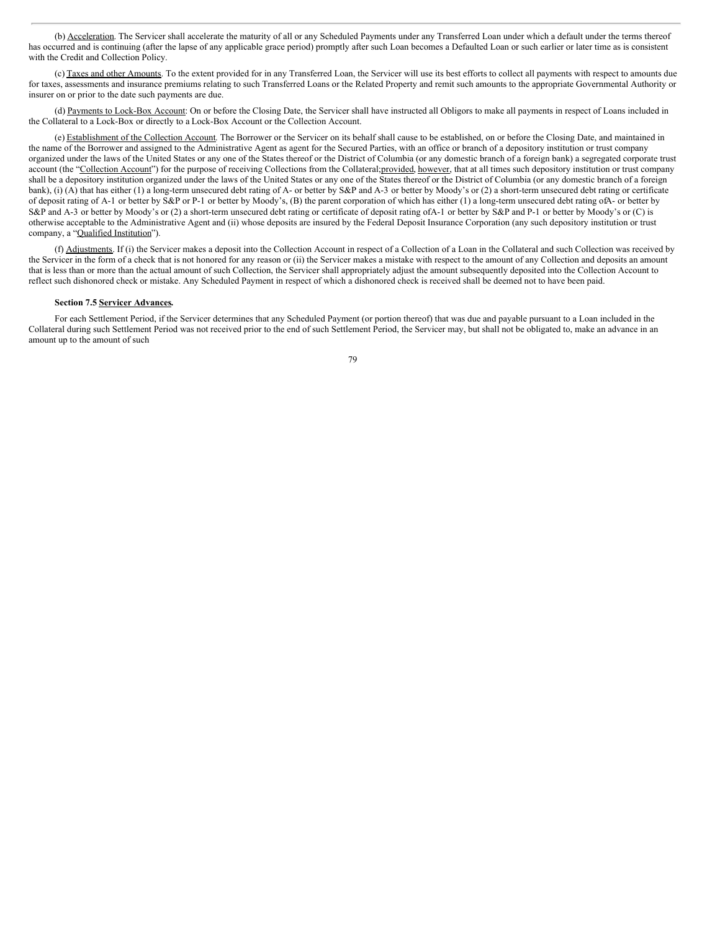(b) Acceleration. The Servicer shall accelerate the maturity of all or any Scheduled Payments under any Transferred Loan under which a default under the terms thereof has occurred and is continuing (after the lapse of any applicable grace period) promptly after such Loan becomes a Defaulted Loan or such earlier or later time as is consistent with the Credit and Collection Policy.

(c) Taxes and other Amounts. To the extent provided for in any Transferred Loan, the Servicer will use its best efforts to collect all payments with respect to amounts due for taxes, assessments and insurance premiums relating to such Transferred Loans or the Related Property and remit such amounts to the appropriate Governmental Authority or insurer on or prior to the date such payments are due.

(d) Payments to Lock-Box Account: On or before the Closing Date, the Servicer shall have instructed all Obligors to make all payments in respect of Loans included in the Collateral to a Lock-Box or directly to a Lock-Box Account or the Collection Account.

(e) Establishment of the Collection Account. The Borrower or the Servicer on its behalf shall cause to be established, on or before the Closing Date, and maintained in the name of the Borrower and assigned to the Administrative Agent as agent for the Secured Parties, with an office or branch of a depository institution or trust company organized under the laws of the United States or any one of the States thereof or the District of Columbia (or any domestic branch of a foreign bank) a segregated corporate trust account (the "Collection Account") for the purpose of receiving Collections from the Collateral;provided, however, that at all times such depository institution or trust company shall be a depository institution organized under the laws of the United States or any one of the States thereof or the District of Columbia (or any domestic branch of a foreign bank), (i) (A) that has either (1) a long-term unsecured debt rating of A- or better by S&P and A-3 or better by Moody's or (2) a short-term unsecured debt rating or certificate of deposit rating of A-1 or better by S&P or P-1 or better by Moody's, (B) the parent corporation of which has either (1) a long-term unsecured debt rating ofA- or better by S&P and A-3 or better by Moody's or (2) a short-term unsecured debt rating or certificate of deposit rating ofA-1 or better by S&P and P-1 or better by Moody's or (C) is otherwise acceptable to the Administrative Agent and (ii) whose deposits are insured by the Federal Deposit Insurance Corporation (any such depository institution or trust company, a "Qualified Institution").

(f) Adjustments. If (i) the Servicer makes a deposit into the Collection Account in respect of a Collection of a Loan in the Collateral and such Collection was received by the Servicer in the form of a check that is not honored for any reason or (ii) the Servicer makes a mistake with respect to the amount of any Collection and deposits an amount that is less than or more than the actual amount of such Collection, the Servicer shall appropriately adjust the amount subsequently deposited into the Collection Account to reflect such dishonored check or mistake. Any Scheduled Payment in respect of which a dishonored check is received shall be deemed not to have been paid.

## **Section 7.5 Servicer Advances.**

For each Settlement Period, if the Servicer determines that any Scheduled Payment (or portion thereof) that was due and payable pursuant to a Loan included in the Collateral during such Settlement Period was not received prior to the end of such Settlement Period, the Servicer may, but shall not be obligated to, make an advance in an amount up to the amount of such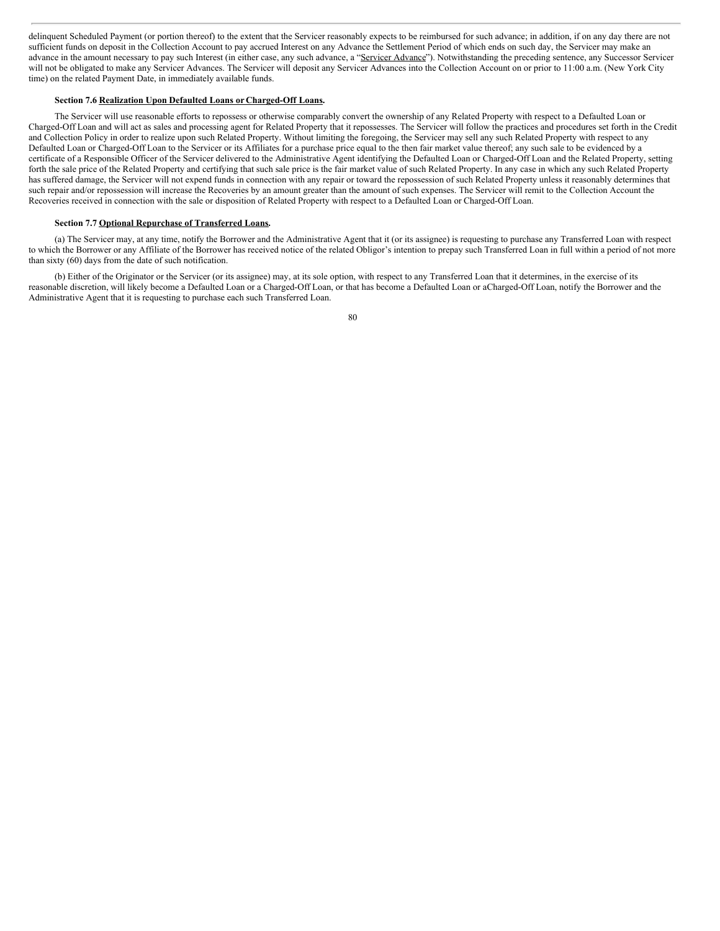delinquent Scheduled Payment (or portion thereof) to the extent that the Servicer reasonably expects to be reimbursed for such advance; in addition, if on any day there are not sufficient funds on deposit in the Collection Account to pay accrued Interest on any Advance the Settlement Period of which ends on such day, the Servicer may make an advance in the amount necessary to pay such Interest (in either case, any such advance, a "Servicer Advance"). Notwithstanding the preceding sentence, any Successor Servicer will not be obligated to make any Servicer Advances. The Servicer will deposit any Servicer Advances into the Collection Account on or prior to 11:00 a.m. (New York City time) on the related Payment Date, in immediately available funds.

#### **Section 7.6 Realization Upon Defaulted Loans or Charged-Off Loans.**

The Servicer will use reasonable efforts to repossess or otherwise comparably convert the ownership of any Related Property with respect to a Defaulted Loan or Charged-Off Loan and will act as sales and processing agent for Related Property that it repossesses. The Servicer will follow the practices and procedures set forth in the Credit and Collection Policy in order to realize upon such Related Property. Without limiting the foregoing, the Servicer may sell any such Related Property with respect to any Defaulted Loan or Charged-Off Loan to the Servicer or its Affiliates for a purchase price equal to the then fair market value thereof; any such sale to be evidenced by a certificate of a Responsible Officer of the Servicer delivered to the Administrative Agent identifying the Defaulted Loan or Charged-Off Loan and the Related Property, setting forth the sale price of the Related Property and certifying that such sale price is the fair market value of such Related Property. In any case in which any such Related Property has suffered damage, the Servicer will not expend funds in connection with any repair or toward the repossession of such Related Property unless it reasonably determines that such repair and/or repossession will increase the Recoveries by an amount greater than the amount of such expenses. The Servicer will remit to the Collection Account the Recoveries received in connection with the sale or disposition of Related Property with respect to a Defaulted Loan or Charged-Off Loan.

#### **Section 7.7 Optional Repurchase of Transferred Loans.**

(a) The Servicer may, at any time, notify the Borrower and the Administrative Agent that it (or its assignee) is requesting to purchase any Transferred Loan with respect to which the Borrower or any Affiliate of the Borrower has received notice of the related Obligor's intention to prepay such Transferred Loan in full within a period of not more than sixty (60) days from the date of such notification.

(b) Either of the Originator or the Servicer (or its assignee) may, at its sole option, with respect to any Transferred Loan that it determines, in the exercise of its reasonable discretion, will likely become a Defaulted Loan or a Charged-Off Loan, or that has become a Defaulted Loan or aCharged-Off Loan, notify the Borrower and the Administrative Agent that it is requesting to purchase each such Transferred Loan.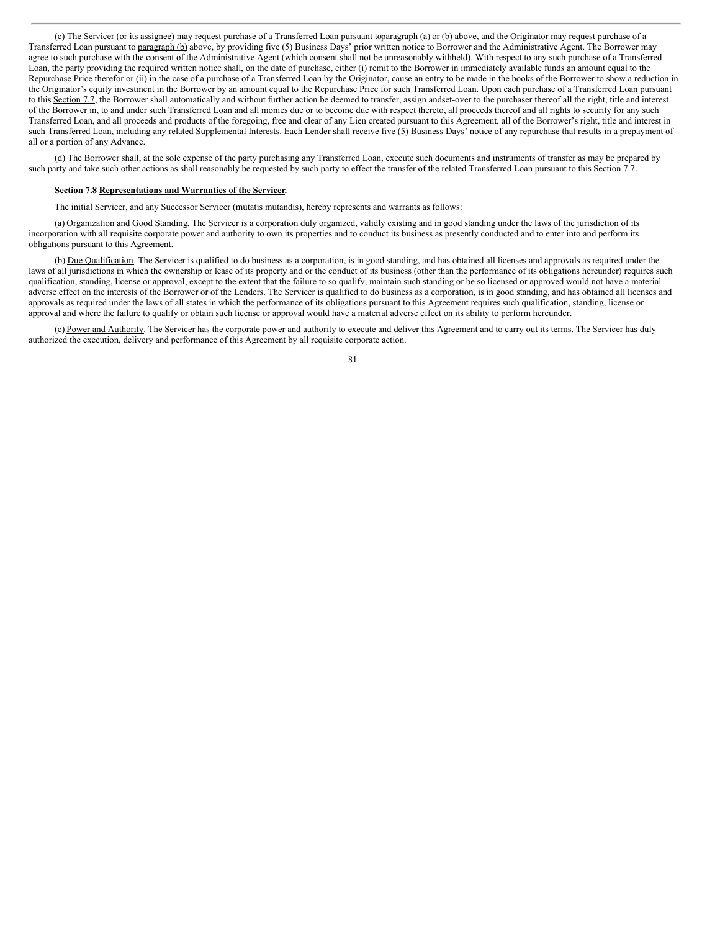(c) The Servicer (or its assignee) may request purchase of a Transferred Loan pursuant toparagraph (a) or (b) above, and the Originator may request purchase of a Transferred Loan pursuant to paragraph (b) above, by providing five (5) Business Days' prior written notice to Borrower and the Administrative Agent. The Borrower may agree to such purchase with the consent of the Administrative Agent (which consent shall not be unreasonably withheld). With respect to any such purchase of a Transferred Loan, the party providing the required written notice shall, on the date of purchase, either (i) remit to the Borrower in immediately available funds an amount equal to the Repurchase Price therefor or (ii) in the case of a purchase of a Transferred Loan by the Originator, cause an entry to be made in the books of the Borrower to show a reduction in the Originator's equity investment in the Borrower by an amount equal to the Repurchase Price for such Transferred Loan. Upon each purchase of a Transferred Loan pursuant to this Section 7.7, the Borrower shall automatically and without further action be deemed to transfer, assign andset-over to the purchaser thereof all the right, title and interest of the Borrower in, to and under such Transferred Loan and all monies due or to become due with respect thereto, all proceeds thereof and all rights to security for any such Transferred Loan, and all proceeds and products of the foregoing, free and clear of any Lien created pursuant to this Agreement, all of the Borrower's right, title and interest in such Transferred Loan, including any related Supplemental Interests. Each Lender shall receive five (5) Business Days' notice of any repurchase that results in a prepayment of all or a portion of any Advance.

(d) The Borrower shall, at the sole expense of the party purchasing any Transferred Loan, execute such documents and instruments of transfer as may be prepared by such party and take such other actions as shall reasonably be requested by such party to effect the transfer of the related Transferred Loan pursuant to this Section 7.7.

### **Section 7.8 Representations and Warranties of the Servicer.**

The initial Servicer, and any Successor Servicer (mutatis mutandis), hereby represents and warrants as follows:

(a) Organization and Good Standing. The Servicer is a corporation duly organized, validly existing and in good standing under the laws of the jurisdiction of its incorporation with all requisite corporate power and authority to own its properties and to conduct its business as presently conducted and to enter into and perform its obligations pursuant to this Agreement.

(b) Due Qualification. The Servicer is qualified to do business as a corporation, is in good standing, and has obtained all licenses and approvals as required under the laws of all jurisdictions in which the ownership or lease of its property and or the conduct of its business (other than the performance of its obligations hereunder) requires such qualification, standing, license or approval, except to the extent that the failure to so qualify, maintain such standing or be so licensed or approved would not have a material adverse effect on the interests of the Borrower or of the Lenders. The Servicer is qualified to do business as a corporation, is in good standing, and has obtained all licenses and approvals as required under the laws of all states in which the performance of its obligations pursuant to this Agreement requires such qualification, standing, license or approval and where the failure to qualify or obtain such license or approval would have a material adverse effect on its ability to perform hereunder.

(c) Power and Authority. The Servicer has the corporate power and authority to execute and deliver this Agreement and to carry out its terms. The Servicer has duly authorized the execution, delivery and performance of this Agreement by all requisite corporate action.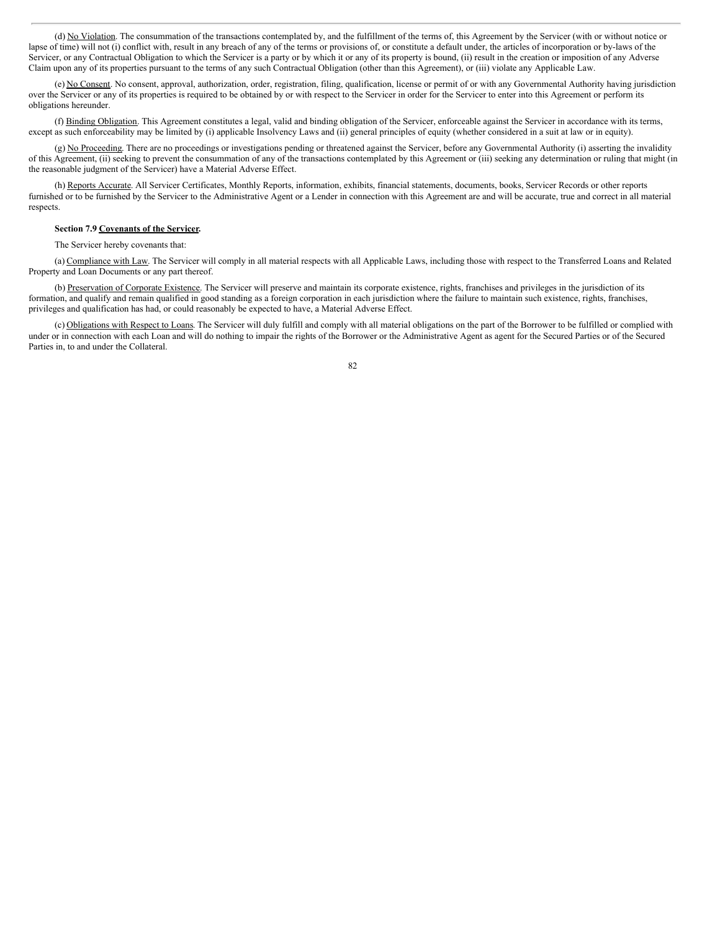(d) No Violation. The consummation of the transactions contemplated by, and the fulfillment of the terms of, this Agreement by the Servicer (with or without notice or lapse of time) will not (i) conflict with, result in any breach of any of the terms or provisions of, or constitute a default under, the articles of incorporation or by-laws of the Servicer, or any Contractual Obligation to which the Servicer is a party or by which it or any of its property is bound, (ii) result in the creation or imposition of any Adverse Claim upon any of its properties pursuant to the terms of any such Contractual Obligation (other than this Agreement), or (iii) violate any Applicable Law.

(e) No Consent. No consent, approval, authorization, order, registration, filing, qualification, license or permit of or with any Governmental Authority having jurisdiction over the Servicer or any of its properties is required to be obtained by or with respect to the Servicer in order for the Servicer to enter into this Agreement or perform its obligations hereunder.

(f) Binding Obligation. This Agreement constitutes a legal, valid and binding obligation of the Servicer, enforceable against the Servicer in accordance with its terms, except as such enforceability may be limited by (i) applicable Insolvency Laws and (ii) general principles of equity (whether considered in a suit at law or in equity).

(g) No Proceeding. There are no proceedings or investigations pending or threatened against the Servicer, before any Governmental Authority (i) asserting the invalidity of this Agreement, (ii) seeking to prevent the consummation of any of the transactions contemplated by this Agreement or (iii) seeking any determination or ruling that might (in the reasonable judgment of the Servicer) have a Material Adverse Effect.

(h) Reports Accurate. All Servicer Certificates, Monthly Reports, information, exhibits, financial statements, documents, books, Servicer Records or other reports furnished or to be furnished by the Servicer to the Administrative Agent or a Lender in connection with this Agreement are and will be accurate, true and correct in all material respects.

### **Section 7.9 Covenants of the Servicer.**

The Servicer hereby covenants that:

(a) Compliance with Law. The Servicer will comply in all material respects with all Applicable Laws, including those with respect to the Transferred Loans and Related Property and Loan Documents or any part thereof.

(b) Preservation of Corporate Existence. The Servicer will preserve and maintain its corporate existence, rights, franchises and privileges in the jurisdiction of its formation, and qualify and remain qualified in good standing as a foreign corporation in each jurisdiction where the failure to maintain such existence, rights, franchises, privileges and qualification has had, or could reasonably be expected to have, a Material Adverse Effect.

(c) Obligations with Respect to Loans. The Servicer will duly fulfill and comply with all material obligations on the part of the Borrower to be fulfilled or complied with under or in connection with each Loan and will do nothing to impair the rights of the Borrower or the Administrative Agent as agent for the Secured Parties or of the Secured Parties in, to and under the Collateral.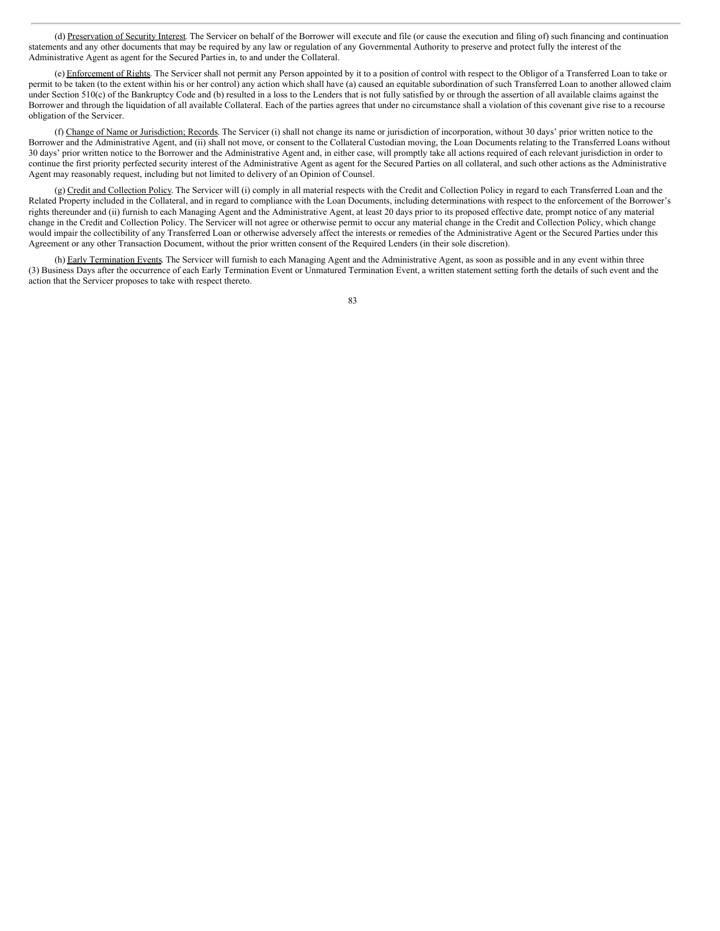(d) Preservation of Security Interest. The Servicer on behalf of the Borrower will execute and file (or cause the execution and filing of) such financing and continuation statements and any other documents that may be required by any law or regulation of any Governmental Authority to preserve and protect fully the interest of the Administrative Agent as agent for the Secured Parties in, to and under the Collateral.

(e) Enforcement of Rights. The Servicer shall not permit any Person appointed by it to a position of control with respect to the Obligor of a Transferred Loan to take or permit to be taken (to the extent within his or her control) any action which shall have (a) caused an equitable subordination of such Transferred Loan to another allowed claim under Section 510(c) of the Bankruptcy Code and (b) resulted in a loss to the Lenders that is not fully satisfied by or through the assertion of all available claims against the Borrower and through the liquidation of all available Collateral. Each of the parties agrees that under no circumstance shall a violation of this covenant give rise to a recourse obligation of the Servicer.

(f) Change of Name or Jurisdiction; Records. The Servicer (i) shall not change its name or jurisdiction of incorporation, without 30 days' prior written notice to the Borrower and the Administrative Agent, and (ii) shall not move, or consent to the Collateral Custodian moving, the Loan Documents relating to the Transferred Loans without 30 days' prior written notice to the Borrower and the Administrative Agent and, in either case, will promptly take all actions required of each relevant jurisdiction in order to continue the first priority perfected security interest of the Administrative Agent as agent for the Secured Parties on all collateral, and such other actions as the Administrative Agent may reasonably request, including but not limited to delivery of an Opinion of Counsel.

(g) Credit and Collection Policy. The Servicer will (i) comply in all material respects with the Credit and Collection Policy in regard to each Transferred Loan and the Related Property included in the Collateral, and in regard to compliance with the Loan Documents, including determinations with respect to the enforcement of the Borrower's rights thereunder and (ii) furnish to each Managing Agent and the Administrative Agent, at least 20 days prior to its proposed effective date, prompt notice of any material change in the Credit and Collection Policy. The Servicer will not agree or otherwise permit to occur any material change in the Credit and Collection Policy, which change would impair the collectibility of any Transferred Loan or otherwise adversely affect the interests or remedies of the Administrative Agent or the Secured Parties under this Agreement or any other Transaction Document, without the prior written consent of the Required Lenders (in their sole discretion).

(h) Early Termination Events. The Servicer will furnish to each Managing Agent and the Administrative Agent, as soon as possible and in any event within three (3) Business Days after the occurrence of each Early Termination Event or Unmatured Termination Event, a written statement setting forth the details of such event and the action that the Servicer proposes to take with respect thereto.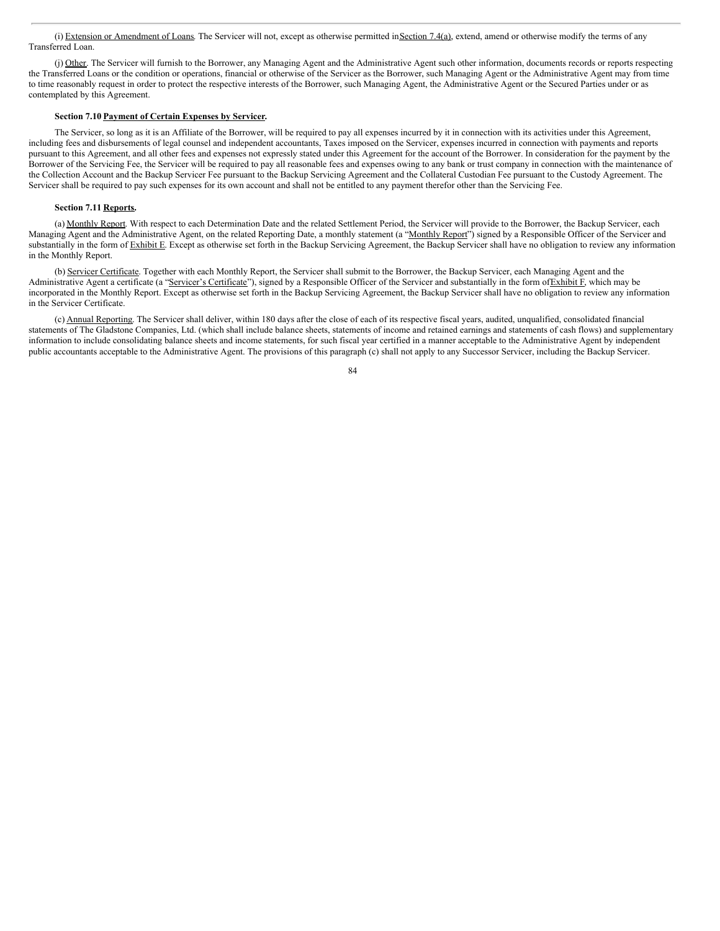(i) Extension or Amendment of Loans. The Servicer will not, except as otherwise permitted in Section 7.4(a), extend, amend or otherwise modify the terms of any Transferred Loan.

(j) Other. The Servicer will furnish to the Borrower, any Managing Agent and the Administrative Agent such other information, documents records or reports respecting the Transferred Loans or the condition or operations, financial or otherwise of the Servicer as the Borrower, such Managing Agent or the Administrative Agent may from time to time reasonably request in order to protect the respective interests of the Borrower, such Managing Agent, the Administrative Agent or the Secured Parties under or as contemplated by this Agreement.

### **Section 7.10 Payment of Certain Expenses by Servicer.**

The Servicer, so long as it is an Affiliate of the Borrower, will be required to pay all expenses incurred by it in connection with its activities under this Agreement, including fees and disbursements of legal counsel and independent accountants, Taxes imposed on the Servicer, expenses incurred in connection with payments and reports pursuant to this Agreement, and all other fees and expenses not expressly stated under this Agreement for the account of the Borrower. In consideration for the payment by the Borrower of the Servicing Fee, the Servicer will be required to pay all reasonable fees and expenses owing to any bank or trust company in connection with the maintenance of the Collection Account and the Backup Servicer Fee pursuant to the Backup Servicing Agreement and the Collateral Custodian Fee pursuant to the Custody Agreement. The Servicer shall be required to pay such expenses for its own account and shall not be entitled to any payment therefor other than the Servicing Fee.

# **Section 7.11 Reports.**

(a) Monthly Report. With respect to each Determination Date and the related Settlement Period, the Servicer will provide to the Borrower, the Backup Servicer, each Managing Agent and the Administrative Agent, on the related Reporting Date, a monthly statement (a "Monthly Report") signed by a Responsible Officer of the Servicer and substantially in the form of Exhibit E. Except as otherwise set forth in the Backup Servicing Agreement, the Backup Servicer shall have no obligation to review any information in the Monthly Report.

(b) Servicer Certificate. Together with each Monthly Report, the Servicer shall submit to the Borrower, the Backup Servicer, each Managing Agent and the Administrative Agent a certificate (a "Servicer's Certificate"), signed by a Responsible Officer of the Servicer and substantially in the form of Exhibit F, which may be incorporated in the Monthly Report. Except as otherwise set forth in the Backup Servicing Agreement, the Backup Servicer shall have no obligation to review any information in the Servicer Certificate.

(c) Annual Reporting. The Servicer shall deliver, within 180 days after the close of each of its respective fiscal years, audited, unqualified, consolidated financial statements of The Gladstone Companies, Ltd. (which shall include balance sheets, statements of income and retained earnings and statements of cash flows) and supplementary information to include consolidating balance sheets and income statements, for such fiscal year certified in a manner acceptable to the Administrative Agent by independent public accountants acceptable to the Administrative Agent. The provisions of this paragraph (c) shall not apply to any Successor Servicer, including the Backup Servicer.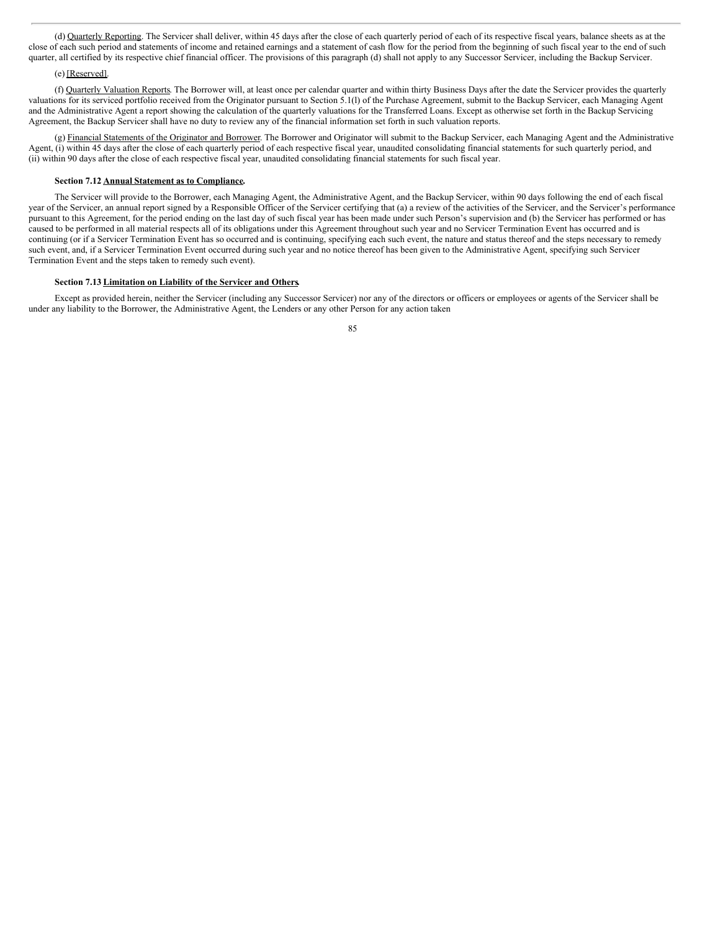(d) Quarterly Reporting. The Servicer shall deliver, within 45 days after the close of each quarterly period of each of its respective fiscal years, balance sheets as at the close of each such period and statements of income and retained earnings and a statement of cash flow for the period from the beginning of such fiscal year to the end of such quarter, all certified by its respective chief financial officer. The provisions of this paragraph (d) shall not apply to any Successor Servicer, including the Backup Servicer.

# (e) [Reserved].

(f) Quarterly Valuation Reports. The Borrower will, at least once per calendar quarter and within thirty Business Days after the date the Servicer provides the quarterly valuations for its serviced portfolio received from the Originator pursuant to Section 5.1(l) of the Purchase Agreement, submit to the Backup Servicer, each Managing Agent and the Administrative Agent a report showing the calculation of the quarterly valuations for the Transferred Loans. Except as otherwise set forth in the Backup Servicing Agreement, the Backup Servicer shall have no duty to review any of the financial information set forth in such valuation reports.

(g) Financial Statements of the Originator and Borrower. The Borrower and Originator will submit to the Backup Servicer, each Managing Agent and the Administrative Agent, (i) within 45 days after the close of each quarterly period of each respective fiscal year, unaudited consolidating financial statements for such quarterly period, and (ii) within 90 days after the close of each respective fiscal year, unaudited consolidating financial statements for such fiscal year.

# **Section 7.12 Annual Statement as to Compliance.**

The Servicer will provide to the Borrower, each Managing Agent, the Administrative Agent, and the Backup Servicer, within 90 days following the end of each fiscal year of the Servicer, an annual report signed by a Responsible Officer of the Servicer certifying that (a) a review of the activities of the Servicer, and the Servicer's performance pursuant to this Agreement, for the period ending on the last day of such fiscal year has been made under such Person's supervision and (b) the Servicer has performed or has caused to be performed in all material respects all of its obligations under this Agreement throughout such year and no Servicer Termination Event has occurred and is continuing (or if a Servicer Termination Event has so occurred and is continuing, specifying each such event, the nature and status thereof and the steps necessary to remedy such event, and, if a Servicer Termination Event occurred during such year and no notice thereof has been given to the Administrative Agent, specifying such Servicer Termination Event and the steps taken to remedy such event).

# **Section 7.13 Limitation on Liability of the Servicer and Others.**

Except as provided herein, neither the Servicer (including any Successor Servicer) nor any of the directors or officers or employees or agents of the Servicer shall be under any liability to the Borrower, the Administrative Agent, the Lenders or any other Person for any action taken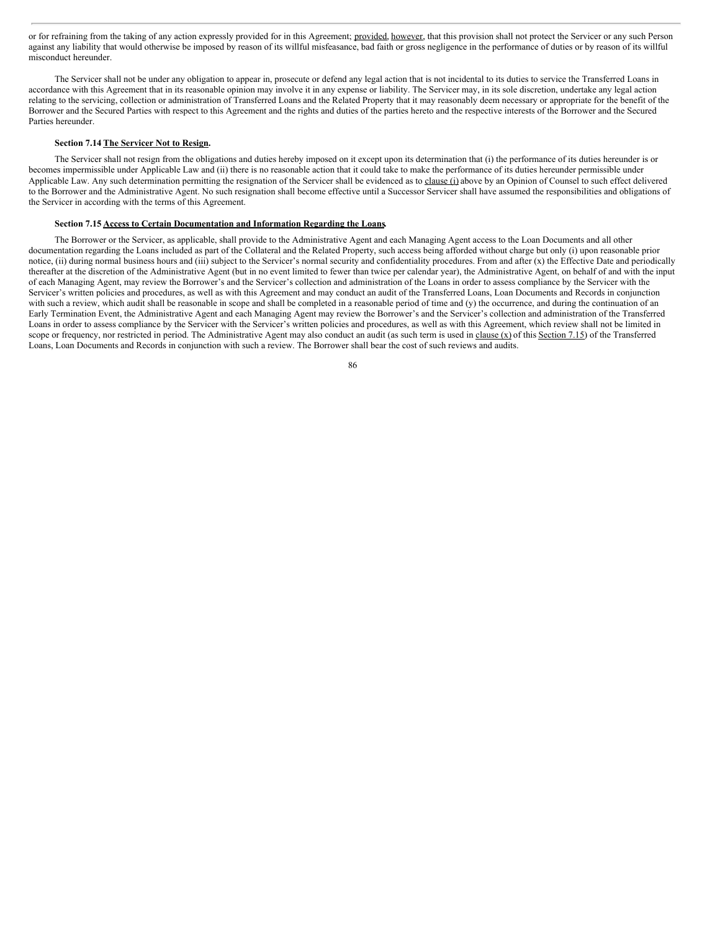or for refraining from the taking of any action expressly provided for in this Agreement; provided, however, that this provision shall not protect the Servicer or any such Person against any liability that would otherwise be imposed by reason of its willful misfeasance, bad faith or gross negligence in the performance of duties or by reason of its willful misconduct hereunder.

The Servicer shall not be under any obligation to appear in, prosecute or defend any legal action that is not incidental to its duties to service the Transferred Loans in accordance with this Agreement that in its reasonable opinion may involve it in any expense or liability. The Servicer may, in its sole discretion, undertake any legal action relating to the servicing, collection or administration of Transferred Loans and the Related Property that it may reasonably deem necessary or appropriate for the benefit of the Borrower and the Secured Parties with respect to this Agreement and the rights and duties of the parties hereto and the respective interests of the Borrower and the Secured Parties hereunder.

# **Section 7.14 The Servicer Not to Resign.**

The Servicer shall not resign from the obligations and duties hereby imposed on it except upon its determination that (i) the performance of its duties hereunder is or becomes impermissible under Applicable Law and (ii) there is no reasonable action that it could take to make the performance of its duties hereunder permissible under Applicable Law. Any such determination permitting the resignation of the Servicer shall be evidenced as to clause (i) above by an Opinion of Counsel to such effect delivered to the Borrower and the Administrative Agent. No such resignation shall become effective until a Successor Servicer shall have assumed the responsibilities and obligations of the Servicer in according with the terms of this Agreement.

### **Section 7.15 Access to Certain Documentation and Information Regarding the Loans.**

The Borrower or the Servicer, as applicable, shall provide to the Administrative Agent and each Managing Agent access to the Loan Documents and all other documentation regarding the Loans included as part of the Collateral and the Related Property, such access being afforded without charge but only (i) upon reasonable prior notice, (ii) during normal business hours and (iii) subject to the Servicer's normal security and confidentiality procedures. From and after (x) the Effective Date and periodically thereafter at the discretion of the Administrative Agent (but in no event limited to fewer than twice per calendar year), the Administrative Agent, on behalf of and with the input of each Managing Agent, may review the Borrower's and the Servicer's collection and administration of the Loans in order to assess compliance by the Servicer with the Servicer's written policies and procedures, as well as with this Agreement and may conduct an audit of the Transferred Loans, Loan Documents and Records in conjunction with such a review, which audit shall be reasonable in scope and shall be completed in a reasonable period of time and (y) the occurrence, and during the continuation of an Early Termination Event, the Administrative Agent and each Managing Agent may review the Borrower's and the Servicer's collection and administration of the Transferred Loans in order to assess compliance by the Servicer with the Servicer's written policies and procedures, as well as with this Agreement, which review shall not be limited in scope or frequency, nor restricted in period. The Administrative Agent may also conduct an audit (as such term is used in clause  $(x)$  of this Section 7.15) of the Transferred Loans, Loan Documents and Records in conjunction with such a review. The Borrower shall bear the cost of such reviews and audits.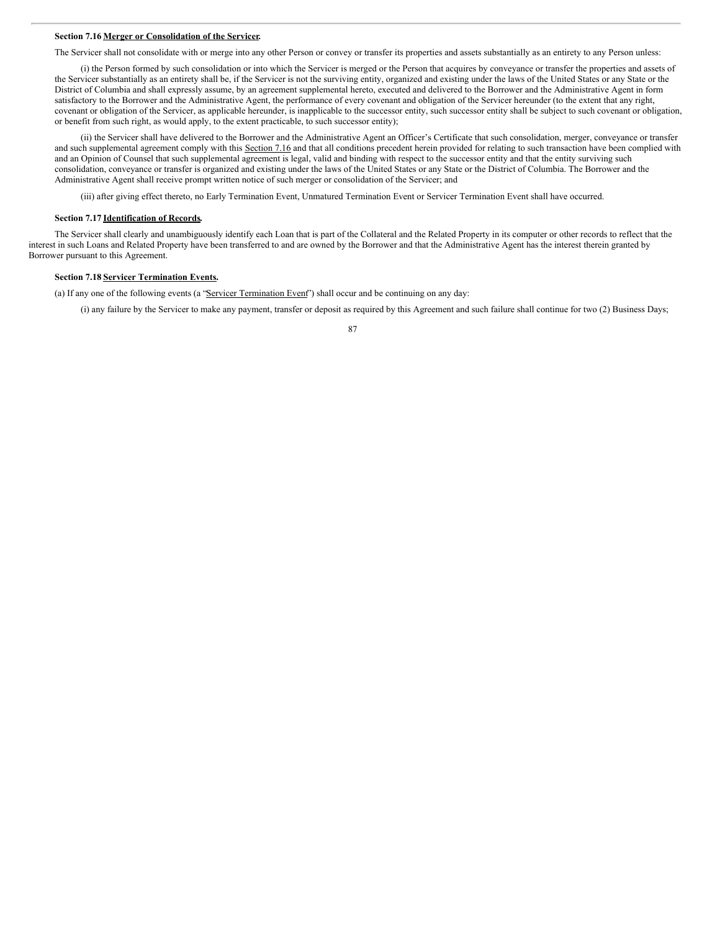### **Section 7.16 Merger or Consolidation of the Servicer.**

The Servicer shall not consolidate with or merge into any other Person or convey or transfer its properties and assets substantially as an entirety to any Person unless:

(i) the Person formed by such consolidation or into which the Servicer is merged or the Person that acquires by conveyance or transfer the properties and assets of the Servicer substantially as an entirety shall be, if the Servicer is not the surviving entity, organized and existing under the laws of the United States or any State or the District of Columbia and shall expressly assume, by an agreement supplemental hereto, executed and delivered to the Borrower and the Administrative Agent in form satisfactory to the Borrower and the Administrative Agent, the performance of every covenant and obligation of the Servicer hereunder (to the extent that any right, covenant or obligation of the Servicer, as applicable hereunder, is inapplicable to the successor entity, such successor entity shall be subject to such covenant or obligation, or benefit from such right, as would apply, to the extent practicable, to such successor entity);

(ii) the Servicer shall have delivered to the Borrower and the Administrative Agent an Officer's Certificate that such consolidation, merger, conveyance or transfer and such supplemental agreement comply with this Section 7.16 and that all conditions precedent herein provided for relating to such transaction have been complied with and an Opinion of Counsel that such supplemental agreement is legal, valid and binding with respect to the successor entity and that the entity surviving such consolidation, conveyance or transfer is organized and existing under the laws of the United States or any State or the District of Columbia. The Borrower and the Administrative Agent shall receive prompt written notice of such merger or consolidation of the Servicer; and

(iii) after giving effect thereto, no Early Termination Event, Unmatured Termination Event or Servicer Termination Event shall have occurred.

### **Section 7.17 Identification of Records.**

The Servicer shall clearly and unambiguously identify each Loan that is part of the Collateral and the Related Property in its computer or other records to reflect that the interest in such Loans and Related Property have been transferred to and are owned by the Borrower and that the Administrative Agent has the interest therein granted by Borrower pursuant to this Agreement.

## **Section 7.18 Servicer Termination Events.**

(a) If any one of the following events (a "Servicer Termination Event") shall occur and be continuing on any day:

(i) any failure by the Servicer to make any payment, transfer or deposit as required by this Agreement and such failure shall continue for two (2) Business Days;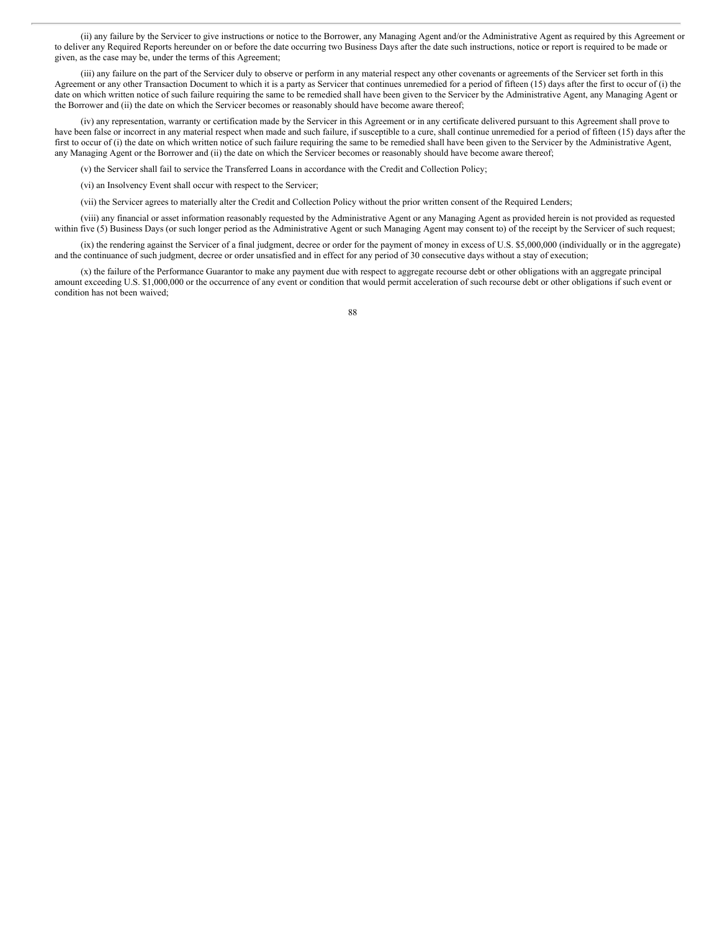(ii) any failure by the Servicer to give instructions or notice to the Borrower, any Managing Agent and/or the Administrative Agent as required by this Agreement or to deliver any Required Reports hereunder on or before the date occurring two Business Days after the date such instructions, notice or report is required to be made or given, as the case may be, under the terms of this Agreement;

(iii) any failure on the part of the Servicer duly to observe or perform in any material respect any other covenants or agreements of the Servicer set forth in this Agreement or any other Transaction Document to which it is a party as Servicer that continues unremedied for a period of fifteen (15) days after the first to occur of (i) the date on which written notice of such failure requiring the same to be remedied shall have been given to the Servicer by the Administrative Agent, any Managing Agent or the Borrower and (ii) the date on which the Servicer becomes or reasonably should have become aware thereof;

(iv) any representation, warranty or certification made by the Servicer in this Agreement or in any certificate delivered pursuant to this Agreement shall prove to have been false or incorrect in any material respect when made and such failure, if susceptible to a cure, shall continue unremedied for a period of fifteen (15) days after the first to occur of (i) the date on which written notice of such failure requiring the same to be remedied shall have been given to the Servicer by the Administrative Agent, any Managing Agent or the Borrower and (ii) the date on which the Servicer becomes or reasonably should have become aware thereof;

(v) the Servicer shall fail to service the Transferred Loans in accordance with the Credit and Collection Policy;

(vi) an Insolvency Event shall occur with respect to the Servicer;

(vii) the Servicer agrees to materially alter the Credit and Collection Policy without the prior written consent of the Required Lenders;

(viii) any financial or asset information reasonably requested by the Administrative Agent or any Managing Agent as provided herein is not provided as requested within five (5) Business Days (or such longer period as the Administrative Agent or such Managing Agent may consent to) of the receipt by the Servicer of such request;

(ix) the rendering against the Servicer of a final judgment, decree or order for the payment of money in excess of U.S. \$5,000,000 (individually or in the aggregate) and the continuance of such judgment, decree or order unsatisfied and in effect for any period of 30 consecutive days without a stay of execution;

(x) the failure of the Performance Guarantor to make any payment due with respect to aggregate recourse debt or other obligations with an aggregate principal amount exceeding U.S. \$1,000,000 or the occurrence of any event or condition that would permit acceleration of such recourse debt or other obligations if such event or condition has not been waived;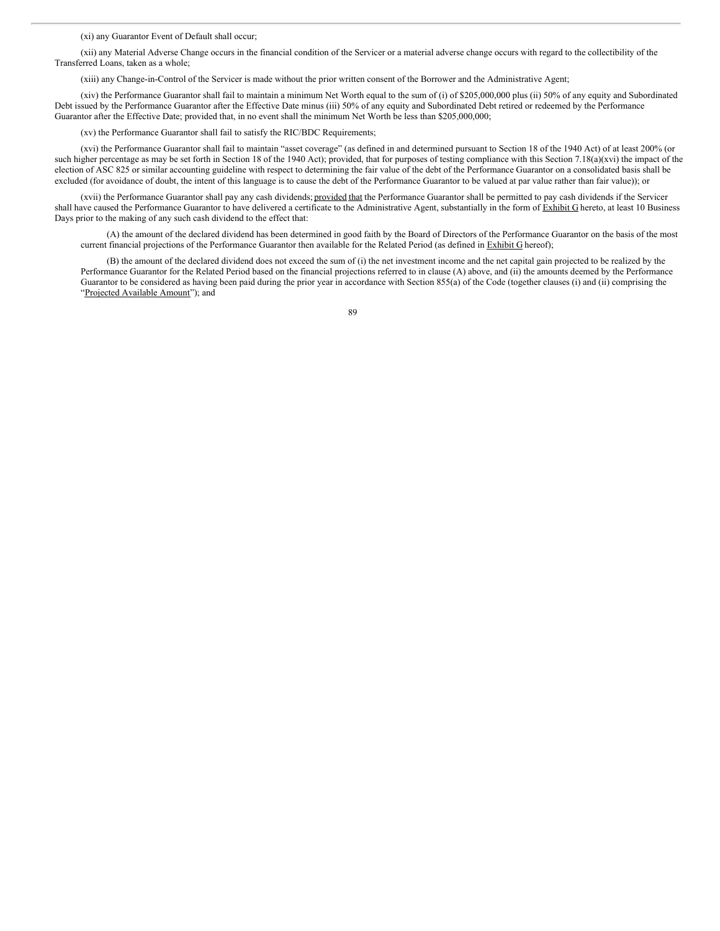(xi) any Guarantor Event of Default shall occur;

(xii) any Material Adverse Change occurs in the financial condition of the Servicer or a material adverse change occurs with regard to the collectibility of the Transferred Loans, taken as a whole;

(xiii) any Change-in-Control of the Servicer is made without the prior written consent of the Borrower and the Administrative Agent;

(xiv) the Performance Guarantor shall fail to maintain a minimum Net Worth equal to the sum of (i) of \$205,000,000 plus (ii) 50% of any equity and Subordinated Debt issued by the Performance Guarantor after the Effective Date minus (iii) 50% of any equity and Subordinated Debt retired or redeemed by the Performance Guarantor after the Effective Date; provided that, in no event shall the minimum Net Worth be less than \$205,000,000;

(xv) the Performance Guarantor shall fail to satisfy the RIC/BDC Requirements;

(xvi) the Performance Guarantor shall fail to maintain "asset coverage" (as defined in and determined pursuant to Section 18 of the 1940 Act) of at least 200% (or such higher percentage as may be set forth in Section 18 of the 1940 Act); provided, that for purposes of testing compliance with this Section 7.18(a)(xvi) the impact of the election of ASC 825 or similar accounting guideline with respect to determining the fair value of the debt of the Performance Guarantor on a consolidated basis shall be excluded (for avoidance of doubt, the intent of this language is to cause the debt of the Performance Guarantor to be valued at par value rather than fair value)); or

(xvii) the Performance Guarantor shall pay any cash dividends; provided that the Performance Guarantor shall be permitted to pay cash dividends if the Servicer shall have caused the Performance Guarantor to have delivered a certificate to the Administrative Agent, substantially in the form of Exhibit G hereto, at least 10 Business Days prior to the making of any such cash dividend to the effect that:

(A) the amount of the declared dividend has been determined in good faith by the Board of Directors of the Performance Guarantor on the basis of the most current financial projections of the Performance Guarantor then available for the Related Period (as defined in Exhibit G hereof);

(B) the amount of the declared dividend does not exceed the sum of (i) the net investment income and the net capital gain projected to be realized by the Performance Guarantor for the Related Period based on the financial projections referred to in clause (A) above, and (ii) the amounts deemed by the Performance Guarantor to be considered as having been paid during the prior year in accordance with Section 855(a) of the Code (together clauses (i) and (ii) comprising the "Projected Available Amount"); and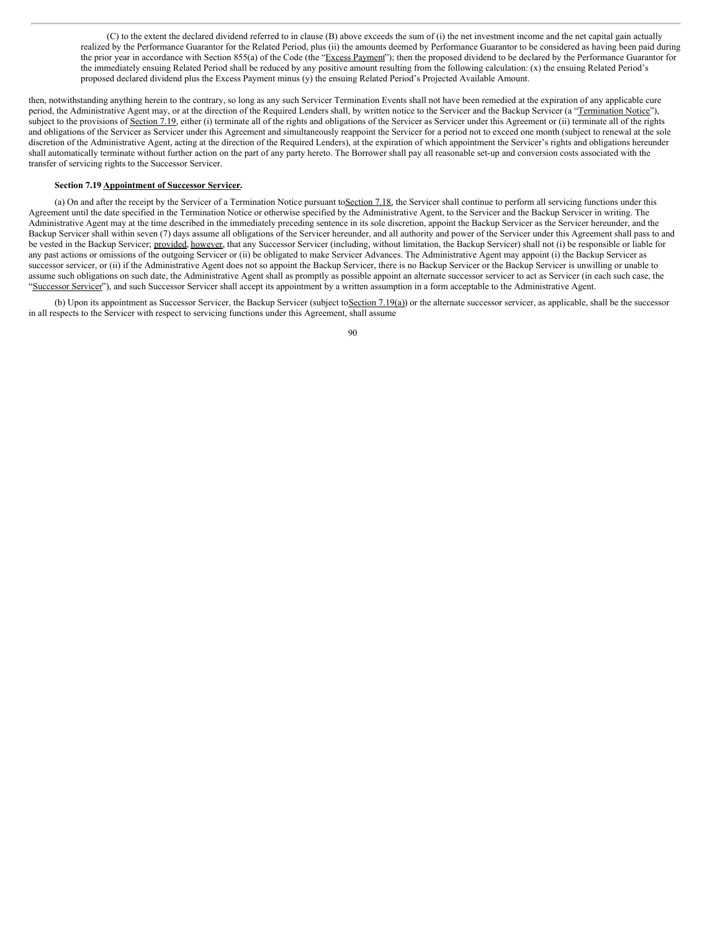(C) to the extent the declared dividend referred to in clause (B) above exceeds the sum of (i) the net investment income and the net capital gain actually realized by the Performance Guarantor for the Related Period, plus (ii) the amounts deemed by Performance Guarantor to be considered as having been paid during the prior year in accordance with Section 855(a) of the Code (the "Excess Payment"); then the proposed dividend to be declared by the Performance Guarantor for the immediately ensuing Related Period shall be reduced by any positive amount resulting from the following calculation: (x) the ensuing Related Period's proposed declared dividend plus the Excess Payment minus (y) the ensuing Related Period's Projected Available Amount.

then, notwithstanding anything herein to the contrary, so long as any such Servicer Termination Events shall not have been remedied at the expiration of any applicable cure period, the Administrative Agent may, or at the direction of the Required Lenders shall, by written notice to the Servicer and the Backup Servicer (a "Termination Notice"), subject to the provisions of Section 7.19, either (i) terminate all of the rights and obligations of the Servicer as Servicer under this Agreement or (ii) terminate all of the rights and obligations of the Servicer as Servicer under this Agreement and simultaneously reappoint the Servicer for a period not to exceed one month (subject to renewal at the sole discretion of the Administrative Agent, acting at the direction of the Required Lenders), at the expiration of which appointment the Servicer's rights and obligations hereunder shall automatically terminate without further action on the part of any party hereto. The Borrower shall pay all reasonable set-up and conversion costs associated with the transfer of servicing rights to the Successor Servicer.

# **Section 7.19 Appointment of Successor Servicer.**

(a) On and after the receipt by the Servicer of a Termination Notice pursuant toSection 7.18, the Servicer shall continue to perform all servicing functions under this Agreement until the date specified in the Termination Notice or otherwise specified by the Administrative Agent, to the Servicer and the Backup Servicer in writing. The Administrative Agent may at the time described in the immediately preceding sentence in its sole discretion, appoint the Backup Servicer as the Servicer hereunder, and the Backup Servicer shall within seven (7) days assume all obligations of the Servicer hereunder, and all authority and power of the Servicer under this Agreement shall pass to and be vested in the Backup Servicer; provided, however, that any Successor Servicer (including, without limitation, the Backup Servicer) shall not (i) be responsible or liable for any past actions or omissions of the outgoing Servicer or (ii) be obligated to make Servicer Advances. The Administrative Agent may appoint (i) the Backup Servicer as successor servicer, or (ii) if the Administrative Agent does not so appoint the Backup Servicer, there is no Backup Servicer or the Backup Servicer is unwilling or unable to assume such obligations on such date, the Administrative Agent shall as promptly as possible appoint an alternate successor servicer to act as Servicer (in each such case, the "Successor Servicer"), and such Successor Servicer shall accept its appointment by a written assumption in a form acceptable to the Administrative Agent.

(b) Upon its appointment as Successor Servicer, the Backup Servicer (subject to Section 7.19(a)) or the alternate successor servicer, as applicable, shall be the successor in all respects to the Servicer with respect to servicing functions under this Agreement, shall assume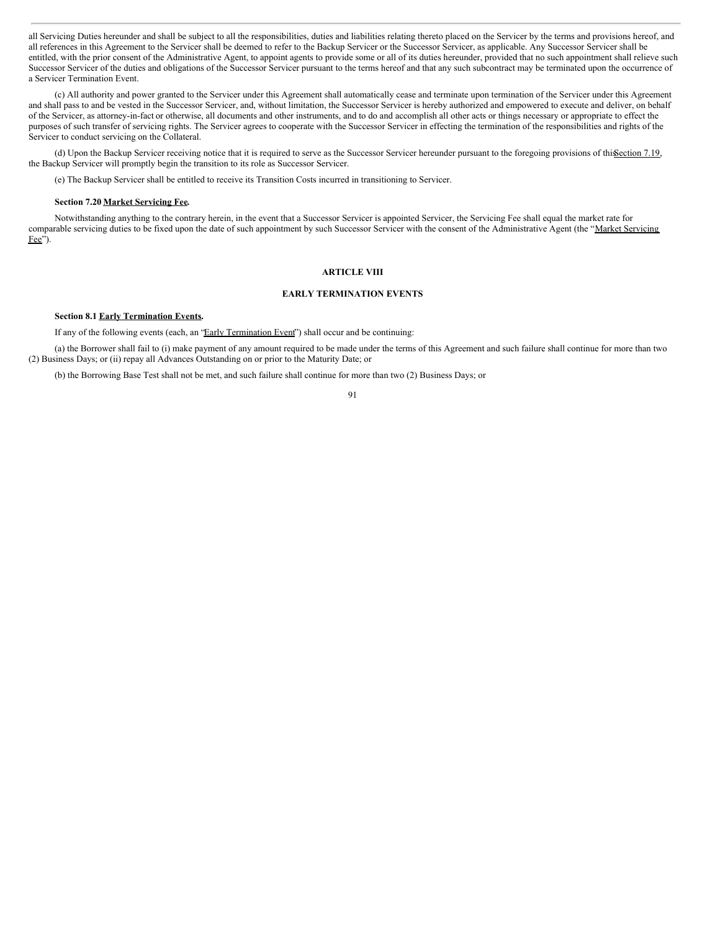all Servicing Duties hereunder and shall be subject to all the responsibilities, duties and liabilities relating thereto placed on the Servicer by the terms and provisions hereof, and all references in this Agreement to the Servicer shall be deemed to refer to the Backup Servicer or the Successor Servicer, as applicable. Any Successor Servicer shall be entitled, with the prior consent of the Administrative Agent, to appoint agents to provide some or all of its duties hereunder, provided that no such appointment shall relieve such Successor Servicer of the duties and obligations of the Successor Servicer pursuant to the terms hereof and that any such subcontract may be terminated upon the occurrence of a Servicer Termination Event.

(c) All authority and power granted to the Servicer under this Agreement shall automatically cease and terminate upon termination of the Servicer under this Agreement and shall pass to and be vested in the Successor Servicer, and, without limitation, the Successor Servicer is hereby authorized and empowered to execute and deliver, on behalf of the Servicer, as attorney-in-fact or otherwise, all documents and other instruments, and to do and accomplish all other acts or things necessary or appropriate to effect the purposes of such transfer of servicing rights. The Servicer agrees to cooperate with the Successor Servicer in effecting the termination of the responsibilities and rights of the Servicer to conduct servicing on the Collateral.

(d) Upon the Backup Servicer receiving notice that it is required to serve as the Successor Servicer hereunder pursuant to the foregoing provisions of thissection 7.19, the Backup Servicer will promptly begin the transition to its role as Successor Servicer.

(e) The Backup Servicer shall be entitled to receive its Transition Costs incurred in transitioning to Servicer.

#### **Section 7.20 Market Servicing Fee.**

Notwithstanding anything to the contrary herein, in the event that a Successor Servicer is appointed Servicer, the Servicing Fee shall equal the market rate for comparable servicing duties to be fixed upon the date of such appointment by such Successor Servicer with the consent of the Administrative Agent (the "Market Servicing Fee").

# **ARTICLE VIII**

#### **EARLY TERMINATION EVENTS**

# **Section 8.1 Early Termination Events.**

If any of the following events (each, an "Early Termination Event") shall occur and be continuing:

(a) the Borrower shall fail to (i) make payment of any amount required to be made under the terms of this Agreement and such failure shall continue for more than two (2) Business Days; or (ii) repay all Advances Outstanding on or prior to the Maturity Date; or

(b) the Borrowing Base Test shall not be met, and such failure shall continue for more than two (2) Business Days; or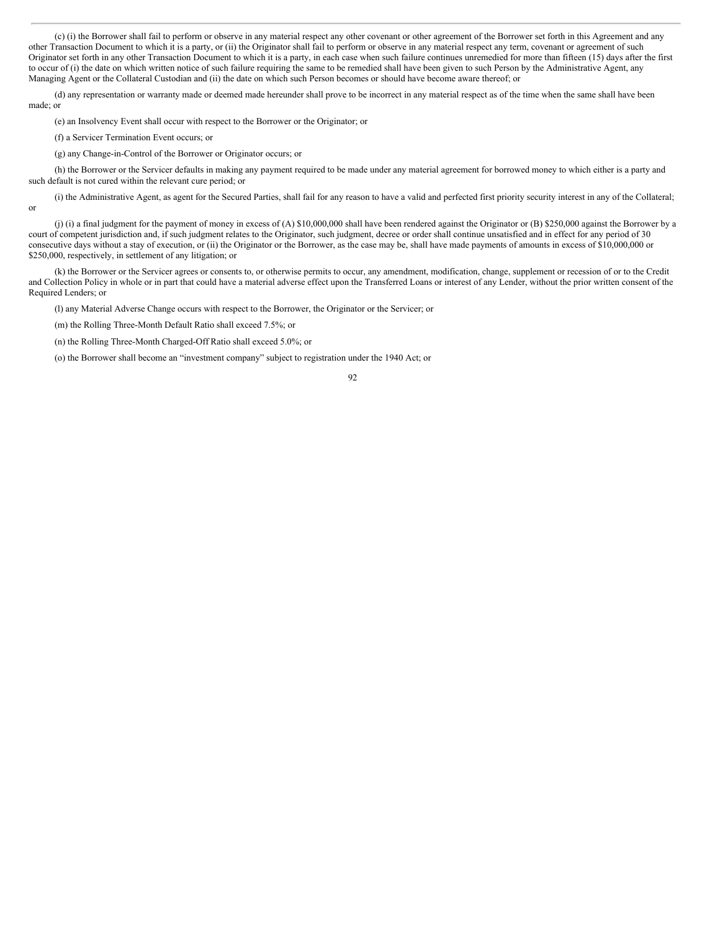(c) (i) the Borrower shall fail to perform or observe in any material respect any other covenant or other agreement of the Borrower set forth in this Agreement and any other Transaction Document to which it is a party, or (ii) the Originator shall fail to perform or observe in any material respect any term, covenant or agreement of such Originator set forth in any other Transaction Document to which it is a party, in each case when such failure continues unremedied for more than fifteen (15) days after the first to occur of (i) the date on which written notice of such failure requiring the same to be remedied shall have been given to such Person by the Administrative Agent, any Managing Agent or the Collateral Custodian and (ii) the date on which such Person becomes or should have become aware thereof; or

(d) any representation or warranty made or deemed made hereunder shall prove to be incorrect in any material respect as of the time when the same shall have been made; or

(e) an Insolvency Event shall occur with respect to the Borrower or the Originator; or

(f) a Servicer Termination Event occurs; or

(g) any Change-in-Control of the Borrower or Originator occurs; or

(h) the Borrower or the Servicer defaults in making any payment required to be made under any material agreement for borrowed money to which either is a party and such default is not cured within the relevant cure period; or

(i) the Administrative Agent, as agent for the Secured Parties, shall fail for any reason to have a valid and perfected first priority security interest in any of the Collateral; or

(j) (i) a final judgment for the payment of money in excess of (A) \$10,000,000 shall have been rendered against the Originator or (B) \$250,000 against the Borrower by a court of competent jurisdiction and, if such judgment relates to the Originator, such judgment, decree or order shall continue unsatisfied and in effect for any period of 30 consecutive days without a stay of execution, or (ii) the Originator or the Borrower, as the case may be, shall have made payments of amounts in excess of \$10,000,000 or \$250,000, respectively, in settlement of any litigation; or

(k) the Borrower or the Servicer agrees or consents to, or otherwise permits to occur, any amendment, modification, change, supplement or recession of or to the Credit and Collection Policy in whole or in part that could have a material adverse effect upon the Transferred Loans or interest of any Lender, without the prior written consent of the Required Lenders; or

(l) any Material Adverse Change occurs with respect to the Borrower, the Originator or the Servicer; or

(m) the Rolling Three-Month Default Ratio shall exceed 7.5%; or

(n) the Rolling Three-Month Charged-Off Ratio shall exceed 5.0%; or

(o) the Borrower shall become an "investment company" subject to registration under the 1940 Act; or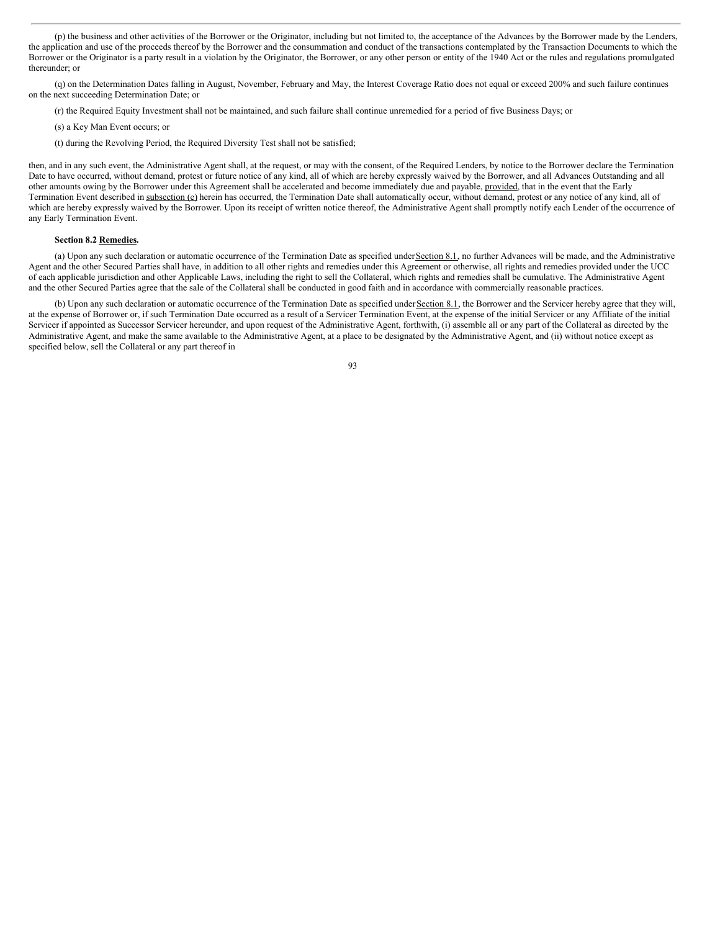(p) the business and other activities of the Borrower or the Originator, including but not limited to, the acceptance of the Advances by the Borrower made by the Lenders, the application and use of the proceeds thereof by the Borrower and the consummation and conduct of the transactions contemplated by the Transaction Documents to which the Borrower or the Originator is a party result in a violation by the Originator, the Borrower, or any other person or entity of the 1940 Act or the rules and regulations promulgated thereunder; or

(q) on the Determination Dates falling in August, November, February and May, the Interest Coverage Ratio does not equal or exceed 200% and such failure continues on the next succeeding Determination Date; or

(r) the Required Equity Investment shall not be maintained, and such failure shall continue unremedied for a period of five Business Days; or

- (s) a Key Man Event occurs; or
- (t) during the Revolving Period, the Required Diversity Test shall not be satisfied;

then, and in any such event, the Administrative Agent shall, at the request, or may with the consent, of the Required Lenders, by notice to the Borrower declare the Termination Date to have occurred, without demand, protest or future notice of any kind, all of which are hereby expressly waived by the Borrower, and all Advances Outstanding and all other amounts owing by the Borrower under this Agreement shall be accelerated and become immediately due and payable, provided, that in the event that the Early Termination Event described in subsection (e) herein has occurred, the Termination Date shall automatically occur, without demand, protest or any notice of any kind, all of which are hereby expressly waived by the Borrower. Upon its receipt of written notice thereof, the Administrative Agent shall promptly notify each Lender of the occurrence of any Early Termination Event.

### **Section 8.2 Remedies.**

(a) Upon any such declaration or automatic occurrence of the Termination Date as specified under Section 8.1, no further Advances will be made, and the Administrative Agent and the other Secured Parties shall have, in addition to all other rights and remedies under this Agreement or otherwise, all rights and remedies provided under the UCC of each applicable jurisdiction and other Applicable Laws, including the right to sell the Collateral, which rights and remedies shall be cumulative. The Administrative Agent and the other Secured Parties agree that the sale of the Collateral shall be conducted in good faith and in accordance with commercially reasonable practices.

(b) Upon any such declaration or automatic occurrence of the Termination Date as specified under Section 8.1, the Borrower and the Servicer hereby agree that they will, at the expense of Borrower or, if such Termination Date occurred as a result of a Servicer Termination Event, at the expense of the initial Servicer or any Affiliate of the initial Servicer if appointed as Successor Servicer hereunder, and upon request of the Administrative Agent, forthwith, (i) assemble all or any part of the Collateral as directed by the Administrative Agent, and make the same available to the Administrative Agent, at a place to be designated by the Administrative Agent, and (ii) without notice except as specified below, sell the Collateral or any part thereof in

<sup>93</sup>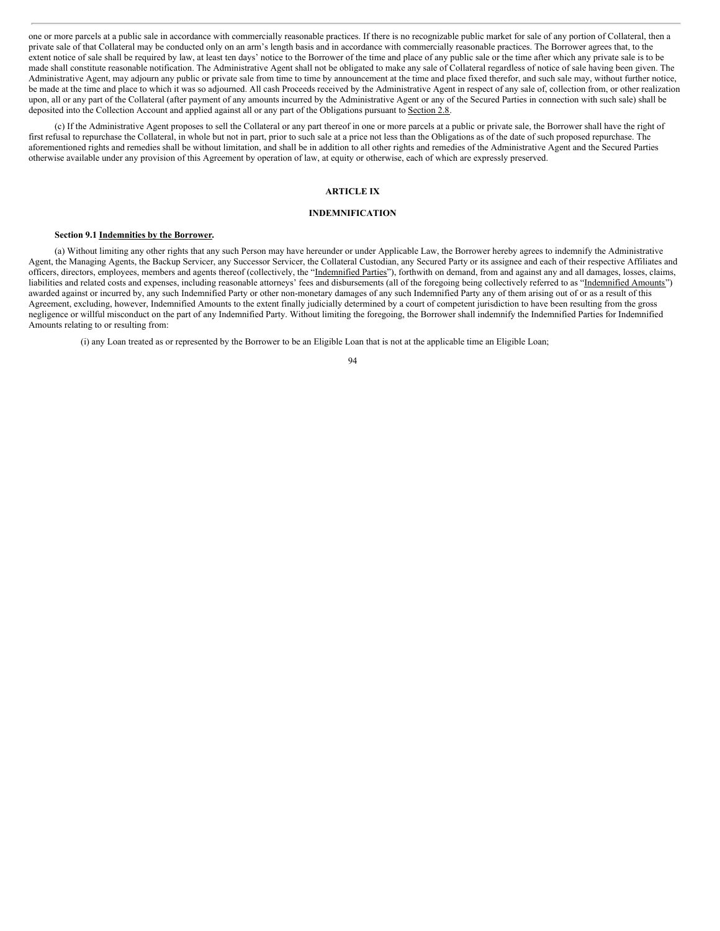one or more parcels at a public sale in accordance with commercially reasonable practices. If there is no recognizable public market for sale of any portion of Collateral, then a private sale of that Collateral may be conducted only on an arm's length basis and in accordance with commercially reasonable practices. The Borrower agrees that, to the extent notice of sale shall be required by law, at least ten days' notice to the Borrower of the time and place of any public sale or the time after which any private sale is to be made shall constitute reasonable notification. The Administrative Agent shall not be obligated to make any sale of Collateral regardless of notice of sale having been given. The Administrative Agent, may adjourn any public or private sale from time to time by announcement at the time and place fixed therefor, and such sale may, without further notice, be made at the time and place to which it was so adjourned. All cash Proceeds received by the Administrative Agent in respect of any sale of, collection from, or other realization upon, all or any part of the Collateral (after payment of any amounts incurred by the Administrative Agent or any of the Secured Parties in connection with such sale) shall be deposited into the Collection Account and applied against all or any part of the Obligations pursuant to Section 2.8.

(c) If the Administrative Agent proposes to sell the Collateral or any part thereof in one or more parcels at a public or private sale, the Borrower shall have the right of first refusal to repurchase the Collateral, in whole but not in part, prior to such sale at a price not less than the Obligations as of the date of such proposed repurchase. The aforementioned rights and remedies shall be without limitation, and shall be in addition to all other rights and remedies of the Administrative Agent and the Secured Parties otherwise available under any provision of this Agreement by operation of law, at equity or otherwise, each of which are expressly preserved.

# **ARTICLE IX**

# **INDEMNIFICATION**

# **Section 9.1 Indemnities by the Borrower.**

(a) Without limiting any other rights that any such Person may have hereunder or under Applicable Law, the Borrower hereby agrees to indemnify the Administrative Agent, the Managing Agents, the Backup Servicer, any Successor Servicer, the Collateral Custodian, any Secured Party or its assignee and each of their respective Affiliates and officers, directors, employees, members and agents thereof (collectively, the "Indemnified Parties"), forthwith on demand, from and against any and all damages, losses, claims, liabilities and related costs and expenses, including reasonable attorneys' fees and disbursements (all of the foregoing being collectively referred to as "Indemnified Amounts") awarded against or incurred by, any such Indemnified Party or other non-monetary damages of any such Indemnified Party any of them arising out of or as a result of this Agreement, excluding, however, Indemnified Amounts to the extent finally judicially determined by a court of competent jurisdiction to have been resulting from the gross negligence or willful misconduct on the part of any Indemnified Party. Without limiting the foregoing, the Borrower shall indemnify the Indemnified Parties for Indemnified Amounts relating to or resulting from:

(i) any Loan treated as or represented by the Borrower to be an Eligible Loan that is not at the applicable time an Eligible Loan;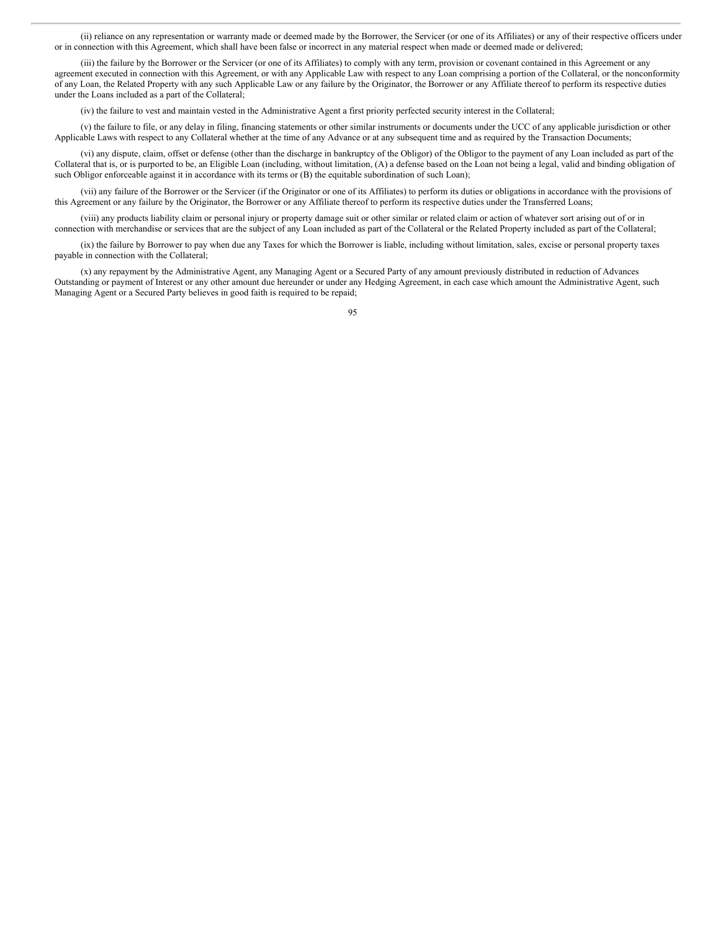(ii) reliance on any representation or warranty made or deemed made by the Borrower, the Servicer (or one of its Affiliates) or any of their respective officers under or in connection with this Agreement, which shall have been false or incorrect in any material respect when made or deemed made or delivered;

(iii) the failure by the Borrower or the Servicer (or one of its Affiliates) to comply with any term, provision or covenant contained in this Agreement or any agreement executed in connection with this Agreement, or with any Applicable Law with respect to any Loan comprising a portion of the Collateral, or the nonconformity of any Loan, the Related Property with any such Applicable Law or any failure by the Originator, the Borrower or any Affiliate thereof to perform its respective duties under the Loans included as a part of the Collateral;

(iv) the failure to vest and maintain vested in the Administrative Agent a first priority perfected security interest in the Collateral;

(v) the failure to file, or any delay in filing, financing statements or other similar instruments or documents under the UCC of any applicable jurisdiction or other Applicable Laws with respect to any Collateral whether at the time of any Advance or at any subsequent time and as required by the Transaction Documents;

(vi) any dispute, claim, offset or defense (other than the discharge in bankruptcy of the Obligor) of the Obligor to the payment of any Loan included as part of the Collateral that is, or is purported to be, an Eligible Loan (including, without limitation, (A) a defense based on the Loan not being a legal, valid and binding obligation of such Obligor enforceable against it in accordance with its terms or (B) the equitable subordination of such Loan);

(vii) any failure of the Borrower or the Servicer (if the Originator or one of its Affiliates) to perform its duties or obligations in accordance with the provisions of this Agreement or any failure by the Originator, the Borrower or any Affiliate thereof to perform its respective duties under the Transferred Loans;

(viii) any products liability claim or personal injury or property damage suit or other similar or related claim or action of whatever sort arising out of or in connection with merchandise or services that are the subject of any Loan included as part of the Collateral or the Related Property included as part of the Collateral;

(ix) the failure by Borrower to pay when due any Taxes for which the Borrower is liable, including without limitation, sales, excise or personal property taxes payable in connection with the Collateral;

(x) any repayment by the Administrative Agent, any Managing Agent or a Secured Party of any amount previously distributed in reduction of Advances Outstanding or payment of Interest or any other amount due hereunder or under any Hedging Agreement, in each case which amount the Administrative Agent, such Managing Agent or a Secured Party believes in good faith is required to be repaid;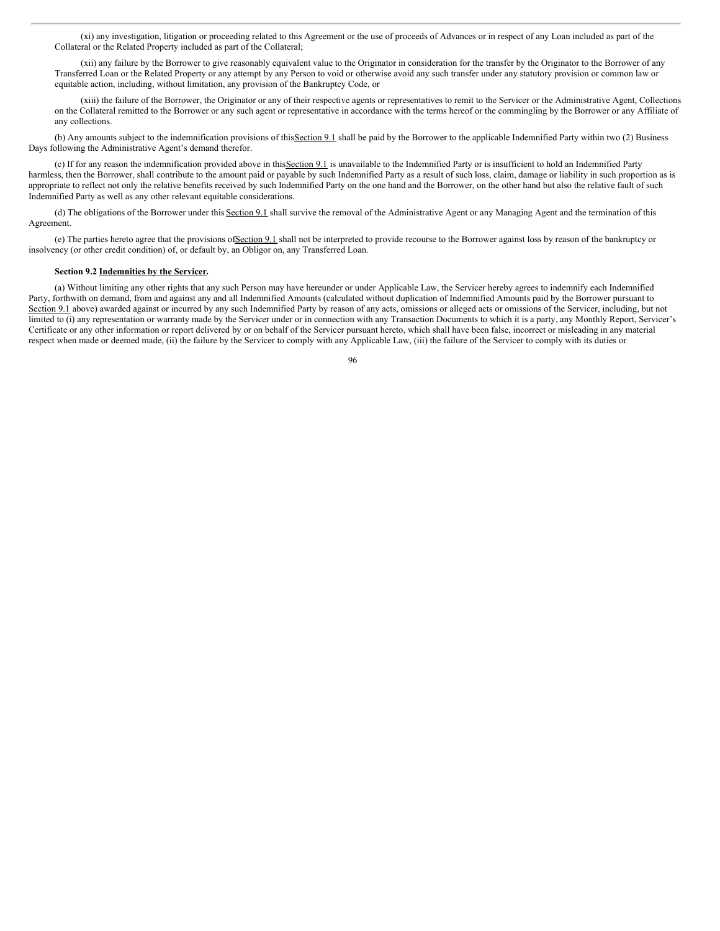(xi) any investigation, litigation or proceeding related to this Agreement or the use of proceeds of Advances or in respect of any Loan included as part of the Collateral or the Related Property included as part of the Collateral;

(xii) any failure by the Borrower to give reasonably equivalent value to the Originator in consideration for the transfer by the Originator to the Borrower of any Transferred Loan or the Related Property or any attempt by any Person to void or otherwise avoid any such transfer under any statutory provision or common law or equitable action, including, without limitation, any provision of the Bankruptcy Code, or

(xiii) the failure of the Borrower, the Originator or any of their respective agents or representatives to remit to the Servicer or the Administrative Agent, Collections on the Collateral remitted to the Borrower or any such agent or representative in accordance with the terms hereof or the commingling by the Borrower or any Affiliate of any collections.

(b) Any amounts subject to the indemnification provisions of this Section 9.1 shall be paid by the Borrower to the applicable Indemnified Party within two (2) Business Days following the Administrative Agent's demand therefor.

(c) If for any reason the indemnification provided above in thisSection 9.1 is unavailable to the Indemnified Party or is insufficient to hold an Indemnified Party harmless, then the Borrower, shall contribute to the amount paid or payable by such Indemnified Party as a result of such loss, claim, damage or liability in such proportion as is appropriate to reflect not only the relative benefits received by such Indemnified Party on the one hand and the Borrower, on the other hand but also the relative fault of such Indemnified Party as well as any other relevant equitable considerations.

(d) The obligations of the Borrower under this Section 9.1 shall survive the removal of the Administrative Agent or any Managing Agent and the termination of this Agreement.

(e) The parties hereto agree that the provisions ofSection 9.1 shall not be interpreted to provide recourse to the Borrower against loss by reason of the bankruptcy or insolvency (or other credit condition) of, or default by, an Obligor on, any Transferred Loan.

# **Section 9.2 Indemnities by the Servicer.**

(a) Without limiting any other rights that any such Person may have hereunder or under Applicable Law, the Servicer hereby agrees to indemnify each Indemnified Party, forthwith on demand, from and against any and all Indemnified Amounts (calculated without duplication of Indemnified Amounts paid by the Borrower pursuant to Section 9.1 above) awarded against or incurred by any such Indemnified Party by reason of any acts, omissions or alleged acts or omissions of the Servicer, including, but not limited to (i) any representation or warranty made by the Servicer under or in connection with any Transaction Documents to which it is a party, any Monthly Report, Servicer's Certificate or any other information or report delivered by or on behalf of the Servicer pursuant hereto, which shall have been false, incorrect or misleading in any material respect when made or deemed made, (ii) the failure by the Servicer to comply with any Applicable Law, (iii) the failure of the Servicer to comply with its duties or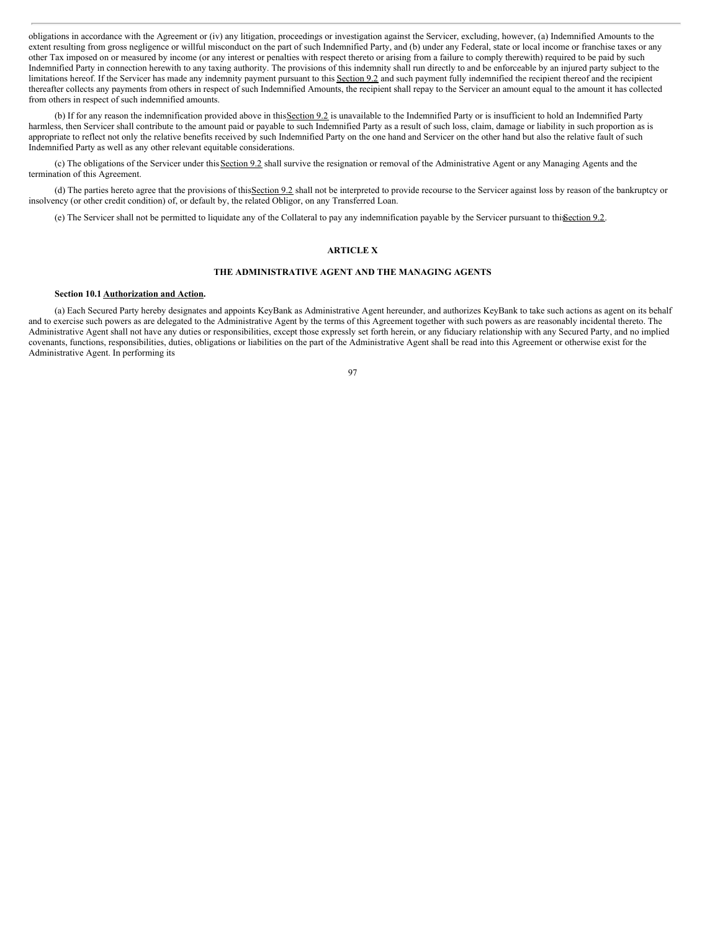obligations in accordance with the Agreement or (iv) any litigation, proceedings or investigation against the Servicer, excluding, however, (a) Indemnified Amounts to the extent resulting from gross negligence or willful misconduct on the part of such Indemnified Party, and (b) under any Federal, state or local income or franchise taxes or any other Tax imposed on or measured by income (or any interest or penalties with respect thereto or arising from a failure to comply therewith) required to be paid by such Indemnified Party in connection herewith to any taxing authority. The provisions of this indemnity shall run directly to and be enforceable by an injured party subject to the limitations hereof. If the Servicer has made any indemnity payment pursuant to this Section 9.2 and such payment fully indemnified the recipient thereof and the recipient thereafter collects any payments from others in respect of such Indemnified Amounts, the recipient shall repay to the Servicer an amount equal to the amount it has collected from others in respect of such indemnified amounts.

(b) If for any reason the indemnification provided above in this Section 9.2 is unavailable to the Indemnified Party or is insufficient to hold an Indemnified Party harmless, then Servicer shall contribute to the amount paid or payable to such Indemnified Party as a result of such loss, claim, damage or liability in such proportion as is appropriate to reflect not only the relative benefits received by such Indemnified Party on the one hand and Servicer on the other hand but also the relative fault of such Indemnified Party as well as any other relevant equitable considerations.

(c) The obligations of the Servicer under this Section 9.2 shall survive the resignation or removal of the Administrative Agent or any Managing Agents and the termination of this Agreement.

(d) The parties hereto agree that the provisions of thisSection 9.2 shall not be interpreted to provide recourse to the Servicer against loss by reason of the bankruptcy or insolvency (or other credit condition) of, or default by, the related Obligor, on any Transferred Loan.

(e) The Servicer shall not be permitted to liquidate any of the Collateral to pay any indemnification payable by the Servicer pursuant to thisSection 9.2.

# **ARTICLE X**

# **THE ADMINISTRATIVE AGENT AND THE MANAGING AGENTS**

### **Section 10.1 Authorization and Action.**

(a) Each Secured Party hereby designates and appoints KeyBank as Administrative Agent hereunder, and authorizes KeyBank to take such actions as agent on its behalf and to exercise such powers as are delegated to the Administrative Agent by the terms of this Agreement together with such powers as are reasonably incidental thereto. The Administrative Agent shall not have any duties or responsibilities, except those expressly set forth herein, or any fiduciary relationship with any Secured Party, and no implied covenants, functions, responsibilities, duties, obligations or liabilities on the part of the Administrative Agent shall be read into this Agreement or otherwise exist for the Administrative Agent. In performing its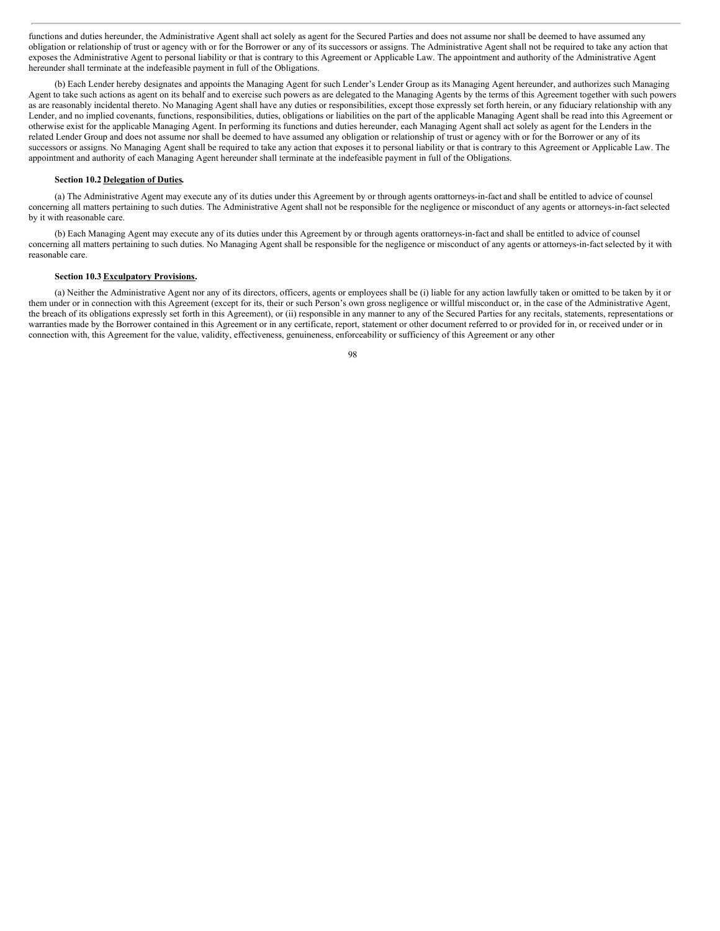functions and duties hereunder, the Administrative Agent shall act solely as agent for the Secured Parties and does not assume nor shall be deemed to have assumed any obligation or relationship of trust or agency with or for the Borrower or any of its successors or assigns. The Administrative Agent shall not be required to take any action that exposes the Administrative Agent to personal liability or that is contrary to this Agreement or Applicable Law. The appointment and authority of the Administrative Agent hereunder shall terminate at the indefeasible payment in full of the Obligations.

(b) Each Lender hereby designates and appoints the Managing Agent for such Lender's Lender Group as its Managing Agent hereunder, and authorizes such Managing Agent to take such actions as agent on its behalf and to exercise such powers as are delegated to the Managing Agents by the terms of this Agreement together with such powers as are reasonably incidental thereto. No Managing Agent shall have any duties or responsibilities, except those expressly set forth herein, or any fiduciary relationship with any Lender, and no implied covenants, functions, responsibilities, duties, obligations or liabilities on the part of the applicable Managing Agent shall be read into this Agreement or otherwise exist for the applicable Managing Agent. In performing its functions and duties hereunder, each Managing Agent shall act solely as agent for the Lenders in the related Lender Group and does not assume nor shall be deemed to have assumed any obligation or relationship of trust or agency with or for the Borrower or any of its successors or assigns. No Managing Agent shall be required to take any action that exposes it to personal liability or that is contrary to this Agreement or Applicable Law. The appointment and authority of each Managing Agent hereunder shall terminate at the indefeasible payment in full of the Obligations.

# **Section 10.2 Delegation of Duties.**

(a) The Administrative Agent may execute any of its duties under this Agreement by or through agents orattorneys-in-fact and shall be entitled to advice of counsel concerning all matters pertaining to such duties. The Administrative Agent shall not be responsible for the negligence or misconduct of any agents or attorneys-in-factselected by it with reasonable care.

(b) Each Managing Agent may execute any of its duties under this Agreement by or through agents orattorneys-in-fact and shall be entitled to advice of counsel concerning all matters pertaining to such duties. No Managing Agent shall be responsible for the negligence or misconduct of any agents or attorneys-in-factselected by it with reasonable care.

# **Section 10.3 Exculpatory Provisions.**

(a) Neither the Administrative Agent nor any of its directors, officers, agents or employees shall be (i) liable for any action lawfully taken or omitted to be taken by it or them under or in connection with this Agreement (except for its, their or such Person's own gross negligence or willful misconduct or, in the case of the Administrative Agent, the breach of its obligations expressly set forth in this Agreement), or (ii) responsible in any manner to any of the Secured Parties for any recitals, statements, representations or warranties made by the Borrower contained in this Agreement or in any certificate, report, statement or other document referred to or provided for in, or received under or in connection with, this Agreement for the value, validity, effectiveness, genuineness, enforceability or sufficiency of this Agreement or any other

<sup>98</sup>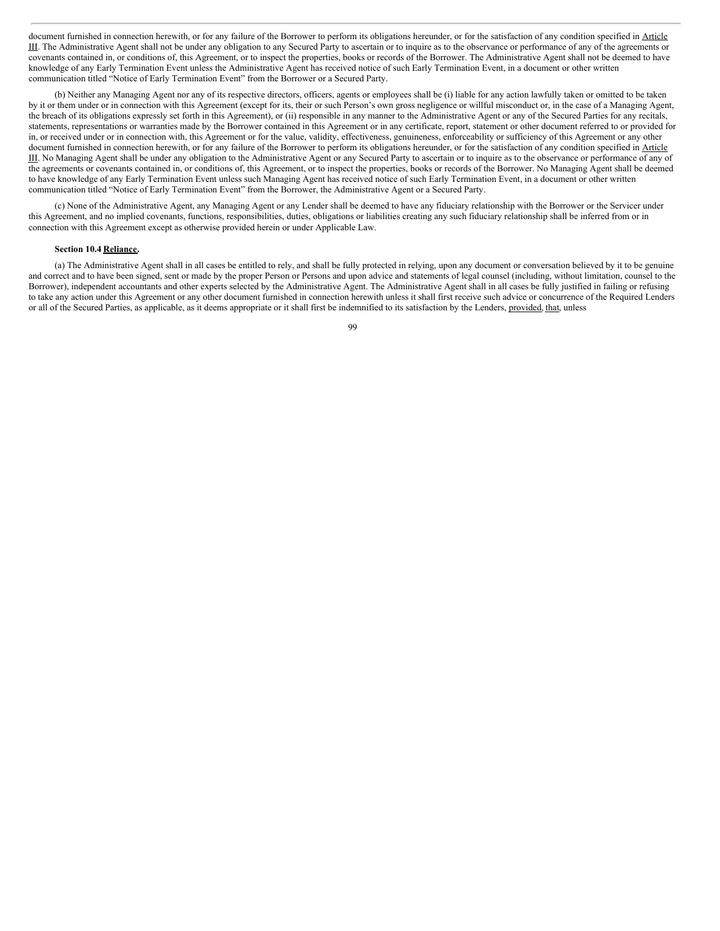document furnished in connection herewith, or for any failure of the Borrower to perform its obligations hereunder, or for the satisfaction of any condition specified in Article III. The Administrative Agent shall not be under any obligation to any Secured Party to ascertain or to inquire as to the observance or performance of any of the agreements or covenants contained in, or conditions of, this Agreement, or to inspect the properties, books or records of the Borrower. The Administrative Agent shall not be deemed to have knowledge of any Early Termination Event unless the Administrative Agent has received notice of such Early Termination Event, in a document or other written communication titled "Notice of Early Termination Event" from the Borrower or a Secured Party.

(b) Neither any Managing Agent nor any of its respective directors, officers, agents or employees shall be (i) liable for any action lawfully taken or omitted to be taken by it or them under or in connection with this Agreement (except for its, their or such Person's own gross negligence or willful misconduct or, in the case of a Managing Agent, the breach of its obligations expressly set forth in this Agreement), or (ii) responsible in any manner to the Administrative Agent or any of the Secured Parties for any recitals, statements, representations or warranties made by the Borrower contained in this Agreement or in any certificate, report, statement or other document referred to or provided for in, or received under or in connection with, this Agreement or for the value, validity, effectiveness, genuineness, enforceability or sufficiency of this Agreement or any other document furnished in connection herewith, or for any failure of the Borrower to perform its obligations hereunder, or for the satisfaction of any condition specified in Article III. No Managing Agent shall be under any obligation to the Administrative Agent or any Secured Party to ascertain or to inquire as to the observance or performance of any of the agreements or covenants contained in, or conditions of, this Agreement, or to inspect the properties, books or records of the Borrower. No Managing Agent shall be deemed to have knowledge of any Early Termination Event unless such Managing Agent has received notice of such Early Termination Event, in a document or other written communication titled "Notice of Early Termination Event" from the Borrower, the Administrative Agent or a Secured Party.

(c) None of the Administrative Agent, any Managing Agent or any Lender shall be deemed to have any fiduciary relationship with the Borrower or the Servicer under this Agreement, and no implied covenants, functions, responsibilities, duties, obligations or liabilities creating any such fiduciary relationship shall be inferred from or in connection with this Agreement except as otherwise provided herein or under Applicable Law.

#### **Section 10.4 Reliance.**

(a) The Administrative Agent shall in all cases be entitled to rely, and shall be fully protected in relying, upon any document or conversation believed by it to be genuine and correct and to have been signed, sent or made by the proper Person or Persons and upon advice and statements of legal counsel (including, without limitation, counsel to the Borrower), independent accountants and other experts selected by the Administrative Agent. The Administrative Agent shall in all cases be fully justified in failing or refusing to take any action under this Agreement or any other document furnished in connection herewith unless it shall first receive such advice or concurrence of the Required Lenders or all of the Secured Parties, as applicable, as it deems appropriate or it shall first be indemnified to its satisfaction by the Lenders, provided, that, unless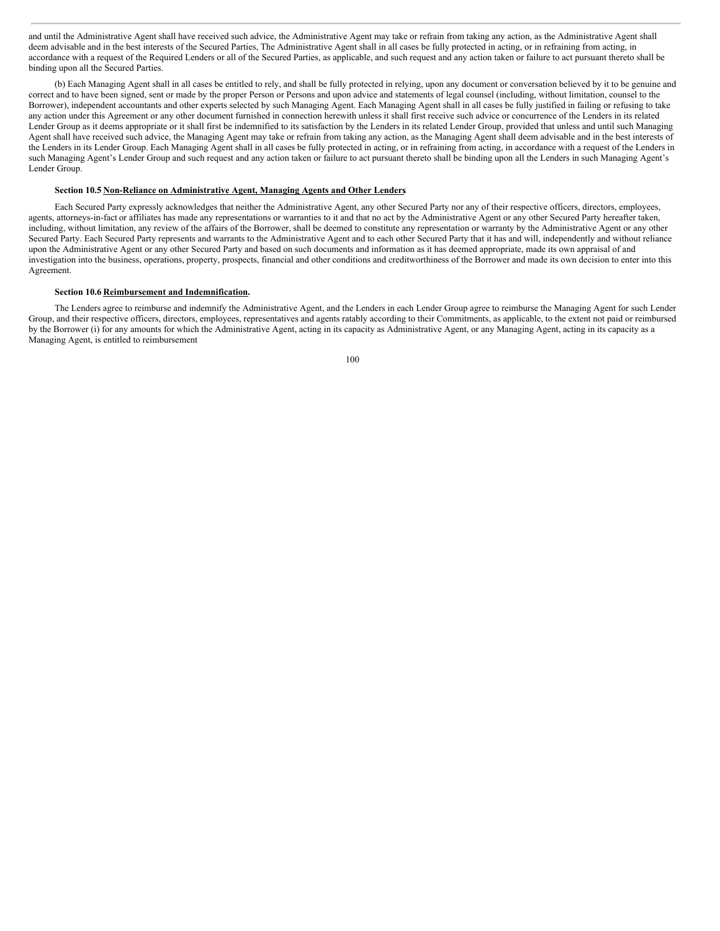and until the Administrative Agent shall have received such advice, the Administrative Agent may take or refrain from taking any action, as the Administrative Agent shall deem advisable and in the best interests of the Secured Parties, The Administrative Agent shall in all cases be fully protected in acting, or in refraining from acting, in accordance with a request of the Required Lenders or all of the Secured Parties, as applicable, and such request and any action taken or failure to act pursuant thereto shall be binding upon all the Secured Parties.

(b) Each Managing Agent shall in all cases be entitled to rely, and shall be fully protected in relying, upon any document or conversation believed by it to be genuine and correct and to have been signed, sent or made by the proper Person or Persons and upon advice and statements of legal counsel (including, without limitation, counsel to the Borrower), independent accountants and other experts selected by such Managing Agent. Each Managing Agent shall in all cases be fully justified in failing or refusing to take any action under this Agreement or any other document furnished in connection herewith unless it shall first receive such advice or concurrence of the Lenders in its related Lender Group as it deems appropriate or it shall first be indemnified to its satisfaction by the Lenders in its related Lender Group, provided that unless and until such Managing Agent shall have received such advice, the Managing Agent may take or refrain from taking any action, as the Managing Agent shall deem advisable and in the best interests of the Lenders in its Lender Group. Each Managing Agent shall in all cases be fully protected in acting, or in refraining from acting, in accordance with a request of the Lenders in such Managing Agent's Lender Group and such request and any action taken or failure to act pursuant thereto shall be binding upon all the Lenders in such Managing Agent's Lender Group.

#### **Section 10.5 Non-Reliance on Administrative Agent, Managing Agents and Other Lenders.**

Each Secured Party expressly acknowledges that neither the Administrative Agent, any other Secured Party nor any of their respective officers, directors, employees, agents, attorneys-in-fact or affiliates has made any representations or warranties to it and that no act by the Administrative Agent or any other Secured Party hereafter taken, including, without limitation, any review of the affairs of the Borrower, shall be deemed to constitute any representation or warranty by the Administrative Agent or any other Secured Party. Each Secured Party represents and warrants to the Administrative Agent and to each other Secured Party that it has and will, independently and without reliance upon the Administrative Agent or any other Secured Party and based on such documents and information as it has deemed appropriate, made its own appraisal of and investigation into the business, operations, property, prospects, financial and other conditions and creditworthiness of the Borrower and made its own decision to enter into this Agreement.

# **Section 10.6 Reimbursement and Indemnification.**

The Lenders agree to reimburse and indemnify the Administrative Agent, and the Lenders in each Lender Group agree to reimburse the Managing Agent for such Lender Group, and their respective officers, directors, employees, representatives and agents ratably according to their Commitments, as applicable, to the extent not paid or reimbursed by the Borrower (i) for any amounts for which the Administrative Agent, acting in its capacity as Administrative Agent, or any Managing Agent, acting in its capacity as a Managing Agent, is entitled to reimbursement

| ۰.<br>I<br>٧ | ٦<br>×<br>۰, |
|--------------|--------------|
|              |              |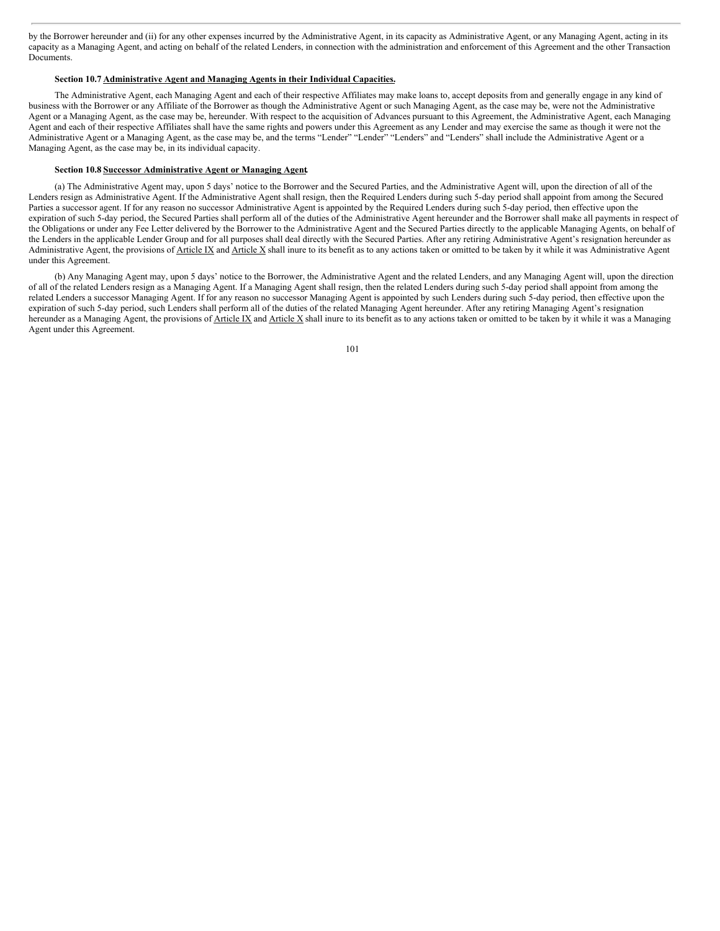by the Borrower hereunder and (ii) for any other expenses incurred by the Administrative Agent, in its capacity as Administrative Agent, or any Managing Agent, acting in its capacity as a Managing Agent, and acting on behalf of the related Lenders, in connection with the administration and enforcement of this Agreement and the other Transaction Documents.

#### **Section 10.7 Administrative Agent and Managing Agents in their Individual Capacities.**

The Administrative Agent, each Managing Agent and each of their respective Affiliates may make loans to, accept deposits from and generally engage in any kind of business with the Borrower or any Affiliate of the Borrower as though the Administrative Agent or such Managing Agent, as the case may be, were not the Administrative Agent or a Managing Agent, as the case may be, hereunder. With respect to the acquisition of Advances pursuant to this Agreement, the Administrative Agent, each Managing Agent and each of their respective Affiliates shall have the same rights and powers under this Agreement as any Lender and may exercise the same as though it were not the Administrative Agent or a Managing Agent, as the case may be, and the terms "Lender" "Lender" "Lenders" and "Lenders" shall include the Administrative Agent or a Managing Agent, as the case may be, in its individual capacity.

# **Section 10.8 Successor Administrative Agent or Managing Agent.**

(a) The Administrative Agent may, upon 5 days' notice to the Borrower and the Secured Parties, and the Administrative Agent will, upon the direction of all of the Lenders resign as Administrative Agent. If the Administrative Agent shall resign, then the Required Lenders during such 5-day period shall appoint from among the Secured Parties a successor agent. If for any reason no successor Administrative Agent is appointed by the Required Lenders during such 5-day period, then effective upon the expiration of such 5-day period, the Secured Parties shall perform all of the duties of the Administrative Agent hereunder and the Borrower shall make all payments in respect of the Obligations or under any Fee Letter delivered by the Borrower to the Administrative Agent and the Secured Parties directly to the applicable Managing Agents, on behalf of the Lenders in the applicable Lender Group and for all purposes shall deal directly with the Secured Parties. After any retiring Administrative Agent's resignation hereunder as Administrative Agent, the provisions of Article IX and Article X shall inure to its benefit as to any actions taken or omitted to be taken by it while it was Administrative Agent under this Agreement.

(b) Any Managing Agent may, upon 5 days' notice to the Borrower, the Administrative Agent and the related Lenders, and any Managing Agent will, upon the direction of all of the related Lenders resign as a Managing Agent. If a Managing Agent shall resign, then the related Lenders during such 5-day period shall appoint from among the related Lenders a successor Managing Agent. If for any reason no successor Managing Agent is appointed by such Lenders during such 5-day period, then effective upon the expiration of such 5-day period, such Lenders shall perform all of the duties of the related Managing Agent hereunder. After any retiring Managing Agent's resignation hereunder as a Managing Agent, the provisions of **Article IX** and Article X shall inure to its benefit as to any actions taken or omitted to be taken by it while it was a Managing Agent under this Agreement.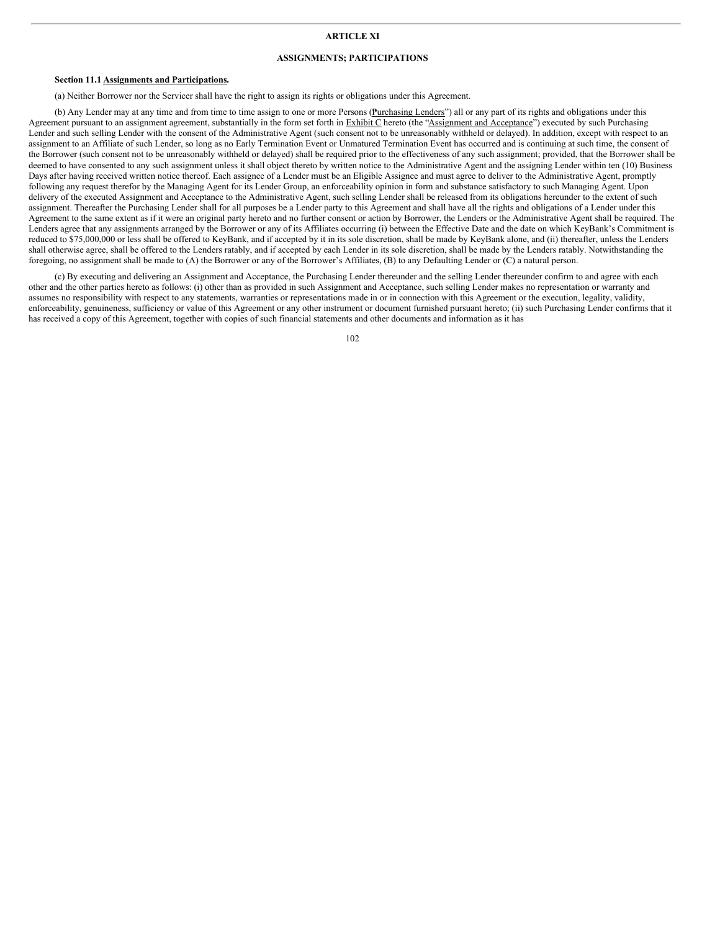# **ARTICLE XI**

# **ASSIGNMENTS; PARTICIPATIONS**

#### **Section 11.1 Assignments and Participations.**

(a) Neither Borrower nor the Servicer shall have the right to assign its rights or obligations under this Agreement.

(b) Any Lender may at any time and from time to time assign to one or more Persons (Purchasing Lenders") all or any part of its rights and obligations under this Agreement pursuant to an assignment agreement, substantially in the form set forth in Exhibit C hereto (the "Assignment and Acceptance") executed by such Purchasing Lender and such selling Lender with the consent of the Administrative Agent (such consent not to be unreasonably withheld or delayed). In addition, except with respect to an assignment to an Affiliate of such Lender, so long as no Early Termination Event or Unmatured Termination Event has occurred and is continuing at such time, the consent of the Borrower (such consent not to be unreasonably withheld or delayed) shall be required prior to the effectiveness of any such assignment; provided, that the Borrower shall be deemed to have consented to any such assignment unless it shall object thereto by written notice to the Administrative Agent and the assigning Lender within ten (10) Business Days after having received written notice thereof. Each assignee of a Lender must be an Eligible Assignee and must agree to deliver to the Administrative Agent, promptly following any request therefor by the Managing Agent for its Lender Group, an enforceability opinion in form and substance satisfactory to such Managing Agent. Upon delivery of the executed Assignment and Acceptance to the Administrative Agent, such selling Lender shall be released from its obligations hereunder to the extent of such assignment. Thereafter the Purchasing Lender shall for all purposes be a Lender party to this Agreement and shall have all the rights and obligations of a Lender under this Agreement to the same extent as if it were an original party hereto and no further consent or action by Borrower, the Lenders or the Administrative Agent shall be required. The Lenders agree that any assignments arranged by the Borrower or any of its Affiliates occurring (i) between the Effective Date and the date on which KeyBank's Commitment is reduced to \$75,000,000 or less shall be offered to KeyBank, and if accepted by it in its sole discretion, shall be made by KeyBank alone, and (ii) thereafter, unless the Lenders shall otherwise agree, shall be offered to the Lenders ratably, and if accepted by each Lender in its sole discretion, shall be made by the Lenders ratably. Notwithstanding the foregoing, no assignment shall be made to (A) the Borrower or any of the Borrower's Affiliates, (B) to any Defaulting Lender or (C) a natural person.

(c) By executing and delivering an Assignment and Acceptance, the Purchasing Lender thereunder and the selling Lender thereunder confirm to and agree with each other and the other parties hereto as follows: (i) other than as provided in such Assignment and Acceptance, such selling Lender makes no representation or warranty and assumes no responsibility with respect to any statements, warranties or representations made in or in connection with this Agreement or the execution, legality, validity, enforceability, genuineness, sufficiency or value of this Agreement or any other instrument or document furnished pursuant hereto; (ii) such Purchasing Lender confirms that it has received a copy of this Agreement, together with copies of such financial statements and other documents and information as it has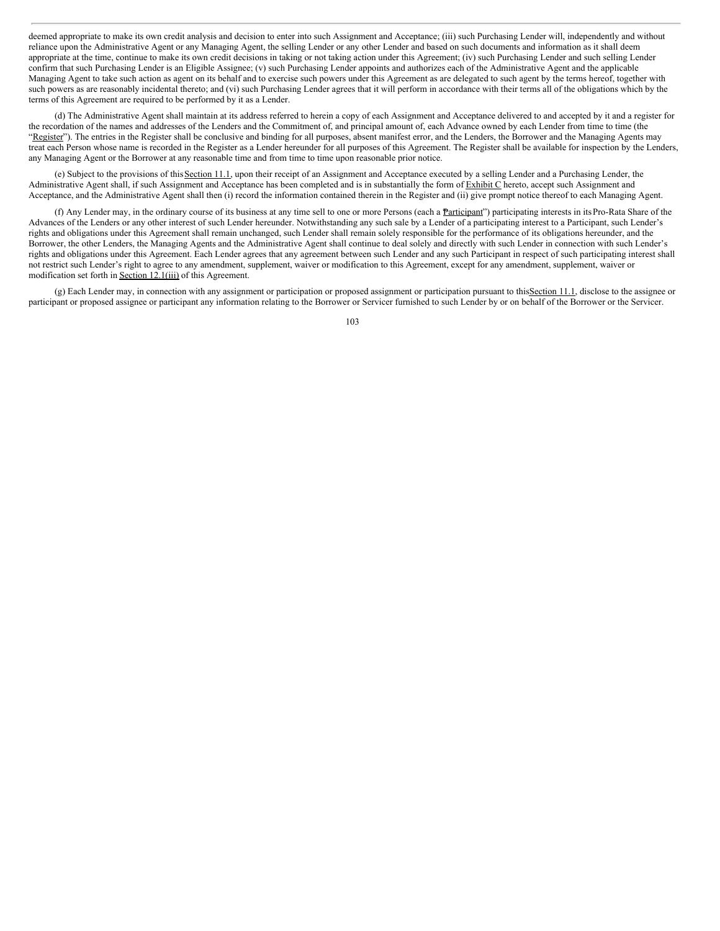deemed appropriate to make its own credit analysis and decision to enter into such Assignment and Acceptance; (iii) such Purchasing Lender will, independently and without reliance upon the Administrative Agent or any Managing Agent, the selling Lender or any other Lender and based on such documents and information as it shall deem appropriate at the time, continue to make its own credit decisions in taking or not taking action under this Agreement; (iv) such Purchasing Lender and such selling Lender confirm that such Purchasing Lender is an Eligible Assignee; (v) such Purchasing Lender appoints and authorizes each of the Administrative Agent and the applicable Managing Agent to take such action as agent on its behalf and to exercise such powers under this Agreement as are delegated to such agent by the terms hereof, together with such powers as are reasonably incidental thereto; and (vi) such Purchasing Lender agrees that it will perform in accordance with their terms all of the obligations which by the terms of this Agreement are required to be performed by it as a Lender.

(d) The Administrative Agent shall maintain at its address referred to herein a copy of each Assignment and Acceptance delivered to and accepted by it and a register for the recordation of the names and addresses of the Lenders and the Commitment of, and principal amount of, each Advance owned by each Lender from time to time (the "Register"). The entries in the Register shall be conclusive and binding for all purposes, absent manifest error, and the Lenders, the Borrower and the Managing Agents may treat each Person whose name is recorded in the Register as a Lender hereunder for all purposes of this Agreement. The Register shall be available for inspection by the Lenders, any Managing Agent or the Borrower at any reasonable time and from time to time upon reasonable prior notice.

(e) Subject to the provisions of thisSection 11.1, upon their receipt of an Assignment and Acceptance executed by a selling Lender and a Purchasing Lender, the Administrative Agent shall, if such Assignment and Acceptance has been completed and is in substantially the form of Exhibit C hereto, accept such Assignment and Acceptance, and the Administrative Agent shall then (i) record the information contained therein in the Register and (ii) give prompt notice thereof to each Managing Agent.

(f) Any Lender may, in the ordinary course of its business at any time sell to one or more Persons (each a Participant") participating interests in its Pro-Rata Share of the Advances of the Lenders or any other interest of such Lender hereunder. Notwithstanding any such sale by a Lender of a participating interest to a Participant, such Lender's rights and obligations under this Agreement shall remain unchanged, such Lender shall remain solely responsible for the performance of its obligations hereunder, and the Borrower, the other Lenders, the Managing Agents and the Administrative Agent shall continue to deal solely and directly with such Lender in connection with such Lender's rights and obligations under this Agreement. Each Lender agrees that any agreement between such Lender and any such Participant in respect of such participating interest shall not restrict such Lender's right to agree to any amendment, supplement, waiver or modification to this Agreement, except for any amendment, supplement, waiver or modification set forth in Section 12.1(iii) of this Agreement.

(g) Each Lender may, in connection with any assignment or participation or proposed assignment or participation pursuant to thisSection 11.1, disclose to the assignee or participant or proposed assignee or participant any information relating to the Borrower or Servicer furnished to such Lender by or on behalf of the Borrower or the Servicer.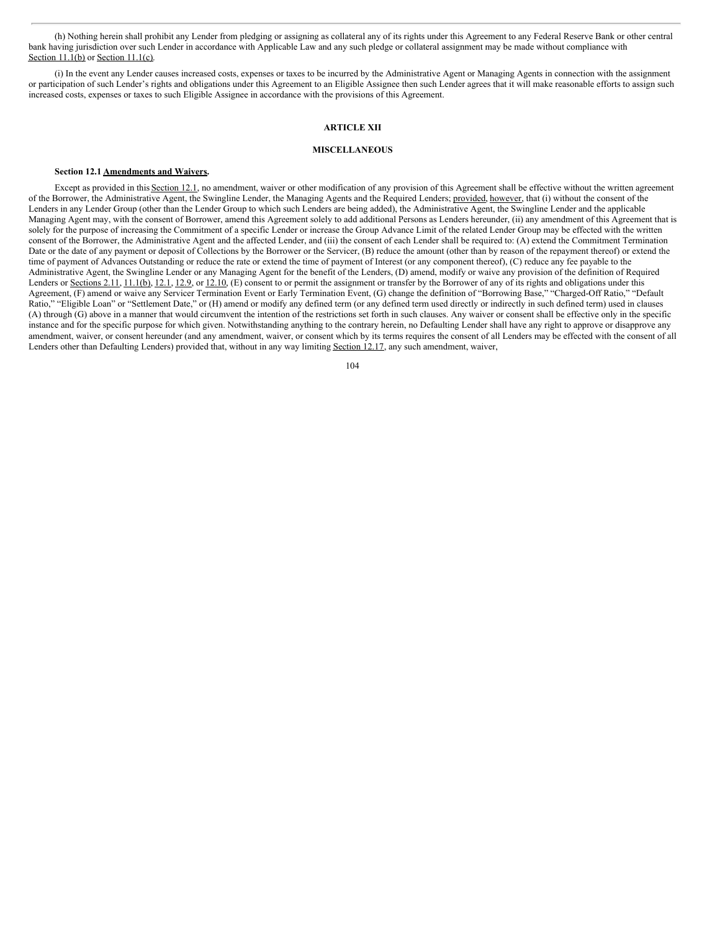(h) Nothing herein shall prohibit any Lender from pledging or assigning as collateral any of its rights under this Agreement to any Federal Reserve Bank or other central bank having jurisdiction over such Lender in accordance with Applicable Law and any such pledge or collateral assignment may be made without compliance with Section 11.1(b) or Section 11.1(c).

(i) In the event any Lender causes increased costs, expenses or taxes to be incurred by the Administrative Agent or Managing Agents in connection with the assignment or participation of such Lender's rights and obligations under this Agreement to an Eligible Assignee then such Lender agrees that it will make reasonable efforts to assign such increased costs, expenses or taxes to such Eligible Assignee in accordance with the provisions of this Agreement.

### **ARTICLE XII**

# **MISCELLANEOUS**

#### **Section 12.1 Amendments and Waivers.**

Except as provided in this Section 12.1, no amendment, waiver or other modification of any provision of this Agreement shall be effective without the written agreement of the Borrower, the Administrative Agent, the Swingline Lender, the Managing Agents and the Required Lenders; provided, however, that (i) without the consent of the Lenders in any Lender Group (other than the Lender Group to which such Lenders are being added), the Administrative Agent, the Swingline Lender and the applicable Managing Agent may, with the consent of Borrower, amend this Agreement solely to add additional Persons as Lenders hereunder, (ii) any amendment of this Agreement that is solely for the purpose of increasing the Commitment of a specific Lender or increase the Group Advance Limit of the related Lender Group may be effected with the written consent of the Borrower, the Administrative Agent and the affected Lender, and (iii) the consent of each Lender shall be required to: (A) extend the Commitment Termination Date or the date of any payment or deposit of Collections by the Borrower or the Servicer, (B) reduce the amount (other than by reason of the repayment thereof) or extend the time of payment of Advances Outstanding or reduce the rate or extend the time of payment of Interest (or any component thereof), (C) reduce any fee payable to the Administrative Agent, the Swingline Lender or any Managing Agent for the benefit of the Lenders, (D) amend, modify or waive any provision of the definition of Required Lenders or Sections 2.11, 11.1(b), 12.1, 12.9, or 12.10, (E) consent to or permit the assignment or transfer by the Borrower of any of its rights and obligations under this Agreement, (F) amend or waive any Servicer Termination Event or Early Termination Event, (G) change the definition of "Borrowing Base," "Charged-Off Ratio," "Default Ratio," "Eligible Loan" or "Settlement Date," or (H) amend or modify any defined term (or any defined term used directly or indirectly in such defined term) used in clauses (A) through (G) above in a manner that would circumvent the intention of the restrictions set forth in such clauses. Any waiver or consent shall be effective only in the specific instance and for the specific purpose for which given. Notwithstanding anything to the contrary herein, no Defaulting Lender shall have any right to approve or disapprove any amendment, waiver, or consent hereunder (and any amendment, waiver, or consent which by its terms requires the consent of all Lenders may be effected with the consent of all Lenders other than Defaulting Lenders) provided that, without in any way limiting Section 12.17, any such amendment, waiver,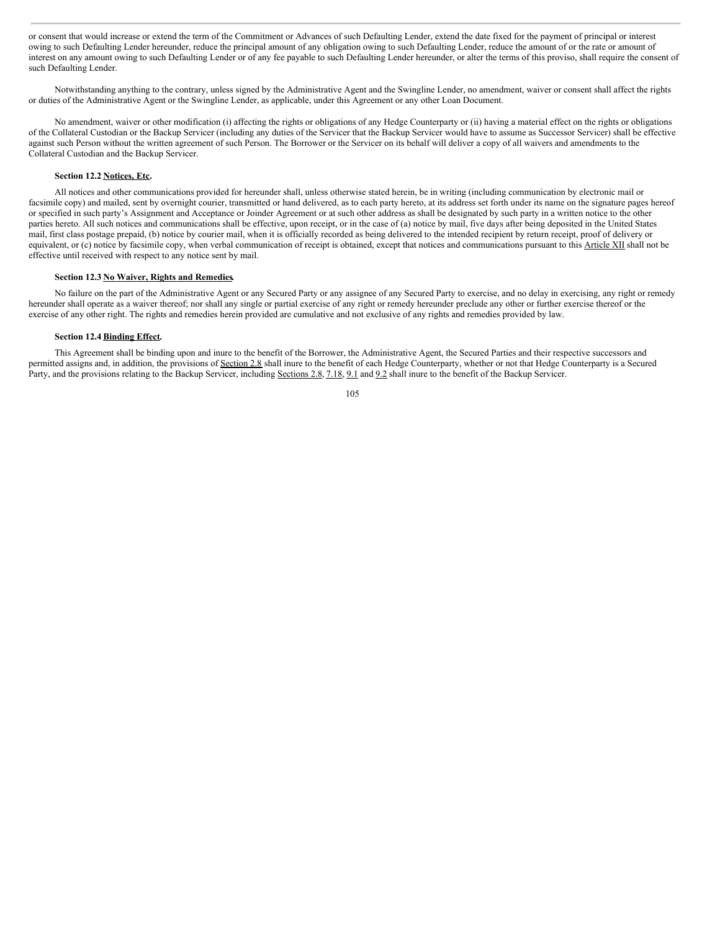or consent that would increase or extend the term of the Commitment or Advances of such Defaulting Lender, extend the date fixed for the payment of principal or interest owing to such Defaulting Lender hereunder, reduce the principal amount of any obligation owing to such Defaulting Lender, reduce the amount of or the rate or amount of interest on any amount owing to such Defaulting Lender or of any fee payable to such Defaulting Lender hereunder, or alter the terms of this proviso, shall require the consent of such Defaulting Lender.

Notwithstanding anything to the contrary, unless signed by the Administrative Agent and the Swingline Lender, no amendment, waiver or consent shall affect the rights or duties of the Administrative Agent or the Swingline Lender, as applicable, under this Agreement or any other Loan Document.

No amendment, waiver or other modification (i) affecting the rights or obligations of any Hedge Counterparty or (ii) having a material effect on the rights or obligations of the Collateral Custodian or the Backup Servicer (including any duties of the Servicer that the Backup Servicer would have to assume as Successor Servicer) shall be effective against such Person without the written agreement of such Person. The Borrower or the Servicer on its behalf will deliver a copy of all waivers and amendments to the Collateral Custodian and the Backup Servicer.

# **Section 12.2 Notices, Etc.**

All notices and other communications provided for hereunder shall, unless otherwise stated herein, be in writing (including communication by electronic mail or facsimile copy) and mailed, sent by overnight courier, transmitted or hand delivered, as to each party hereto, at its address set forth under its name on the signature pages hereof or specified in such party's Assignment and Acceptance or Joinder Agreement or at such other address as shall be designated by such party in a written notice to the other parties hereto. All such notices and communications shall be effective, upon receipt, or in the case of (a) notice by mail, five days after being deposited in the United States mail, first class postage prepaid, (b) notice by courier mail, when it is officially recorded as being delivered to the intended recipient by return receipt, proof of delivery or equivalent, or (c) notice by facsimile copy, when verbal communication of receipt is obtained, except that notices and communications pursuant to this Article XII shall not be effective until received with respect to any notice sent by mail.

### **Section 12.3 No Waiver, Rights and Remedies.**

No failure on the part of the Administrative Agent or any Secured Party or any assignee of any Secured Party to exercise, and no delay in exercising, any right or remedy hereunder shall operate as a waiver thereof; nor shall any single or partial exercise of any right or remedy hereunder preclude any other or further exercise thereof or the exercise of any other right. The rights and remedies herein provided are cumulative and not exclusive of any rights and remedies provided by law.

#### **Section 12.4 Binding Effect.**

This Agreement shall be binding upon and inure to the benefit of the Borrower, the Administrative Agent, the Secured Parties and their respective successors and permitted assigns and, in addition, the provisions of Section 2.8 shall inure to the benefit of each Hedge Counterparty, whether or not that Hedge Counterparty is a Secured Party, and the provisions relating to the Backup Servicer, including Sections 2.8, 7.18, 9.1 and 9.2 shall inure to the benefit of the Backup Servicer.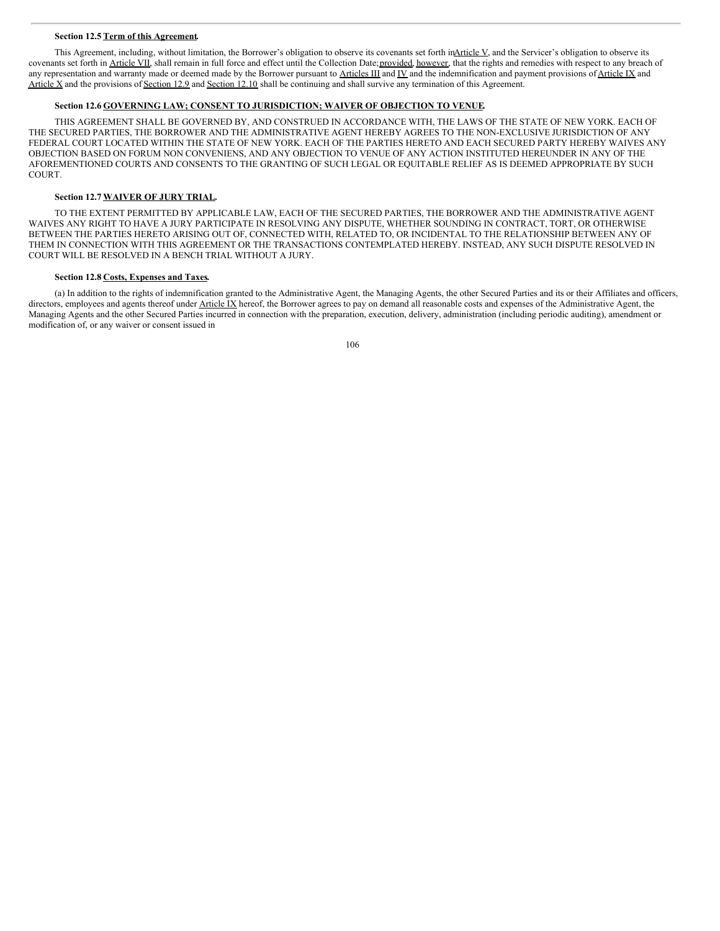#### **Section 12.5 Term of this Agreement.**

This Agreement, including, without limitation, the Borrower's obligation to observe its covenants set forth in $\Delta$ rticle V, and the Servicer's obligation to observe its covenants set forth in Article VII, shall remain in full force and effect until the Collection Date; provided, however, that the rights and remedies with respect to any breach of any representation and warranty made or deemed made by the Borrower pursuant to Articles III and IV and the indemnification and payment provisions of Article IX and Article X and the provisions of Section 12.9 and Section 12.10 shall be continuing and shall survive any termination of this Agreement.

# **Section 12.6 GOVERNING LAW; CONSENT TO JURISDICTION; WAIVER OF OBJECTION TO VENUE.**

THIS AGREEMENT SHALL BE GOVERNED BY, AND CONSTRUED IN ACCORDANCE WITH, THE LAWS OF THE STATE OF NEW YORK. EACH OF THE SECURED PARTIES, THE BORROWER AND THE ADMINISTRATIVE AGENT HEREBY AGREES TO THE NON-EXCLUSIVE JURISDICTION OF ANY FEDERAL COURT LOCATED WITHIN THE STATE OF NEW YORK. EACH OF THE PARTIES HERETO AND EACH SECURED PARTY HEREBY WAIVES ANY OBJECTION BASED ON FORUM NON CONVENIENS, AND ANY OBJECTION TO VENUE OF ANY ACTION INSTITUTED HEREUNDER IN ANY OF THE AFOREMENTIONED COURTS AND CONSENTS TO THE GRANTING OF SUCH LEGAL OR EQUITABLE RELIEF AS IS DEEMED APPROPRIATE BY SUCH **COURT** 

#### **Section 12.7 WAIVER OF JURY TRIAL.**

TO THE EXTENT PERMITTED BY APPLICABLE LAW, EACH OF THE SECURED PARTIES, THE BORROWER AND THE ADMINISTRATIVE AGENT WAIVES ANY RIGHT TO HAVE A JURY PARTICIPATE IN RESOLVING ANY DISPUTE, WHETHER SOUNDING IN CONTRACT, TORT, OR OTHERWISE BETWEEN THE PARTIES HERETO ARISING OUT OF, CONNECTED WITH, RELATED TO, OR INCIDENTAL TO THE RELATIONSHIP BETWEEN ANY OF THEM IN CONNECTION WITH THIS AGREEMENT OR THE TRANSACTIONS CONTEMPLATED HEREBY. INSTEAD, ANY SUCH DISPUTE RESOLVED IN COURT WILL BE RESOLVED IN A BENCH TRIAL WITHOUT A JURY.

#### **Section 12.8 Costs, Expenses and Taxes.**

(a) In addition to the rights of indemnification granted to the Administrative Agent, the Managing Agents, the other Secured Parties and its or their Affiliates and officers, directors, employees and agents thereof under Article IX hereof, the Borrower agrees to pay on demand all reasonable costs and expenses of the Administrative Agent, the Managing Agents and the other Secured Parties incurred in connection with the preparation, execution, delivery, administration (including periodic auditing), amendment or modification of, or any waiver or consent issued in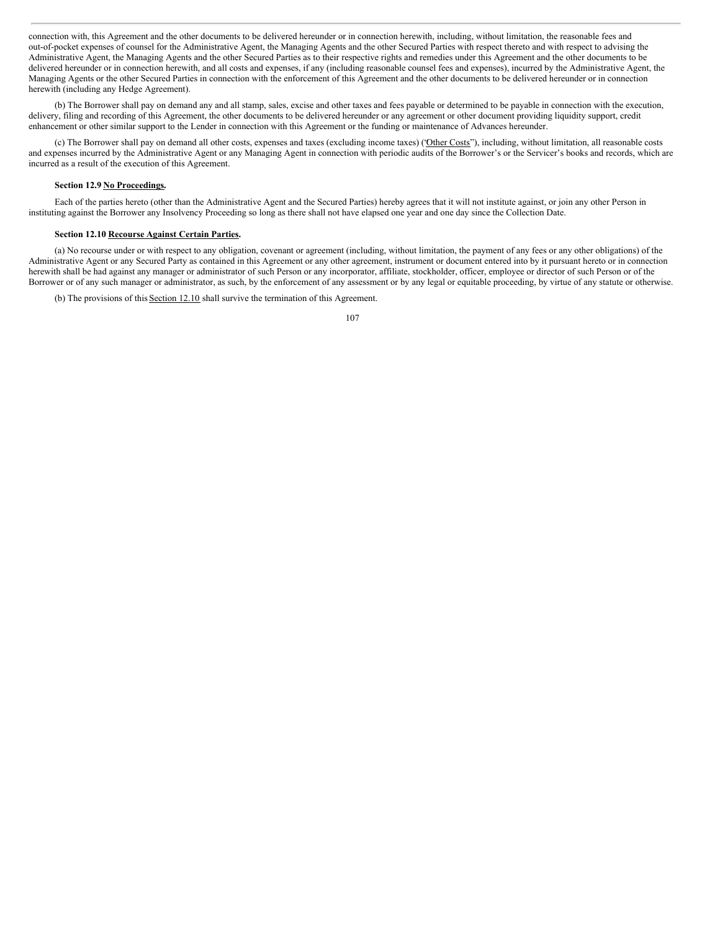connection with, this Agreement and the other documents to be delivered hereunder or in connection herewith, including, without limitation, the reasonable fees and out-of-pocket expenses of counsel for the Administrative Agent, the Managing Agents and the other Secured Parties with respect thereto and with respect to advising the Administrative Agent, the Managing Agents and the other Secured Parties as to their respective rights and remedies under this Agreement and the other documents to be delivered hereunder or in connection herewith, and all costs and expenses, if any (including reasonable counsel fees and expenses), incurred by the Administrative Agent, the Managing Agents or the other Secured Parties in connection with the enforcement of this Agreement and the other documents to be delivered hereunder or in connection herewith (including any Hedge Agreement).

(b) The Borrower shall pay on demand any and all stamp, sales, excise and other taxes and fees payable or determined to be payable in connection with the execution, delivery, filing and recording of this Agreement, the other documents to be delivered hereunder or any agreement or other document providing liquidity support, credit enhancement or other similar support to the Lender in connection with this Agreement or the funding or maintenance of Advances hereunder.

(c) The Borrower shall pay on demand all other costs, expenses and taxes (excluding income taxes) ("Other Costs"), including, without limitation, all reasonable costs and expenses incurred by the Administrative Agent or any Managing Agent in connection with periodic audits of the Borrower's or the Servicer's books and records, which are incurred as a result of the execution of this Agreement.

# **Section 12.9 No Proceedings.**

Each of the parties hereto (other than the Administrative Agent and the Secured Parties) hereby agrees that it will not institute against, or join any other Person in instituting against the Borrower any Insolvency Proceeding so long as there shall not have elapsed one year and one day since the Collection Date.

## **Section 12.10 Recourse Against Certain Parties.**

(a) No recourse under or with respect to any obligation, covenant or agreement (including, without limitation, the payment of any fees or any other obligations) of the Administrative Agent or any Secured Party as contained in this Agreement or any other agreement, instrument or document entered into by it pursuant hereto or in connection herewith shall be had against any manager or administrator of such Person or any incorporator, affiliate, stockholder, officer, employee or director of such Person or of the Borrower or of any such manager or administrator, as such, by the enforcement of any assessment or by any legal or equitable proceeding, by virtue of any statute or otherwise.

(b) The provisions of this Section 12.10 shall survive the termination of this Agreement.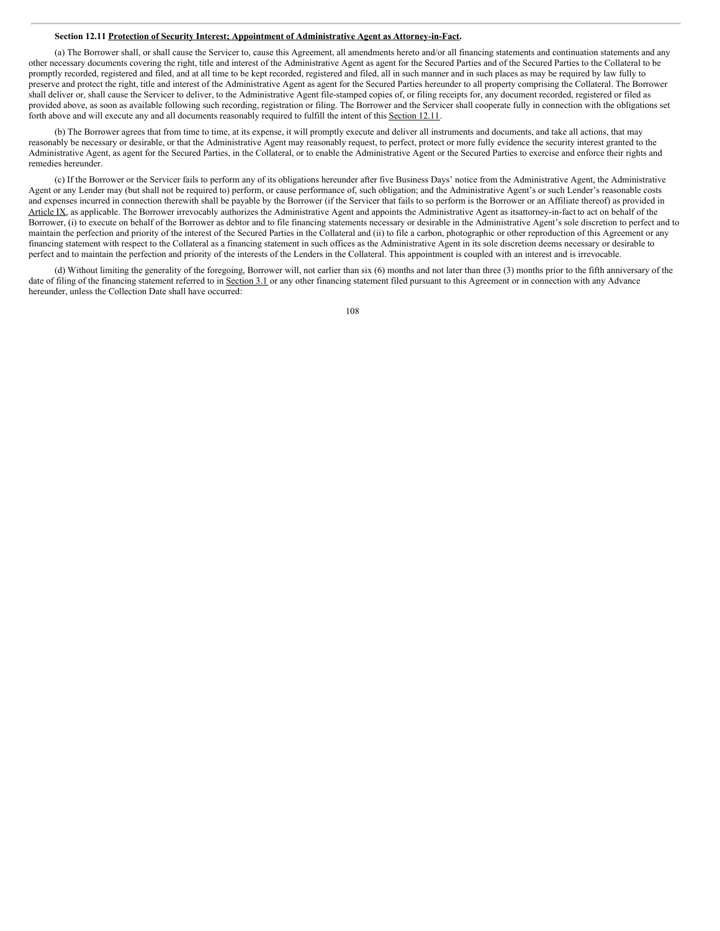#### **Section 12.11 Protection of Security Interest; Appointment of Administrative Agent as Attorney-in-Fact.**

(a) The Borrower shall, or shall cause the Servicer to, cause this Agreement, all amendments hereto and/or all financing statements and continuation statements and any other necessary documents covering the right, title and interest of the Administrative Agent as agent for the Secured Parties and of the Secured Parties to the Collateral to be promptly recorded, registered and filed, and at all time to be kept recorded, registered and filed, all in such manner and in such places as may be required by law fully to preserve and protect the right, title and interest of the Administrative Agent as agent for the Secured Parties hereunder to all property comprising the Collateral. The Borrower shall deliver or, shall cause the Servicer to deliver, to the Administrative Agent file-stamped copies of, or filing receipts for, any document recorded, registered or filed as provided above, as soon as available following such recording, registration or filing. The Borrower and the Servicer shall cooperate fully in connection with the obligations set forth above and will execute any and all documents reasonably required to fulfill the intent of this Section 12.11.

(b) The Borrower agrees that from time to time, at its expense, it will promptly execute and deliver all instruments and documents, and take all actions, that may reasonably be necessary or desirable, or that the Administrative Agent may reasonably request, to perfect, protect or more fully evidence the security interest granted to the Administrative Agent, as agent for the Secured Parties, in the Collateral, or to enable the Administrative Agent or the Secured Parties to exercise and enforce their rights and remedies hereunder.

(c) If the Borrower or the Servicer fails to perform any of its obligations hereunder after five Business Days' notice from the Administrative Agent, the Administrative Agent or any Lender may (but shall not be required to) perform, or cause performance of, such obligation; and the Administrative Agent's or such Lender's reasonable costs and expenses incurred in connection therewith shall be payable by the Borrower (if the Servicer that fails to so perform is the Borrower or an Affiliate thereof) as provided in Article IX, as applicable. The Borrower irrevocably authorizes the Administrative Agent and appoints the Administrative Agent as itsattorney-in-fact to act on behalf of the Borrower, (i) to execute on behalf of the Borrower as debtor and to file financing statements necessary or desirable in the Administrative Agent's sole discretion to perfect and to maintain the perfection and priority of the interest of the Secured Parties in the Collateral and (ii) to file a carbon, photographic or other reproduction of this Agreement or any financing statement with respect to the Collateral as a financing statement in such offices as the Administrative Agent in its sole discretion deems necessary or desirable to perfect and to maintain the perfection and priority of the interests of the Lenders in the Collateral. This appointment is coupled with an interest and is irrevocable.

(d) Without limiting the generality of the foregoing, Borrower will, not earlier than six (6) months and not later than three (3) months prior to the fifth anniversary of the date of filing of the financing statement referred to in Section 3.1 or any other financing statement filed pursuant to this Agreement or in connection with any Advance hereunder, unless the Collection Date shall have occurred: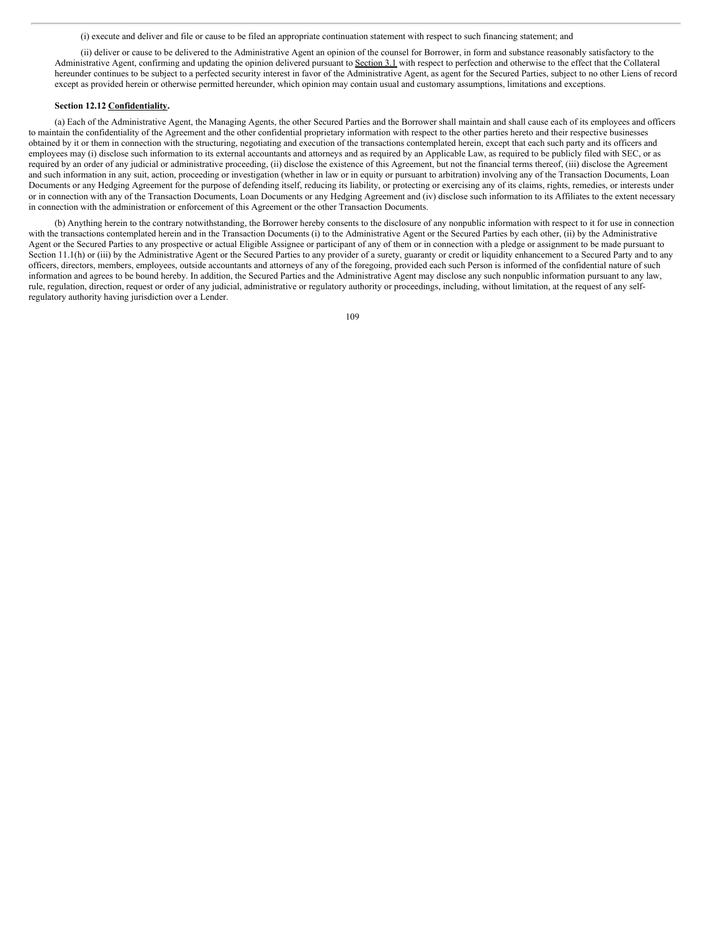(i) execute and deliver and file or cause to be filed an appropriate continuation statement with respect to such financing statement; and

(ii) deliver or cause to be delivered to the Administrative Agent an opinion of the counsel for Borrower, in form and substance reasonably satisfactory to the Administrative Agent, confirming and updating the opinion delivered pursuant to Section 3.1 with respect to perfection and otherwise to the effect that the Collateral hereunder continues to be subject to a perfected security interest in favor of the Administrative Agent, as agent for the Secured Parties, subject to no other Liens of record except as provided herein or otherwise permitted hereunder, which opinion may contain usual and customary assumptions, limitations and exceptions.

#### **Section 12.12 Confidentiality.**

(a) Each of the Administrative Agent, the Managing Agents, the other Secured Parties and the Borrower shall maintain and shall cause each of its employees and officers to maintain the confidentiality of the Agreement and the other confidential proprietary information with respect to the other parties hereto and their respective businesses obtained by it or them in connection with the structuring, negotiating and execution of the transactions contemplated herein, except that each such party and its officers and employees may (i) disclose such information to its external accountants and attorneys and as required by an Applicable Law, as required to be publicly filed with SEC, or as required by an order of any judicial or administrative proceeding, (ii) disclose the existence of this Agreement, but not the financial terms thereof, (iii) disclose the Agreement and such information in any suit, action, proceeding or investigation (whether in law or in equity or pursuant to arbitration) involving any of the Transaction Documents, Loan Documents or any Hedging Agreement for the purpose of defending itself, reducing its liability, or protecting or exercising any of its claims, rights, remedies, or interests under or in connection with any of the Transaction Documents, Loan Documents or any Hedging Agreement and (iv) disclose such information to its Affiliates to the extent necessary in connection with the administration or enforcement of this Agreement or the other Transaction Documents.

(b) Anything herein to the contrary notwithstanding, the Borrower hereby consents to the disclosure of any nonpublic information with respect to it for use in connection with the transactions contemplated herein and in the Transaction Documents (i) to the Administrative Agent or the Secured Parties by each other, (ii) by the Administrative Agent or the Secured Parties to any prospective or actual Eligible Assignee or participant of any of them or in connection with a pledge or assignment to be made pursuant to Section 11.1(h) or (iii) by the Administrative Agent or the Secured Parties to any provider of a surety, guaranty or credit or liquidity enhancement to a Secured Party and to any officers, directors, members, employees, outside accountants and attorneys of any of the foregoing, provided each such Person is informed of the confidential nature of such information and agrees to be bound hereby. In addition, the Secured Parties and the Administrative Agent may disclose any such nonpublic information pursuant to any law, rule, regulation, direction, request or order of any judicial, administrative or regulatory authority or proceedings, including, without limitation, at the request of any selfregulatory authority having jurisdiction over a Lender.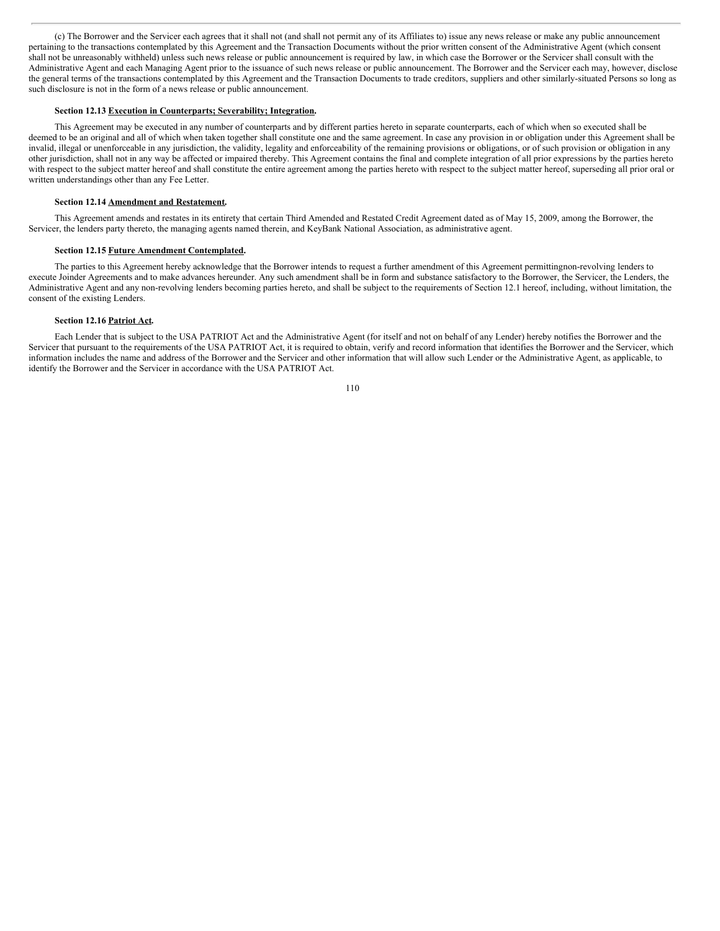(c) The Borrower and the Servicer each agrees that it shall not (and shall not permit any of its Affiliates to) issue any news release or make any public announcement pertaining to the transactions contemplated by this Agreement and the Transaction Documents without the prior written consent of the Administrative Agent (which consent shall not be unreasonably withheld) unless such news release or public announcement is required by law, in which case the Borrower or the Servicer shall consult with the Administrative Agent and each Managing Agent prior to the issuance of such news release or public announcement. The Borrower and the Servicer each may, however, disclose the general terms of the transactions contemplated by this Agreement and the Transaction Documents to trade creditors, suppliers and other similarly-situated Persons so long as such disclosure is not in the form of a news release or public announcement.

# **Section 12.13 Execution in Counterparts; Severability; Integration.**

This Agreement may be executed in any number of counterparts and by different parties hereto in separate counterparts, each of which when so executed shall be deemed to be an original and all of which when taken together shall constitute one and the same agreement. In case any provision in or obligation under this Agreement shall be invalid, illegal or unenforceable in any jurisdiction, the validity, legality and enforceability of the remaining provisions or obligations, or of such provision or obligation in any other jurisdiction, shall not in any way be affected or impaired thereby. This Agreement contains the final and complete integration of all prior expressions by the parties hereto with respect to the subject matter hereof and shall constitute the entire agreement among the parties hereto with respect to the subject matter hereof, superseding all prior oral or written understandings other than any Fee Letter.

#### **Section 12.14 Amendment and Restatement.**

This Agreement amends and restates in its entirety that certain Third Amended and Restated Credit Agreement dated as of May 15, 2009, among the Borrower, the Servicer, the lenders party thereto, the managing agents named therein, and KeyBank National Association, as administrative agent.

#### **Section 12.15 Future Amendment Contemplated.**

The parties to this Agreement hereby acknowledge that the Borrower intends to request a further amendment of this Agreement permittingnon-revolving lenders to execute Joinder Agreements and to make advances hereunder. Any such amendment shall be in form and substance satisfactory to the Borrower, the Servicer, the Lenders, the Administrative Agent and any non-revolving lenders becoming parties hereto, and shall be subject to the requirements of Section 12.1 hereof, including, without limitation, the consent of the existing Lenders.

#### **Section 12.16 Patriot Act.**

Each Lender that is subject to the USA PATRIOT Act and the Administrative Agent (for itself and not on behalf of any Lender) hereby notifies the Borrower and the Servicer that pursuant to the requirements of the USA PATRIOT Act, it is required to obtain, verify and record information that identifies the Borrower and the Servicer, which information includes the name and address of the Borrower and the Servicer and other information that will allow such Lender or the Administrative Agent, as applicable, to identify the Borrower and the Servicer in accordance with the USA PATRIOT Act.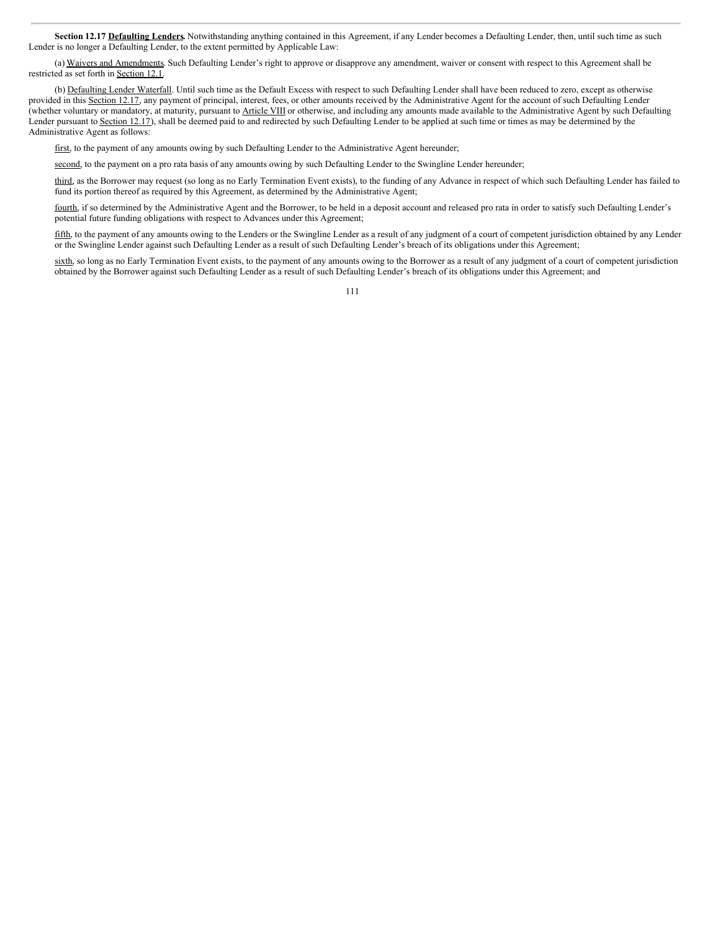Section 12.17 Defaulting Lenders. Notwithstanding anything contained in this Agreement, if any Lender becomes a Defaulting Lender, then, until such time as such Lender is no longer a Defaulting Lender, to the extent permitted by Applicable Law:

(a) Waivers and Amendments. Such Defaulting Lender's right to approve or disapprove any amendment, waiver or consent with respect to this Agreement shall be restricted as set forth in Section 12.1.

(b) Defaulting Lender Waterfall. Until such time as the Default Excess with respect to such Defaulting Lender shall have been reduced to zero, except as otherwise provided in this Section 12.17, any payment of principal, interest, fees, or other amounts received by the Administrative Agent for the account of such Defaulting Lender (whether voluntary or mandatory, at maturity, pursuant to Article VIII or otherwise, and including any amounts made available to the Administrative Agent by such Defaulting Lender pursuant to Section 12.17), shall be deemed paid to and redirected by such Defaulting Lender to be applied at such time or times as may be determined by the Administrative Agent as follows:

first, to the payment of any amounts owing by such Defaulting Lender to the Administrative Agent hereunder;

second, to the payment on a pro rata basis of any amounts owing by such Defaulting Lender to the Swingline Lender hereunder;

third, as the Borrower may request (so long as no Early Termination Event exists), to the funding of any Advance in respect of which such Defaulting Lender has failed to fund its portion thereof as required by this Agreement, as determined by the Administrative Agent;

fourth, if so determined by the Administrative Agent and the Borrower, to be held in a deposit account and released pro rata in order to satisfy such Defaulting Lender's potential future funding obligations with respect to Advances under this Agreement;

fifth, to the payment of any amounts owing to the Lenders or the Swingline Lender as a result of any judgment of a court of competent jurisdiction obtained by any Lender or the Swingline Lender against such Defaulting Lender as a result of such Defaulting Lender's breach of its obligations under this Agreement;

sixth, so long as no Early Termination Event exists, to the payment of any amounts owing to the Borrower as a result of any judgment of a court of competent jurisdiction obtained by the Borrower against such Defaulting Lender as a result of such Defaulting Lender's breach of its obligations under this Agreement; and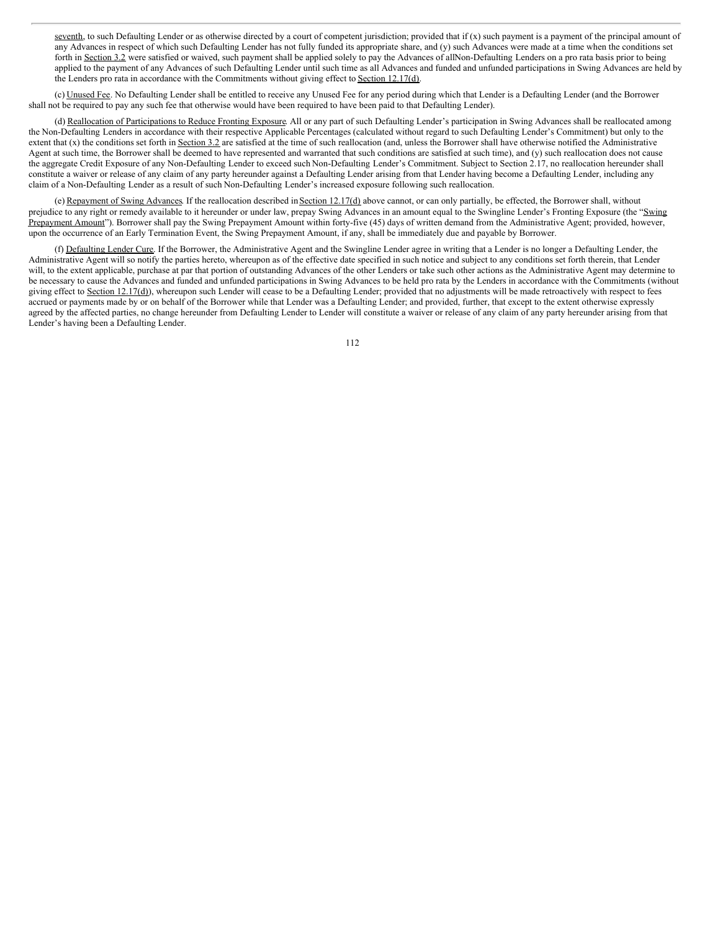seventh, to such Defaulting Lender or as otherwise directed by a court of competent jurisdiction; provided that if  $(x)$  such payment is a payment of the principal amount of any Advances in respect of which such Defaulting Lender has not fully funded its appropriate share, and (y) such Advances were made at a time when the conditions set forth in Section 3.2 were satisfied or waived, such payment shall be applied solely to pay the Advances of allNon-Defaulting Lenders on a pro rata basis prior to being applied to the payment of any Advances of such Defaulting Lender until such time as all Advances and funded and unfunded participations in Swing Advances are held by the Lenders pro rata in accordance with the Commitments without giving effect to Section 12.17(d).

(c) Unused Fee. No Defaulting Lender shall be entitled to receive any Unused Fee for any period during which that Lender is a Defaulting Lender (and the Borrower shall not be required to pay any such fee that otherwise would have been required to have been paid to that Defaulting Lender).

(d) Reallocation of Participations to Reduce Fronting Exposure. All or any part of such Defaulting Lender's participation in Swing Advances shall be reallocated among the Non-Defaulting Lenders in accordance with their respective Applicable Percentages (calculated without regard to such Defaulting Lender's Commitment) but only to the extent that (x) the conditions set forth in Section 3.2 are satisfied at the time of such reallocation (and, unless the Borrower shall have otherwise notified the Administrative Agent at such time, the Borrower shall be deemed to have represented and warranted that such conditions are satisfied at such time), and (y) such reallocation does not cause the aggregate Credit Exposure of any Non-Defaulting Lender to exceed such Non-Defaulting Lender's Commitment. Subject to Section 2.17, no reallocation hereunder shall constitute a waiver or release of any claim of any party hereunder against a Defaulting Lender arising from that Lender having become a Defaulting Lender, including any claim of a Non-Defaulting Lender as a result of such Non-Defaulting Lender's increased exposure following such reallocation.

(e) Repayment of Swing Advances. If the reallocation described in Section 12.17(d) above cannot, or can only partially, be effected, the Borrower shall, without prejudice to any right or remedy available to it hereunder or under law, prepay Swing Advances in an amount equal to the Swingline Lender's Fronting Exposure (the "Swing Prepayment Amount"). Borrower shall pay the Swing Prepayment Amount within forty-five (45) days of written demand from the Administrative Agent; provided, however, upon the occurrence of an Early Termination Event, the Swing Prepayment Amount, if any, shall be immediately due and payable by Borrower.

(f) Defaulting Lender Cure. If the Borrower, the Administrative Agent and the Swingline Lender agree in writing that a Lender is no longer a Defaulting Lender, the Administrative Agent will so notify the parties hereto, whereupon as of the effective date specified in such notice and subject to any conditions set forth therein, that Lender will, to the extent applicable, purchase at par that portion of outstanding Advances of the other Lenders or take such other actions as the Administrative Agent may determine to be necessary to cause the Advances and funded and unfunded participations in Swing Advances to be held pro rata by the Lenders in accordance with the Commitments (without giving effect to Section 12.17(d)), whereupon such Lender will cease to be a Defaulting Lender; provided that no adjustments will be made retroactively with respect to fees accrued or payments made by or on behalf of the Borrower while that Lender was a Defaulting Lender; and provided, further, that except to the extent otherwise expressly agreed by the affected parties, no change hereunder from Defaulting Lender to Lender will constitute a waiver or release of any claim of any party hereunder arising from that Lender's having been a Defaulting Lender.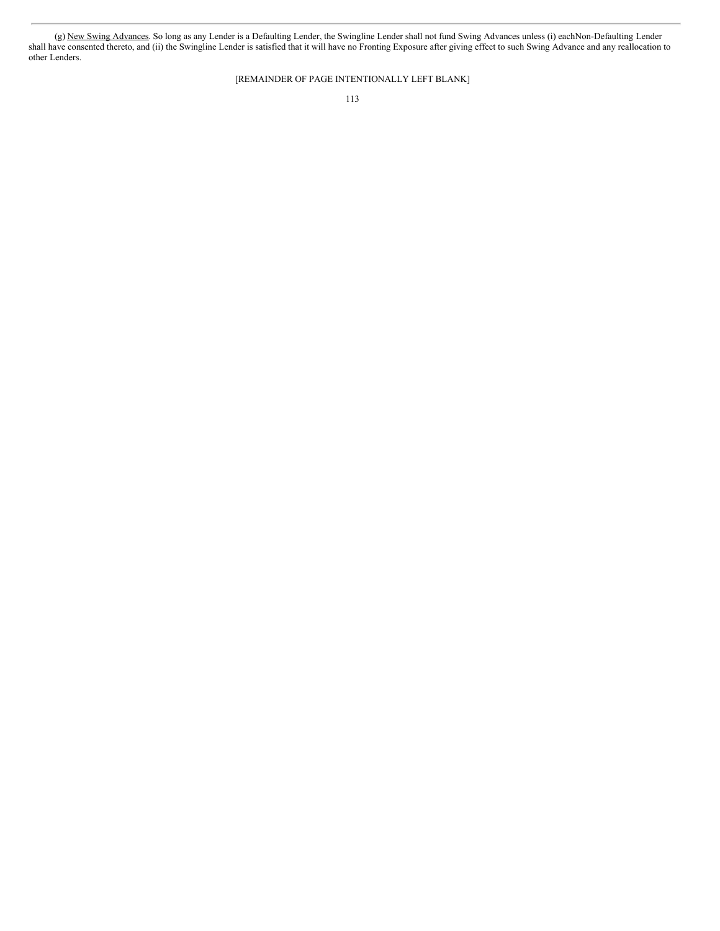(g) New Swing Advances. So long as any Lender is a Defaulting Lender, the Swingline Lender shall not fund Swing Advances unless (i) eachNon-Defaulting Lender shall have consented thereto, and (ii) the Swingline Lender is satisfied that it will have no Fronting Exposure after giving effect to such Swing Advance and any reallocation to other Lenders.

[REMAINDER OF PAGE INTENTIONALLY LEFT BLANK]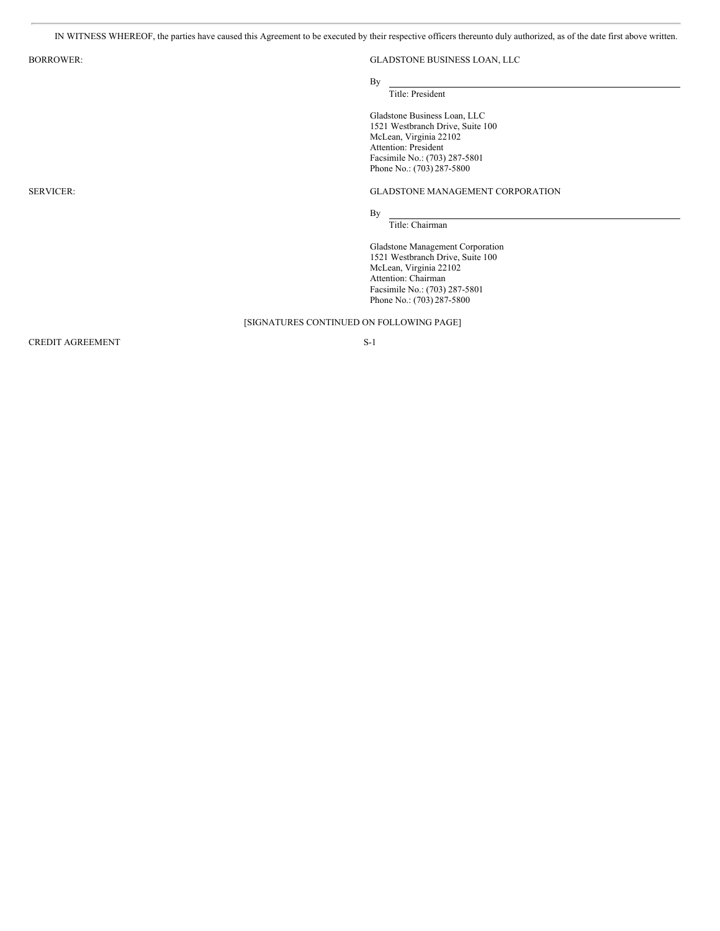IN WITNESS WHEREOF, the parties have caused this Agreement to be executed by their respective officers thereunto duly authorized, as of the date first above written.

# BORROWER: GLADSTONE BUSINESS LOAN, LLC

By

# Title: President

Gladstone Business Loan, LLC 1521 Westbranch Drive, Suite 100 McLean, Virginia 22102 Attention: President Facsimile No.: (703) 287-5801 Phone No.: (703) 287-5800

# SERVICER: GLADSTONE MANAGEMENT CORPORATION

By Title: Chairman

Gladstone Management Corporation 1521 Westbranch Drive, Suite 100 McLean, Virginia 22102 Attention: Chairman Facsimile No.: (703) 287-5801 Phone No.: (703) 287-5800

# [SIGNATURES CONTINUED ON FOLLOWING PAGE]

CREDIT AGREEMENT S-1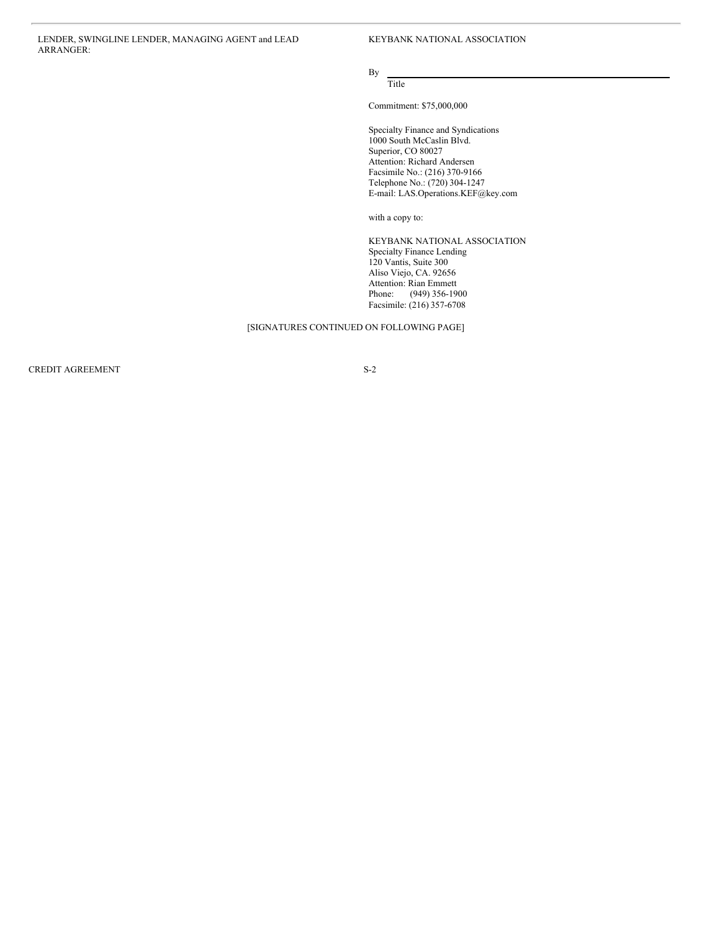LENDER, SWINGLINE LENDER, MANAGING AGENT and LEAD ARRANGER:

KEYBANK NATIONAL ASSOCIATION

# By Title

Commitment: \$75,000,000

Specialty Finance and Syndications 1000 South McCaslin Blvd. Superior, CO 80027 Attention: Richard Andersen Facsimile No.: (216) 370-9166 Telephone No.: (720) 304-1247 E-mail: LAS.Operations.KEF@key.com

with a copy to:

KEYBANK NATIONAL ASSOCIATION Specialty Finance Lending 120 Vantis, Suite 300 Aliso Viejo, CA. 92656 Attention: Rian Emmett Phone: (949) 356-1900 Facsimile: (216) 357-6708

# [SIGNATURES CONTINUED ON FOLLOWING PAGE]

CREDIT AGREEMENT S-2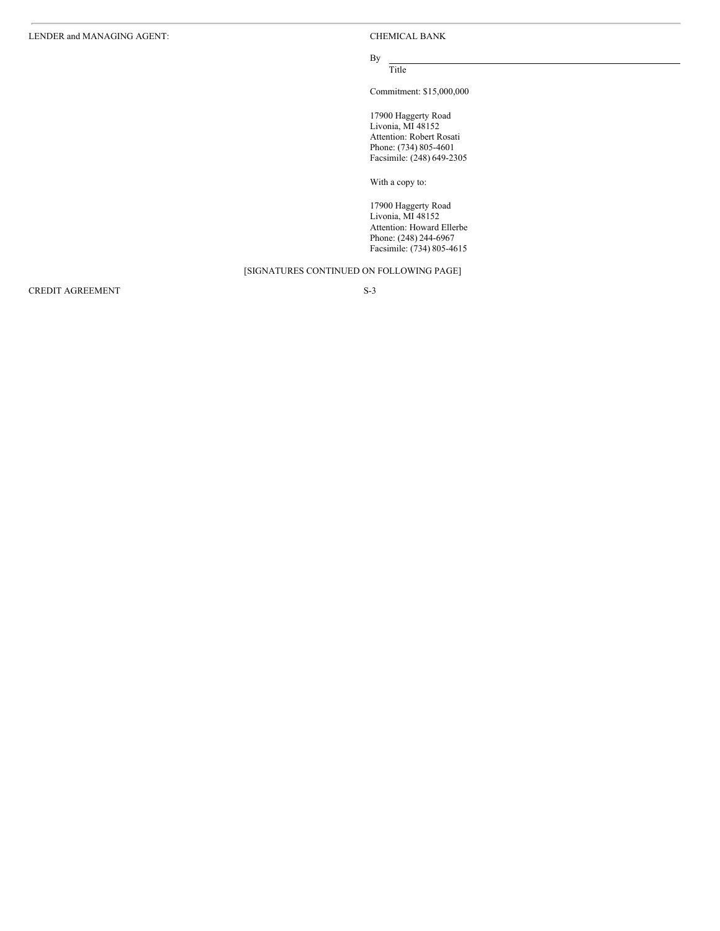# By Title

Commitment: \$15,000,000

17900 Haggerty Road Livonia, MI 48152 Attention: Robert Rosati Phone: (734) 805-4601 Facsimile: (248) 649-2305

With a copy to:

17900 Haggerty Road Livonia, MI 48152 Attention: Howard Ellerbe Phone: (248) 244-6967 Facsimile: (734) 805-4615

# [SIGNATURES CONTINUED ON FOLLOWING PAGE]

 $\begin{tabular}{c} CREDIT AGREEMENT \\ \hline \end{tabular}$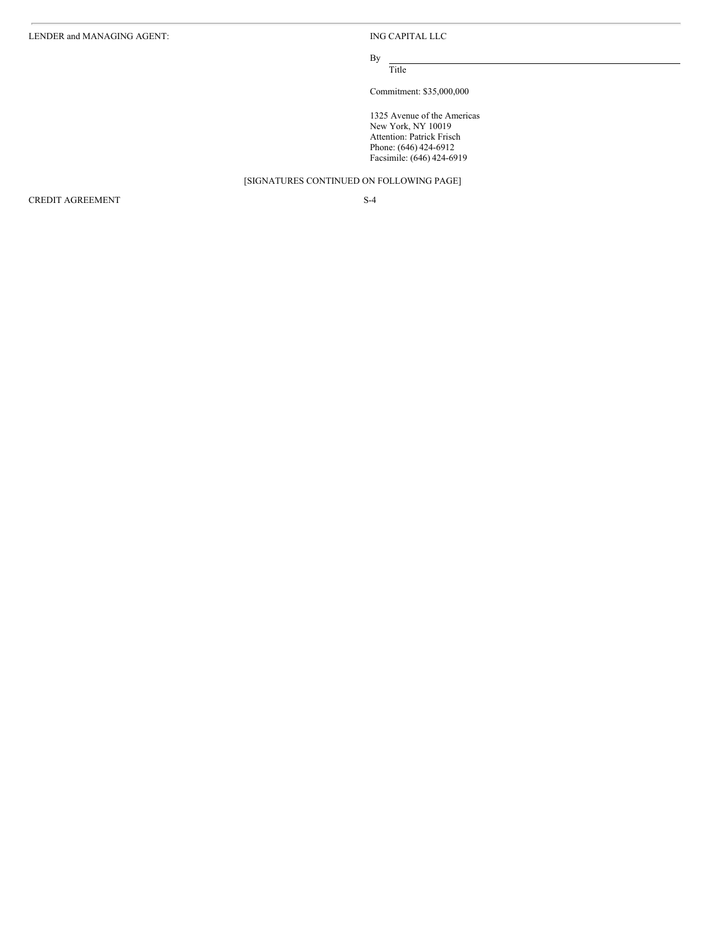By Title

Commitment: \$35,000,000

1325 Avenue of the Americas New York, NY 10019 Attention: Patrick Frisch Phone: (646) 424-6912 Facsimile: (646) 424-6919

[SIGNATURES CONTINUED ON FOLLOWING PAGE]

CREDIT AGREEMENT S-4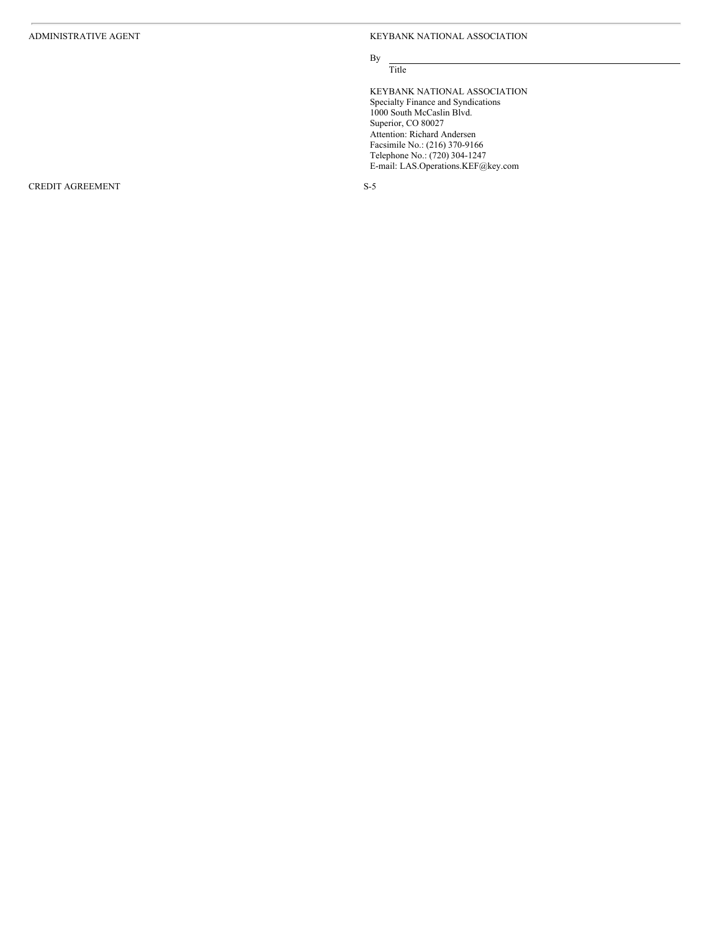KEYBANK NATIONAL ASSOCIATION

# B y Title

KEYBANK NATIONAL ASSOCIATION Specialty Finance and Syndications 1000 South McCaslin Blvd. Superior, CO 80027 Attention: Richard Andersen Facsimile No.: (216) 370-916 6 Telephone No.: (720) 304-1247 E-mail: LAS.Operations.KEF@key.com

CREDIT AGREEMENT

S - 5